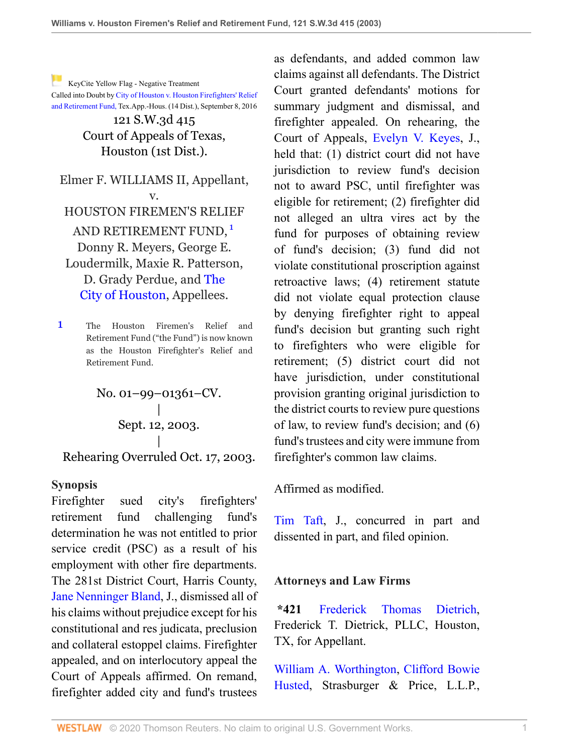[K](http://www.westlaw.com/Link/RelatedInformation/Flag?documentGuid=I8d0b46b0e7df11d99439b076ef9ec4de&transitionType=Document&originationContext=docHeaderFlag&Rank=0&rs=cblt1.0&vr=3.0&contextData=(sc.UserEnteredCitation))eyCite Yellow Flag - Negative Treatment Called into Doubt by [City of Houston v. Houston Firefighters' Relief](https://www.westlaw.com/Document/I63e9d110765e11e69981dc2250b07c82/View/FullText.html?navigationPath=RelatedInfo%2Fv4%2Fkeycite%2Fnav%2F%3Fguid%3DI63e9d110765e11e69981dc2250b07c82%26ss%3D2003622301%26ds%3D2039742039%26origDocGuid%3DI8d0b46b0e7df11d99439b076ef9ec4de&listSource=RelatedInfo&list=NegativeCitingReferences&rank=0&originationContext=docHeader&transitionType=NegativeTreatment&contextData=%28sc.UserEnteredCitation%29&VR=3.0&RS=cblt1.0 )

[and Retirement Fund,](https://www.westlaw.com/Document/I63e9d110765e11e69981dc2250b07c82/View/FullText.html?navigationPath=RelatedInfo%2Fv4%2Fkeycite%2Fnav%2F%3Fguid%3DI63e9d110765e11e69981dc2250b07c82%26ss%3D2003622301%26ds%3D2039742039%26origDocGuid%3DI8d0b46b0e7df11d99439b076ef9ec4de&listSource=RelatedInfo&list=NegativeCitingReferences&rank=0&originationContext=docHeader&transitionType=NegativeTreatment&contextData=%28sc.UserEnteredCitation%29&VR=3.0&RS=cblt1.0 ) Tex.App.-Hous. (14 Dist.), September 8, 2016

121 S.W.3d 415 Court of Appeals of Texas, Houston (1st Dist.).

Elmer F. WILLIAMS II, Appellant, v. HOUSTON FIREMEN'S RELIEF AND RETIREMENT FUND, <sup>[1](#page-0-0)</sup> Donny R. Meyers, George E. Loudermilk, Maxie R. Patterson, D. Grady Perdue, and [The](http://www.westlaw.com/Search/Results.html?query=advanced%3a+OAID(4295948789)&saveJuris=False&contentType=BUSINESS-INVESTIGATOR&startIndex=1&contextData=(sc.Default)&categoryPageUrl=Home%2fCompanyInvestigator&originationContext=document&vr=3.0&rs=cblt1.0&transitionType=DocumentItem) [City of Houston](http://www.westlaw.com/Search/Results.html?query=advanced%3a+OAID(4295948789)&saveJuris=False&contentType=BUSINESS-INVESTIGATOR&startIndex=1&contextData=(sc.Default)&categoryPageUrl=Home%2fCompanyInvestigator&originationContext=document&vr=3.0&rs=cblt1.0&transitionType=DocumentItem), Appellees.

<span id="page-0-0"></span>[1](#page-0-1) The Houston Firemen's Relief and Retirement Fund ("the Fund") is now known as the Houston Firefighter's Relief and Retirement Fund.

> No. 01–99–01361–CV. | Sept. 12, 2003. |

Rehearing Overruled Oct. 17, 2003.

#### **Synopsis**

Firefighter sued city's firefighters' retirement fund challenging fund's determination he was not entitled to prior service credit (PSC) as a result of his employment with other fire departments. The 281st District Court, Harris County, [Jane Nenninger Bland,](http://www.westlaw.com/Link/Document/FullText?findType=h&pubNum=176284&cite=0316738901&originatingDoc=I8d0b46b0e7df11d99439b076ef9ec4de&refType=RQ&originationContext=document&vr=3.0&rs=cblt1.0&transitionType=DocumentItem&contextData=(sc.UserEnteredCitation)) J., dismissed all of his claims without prejudice except for his constitutional and res judicata, preclusion and collateral estoppel claims. Firefighter appealed, and on interlocutory appeal the Court of Appeals affirmed. On remand, firefighter added city and fund's trustees

<span id="page-0-1"></span>as defendants, and added common law claims against all defendants. The District Court granted defendants' motions for summary judgment and dismissal, and firefighter appealed. On rehearing, the Court of Appeals, [Evelyn V. Keyes](http://www.westlaw.com/Link/Document/FullText?findType=h&pubNum=176284&cite=0149375801&originatingDoc=I8d0b46b0e7df11d99439b076ef9ec4de&refType=RQ&originationContext=document&vr=3.0&rs=cblt1.0&transitionType=DocumentItem&contextData=(sc.UserEnteredCitation)), J., held that: (1) district court did not have jurisdiction to review fund's decision not to award PSC, until firefighter was eligible for retirement; (2) firefighter did not alleged an ultra vires act by the fund for purposes of obtaining review of fund's decision; (3) fund did not violate constitutional proscription against retroactive laws; (4) retirement statute did not violate equal protection clause by denying firefighter right to appeal fund's decision but granting such right to firefighters who were eligible for retirement; (5) district court did not have jurisdiction, under constitutional provision granting original jurisdiction to the district courts to review pure questions of law, to review fund's decision; and (6) fund's trustees and city were immune from firefighter's common law claims.

Affirmed as modified.

[Tim Taft,](http://www.westlaw.com/Link/Document/FullText?findType=h&pubNum=176284&cite=0114187901&originatingDoc=I8d0b46b0e7df11d99439b076ef9ec4de&refType=RQ&originationContext=document&vr=3.0&rs=cblt1.0&transitionType=DocumentItem&contextData=(sc.UserEnteredCitation)) J., concurred in part and dissented in part, and filed opinion.

#### **Attorneys and Law Firms**

**\*421** [Frederick Thomas Dietrich,](http://www.westlaw.com/Link/Document/FullText?findType=h&pubNum=176284&cite=0282955901&originatingDoc=I8d0b46b0e7df11d99439b076ef9ec4de&refType=RQ&originationContext=document&vr=3.0&rs=cblt1.0&transitionType=DocumentItem&contextData=(sc.UserEnteredCitation)) Frederick T. Dietrick, PLLC, Houston, TX, for Appellant.

[William A. Worthington,](http://www.westlaw.com/Link/Document/FullText?findType=h&pubNum=176284&cite=0178144201&originatingDoc=I8d0b46b0e7df11d99439b076ef9ec4de&refType=RQ&originationContext=document&vr=3.0&rs=cblt1.0&transitionType=DocumentItem&contextData=(sc.UserEnteredCitation)) [Clifford Bowie](http://www.westlaw.com/Link/Document/FullText?findType=h&pubNum=176284&cite=0242339901&originatingDoc=I8d0b46b0e7df11d99439b076ef9ec4de&refType=RQ&originationContext=document&vr=3.0&rs=cblt1.0&transitionType=DocumentItem&contextData=(sc.UserEnteredCitation)) [Husted,](http://www.westlaw.com/Link/Document/FullText?findType=h&pubNum=176284&cite=0242339901&originatingDoc=I8d0b46b0e7df11d99439b076ef9ec4de&refType=RQ&originationContext=document&vr=3.0&rs=cblt1.0&transitionType=DocumentItem&contextData=(sc.UserEnteredCitation)) Strasburger & Price, L.L.P.,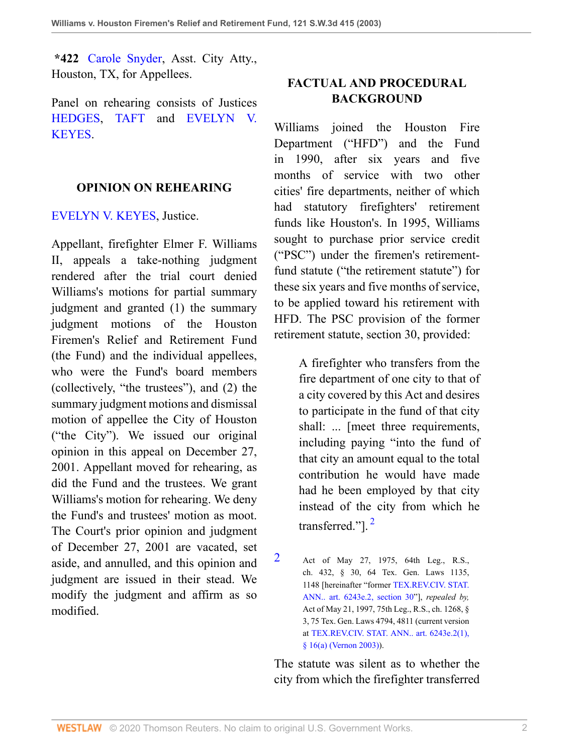**\*422** [Carole Snyder](http://www.westlaw.com/Link/Document/FullText?findType=h&pubNum=176284&cite=0200024201&originatingDoc=I8d0b46b0e7df11d99439b076ef9ec4de&refType=RQ&originationContext=document&vr=3.0&rs=cblt1.0&transitionType=DocumentItem&contextData=(sc.UserEnteredCitation)), Asst. City Atty., Houston, TX, for Appellees.

Panel on rehearing consists of Justices [HEDGES](http://www.westlaw.com/Link/Document/FullText?findType=h&pubNum=176284&cite=0481796401&originatingDoc=I8d0b46b0e7df11d99439b076ef9ec4de&refType=RQ&originationContext=document&vr=3.0&rs=cblt1.0&transitionType=DocumentItem&contextData=(sc.UserEnteredCitation)), [TAFT](http://www.westlaw.com/Link/Document/FullText?findType=h&pubNum=176284&cite=0114187901&originatingDoc=I8d0b46b0e7df11d99439b076ef9ec4de&refType=RQ&originationContext=document&vr=3.0&rs=cblt1.0&transitionType=DocumentItem&contextData=(sc.UserEnteredCitation)) and [EVELYN V.](http://www.westlaw.com/Link/Document/FullText?findType=h&pubNum=176284&cite=0149375801&originatingDoc=I8d0b46b0e7df11d99439b076ef9ec4de&refType=RQ&originationContext=document&vr=3.0&rs=cblt1.0&transitionType=DocumentItem&contextData=(sc.UserEnteredCitation)) [KEYES.](http://www.westlaw.com/Link/Document/FullText?findType=h&pubNum=176284&cite=0149375801&originatingDoc=I8d0b46b0e7df11d99439b076ef9ec4de&refType=RQ&originationContext=document&vr=3.0&rs=cblt1.0&transitionType=DocumentItem&contextData=(sc.UserEnteredCitation))

#### **OPINION ON REHEARING**

[EVELYN V. KEYES,](http://www.westlaw.com/Link/Document/FullText?findType=h&pubNum=176284&cite=0149375801&originatingDoc=I8d0b46b0e7df11d99439b076ef9ec4de&refType=RQ&originationContext=document&vr=3.0&rs=cblt1.0&transitionType=DocumentItem&contextData=(sc.UserEnteredCitation)) Justice.

Appellant, firefighter Elmer F. Williams II, appeals a take-nothing judgment rendered after the trial court denied Williams's motions for partial summary judgment and granted (1) the summary judgment motions of the Houston Firemen's Relief and Retirement Fund (the Fund) and the individual appellees, who were the Fund's board members (collectively, "the trustees"), and (2) the summary judgment motions and dismissal motion of appellee the City of Houston ("the City"). We issued our original opinion in this appeal on December 27, 2001. Appellant moved for rehearing, as did the Fund and the trustees. We grant Williams's motion for rehearing. We deny the Fund's and trustees' motion as moot. The Court's prior opinion and judgment of December 27, 2001 are vacated, set aside, and annulled, and this opinion and judgment are issued in their stead. We modify the judgment and affirm as so modified.

### **FACTUAL AND PROCEDURAL BACKGROUND**

Williams joined the Houston Fire Department ("HFD") and the Fund in 1990, after six years and five months of service with two other cities' fire departments, neither of which had statutory firefighters' retirement funds like Houston's. In 1995, Williams sought to purchase prior service credit ("PSC") under the firemen's retirementfund statute ("the retirement statute") for these six years and five months of service, to be applied toward his retirement with HFD. The PSC provision of the former retirement statute, section 30, provided:

> A firefighter who transfers from the fire department of one city to that of a city covered by this Act and desires to participate in the fund of that city shall: ... [meet three requirements, including paying "into the fund of that city an amount equal to the total contribution he would have made had he been employed by that city instead of the city from which he transferred."]. [2](#page-1-0)

The statute was silent as to whether the city from which the firefighter transferred

<span id="page-1-1"></span><span id="page-1-0"></span>[<sup>2</sup>](#page-1-1) Act of May 27, 1975, 64th Leg., R.S., ch. 432, § 30, 64 Tex. Gen. Laws 1135, 1148 [hereinafter "former [TEX.REV.CIV. STAT.](http://www.westlaw.com/Link/Document/FullText?findType=L&pubNum=1000188&cite=TXCSART6243E.2&originatingDoc=I8d0b46b0e7df11d99439b076ef9ec4de&refType=LQ&originationContext=document&vr=3.0&rs=cblt1.0&transitionType=DocumentItem&contextData=(sc.UserEnteredCitation)) [ANN.. art. 6243e.2, section 30"](http://www.westlaw.com/Link/Document/FullText?findType=L&pubNum=1000188&cite=TXCSART6243E.2&originatingDoc=I8d0b46b0e7df11d99439b076ef9ec4de&refType=LQ&originationContext=document&vr=3.0&rs=cblt1.0&transitionType=DocumentItem&contextData=(sc.UserEnteredCitation))], *repealed by,* Act of May 21, 1997, 75th Leg., R.S., ch. 1268, § 3, 75 Tex. Gen. Laws 4794, 4811 (current version at [TEX.REV.CIV. STAT. ANN.. art. 6243e.2\(1\),](http://www.westlaw.com/Link/Document/FullText?findType=L&pubNum=1000188&cite=TXCSART6243E.2(1)&originatingDoc=I8d0b46b0e7df11d99439b076ef9ec4de&refType=LQ&originationContext=document&vr=3.0&rs=cblt1.0&transitionType=DocumentItem&contextData=(sc.UserEnteredCitation)) [§ 16\(a\) \(Vernon 2003\)](http://www.westlaw.com/Link/Document/FullText?findType=L&pubNum=1000188&cite=TXCSART6243E.2(1)&originatingDoc=I8d0b46b0e7df11d99439b076ef9ec4de&refType=LQ&originationContext=document&vr=3.0&rs=cblt1.0&transitionType=DocumentItem&contextData=(sc.UserEnteredCitation))).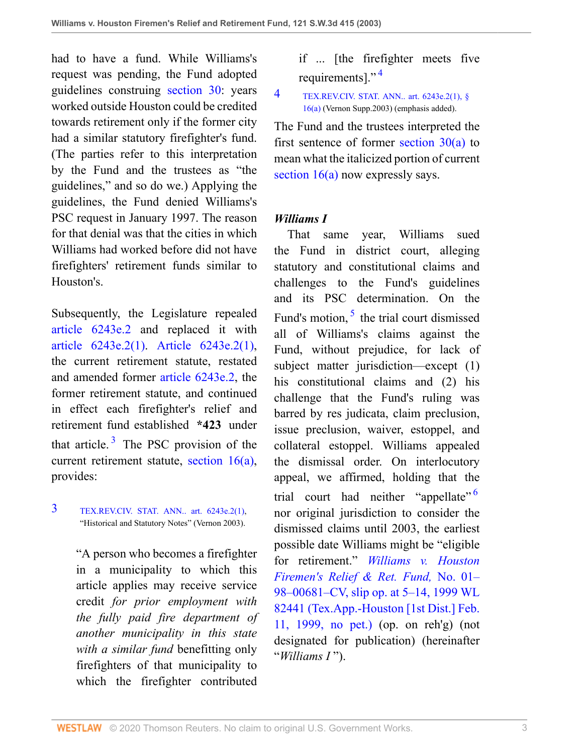had to have a fund. While Williams's request was pending, the Fund adopted guidelines construing [section 30](http://www.westlaw.com/Link/Document/FullText?findType=L&pubNum=1000188&cite=TXCSART6243E.2&originatingDoc=I8d0b46b0e7df11d99439b076ef9ec4de&refType=LQ&originationContext=document&vr=3.0&rs=cblt1.0&transitionType=DocumentItem&contextData=(sc.UserEnteredCitation)): years worked outside Houston could be credited towards retirement only if the former city had a similar statutory firefighter's fund. (The parties refer to this interpretation by the Fund and the trustees as "the guidelines," and so do we.) Applying the guidelines, the Fund denied Williams's PSC request in January 1997. The reason for that denial was that the cities in which Williams had worked before did not have firefighters' retirement funds similar to Houston's.

Subsequently, the Legislature repealed [article 6243e.2](http://www.westlaw.com/Link/Document/FullText?findType=L&pubNum=1000188&cite=TXCSART6243E.2&originatingDoc=I8d0b46b0e7df11d99439b076ef9ec4de&refType=LQ&originationContext=document&vr=3.0&rs=cblt1.0&transitionType=DocumentItem&contextData=(sc.UserEnteredCitation)) and replaced it with [article 6243e.2\(1\)](http://www.westlaw.com/Link/Document/FullText?findType=L&pubNum=1000188&cite=TXCSART6243E.2(1)&originatingDoc=I8d0b46b0e7df11d99439b076ef9ec4de&refType=LQ&originationContext=document&vr=3.0&rs=cblt1.0&transitionType=DocumentItem&contextData=(sc.UserEnteredCitation)). [Article 6243e.2\(1\),](http://www.westlaw.com/Link/Document/FullText?findType=L&pubNum=1000188&cite=TXCSART6243E.2(1)&originatingDoc=I8d0b46b0e7df11d99439b076ef9ec4de&refType=LQ&originationContext=document&vr=3.0&rs=cblt1.0&transitionType=DocumentItem&contextData=(sc.UserEnteredCitation)) the current retirement statute, restated and amended former [article 6243e.2](http://www.westlaw.com/Link/Document/FullText?findType=L&pubNum=1000188&cite=TXCSART6243E.2&originatingDoc=I8d0b46b0e7df11d99439b076ef9ec4de&refType=LQ&originationContext=document&vr=3.0&rs=cblt1.0&transitionType=DocumentItem&contextData=(sc.UserEnteredCitation)), the former retirement statute, and continued in effect each firefighter's relief and retirement fund established **\*423** under that article. $3$  The PSC provision of the current retirement statute, [section 16\(a\),](http://www.westlaw.com/Link/Document/FullText?findType=L&pubNum=1000188&cite=TXCSART6243E.2(1)&originatingDoc=I8d0b46b0e7df11d99439b076ef9ec4de&refType=LQ&originationContext=document&vr=3.0&rs=cblt1.0&transitionType=DocumentItem&contextData=(sc.UserEnteredCitation)) provides:

### <span id="page-2-1"></span><span id="page-2-0"></span>[3](#page-2-1) [TEX.REV.CIV. STAT. ANN.. art. 6243e.2\(1\),](http://www.westlaw.com/Link/Document/FullText?findType=L&pubNum=1000188&cite=TXCSART6243E.2(1)&originatingDoc=I8d0b46b0e7df11d99439b076ef9ec4de&refType=LQ&originationContext=document&vr=3.0&rs=cblt1.0&transitionType=DocumentItem&contextData=(sc.UserEnteredCitation)) "Historical and Statutory Notes" (Vernon 2003).

"A person who becomes a firefighter in a municipality to which this article applies may receive service credit *for prior employment with the fully paid fire department of another municipality in this state with a similar fund* benefitting only firefighters of that municipality to which the firefighter contributed

<span id="page-2-3"></span>if ... [the firefighter meets five requirements]." $4$ 

#### <span id="page-2-2"></span>[4](#page-2-3) [TEX.REV.CIV. STAT. ANN.. art. 6243e.2\(1\), §](http://www.westlaw.com/Link/Document/FullText?findType=L&pubNum=1000188&cite=TXCSART6243E.2(1)&originatingDoc=I8d0b46b0e7df11d99439b076ef9ec4de&refType=LQ&originationContext=document&vr=3.0&rs=cblt1.0&transitionType=DocumentItem&contextData=(sc.UserEnteredCitation)) [16\(a\)](http://www.westlaw.com/Link/Document/FullText?findType=L&pubNum=1000188&cite=TXCSART6243E.2(1)&originatingDoc=I8d0b46b0e7df11d99439b076ef9ec4de&refType=LQ&originationContext=document&vr=3.0&rs=cblt1.0&transitionType=DocumentItem&contextData=(sc.UserEnteredCitation)) (Vernon Supp.2003) (emphasis added).

The Fund and the trustees interpreted the first sentence of former [section 30\(a\)](http://www.westlaw.com/Link/Document/FullText?findType=L&pubNum=1000188&cite=TXCSART6243E.2&originatingDoc=I8d0b46b0e7df11d99439b076ef9ec4de&refType=LQ&originationContext=document&vr=3.0&rs=cblt1.0&transitionType=DocumentItem&contextData=(sc.UserEnteredCitation)) to mean what the italicized portion of current [section 16\(a\)](http://www.westlaw.com/Link/Document/FullText?findType=L&pubNum=1000188&cite=TXCSART6243E.2(1)&originatingDoc=I8d0b46b0e7df11d99439b076ef9ec4de&refType=LQ&originationContext=document&vr=3.0&rs=cblt1.0&transitionType=DocumentItem&contextData=(sc.UserEnteredCitation)) now expressly says.

### *Williams I*

<span id="page-2-5"></span><span id="page-2-4"></span> That same year, Williams sued the Fund in district court, alleging statutory and constitutional claims and challenges to the Fund's guidelines and its PSC determination. On the Fund's motion, <sup>[5](#page-3-0)</sup> the trial court dismissed all of Williams's claims against the Fund, without prejudice, for lack of subject matter jurisdiction—except (1) his constitutional claims and (2) his challenge that the Fund's ruling was barred by res judicata, claim preclusion, issue preclusion, waiver, estoppel, and collateral estoppel. Williams appealed the dismissal order. On interlocutory appeal, we affirmed, holding that the trial court had neither "appellate"<sup>[6](#page-3-1)</sup> nor original jurisdiction to consider the dismissed claims until 2003, the earliest possible date Williams might be "eligible for retirement." *[Williams v. Houston](http://www.westlaw.com/Link/Document/FullText?findType=Y&serNum=1999061264&pubNum=0000999&originatingDoc=I8d0b46b0e7df11d99439b076ef9ec4de&refType=RP&originationContext=document&vr=3.0&rs=cblt1.0&transitionType=DocumentItem&contextData=(sc.UserEnteredCitation)) [Firemen's Relief & Ret. Fund,](http://www.westlaw.com/Link/Document/FullText?findType=Y&serNum=1999061264&pubNum=0000999&originatingDoc=I8d0b46b0e7df11d99439b076ef9ec4de&refType=RP&originationContext=document&vr=3.0&rs=cblt1.0&transitionType=DocumentItem&contextData=(sc.UserEnteredCitation))* No. 01– [98–00681–CV, slip op. at 5–14, 1999 WL](http://www.westlaw.com/Link/Document/FullText?findType=Y&serNum=1999061264&pubNum=0000999&originatingDoc=I8d0b46b0e7df11d99439b076ef9ec4de&refType=RP&originationContext=document&vr=3.0&rs=cblt1.0&transitionType=DocumentItem&contextData=(sc.UserEnteredCitation)) [82441 \(Tex.App.-Houston \[1st Dist.\] Feb.](http://www.westlaw.com/Link/Document/FullText?findType=Y&serNum=1999061264&pubNum=0000999&originatingDoc=I8d0b46b0e7df11d99439b076ef9ec4de&refType=RP&originationContext=document&vr=3.0&rs=cblt1.0&transitionType=DocumentItem&contextData=(sc.UserEnteredCitation)) [11, 1999, no pet.\)](http://www.westlaw.com/Link/Document/FullText?findType=Y&serNum=1999061264&pubNum=0000999&originatingDoc=I8d0b46b0e7df11d99439b076ef9ec4de&refType=RP&originationContext=document&vr=3.0&rs=cblt1.0&transitionType=DocumentItem&contextData=(sc.UserEnteredCitation)) (op. on reh'g) (not designated for publication) (hereinafter "*Williams I* ").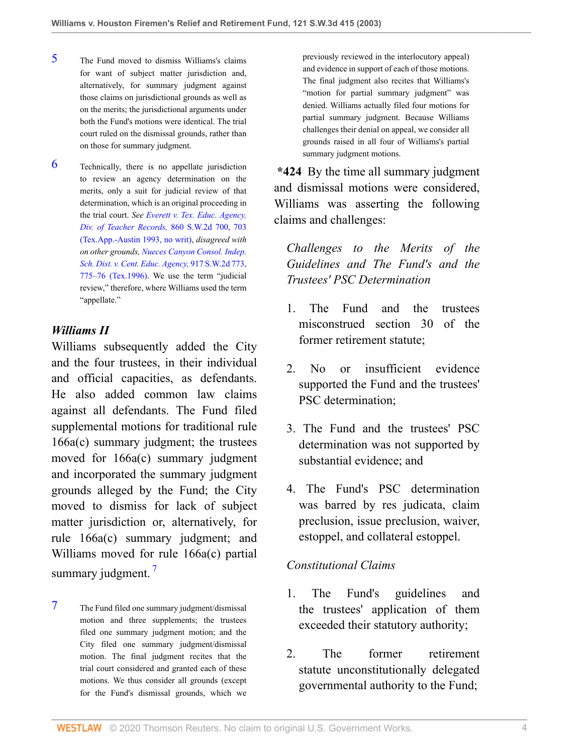- <span id="page-3-0"></span>[5](#page-2-4) The Fund moved to dismiss Williams's claims for want of subject matter jurisdiction and, alternatively, for summary judgment against those claims on jurisdictional grounds as well as on the merits; the jurisdictional arguments under both the Fund's motions were identical. The trial court ruled on the dismissal grounds, rather than on those for summary judgment.
- <span id="page-3-1"></span>[6](#page-2-5) Technically, there is no appellate jurisdiction to review an agency determination on the merits, only a suit for judicial review of that determination, which is an original proceeding in the trial court. *See [Everett v. Tex. Educ. Agency,](http://www.westlaw.com/Link/Document/FullText?findType=Y&serNum=1993160167&pubNum=0000713&originatingDoc=I8d0b46b0e7df11d99439b076ef9ec4de&refType=RP&fi=co_pp_sp_713_703&originationContext=document&vr=3.0&rs=cblt1.0&transitionType=DocumentItem&contextData=(sc.UserEnteredCitation)#co_pp_sp_713_703) [Div. of Teacher Records,](http://www.westlaw.com/Link/Document/FullText?findType=Y&serNum=1993160167&pubNum=0000713&originatingDoc=I8d0b46b0e7df11d99439b076ef9ec4de&refType=RP&fi=co_pp_sp_713_703&originationContext=document&vr=3.0&rs=cblt1.0&transitionType=DocumentItem&contextData=(sc.UserEnteredCitation)#co_pp_sp_713_703)* 860 S.W.2d 700, 703 [\(Tex.App.-Austin 1993, no writ\)](http://www.westlaw.com/Link/Document/FullText?findType=Y&serNum=1993160167&pubNum=0000713&originatingDoc=I8d0b46b0e7df11d99439b076ef9ec4de&refType=RP&fi=co_pp_sp_713_703&originationContext=document&vr=3.0&rs=cblt1.0&transitionType=DocumentItem&contextData=(sc.UserEnteredCitation)#co_pp_sp_713_703), *disagreed with on other grounds, [Nueces Canyon Consol. Indep.](http://www.westlaw.com/Link/Document/FullText?findType=Y&serNum=1996048346&pubNum=0000713&originatingDoc=I8d0b46b0e7df11d99439b076ef9ec4de&refType=RP&fi=co_pp_sp_713_775&originationContext=document&vr=3.0&rs=cblt1.0&transitionType=DocumentItem&contextData=(sc.UserEnteredCitation)#co_pp_sp_713_775) [Sch. Dist. v. Cent. Educ. Agency,](http://www.westlaw.com/Link/Document/FullText?findType=Y&serNum=1996048346&pubNum=0000713&originatingDoc=I8d0b46b0e7df11d99439b076ef9ec4de&refType=RP&fi=co_pp_sp_713_775&originationContext=document&vr=3.0&rs=cblt1.0&transitionType=DocumentItem&contextData=(sc.UserEnteredCitation)#co_pp_sp_713_775)* 917 S.W.2d 773, [775–76 \(Tex.1996\).](http://www.westlaw.com/Link/Document/FullText?findType=Y&serNum=1996048346&pubNum=0000713&originatingDoc=I8d0b46b0e7df11d99439b076ef9ec4de&refType=RP&fi=co_pp_sp_713_775&originationContext=document&vr=3.0&rs=cblt1.0&transitionType=DocumentItem&contextData=(sc.UserEnteredCitation)#co_pp_sp_713_775) We use the term "judicial review," therefore, where Williams used the term "appellate."

#### *Williams II*

Williams subsequently added the City and the four trustees, in their individual and official capacities, as defendants. He also added common law claims against all defendants. The Fund filed supplemental motions for traditional rule 166a(c) summary judgment; the trustees moved for 166a(c) summary judgment and incorporated the summary judgment grounds alleged by the Fund; the City moved to dismiss for lack of subject matter jurisdiction or, alternatively, for rule 166a(c) summary judgment; and Williams moved for rule 166a(c) partial summary judgment.<sup>[7](#page-3-2)</sup>

<span id="page-3-3"></span><span id="page-3-2"></span>[7](#page-3-3) The Fund filed one summary judgment/dismissal motion and three supplements; the trustees filed one summary judgment motion; and the City filed one summary judgment/dismissal motion. The final judgment recites that the trial court considered and granted each of these motions. We thus consider all grounds (except for the Fund's dismissal grounds, which we

previously reviewed in the interlocutory appeal) and evidence in support of each of those motions. The final judgment also recites that Williams's "motion for partial summary judgment" was denied. Williams actually filed four motions for partial summary judgment. Because Williams challenges their denial on appeal, we consider all grounds raised in all four of Williams's partial summary judgment motions.

**\*424** By the time all summary judgment and dismissal motions were considered, Williams was asserting the following claims and challenges:

*Challenges to the Merits of the Guidelines and The Fund's and the Trustees' PSC Determination*

- 1. The Fund and the trustees misconstrued section 30 of the former retirement statute;
- 2. No or insufficient evidence supported the Fund and the trustees' PSC determination;
- 3. The Fund and the trustees' PSC determination was not supported by substantial evidence; and
- 4. The Fund's PSC determination was barred by res judicata, claim preclusion, issue preclusion, waiver, estoppel, and collateral estoppel.

#### *Constitutional Claims*

- 1. The Fund's guidelines and the trustees' application of them exceeded their statutory authority;
- 2. The former retirement statute unconstitutionally delegated governmental authority to the Fund;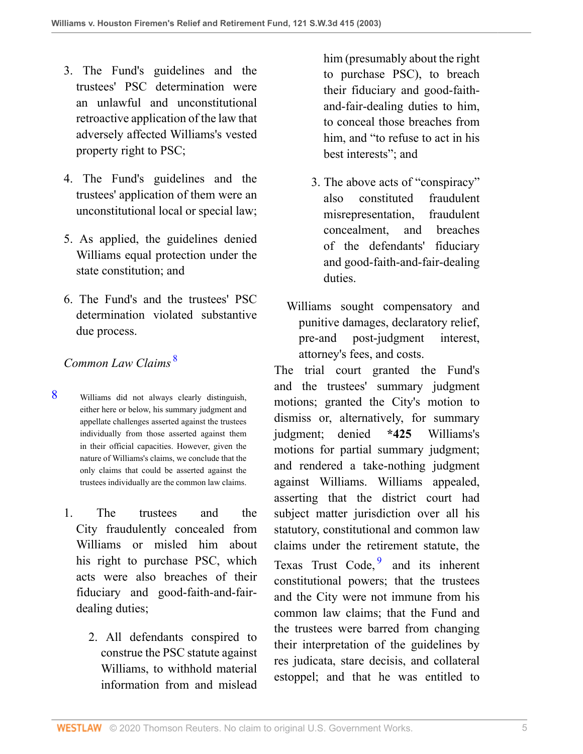- 3. The Fund's guidelines and the trustees' PSC determination were an unlawful and unconstitutional retroactive application of the law that adversely affected Williams's vested property right to PSC;
- 4. The Fund's guidelines and the trustees' application of them were an unconstitutional local or special law;
- 5. As applied, the guidelines denied Williams equal protection under the state constitution; and
- 6. The Fund's and the trustees' PSC determination violated substantive due process.

# *Common Law Claims* [8](#page-4-0)

- <span id="page-4-0"></span>[8](#page-4-1) Williams did not always clearly distinguish, either here or below, his summary judgment and appellate challenges asserted against the trustees individually from those asserted against them in their official capacities. However, given the nature of Williams's claims, we conclude that the only claims that could be asserted against the trustees individually are the common law claims.
	- 1. The trustees and the City fraudulently concealed from Williams or misled him about his right to purchase PSC, which acts were also breaches of their fiduciary and good-faith-and-fairdealing duties;
		- 2. All defendants conspired to construe the PSC statute against Williams, to withhold material information from and mislead

him (presumably about the right to purchase PSC), to breach their fiduciary and good-faithand-fair-dealing duties to him, to conceal those breaches from him, and "to refuse to act in his best interests"; and

- 3. The above acts of "conspiracy" also constituted fraudulent misrepresentation, fraudulent concealment, and breaches of the defendants' fiduciary and good-faith-and-fair-dealing duties.
- Williams sought compensatory and punitive damages, declaratory relief, pre-and post-judgment interest, attorney's fees, and costs.

<span id="page-4-2"></span><span id="page-4-1"></span>The trial court granted the Fund's and the trustees' summary judgment motions; granted the City's motion to dismiss or, alternatively, for summary judgment; denied **\*425** Williams's motions for partial summary judgment; and rendered a take-nothing judgment against Williams. Williams appealed, asserting that the district court had subject matter jurisdiction over all his statutory, constitutional and common law claims under the retirement statute, the Texas Trust Code, <sup>[9](#page-5-0)</sup> and its inherent constitutional powers; that the trustees and the City were not immune from his common law claims; that the Fund and the trustees were barred from changing their interpretation of the guidelines by res judicata, stare decisis, and collateral estoppel; and that he was entitled to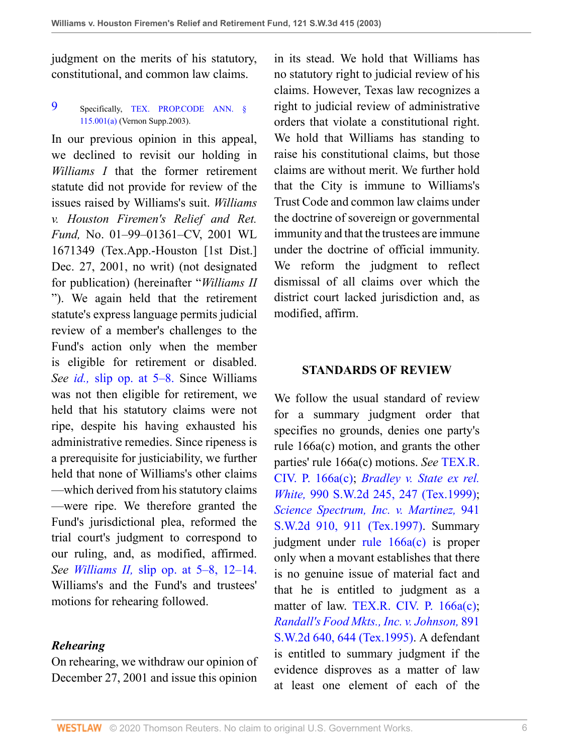judgment on the merits of his statutory, constitutional, and common law claims.

<span id="page-5-0"></span>[9](#page-4-2) Specifically, [TEX. PROP.CODE ANN. §](http://www.westlaw.com/Link/Document/FullText?findType=L&pubNum=1000184&cite=TXPOS115.001&originatingDoc=I8d0b46b0e7df11d99439b076ef9ec4de&refType=SP&originationContext=document&vr=3.0&rs=cblt1.0&transitionType=DocumentItem&contextData=(sc.UserEnteredCitation)#co_pp_8b3b0000958a4) [115.001\(a\)](http://www.westlaw.com/Link/Document/FullText?findType=L&pubNum=1000184&cite=TXPOS115.001&originatingDoc=I8d0b46b0e7df11d99439b076ef9ec4de&refType=SP&originationContext=document&vr=3.0&rs=cblt1.0&transitionType=DocumentItem&contextData=(sc.UserEnteredCitation)#co_pp_8b3b0000958a4) (Vernon Supp.2003).

In our previous opinion in this appeal, we declined to revisit our holding in *Williams I* that the former retirement statute did not provide for review of the issues raised by Williams's suit. *Williams v. Houston Firemen's Relief and Ret. Fund,* No. 01–99–01361–CV, 2001 WL 1671349 (Tex.App.-Houston [1st Dist.] Dec. 27, 2001, no writ) (not designated for publication) (hereinafter "*Williams II* "). We again held that the retirement statute's express language permits judicial review of a member's challenges to the Fund's action only when the member is eligible for retirement or disabled. *See id.,* [slip op. at 5–8.](http://www.westlaw.com/Link/Document/FullText?findType=Y&serNum=2002038490&originatingDoc=I8d0b46b0e7df11d99439b076ef9ec4de&refType=RP&originationContext=document&vr=3.0&rs=cblt1.0&transitionType=DocumentItem&contextData=(sc.UserEnteredCitation)) Since Williams was not then eligible for retirement, we held that his statutory claims were not ripe, despite his having exhausted his administrative remedies. Since ripeness is a prerequisite for justiciability, we further held that none of Williams's other claims —which derived from his statutory claims —were ripe. We therefore granted the Fund's jurisdictional plea, reformed the trial court's judgment to correspond to our ruling, and, as modified, affirmed. *See Williams II,* [slip op. at 5–8, 12–14.](http://www.westlaw.com/Link/Document/FullText?findType=Y&serNum=2002038490&originatingDoc=I8d0b46b0e7df11d99439b076ef9ec4de&refType=RP&originationContext=document&vr=3.0&rs=cblt1.0&transitionType=DocumentItem&contextData=(sc.UserEnteredCitation)) Williams's and the Fund's and trustees' motions for rehearing followed.

### *Rehearing*

On rehearing, we withdraw our opinion of December 27, 2001 and issue this opinion

in its stead. We hold that Williams has no statutory right to judicial review of his claims. However, Texas law recognizes a right to judicial review of administrative orders that violate a constitutional right. We hold that Williams has standing to raise his constitutional claims, but those claims are without merit. We further hold that the City is immune to Williams's Trust Code and common law claims under the doctrine of sovereign or governmental immunity and that the trustees are immune under the doctrine of official immunity. We reform the judgment to reflect dismissal of all claims over which the district court lacked jurisdiction and, as modified, affirm.

#### **STANDARDS OF REVIEW**

We follow the usual standard of review for a summary judgment order that specifies no grounds, denies one party's rule 166a(c) motion, and grants the other parties' rule 166a(c) motions. *See* [TEX.R.](http://www.westlaw.com/Link/Document/FullText?findType=L&pubNum=1003817&cite=TXRRCPR166A&originatingDoc=I8d0b46b0e7df11d99439b076ef9ec4de&refType=LQ&originationContext=document&vr=3.0&rs=cblt1.0&transitionType=DocumentItem&contextData=(sc.UserEnteredCitation)) [CIV. P. 166a\(c\);](http://www.westlaw.com/Link/Document/FullText?findType=L&pubNum=1003817&cite=TXRRCPR166A&originatingDoc=I8d0b46b0e7df11d99439b076ef9ec4de&refType=LQ&originationContext=document&vr=3.0&rs=cblt1.0&transitionType=DocumentItem&contextData=(sc.UserEnteredCitation)) *[Bradley v. State ex rel.](http://www.westlaw.com/Link/Document/FullText?findType=Y&serNum=1999096675&pubNum=0000713&originatingDoc=I8d0b46b0e7df11d99439b076ef9ec4de&refType=RP&fi=co_pp_sp_713_247&originationContext=document&vr=3.0&rs=cblt1.0&transitionType=DocumentItem&contextData=(sc.UserEnteredCitation)#co_pp_sp_713_247) White,* [990 S.W.2d 245, 247 \(Tex.1999\)](http://www.westlaw.com/Link/Document/FullText?findType=Y&serNum=1999096675&pubNum=0000713&originatingDoc=I8d0b46b0e7df11d99439b076ef9ec4de&refType=RP&fi=co_pp_sp_713_247&originationContext=document&vr=3.0&rs=cblt1.0&transitionType=DocumentItem&contextData=(sc.UserEnteredCitation)#co_pp_sp_713_247); *[Science Spectrum, Inc. v. Martinez,](http://www.westlaw.com/Link/Document/FullText?findType=Y&serNum=1997074691&pubNum=0000713&originatingDoc=I8d0b46b0e7df11d99439b076ef9ec4de&refType=RP&fi=co_pp_sp_713_911&originationContext=document&vr=3.0&rs=cblt1.0&transitionType=DocumentItem&contextData=(sc.UserEnteredCitation)#co_pp_sp_713_911)* 941 [S.W.2d 910, 911 \(Tex.1997\).](http://www.westlaw.com/Link/Document/FullText?findType=Y&serNum=1997074691&pubNum=0000713&originatingDoc=I8d0b46b0e7df11d99439b076ef9ec4de&refType=RP&fi=co_pp_sp_713_911&originationContext=document&vr=3.0&rs=cblt1.0&transitionType=DocumentItem&contextData=(sc.UserEnteredCitation)#co_pp_sp_713_911) Summary judgment under [rule 166a\(c\)](http://www.westlaw.com/Link/Document/FullText?findType=L&pubNum=1003817&cite=TXRRCPR166A&originatingDoc=I8d0b46b0e7df11d99439b076ef9ec4de&refType=LQ&originationContext=document&vr=3.0&rs=cblt1.0&transitionType=DocumentItem&contextData=(sc.UserEnteredCitation)) is proper only when a movant establishes that there is no genuine issue of material fact and that he is entitled to judgment as a matter of law. [TEX.R. CIV. P. 166a\(c\)](http://www.westlaw.com/Link/Document/FullText?findType=L&pubNum=1003817&cite=TXRRCPR166A&originatingDoc=I8d0b46b0e7df11d99439b076ef9ec4de&refType=LQ&originationContext=document&vr=3.0&rs=cblt1.0&transitionType=DocumentItem&contextData=(sc.UserEnteredCitation)); *[Randall's Food Mkts., Inc. v. Johnson,](http://www.westlaw.com/Link/Document/FullText?findType=Y&serNum=1995028566&pubNum=0000713&originatingDoc=I8d0b46b0e7df11d99439b076ef9ec4de&refType=RP&fi=co_pp_sp_713_644&originationContext=document&vr=3.0&rs=cblt1.0&transitionType=DocumentItem&contextData=(sc.UserEnteredCitation)#co_pp_sp_713_644)* 891 [S.W.2d 640, 644 \(Tex.1995\)](http://www.westlaw.com/Link/Document/FullText?findType=Y&serNum=1995028566&pubNum=0000713&originatingDoc=I8d0b46b0e7df11d99439b076ef9ec4de&refType=RP&fi=co_pp_sp_713_644&originationContext=document&vr=3.0&rs=cblt1.0&transitionType=DocumentItem&contextData=(sc.UserEnteredCitation)#co_pp_sp_713_644). A defendant is entitled to summary judgment if the evidence disproves as a matter of law at least one element of each of the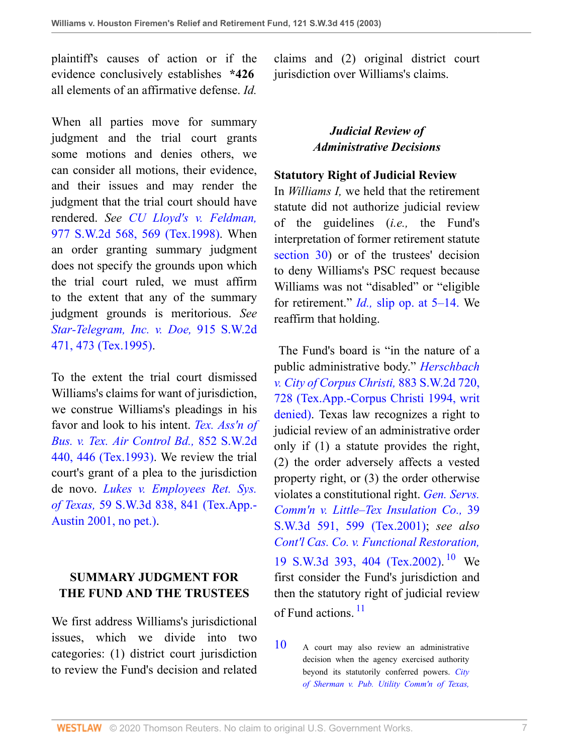plaintiff's causes of action or if the evidence conclusively establishes **\*426** all elements of an affirmative defense. *Id.*

When all parties move for summary judgment and the trial court grants some motions and denies others, we can consider all motions, their evidence, and their issues and may render the judgment that the trial court should have rendered. *See [CU Lloyd's v. Feldman,](http://www.westlaw.com/Link/Document/FullText?findType=Y&serNum=1998189846&pubNum=0000713&originatingDoc=I8d0b46b0e7df11d99439b076ef9ec4de&refType=RP&fi=co_pp_sp_713_569&originationContext=document&vr=3.0&rs=cblt1.0&transitionType=DocumentItem&contextData=(sc.UserEnteredCitation)#co_pp_sp_713_569)* [977 S.W.2d 568, 569 \(Tex.1998\).](http://www.westlaw.com/Link/Document/FullText?findType=Y&serNum=1998189846&pubNum=0000713&originatingDoc=I8d0b46b0e7df11d99439b076ef9ec4de&refType=RP&fi=co_pp_sp_713_569&originationContext=document&vr=3.0&rs=cblt1.0&transitionType=DocumentItem&contextData=(sc.UserEnteredCitation)#co_pp_sp_713_569) When an order granting summary judgment does not specify the grounds upon which the trial court ruled, we must affirm to the extent that any of the summary judgment grounds is meritorious. *See [Star-Telegram, Inc. v. Doe,](http://www.westlaw.com/Link/Document/FullText?findType=Y&serNum=1995125189&pubNum=0000713&originatingDoc=I8d0b46b0e7df11d99439b076ef9ec4de&refType=RP&fi=co_pp_sp_713_473&originationContext=document&vr=3.0&rs=cblt1.0&transitionType=DocumentItem&contextData=(sc.UserEnteredCitation)#co_pp_sp_713_473)* 915 S.W.2d [471, 473 \(Tex.1995\).](http://www.westlaw.com/Link/Document/FullText?findType=Y&serNum=1995125189&pubNum=0000713&originatingDoc=I8d0b46b0e7df11d99439b076ef9ec4de&refType=RP&fi=co_pp_sp_713_473&originationContext=document&vr=3.0&rs=cblt1.0&transitionType=DocumentItem&contextData=(sc.UserEnteredCitation)#co_pp_sp_713_473)

To the extent the trial court dismissed Williams's claims for want of jurisdiction, we construe Williams's pleadings in his favor and look to his intent. *[Tex. Ass'n of](http://www.westlaw.com/Link/Document/FullText?findType=Y&serNum=1993060903&pubNum=0000713&originatingDoc=I8d0b46b0e7df11d99439b076ef9ec4de&refType=RP&fi=co_pp_sp_713_446&originationContext=document&vr=3.0&rs=cblt1.0&transitionType=DocumentItem&contextData=(sc.UserEnteredCitation)#co_pp_sp_713_446) [Bus. v. Tex. Air Control Bd.,](http://www.westlaw.com/Link/Document/FullText?findType=Y&serNum=1993060903&pubNum=0000713&originatingDoc=I8d0b46b0e7df11d99439b076ef9ec4de&refType=RP&fi=co_pp_sp_713_446&originationContext=document&vr=3.0&rs=cblt1.0&transitionType=DocumentItem&contextData=(sc.UserEnteredCitation)#co_pp_sp_713_446)* 852 S.W.2d [440, 446 \(Tex.1993\).](http://www.westlaw.com/Link/Document/FullText?findType=Y&serNum=1993060903&pubNum=0000713&originatingDoc=I8d0b46b0e7df11d99439b076ef9ec4de&refType=RP&fi=co_pp_sp_713_446&originationContext=document&vr=3.0&rs=cblt1.0&transitionType=DocumentItem&contextData=(sc.UserEnteredCitation)#co_pp_sp_713_446) We review the trial court's grant of a plea to the jurisdiction de novo. *[Lukes v. Employees Ret. Sys.](http://www.westlaw.com/Link/Document/FullText?findType=Y&serNum=2001929357&pubNum=0004644&originatingDoc=I8d0b46b0e7df11d99439b076ef9ec4de&refType=RP&fi=co_pp_sp_4644_841&originationContext=document&vr=3.0&rs=cblt1.0&transitionType=DocumentItem&contextData=(sc.UserEnteredCitation)#co_pp_sp_4644_841) of Texas,* [59 S.W.3d 838, 841 \(Tex.App.-](http://www.westlaw.com/Link/Document/FullText?findType=Y&serNum=2001929357&pubNum=0004644&originatingDoc=I8d0b46b0e7df11d99439b076ef9ec4de&refType=RP&fi=co_pp_sp_4644_841&originationContext=document&vr=3.0&rs=cblt1.0&transitionType=DocumentItem&contextData=(sc.UserEnteredCitation)#co_pp_sp_4644_841) [Austin 2001, no pet.\)](http://www.westlaw.com/Link/Document/FullText?findType=Y&serNum=2001929357&pubNum=0004644&originatingDoc=I8d0b46b0e7df11d99439b076ef9ec4de&refType=RP&fi=co_pp_sp_4644_841&originationContext=document&vr=3.0&rs=cblt1.0&transitionType=DocumentItem&contextData=(sc.UserEnteredCitation)#co_pp_sp_4644_841).

# **SUMMARY JUDGMENT FOR THE FUND AND THE TRUSTEES**

We first address Williams's jurisdictional issues, which we divide into two categories: (1) district court jurisdiction to review the Fund's decision and related

claims and (2) original district court jurisdiction over Williams's claims.

## *Judicial Review of Administrative Decisions*

### **Statutory Right of Judicial Review**

In *Williams I,* we held that the retirement statute did not authorize judicial review of the guidelines (*i.e.,* the Fund's interpretation of former retirement statute [section 30](http://www.westlaw.com/Link/Document/FullText?findType=L&pubNum=1000188&cite=TXCSART6243E.2&originatingDoc=I8d0b46b0e7df11d99439b076ef9ec4de&refType=LQ&originationContext=document&vr=3.0&rs=cblt1.0&transitionType=DocumentItem&contextData=(sc.UserEnteredCitation))) or of the trustees' decision to deny Williams's PSC request because Williams was not "disabled" or "eligible for retirement." *Id.,* [slip op. at 5–14.](http://www.westlaw.com/Link/Document/FullText?findType=Y&serNum=1999061264&originatingDoc=I8d0b46b0e7df11d99439b076ef9ec4de&refType=RP&originationContext=document&vr=3.0&rs=cblt1.0&transitionType=DocumentItem&contextData=(sc.UserEnteredCitation)) We reaffirm that holding.

 The Fund's board is "in the nature of a public administrative body." *[Herschbach](http://www.westlaw.com/Link/Document/FullText?findType=Y&serNum=1994175054&pubNum=0000713&originatingDoc=I8d0b46b0e7df11d99439b076ef9ec4de&refType=RP&fi=co_pp_sp_713_728&originationContext=document&vr=3.0&rs=cblt1.0&transitionType=DocumentItem&contextData=(sc.UserEnteredCitation)#co_pp_sp_713_728) [v. City of Corpus Christi,](http://www.westlaw.com/Link/Document/FullText?findType=Y&serNum=1994175054&pubNum=0000713&originatingDoc=I8d0b46b0e7df11d99439b076ef9ec4de&refType=RP&fi=co_pp_sp_713_728&originationContext=document&vr=3.0&rs=cblt1.0&transitionType=DocumentItem&contextData=(sc.UserEnteredCitation)#co_pp_sp_713_728)* 883 S.W.2d 720, [728 \(Tex.App.-Corpus Christi 1994, writ](http://www.westlaw.com/Link/Document/FullText?findType=Y&serNum=1994175054&pubNum=0000713&originatingDoc=I8d0b46b0e7df11d99439b076ef9ec4de&refType=RP&fi=co_pp_sp_713_728&originationContext=document&vr=3.0&rs=cblt1.0&transitionType=DocumentItem&contextData=(sc.UserEnteredCitation)#co_pp_sp_713_728) [denied\).](http://www.westlaw.com/Link/Document/FullText?findType=Y&serNum=1994175054&pubNum=0000713&originatingDoc=I8d0b46b0e7df11d99439b076ef9ec4de&refType=RP&fi=co_pp_sp_713_728&originationContext=document&vr=3.0&rs=cblt1.0&transitionType=DocumentItem&contextData=(sc.UserEnteredCitation)#co_pp_sp_713_728) Texas law recognizes a right to judicial review of an administrative order only if (1) a statute provides the right, (2) the order adversely affects a vested property right, or (3) the order otherwise violates a constitutional right. *[Gen. Servs.](http://www.westlaw.com/Link/Document/FullText?findType=Y&serNum=2001112179&pubNum=0004644&originatingDoc=I8d0b46b0e7df11d99439b076ef9ec4de&refType=RP&fi=co_pp_sp_4644_599&originationContext=document&vr=3.0&rs=cblt1.0&transitionType=DocumentItem&contextData=(sc.UserEnteredCitation)#co_pp_sp_4644_599) [Comm'n v. Little–Tex Insulation Co.,](http://www.westlaw.com/Link/Document/FullText?findType=Y&serNum=2001112179&pubNum=0004644&originatingDoc=I8d0b46b0e7df11d99439b076ef9ec4de&refType=RP&fi=co_pp_sp_4644_599&originationContext=document&vr=3.0&rs=cblt1.0&transitionType=DocumentItem&contextData=(sc.UserEnteredCitation)#co_pp_sp_4644_599)* 39 [S.W.3d 591, 599 \(Tex.2001\)](http://www.westlaw.com/Link/Document/FullText?findType=Y&serNum=2001112179&pubNum=0004644&originatingDoc=I8d0b46b0e7df11d99439b076ef9ec4de&refType=RP&fi=co_pp_sp_4644_599&originationContext=document&vr=3.0&rs=cblt1.0&transitionType=DocumentItem&contextData=(sc.UserEnteredCitation)#co_pp_sp_4644_599); *see also [Cont'l Cas. Co. v. Functional Restoration,](http://www.westlaw.com/Link/Document/FullText?findType=Y&serNum=2000093458&pubNum=0004644&originatingDoc=I8d0b46b0e7df11d99439b076ef9ec4de&refType=RP&fi=co_pp_sp_4644_404&originationContext=document&vr=3.0&rs=cblt1.0&transitionType=DocumentItem&contextData=(sc.UserEnteredCitation)#co_pp_sp_4644_404)* [19 S.W.3d 393, 404 \(Tex.2002\)](http://www.westlaw.com/Link/Document/FullText?findType=Y&serNum=2000093458&pubNum=0004644&originatingDoc=I8d0b46b0e7df11d99439b076ef9ec4de&refType=RP&fi=co_pp_sp_4644_404&originationContext=document&vr=3.0&rs=cblt1.0&transitionType=DocumentItem&contextData=(sc.UserEnteredCitation)#co_pp_sp_4644_404). [10](#page-6-0) We first consider the Fund's jurisdiction and then the statutory right of judicial review of Fund actions.<sup>[11](#page-7-0)</sup>

<span id="page-6-2"></span><span id="page-6-1"></span><span id="page-6-0"></span>[10](#page-6-1) A court may also review an administrative decision when the agency exercised authority beyond its statutorily conferred powers. *[City](http://www.westlaw.com/Link/Document/FullText?findType=Y&serNum=1983101466&pubNum=0000713&originatingDoc=I8d0b46b0e7df11d99439b076ef9ec4de&refType=RP&fi=co_pp_sp_713_683&originationContext=document&vr=3.0&rs=cblt1.0&transitionType=DocumentItem&contextData=(sc.UserEnteredCitation)#co_pp_sp_713_683) [of Sherman v. Pub. Utility Comm'n of Texas,](http://www.westlaw.com/Link/Document/FullText?findType=Y&serNum=1983101466&pubNum=0000713&originatingDoc=I8d0b46b0e7df11d99439b076ef9ec4de&refType=RP&fi=co_pp_sp_713_683&originationContext=document&vr=3.0&rs=cblt1.0&transitionType=DocumentItem&contextData=(sc.UserEnteredCitation)#co_pp_sp_713_683)*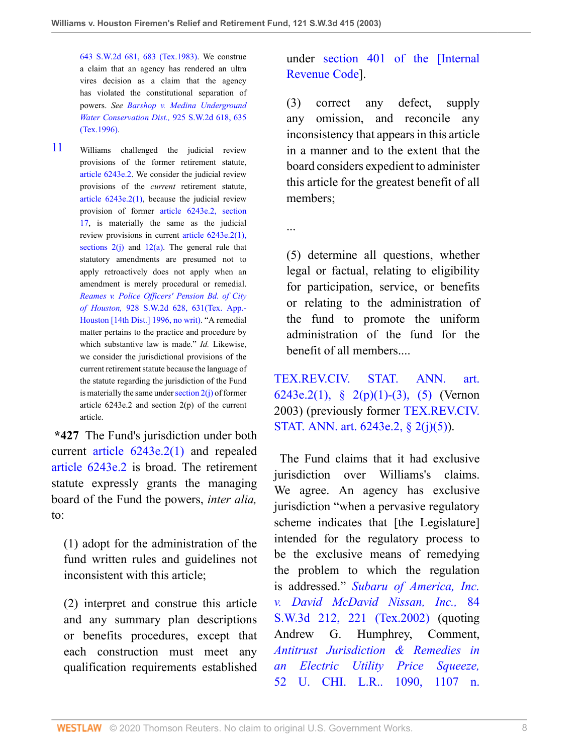[643 S.W.2d 681, 683 \(Tex.1983\)](http://www.westlaw.com/Link/Document/FullText?findType=Y&serNum=1983101466&pubNum=0000713&originatingDoc=I8d0b46b0e7df11d99439b076ef9ec4de&refType=RP&fi=co_pp_sp_713_683&originationContext=document&vr=3.0&rs=cblt1.0&transitionType=DocumentItem&contextData=(sc.UserEnteredCitation)#co_pp_sp_713_683). We construe a claim that an agency has rendered an ultra vires decision as a claim that the agency has violated the constitutional separation of powers. *See [Barshop v. Medina Underground](http://www.westlaw.com/Link/Document/FullText?findType=Y&serNum=1996144856&pubNum=0000713&originatingDoc=I8d0b46b0e7df11d99439b076ef9ec4de&refType=RP&fi=co_pp_sp_713_635&originationContext=document&vr=3.0&rs=cblt1.0&transitionType=DocumentItem&contextData=(sc.UserEnteredCitation)#co_pp_sp_713_635) [Water Conservation Dist.,](http://www.westlaw.com/Link/Document/FullText?findType=Y&serNum=1996144856&pubNum=0000713&originatingDoc=I8d0b46b0e7df11d99439b076ef9ec4de&refType=RP&fi=co_pp_sp_713_635&originationContext=document&vr=3.0&rs=cblt1.0&transitionType=DocumentItem&contextData=(sc.UserEnteredCitation)#co_pp_sp_713_635)* 925 S.W.2d 618, 635 [\(Tex.1996\).](http://www.westlaw.com/Link/Document/FullText?findType=Y&serNum=1996144856&pubNum=0000713&originatingDoc=I8d0b46b0e7df11d99439b076ef9ec4de&refType=RP&fi=co_pp_sp_713_635&originationContext=document&vr=3.0&rs=cblt1.0&transitionType=DocumentItem&contextData=(sc.UserEnteredCitation)#co_pp_sp_713_635)

<span id="page-7-0"></span>[11](#page-6-2) Williams challenged the judicial review provisions of the former retirement statute, [article 6243e.2](http://www.westlaw.com/Link/Document/FullText?findType=L&pubNum=1000188&cite=TXCSART6243E.2&originatingDoc=I8d0b46b0e7df11d99439b076ef9ec4de&refType=LQ&originationContext=document&vr=3.0&rs=cblt1.0&transitionType=DocumentItem&contextData=(sc.UserEnteredCitation)). We consider the judicial review provisions of the *current* retirement statute, [article 6243e.2\(1\),](http://www.westlaw.com/Link/Document/FullText?findType=L&pubNum=1000188&cite=TXCSART6243E.2(1)&originatingDoc=I8d0b46b0e7df11d99439b076ef9ec4de&refType=LQ&originationContext=document&vr=3.0&rs=cblt1.0&transitionType=DocumentItem&contextData=(sc.UserEnteredCitation)) because the judicial review provision of former [article 6243e.2, section](http://www.westlaw.com/Link/Document/FullText?findType=L&pubNum=1000188&cite=TXCSART6243E.2&originatingDoc=I8d0b46b0e7df11d99439b076ef9ec4de&refType=LQ&originationContext=document&vr=3.0&rs=cblt1.0&transitionType=DocumentItem&contextData=(sc.UserEnteredCitation)) [17](http://www.westlaw.com/Link/Document/FullText?findType=L&pubNum=1000188&cite=TXCSART6243E.2&originatingDoc=I8d0b46b0e7df11d99439b076ef9ec4de&refType=LQ&originationContext=document&vr=3.0&rs=cblt1.0&transitionType=DocumentItem&contextData=(sc.UserEnteredCitation)), is materially the same as the judicial review provisions in current [article 6243e.2\(1\),](http://www.westlaw.com/Link/Document/FullText?findType=L&pubNum=1000188&cite=TXCSART6243E.2(1)&originatingDoc=I8d0b46b0e7df11d99439b076ef9ec4de&refType=LQ&originationContext=document&vr=3.0&rs=cblt1.0&transitionType=DocumentItem&contextData=(sc.UserEnteredCitation)) sections  $2(i)$  and  $12(a)$ . The general rule that statutory amendments are presumed not to apply retroactively does not apply when an amendment is merely procedural or remedial. *[Reames v. Police Officers' Pension Bd. of City](http://www.westlaw.com/Link/Document/FullText?findType=Y&serNum=1996148421&pubNum=0000713&originatingDoc=I8d0b46b0e7df11d99439b076ef9ec4de&refType=RP&fi=co_pp_sp_713_631&originationContext=document&vr=3.0&rs=cblt1.0&transitionType=DocumentItem&contextData=(sc.UserEnteredCitation)#co_pp_sp_713_631) of Houston,* [928 S.W.2d 628, 631\(Tex. App.-](http://www.westlaw.com/Link/Document/FullText?findType=Y&serNum=1996148421&pubNum=0000713&originatingDoc=I8d0b46b0e7df11d99439b076ef9ec4de&refType=RP&fi=co_pp_sp_713_631&originationContext=document&vr=3.0&rs=cblt1.0&transitionType=DocumentItem&contextData=(sc.UserEnteredCitation)#co_pp_sp_713_631) [Houston \[14th Dist.\] 1996, no writ\).](http://www.westlaw.com/Link/Document/FullText?findType=Y&serNum=1996148421&pubNum=0000713&originatingDoc=I8d0b46b0e7df11d99439b076ef9ec4de&refType=RP&fi=co_pp_sp_713_631&originationContext=document&vr=3.0&rs=cblt1.0&transitionType=DocumentItem&contextData=(sc.UserEnteredCitation)#co_pp_sp_713_631) "A remedial matter pertains to the practice and procedure by which substantive law is made." *Id.* Likewise, we consider the jurisdictional provisions of the current retirement statute because the language of the statute regarding the jurisdiction of the Fund is materially the same under section  $2(i)$  of former article  $6243e.2$  and section  $2(p)$  of the current article.

**\*427** The Fund's jurisdiction under both current [article 6243e.2\(1\)](http://www.westlaw.com/Link/Document/FullText?findType=L&pubNum=1000188&cite=TXCSART6243E.2(1)&originatingDoc=I8d0b46b0e7df11d99439b076ef9ec4de&refType=LQ&originationContext=document&vr=3.0&rs=cblt1.0&transitionType=DocumentItem&contextData=(sc.UserEnteredCitation)) and repealed [article 6243e.2](http://www.westlaw.com/Link/Document/FullText?findType=L&pubNum=1000188&cite=TXCSART6243E.2&originatingDoc=I8d0b46b0e7df11d99439b076ef9ec4de&refType=LQ&originationContext=document&vr=3.0&rs=cblt1.0&transitionType=DocumentItem&contextData=(sc.UserEnteredCitation)) is broad. The retirement statute expressly grants the managing board of the Fund the powers, *inter alia,* to:

(1) adopt for the administration of the fund written rules and guidelines not inconsistent with this article;

(2) interpret and construe this article and any summary plan descriptions or benefits procedures, except that each construction must meet any qualification requirements established

# under [section 401 of the \[Internal](http://www.westlaw.com/Link/Document/FullText?findType=L&pubNum=1012823&cite=26USCAS401&originatingDoc=I8d0b46b0e7df11d99439b076ef9ec4de&refType=LQ&originationContext=document&vr=3.0&rs=cblt1.0&transitionType=DocumentItem&contextData=(sc.UserEnteredCitation)) [Revenue Code](http://www.westlaw.com/Link/Document/FullText?findType=L&pubNum=1012823&cite=26USCAS401&originatingDoc=I8d0b46b0e7df11d99439b076ef9ec4de&refType=LQ&originationContext=document&vr=3.0&rs=cblt1.0&transitionType=DocumentItem&contextData=(sc.UserEnteredCitation))].

(3) correct any defect, supply any omission, and reconcile any inconsistency that appears in this article in a manner and to the extent that the board considers expedient to administer this article for the greatest benefit of all members;

...

(5) determine all questions, whether legal or factual, relating to eligibility for participation, service, or benefits or relating to the administration of the fund to promote the uniform administration of the fund for the benefit of all members....

[TEX.REV.CIV. STAT. ANN. art.](http://www.westlaw.com/Link/Document/FullText?findType=L&pubNum=1000301&cite=TXCSART6243E.2&originatingDoc=I8d0b46b0e7df11d99439b076ef9ec4de&refType=LQ&originationContext=document&vr=3.0&rs=cblt1.0&transitionType=DocumentItem&contextData=(sc.UserEnteredCitation)) [6243e.2\(1\), § 2\(p\)\(1\)-\(3\), \(5\)](http://www.westlaw.com/Link/Document/FullText?findType=L&pubNum=1000301&cite=TXCSART6243E.2&originatingDoc=I8d0b46b0e7df11d99439b076ef9ec4de&refType=LQ&originationContext=document&vr=3.0&rs=cblt1.0&transitionType=DocumentItem&contextData=(sc.UserEnteredCitation)) (Vernon 2003) (previously former [TEX.REV.CIV.](http://www.westlaw.com/Link/Document/FullText?findType=L&pubNum=1000188&cite=TXCSART6243E.2&originatingDoc=I8d0b46b0e7df11d99439b076ef9ec4de&refType=LQ&originationContext=document&vr=3.0&rs=cblt1.0&transitionType=DocumentItem&contextData=(sc.UserEnteredCitation)) [STAT. ANN. art. 6243e.2, § 2\(j\)\(5\)](http://www.westlaw.com/Link/Document/FullText?findType=L&pubNum=1000188&cite=TXCSART6243E.2&originatingDoc=I8d0b46b0e7df11d99439b076ef9ec4de&refType=LQ&originationContext=document&vr=3.0&rs=cblt1.0&transitionType=DocumentItem&contextData=(sc.UserEnteredCitation))).

 The Fund claims that it had exclusive jurisdiction over Williams's claims. We agree. An agency has exclusive jurisdiction "when a pervasive regulatory scheme indicates that [the Legislature] intended for the regulatory process to be the exclusive means of remedying the problem to which the regulation is addressed." *[Subaru of America, Inc.](http://www.westlaw.com/Link/Document/FullText?findType=Y&serNum=2002399333&pubNum=0004644&originatingDoc=I8d0b46b0e7df11d99439b076ef9ec4de&refType=RP&fi=co_pp_sp_4644_221&originationContext=document&vr=3.0&rs=cblt1.0&transitionType=DocumentItem&contextData=(sc.UserEnteredCitation)#co_pp_sp_4644_221) [v. David McDavid Nissan, Inc.,](http://www.westlaw.com/Link/Document/FullText?findType=Y&serNum=2002399333&pubNum=0004644&originatingDoc=I8d0b46b0e7df11d99439b076ef9ec4de&refType=RP&fi=co_pp_sp_4644_221&originationContext=document&vr=3.0&rs=cblt1.0&transitionType=DocumentItem&contextData=(sc.UserEnteredCitation)#co_pp_sp_4644_221)* 84 [S.W.3d 212, 221 \(Tex.2002\)](http://www.westlaw.com/Link/Document/FullText?findType=Y&serNum=2002399333&pubNum=0004644&originatingDoc=I8d0b46b0e7df11d99439b076ef9ec4de&refType=RP&fi=co_pp_sp_4644_221&originationContext=document&vr=3.0&rs=cblt1.0&transitionType=DocumentItem&contextData=(sc.UserEnteredCitation)#co_pp_sp_4644_221) (quoting Andrew G. Humphrey, Comment, *[Antitrust Jurisdiction & Remedies in](http://www.westlaw.com/Link/Document/FullText?findType=Y&serNum=0101386484&pubNum=0003039&originatingDoc=I8d0b46b0e7df11d99439b076ef9ec4de&refType=LR&fi=co_pp_sp_3039_1107&originationContext=document&vr=3.0&rs=cblt1.0&transitionType=DocumentItem&contextData=(sc.UserEnteredCitation)#co_pp_sp_3039_1107) [an Electric Utility Price Squeeze,](http://www.westlaw.com/Link/Document/FullText?findType=Y&serNum=0101386484&pubNum=0003039&originatingDoc=I8d0b46b0e7df11d99439b076ef9ec4de&refType=LR&fi=co_pp_sp_3039_1107&originationContext=document&vr=3.0&rs=cblt1.0&transitionType=DocumentItem&contextData=(sc.UserEnteredCitation)#co_pp_sp_3039_1107)* [52 U. CHI. L.R.. 1090, 1107 n.](http://www.westlaw.com/Link/Document/FullText?findType=Y&serNum=0101386484&pubNum=0003039&originatingDoc=I8d0b46b0e7df11d99439b076ef9ec4de&refType=LR&fi=co_pp_sp_3039_1107&originationContext=document&vr=3.0&rs=cblt1.0&transitionType=DocumentItem&contextData=(sc.UserEnteredCitation)#co_pp_sp_3039_1107)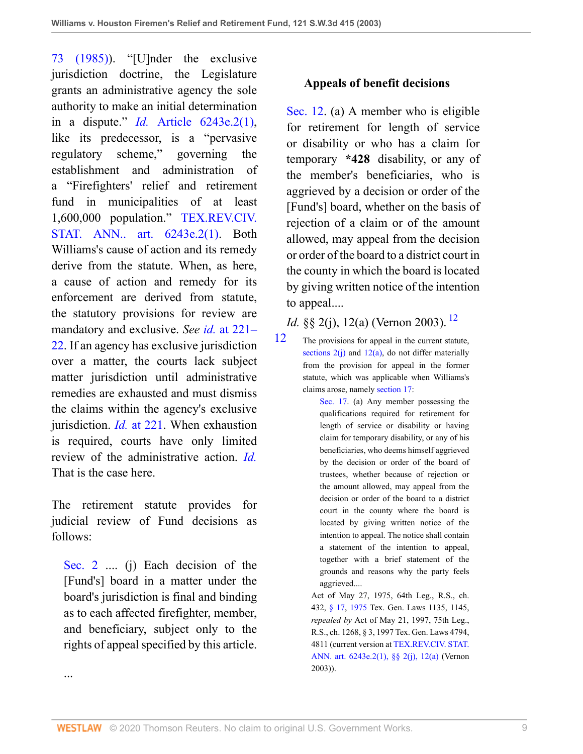[73 \(1985\)\)](http://www.westlaw.com/Link/Document/FullText?findType=Y&serNum=0101386484&pubNum=0003039&originatingDoc=I8d0b46b0e7df11d99439b076ef9ec4de&refType=LR&fi=co_pp_sp_3039_1107&originationContext=document&vr=3.0&rs=cblt1.0&transitionType=DocumentItem&contextData=(sc.UserEnteredCitation)#co_pp_sp_3039_1107). "[U]nder the exclusive jurisdiction doctrine, the Legislature grants an administrative agency the sole authority to make an initial determination in a dispute." *Id.* [Article 6243e.2\(1\),](http://www.westlaw.com/Link/Document/FullText?findType=L&pubNum=1000188&cite=TXCSART6243E.2(1)&originatingDoc=I8d0b46b0e7df11d99439b076ef9ec4de&refType=LQ&originationContext=document&vr=3.0&rs=cblt1.0&transitionType=DocumentItem&contextData=(sc.UserEnteredCitation)) like its predecessor, is a "pervasive regulatory scheme," governing the establishment and administration of a "Firefighters' relief and retirement fund in municipalities of at least 1,600,000 population." [TEX.REV.CIV.](http://www.westlaw.com/Link/Document/FullText?findType=L&pubNum=1000188&cite=TXCSART6243E.2(1)&originatingDoc=I8d0b46b0e7df11d99439b076ef9ec4de&refType=LQ&originationContext=document&vr=3.0&rs=cblt1.0&transitionType=DocumentItem&contextData=(sc.UserEnteredCitation)) [STAT. ANN.. art. 6243e.2\(1\).](http://www.westlaw.com/Link/Document/FullText?findType=L&pubNum=1000188&cite=TXCSART6243E.2(1)&originatingDoc=I8d0b46b0e7df11d99439b076ef9ec4de&refType=LQ&originationContext=document&vr=3.0&rs=cblt1.0&transitionType=DocumentItem&contextData=(sc.UserEnteredCitation)) Both Williams's cause of action and its remedy derive from the statute. When, as here, a cause of action and remedy for its enforcement are derived from statute, the statutory provisions for review are mandatory and exclusive. *See id.* [at 221–](http://www.westlaw.com/Link/Document/FullText?findType=Y&serNum=2002399333&pubNum=0004644&originatingDoc=I8d0b46b0e7df11d99439b076ef9ec4de&refType=RP&fi=co_pp_sp_4644_221&originationContext=document&vr=3.0&rs=cblt1.0&transitionType=DocumentItem&contextData=(sc.UserEnteredCitation)#co_pp_sp_4644_221) [22](http://www.westlaw.com/Link/Document/FullText?findType=Y&serNum=2002399333&pubNum=0004644&originatingDoc=I8d0b46b0e7df11d99439b076ef9ec4de&refType=RP&fi=co_pp_sp_4644_221&originationContext=document&vr=3.0&rs=cblt1.0&transitionType=DocumentItem&contextData=(sc.UserEnteredCitation)#co_pp_sp_4644_221). If an agency has exclusive jurisdiction over a matter, the courts lack subject matter jurisdiction until administrative remedies are exhausted and must dismiss the claims within the agency's exclusive jurisdiction. *Id.* [at 221](http://www.westlaw.com/Link/Document/FullText?findType=Y&serNum=2002399333&pubNum=0004644&originatingDoc=I8d0b46b0e7df11d99439b076ef9ec4de&refType=RP&fi=co_pp_sp_4644_221&originationContext=document&vr=3.0&rs=cblt1.0&transitionType=DocumentItem&contextData=(sc.UserEnteredCitation)#co_pp_sp_4644_221). When exhaustion is required, courts have only limited review of the administrative action. *[Id.](http://www.westlaw.com/Link/Document/FullText?findType=Y&serNum=2002399333&originatingDoc=I8d0b46b0e7df11d99439b076ef9ec4de&refType=RP&originationContext=document&vr=3.0&rs=cblt1.0&transitionType=DocumentItem&contextData=(sc.UserEnteredCitation))* That is the case here.

The retirement statute provides for judicial review of Fund decisions as follows:

[Sec. 2](http://www.westlaw.com/Link/Document/FullText?findType=L&pubNum=1000188&cite=TXCSART6243E.2(1)&originatingDoc=I8d0b46b0e7df11d99439b076ef9ec4de&refType=LQ&originationContext=document&vr=3.0&rs=cblt1.0&transitionType=DocumentItem&contextData=(sc.UserEnteredCitation)) .... (j) Each decision of the [Fund's] board in a matter under the board's jurisdiction is final and binding as to each affected firefighter, member, and beneficiary, subject only to the rights of appeal specified by this article.

...

### **Appeals of benefit decisions**

[Sec. 12](http://www.westlaw.com/Link/Document/FullText?findType=L&pubNum=1000188&cite=TXCSART6243E.2(1)&originatingDoc=I8d0b46b0e7df11d99439b076ef9ec4de&refType=LQ&originationContext=document&vr=3.0&rs=cblt1.0&transitionType=DocumentItem&contextData=(sc.UserEnteredCitation)). (a) A member who is eligible for retirement for length of service or disability or who has a claim for temporary **\*428** disability, or any of the member's beneficiaries, who is aggrieved by a decision or order of the [Fund's] board, whether on the basis of rejection of a claim or of the amount allowed, may appeal from the decision or order of the board to a district court in the county in which the board is located by giving written notice of the intention to appeal....

*Id.* §§ 2(j), [12](#page-8-0)(a) (Vernon 2003). <sup>12</sup>

<span id="page-8-0"></span>[12](#page-8-1) The provisions for appeal in the current statute, sections  $2(j)$  and  $12(a)$ , do not differ materially from the provision for appeal in the former statute, which was applicable when Williams's claims arose, namely [section 17:](http://www.westlaw.com/Link/Document/FullText?findType=L&pubNum=1000188&cite=TXCSART6243E.2&originatingDoc=I8d0b46b0e7df11d99439b076ef9ec4de&refType=LQ&originationContext=document&vr=3.0&rs=cblt1.0&transitionType=DocumentItem&contextData=(sc.UserEnteredCitation))

<span id="page-8-1"></span>[Sec. 17.](http://www.westlaw.com/Link/Document/FullText?findType=L&pubNum=1000188&cite=TXCSART6243E.2&originatingDoc=I8d0b46b0e7df11d99439b076ef9ec4de&refType=LQ&originationContext=document&vr=3.0&rs=cblt1.0&transitionType=DocumentItem&contextData=(sc.UserEnteredCitation)) (a) Any member possessing the qualifications required for retirement for length of service or disability or having claim for temporary disability, or any of his beneficiaries, who deems himself aggrieved by the decision or order of the board of trustees, whether because of rejection or the amount allowed, may appeal from the decision or order of the board to a district court in the county where the board is located by giving written notice of the intention to appeal. The notice shall contain a statement of the intention to appeal, together with a brief statement of the grounds and reasons why the party feels aggrieved....

Act of May 27, 1975, 64th Leg., R.S., ch. 432, [§ 17](http://www.westlaw.com/Link/Document/FullText?findType=L&pubNum=1000188&cite=TXCSART6243E.2&originatingDoc=I8d0b46b0e7df11d99439b076ef9ec4de&refType=LQ&originationContext=document&vr=3.0&rs=cblt1.0&transitionType=DocumentItem&contextData=(sc.UserEnteredCitation)), [1975](http://www.westlaw.com/Link/Document/FullText?findType=L&pubNum=1000188&cite=TXCSART1975&originatingDoc=I8d0b46b0e7df11d99439b076ef9ec4de&refType=LQ&originationContext=document&vr=3.0&rs=cblt1.0&transitionType=DocumentItem&contextData=(sc.UserEnteredCitation)) Tex. Gen. Laws 1135, 1145, *repealed by* Act of May 21, 1997, 75th Leg., R.S., ch. 1268, § 3, 1997 Tex. Gen. Laws 4794, 4811 (current version at [TEX.REV.CIV. STAT.](http://www.westlaw.com/Link/Document/FullText?findType=L&pubNum=1000301&cite=TXCSART6243E.2&originatingDoc=I8d0b46b0e7df11d99439b076ef9ec4de&refType=LQ&originationContext=document&vr=3.0&rs=cblt1.0&transitionType=DocumentItem&contextData=(sc.UserEnteredCitation)) [ANN. art. 6243e.2\(1\), §§ 2\(j\), 12\(a\)](http://www.westlaw.com/Link/Document/FullText?findType=L&pubNum=1000301&cite=TXCSART6243E.2&originatingDoc=I8d0b46b0e7df11d99439b076ef9ec4de&refType=LQ&originationContext=document&vr=3.0&rs=cblt1.0&transitionType=DocumentItem&contextData=(sc.UserEnteredCitation)) (Vernon 2003)).

WESTLAW © 2020 Thomson Reuters. No claim to original U.S. Government Works. 9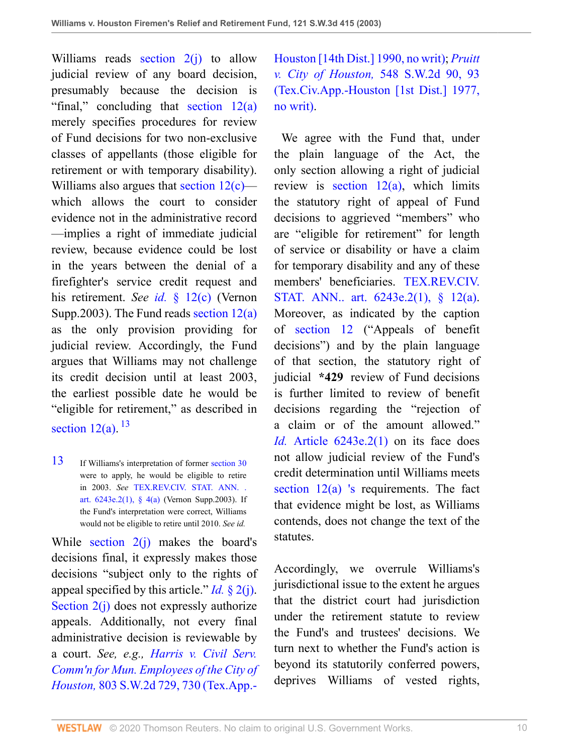Williams reads section  $2(i)$  to allow judicial review of any board decision, presumably because the decision is "final," concluding that [section 12\(a\)](http://www.westlaw.com/Link/Document/FullText?findType=L&pubNum=1000188&cite=TXCSART6243E.2(1)&originatingDoc=I8d0b46b0e7df11d99439b076ef9ec4de&refType=LQ&originationContext=document&vr=3.0&rs=cblt1.0&transitionType=DocumentItem&contextData=(sc.UserEnteredCitation)) merely specifies procedures for review of Fund decisions for two non-exclusive classes of appellants (those eligible for retirement or with temporary disability). Williams also argues that section  $12(c)$  which allows the court to consider evidence not in the administrative record —implies a right of immediate judicial review, because evidence could be lost in the years between the denial of a firefighter's service credit request and his retirement. *See id.* [§ 12\(c\)](http://www.westlaw.com/Link/Document/FullText?findType=L&pubNum=1000188&cite=TXCSART6243E.2(1)&originatingDoc=I8d0b46b0e7df11d99439b076ef9ec4de&refType=LQ&originationContext=document&vr=3.0&rs=cblt1.0&transitionType=DocumentItem&contextData=(sc.UserEnteredCitation)) (Vernon Supp.2003). The Fund reads [section 12\(a\)](http://www.westlaw.com/Link/Document/FullText?findType=L&pubNum=1000188&cite=TXCSART6243E.2(1)&originatingDoc=I8d0b46b0e7df11d99439b076ef9ec4de&refType=LQ&originationContext=document&vr=3.0&rs=cblt1.0&transitionType=DocumentItem&contextData=(sc.UserEnteredCitation)) as the only provision providing for judicial review. Accordingly, the Fund argues that Williams may not challenge its credit decision until at least 2003, the earliest possible date he would be "eligible for retirement," as described in [section 12\(a\)](http://www.westlaw.com/Link/Document/FullText?findType=L&pubNum=1000188&cite=TXCSART6243E.2(1)&originatingDoc=I8d0b46b0e7df11d99439b076ef9ec4de&refType=LQ&originationContext=document&vr=3.0&rs=cblt1.0&transitionType=DocumentItem&contextData=(sc.UserEnteredCitation)).  $^{13}$  $^{13}$  $^{13}$ 

<span id="page-9-1"></span><span id="page-9-0"></span>[13](#page-9-1) If Williams's interpretation of former [section 30](http://www.westlaw.com/Link/Document/FullText?findType=L&pubNum=1000188&cite=TXCSART6243E.2&originatingDoc=I8d0b46b0e7df11d99439b076ef9ec4de&refType=LQ&originationContext=document&vr=3.0&rs=cblt1.0&transitionType=DocumentItem&contextData=(sc.UserEnteredCitation)) were to apply, he would be eligible to retire in 2003. *See* [TEX.REV.CIV. STAT. ANN. .](http://www.westlaw.com/Link/Document/FullText?findType=L&pubNum=1000188&cite=TXCSART6243E.2(1)&originatingDoc=I8d0b46b0e7df11d99439b076ef9ec4de&refType=LQ&originationContext=document&vr=3.0&rs=cblt1.0&transitionType=DocumentItem&contextData=(sc.UserEnteredCitation)) art.  $6243e.2(1)$ , §  $4(a)$  (Vernon Supp.2003). If the Fund's interpretation were correct, Williams would not be eligible to retire until 2010. *See id.*

While section  $2(i)$  makes the board's decisions final, it expressly makes those decisions "subject only to the rights of appeal specified by this article." *Id.* [§ 2\(j\).](http://www.westlaw.com/Link/Document/FullText?findType=L&pubNum=1000188&cite=TXCSART6243E.2(1)&originatingDoc=I8d0b46b0e7df11d99439b076ef9ec4de&refType=LQ&originationContext=document&vr=3.0&rs=cblt1.0&transitionType=DocumentItem&contextData=(sc.UserEnteredCitation)) [Section 2\(j\)](http://www.westlaw.com/Link/Document/FullText?findType=L&pubNum=1000188&cite=TXCSART6243E.2(1)&originatingDoc=I8d0b46b0e7df11d99439b076ef9ec4de&refType=LQ&originationContext=document&vr=3.0&rs=cblt1.0&transitionType=DocumentItem&contextData=(sc.UserEnteredCitation)) does not expressly authorize appeals. Additionally, not every final administrative decision is reviewable by a court. *See, e.g., [Harris v. Civil Serv.](http://www.westlaw.com/Link/Document/FullText?findType=Y&serNum=1990171577&pubNum=0000713&originatingDoc=I8d0b46b0e7df11d99439b076ef9ec4de&refType=RP&fi=co_pp_sp_713_730&originationContext=document&vr=3.0&rs=cblt1.0&transitionType=DocumentItem&contextData=(sc.UserEnteredCitation)#co_pp_sp_713_730) [Comm'n for Mun. Employees of the City of](http://www.westlaw.com/Link/Document/FullText?findType=Y&serNum=1990171577&pubNum=0000713&originatingDoc=I8d0b46b0e7df11d99439b076ef9ec4de&refType=RP&fi=co_pp_sp_713_730&originationContext=document&vr=3.0&rs=cblt1.0&transitionType=DocumentItem&contextData=(sc.UserEnteredCitation)#co_pp_sp_713_730) Houston,* [803 S.W.2d 729, 730 \(Tex.App.-](http://www.westlaw.com/Link/Document/FullText?findType=Y&serNum=1990171577&pubNum=0000713&originatingDoc=I8d0b46b0e7df11d99439b076ef9ec4de&refType=RP&fi=co_pp_sp_713_730&originationContext=document&vr=3.0&rs=cblt1.0&transitionType=DocumentItem&contextData=(sc.UserEnteredCitation)#co_pp_sp_713_730)

[Houston \[14th Dist.\] 1990, no writ\);](http://www.westlaw.com/Link/Document/FullText?findType=Y&serNum=1990171577&pubNum=0000713&originatingDoc=I8d0b46b0e7df11d99439b076ef9ec4de&refType=RP&fi=co_pp_sp_713_730&originationContext=document&vr=3.0&rs=cblt1.0&transitionType=DocumentItem&contextData=(sc.UserEnteredCitation)#co_pp_sp_713_730) *[Pruitt](http://www.westlaw.com/Link/Document/FullText?findType=Y&serNum=1977115265&pubNum=0000713&originatingDoc=I8d0b46b0e7df11d99439b076ef9ec4de&refType=RP&fi=co_pp_sp_713_93&originationContext=document&vr=3.0&rs=cblt1.0&transitionType=DocumentItem&contextData=(sc.UserEnteredCitation)#co_pp_sp_713_93) v. City of Houston,* [548 S.W.2d 90, 93](http://www.westlaw.com/Link/Document/FullText?findType=Y&serNum=1977115265&pubNum=0000713&originatingDoc=I8d0b46b0e7df11d99439b076ef9ec4de&refType=RP&fi=co_pp_sp_713_93&originationContext=document&vr=3.0&rs=cblt1.0&transitionType=DocumentItem&contextData=(sc.UserEnteredCitation)#co_pp_sp_713_93) [\(Tex.Civ.App.-Houston \[1st Dist.\] 1977,](http://www.westlaw.com/Link/Document/FullText?findType=Y&serNum=1977115265&pubNum=0000713&originatingDoc=I8d0b46b0e7df11d99439b076ef9ec4de&refType=RP&fi=co_pp_sp_713_93&originationContext=document&vr=3.0&rs=cblt1.0&transitionType=DocumentItem&contextData=(sc.UserEnteredCitation)#co_pp_sp_713_93) [no writ\)](http://www.westlaw.com/Link/Document/FullText?findType=Y&serNum=1977115265&pubNum=0000713&originatingDoc=I8d0b46b0e7df11d99439b076ef9ec4de&refType=RP&fi=co_pp_sp_713_93&originationContext=document&vr=3.0&rs=cblt1.0&transitionType=DocumentItem&contextData=(sc.UserEnteredCitation)#co_pp_sp_713_93).

 We agree with the Fund that, under the plain language of the Act, the only section allowing a right of judicial review is section  $12(a)$ , which limits the statutory right of appeal of Fund decisions to aggrieved "members" who are "eligible for retirement" for length of service or disability or have a claim for temporary disability and any of these members' beneficiaries. [TEX.REV.CIV.](http://www.westlaw.com/Link/Document/FullText?findType=L&pubNum=1000188&cite=TXCSART6243E.2(1)&originatingDoc=I8d0b46b0e7df11d99439b076ef9ec4de&refType=LQ&originationContext=document&vr=3.0&rs=cblt1.0&transitionType=DocumentItem&contextData=(sc.UserEnteredCitation)) [STAT. ANN.. art. 6243e.2\(1\), § 12\(a\).](http://www.westlaw.com/Link/Document/FullText?findType=L&pubNum=1000188&cite=TXCSART6243E.2(1)&originatingDoc=I8d0b46b0e7df11d99439b076ef9ec4de&refType=LQ&originationContext=document&vr=3.0&rs=cblt1.0&transitionType=DocumentItem&contextData=(sc.UserEnteredCitation)) Moreover, as indicated by the caption of [section 12](http://www.westlaw.com/Link/Document/FullText?findType=L&pubNum=1000188&cite=TXCSART6243E.2(1)&originatingDoc=I8d0b46b0e7df11d99439b076ef9ec4de&refType=LQ&originationContext=document&vr=3.0&rs=cblt1.0&transitionType=DocumentItem&contextData=(sc.UserEnteredCitation)) ("Appeals of benefit decisions") and by the plain language of that section, the statutory right of judicial **\*429** review of Fund decisions is further limited to review of benefit decisions regarding the "rejection of a claim or of the amount allowed." *Id.* [Article 6243e.2\(1\)](http://www.westlaw.com/Link/Document/FullText?findType=L&pubNum=1000188&cite=TXCSART6243E.2(1)&originatingDoc=I8d0b46b0e7df11d99439b076ef9ec4de&refType=LQ&originationContext=document&vr=3.0&rs=cblt1.0&transitionType=DocumentItem&contextData=(sc.UserEnteredCitation)) on its face does not allow judicial review of the Fund's credit determination until Williams meets [section 12\(a\)](http://www.westlaw.com/Link/Document/FullText?findType=L&pubNum=1000188&cite=TXCSART6243E.2(1)&originatingDoc=I8d0b46b0e7df11d99439b076ef9ec4de&refType=LQ&originationContext=document&vr=3.0&rs=cblt1.0&transitionType=DocumentItem&contextData=(sc.UserEnteredCitation)) ['s](http://www.westlaw.com/Link/Document/FullText?findType=L&pubNum=1000188&cite=TXCSART6243E.2(1)&originatingDoc=I8d0b46b0e7df11d99439b076ef9ec4de&refType=LQ&originationContext=document&vr=3.0&rs=cblt1.0&transitionType=DocumentItem&contextData=(sc.UserEnteredCitation)) requirements. The fact that evidence might be lost, as Williams contends, does not change the text of the statutes.

Accordingly, we overrule Williams's jurisdictional issue to the extent he argues that the district court had jurisdiction under the retirement statute to review the Fund's and trustees' decisions. We turn next to whether the Fund's action is beyond its statutorily conferred powers, deprives Williams of vested rights,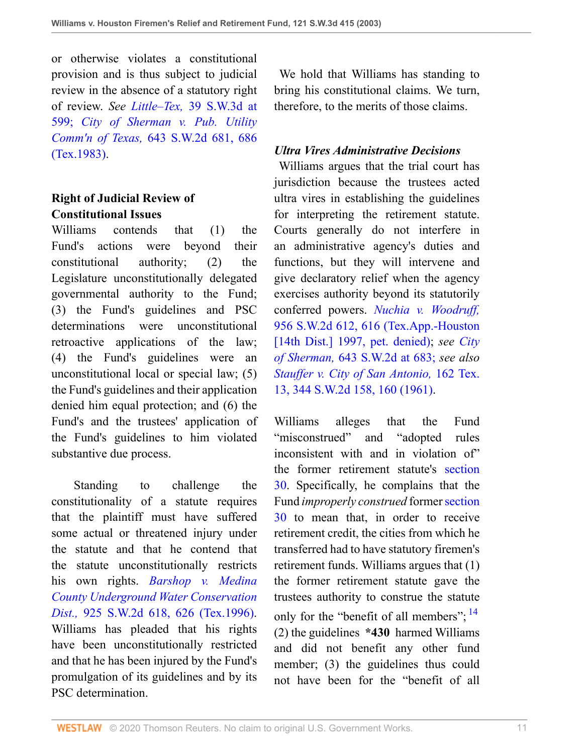or otherwise violates a constitutional provision and is thus subject to judicial review in the absence of a statutory right of review. *See Little–Tex,* [39 S.W.3d at](http://www.westlaw.com/Link/Document/FullText?findType=Y&serNum=2001112179&pubNum=4644&originatingDoc=I8d0b46b0e7df11d99439b076ef9ec4de&refType=RP&fi=co_pp_sp_4644_599&originationContext=document&vr=3.0&rs=cblt1.0&transitionType=DocumentItem&contextData=(sc.UserEnteredCitation)#co_pp_sp_4644_599) [599;](http://www.westlaw.com/Link/Document/FullText?findType=Y&serNum=2001112179&pubNum=4644&originatingDoc=I8d0b46b0e7df11d99439b076ef9ec4de&refType=RP&fi=co_pp_sp_4644_599&originationContext=document&vr=3.0&rs=cblt1.0&transitionType=DocumentItem&contextData=(sc.UserEnteredCitation)#co_pp_sp_4644_599) *[City of Sherman v. Pub. Utility](http://www.westlaw.com/Link/Document/FullText?findType=Y&serNum=1983101466&pubNum=0000713&originatingDoc=I8d0b46b0e7df11d99439b076ef9ec4de&refType=RP&fi=co_pp_sp_713_686&originationContext=document&vr=3.0&rs=cblt1.0&transitionType=DocumentItem&contextData=(sc.UserEnteredCitation)#co_pp_sp_713_686) Comm'n of Texas,* [643 S.W.2d 681, 686](http://www.westlaw.com/Link/Document/FullText?findType=Y&serNum=1983101466&pubNum=0000713&originatingDoc=I8d0b46b0e7df11d99439b076ef9ec4de&refType=RP&fi=co_pp_sp_713_686&originationContext=document&vr=3.0&rs=cblt1.0&transitionType=DocumentItem&contextData=(sc.UserEnteredCitation)#co_pp_sp_713_686) [\(Tex.1983\)](http://www.westlaw.com/Link/Document/FullText?findType=Y&serNum=1983101466&pubNum=0000713&originatingDoc=I8d0b46b0e7df11d99439b076ef9ec4de&refType=RP&fi=co_pp_sp_713_686&originationContext=document&vr=3.0&rs=cblt1.0&transitionType=DocumentItem&contextData=(sc.UserEnteredCitation)#co_pp_sp_713_686).

# **Right of Judicial Review of Constitutional Issues**

Williams contends that (1) the Fund's actions were beyond their constitutional authority; (2) the Legislature unconstitutionally delegated governmental authority to the Fund; (3) the Fund's guidelines and PSC determinations were unconstitutional retroactive applications of the law; (4) the Fund's guidelines were an unconstitutional local or special law; (5) the Fund's guidelines and their application denied him equal protection; and (6) the Fund's and the trustees' application of the Fund's guidelines to him violated substantive due process.

 Standing to challenge the constitutionality of a statute requires that the plaintiff must have suffered some actual or threatened injury under the statute and that he contend that the statute unconstitutionally restricts his own rights. *[Barshop v. Medina](http://www.westlaw.com/Link/Document/FullText?findType=Y&serNum=1996144856&pubNum=0000713&originatingDoc=I8d0b46b0e7df11d99439b076ef9ec4de&refType=RP&fi=co_pp_sp_713_626&originationContext=document&vr=3.0&rs=cblt1.0&transitionType=DocumentItem&contextData=(sc.UserEnteredCitation)#co_pp_sp_713_626) [County Underground Water Conservation](http://www.westlaw.com/Link/Document/FullText?findType=Y&serNum=1996144856&pubNum=0000713&originatingDoc=I8d0b46b0e7df11d99439b076ef9ec4de&refType=RP&fi=co_pp_sp_713_626&originationContext=document&vr=3.0&rs=cblt1.0&transitionType=DocumentItem&contextData=(sc.UserEnteredCitation)#co_pp_sp_713_626) Dist.,* [925 S.W.2d 618, 626 \(Tex.1996\).](http://www.westlaw.com/Link/Document/FullText?findType=Y&serNum=1996144856&pubNum=0000713&originatingDoc=I8d0b46b0e7df11d99439b076ef9ec4de&refType=RP&fi=co_pp_sp_713_626&originationContext=document&vr=3.0&rs=cblt1.0&transitionType=DocumentItem&contextData=(sc.UserEnteredCitation)#co_pp_sp_713_626) Williams has pleaded that his rights have been unconstitutionally restricted and that he has been injured by the Fund's promulgation of its guidelines and by its PSC determination.

 We hold that Williams has standing to bring his constitutional claims. We turn, therefore, to the merits of those claims.

### *Ultra Vires Administrative Decisions*

 Williams argues that the trial court has jurisdiction because the trustees acted ultra vires in establishing the guidelines for interpreting the retirement statute. Courts generally do not interfere in an administrative agency's duties and functions, but they will intervene and give declaratory relief when the agency exercises authority beyond its statutorily conferred powers. *[Nuchia v. Woodruff,](http://www.westlaw.com/Link/Document/FullText?findType=Y&serNum=1997199357&pubNum=0000713&originatingDoc=I8d0b46b0e7df11d99439b076ef9ec4de&refType=RP&fi=co_pp_sp_713_616&originationContext=document&vr=3.0&rs=cblt1.0&transitionType=DocumentItem&contextData=(sc.UserEnteredCitation)#co_pp_sp_713_616)* [956 S.W.2d 612, 616 \(Tex.App.-Houston](http://www.westlaw.com/Link/Document/FullText?findType=Y&serNum=1997199357&pubNum=0000713&originatingDoc=I8d0b46b0e7df11d99439b076ef9ec4de&refType=RP&fi=co_pp_sp_713_616&originationContext=document&vr=3.0&rs=cblt1.0&transitionType=DocumentItem&contextData=(sc.UserEnteredCitation)#co_pp_sp_713_616) [\[14th Dist.\] 1997, pet. denied\)](http://www.westlaw.com/Link/Document/FullText?findType=Y&serNum=1997199357&pubNum=0000713&originatingDoc=I8d0b46b0e7df11d99439b076ef9ec4de&refType=RP&fi=co_pp_sp_713_616&originationContext=document&vr=3.0&rs=cblt1.0&transitionType=DocumentItem&contextData=(sc.UserEnteredCitation)#co_pp_sp_713_616); *see [City](http://www.westlaw.com/Link/Document/FullText?findType=Y&serNum=1983101466&pubNum=713&originatingDoc=I8d0b46b0e7df11d99439b076ef9ec4de&refType=RP&fi=co_pp_sp_713_683&originationContext=document&vr=3.0&rs=cblt1.0&transitionType=DocumentItem&contextData=(sc.UserEnteredCitation)#co_pp_sp_713_683) of Sherman,* [643 S.W.2d at 683;](http://www.westlaw.com/Link/Document/FullText?findType=Y&serNum=1983101466&pubNum=713&originatingDoc=I8d0b46b0e7df11d99439b076ef9ec4de&refType=RP&fi=co_pp_sp_713_683&originationContext=document&vr=3.0&rs=cblt1.0&transitionType=DocumentItem&contextData=(sc.UserEnteredCitation)#co_pp_sp_713_683) *see also [Stauffer v. City of San Antonio,](http://www.westlaw.com/Link/Document/FullText?findType=Y&serNum=1961128089&pubNum=0000713&originatingDoc=I8d0b46b0e7df11d99439b076ef9ec4de&refType=RP&fi=co_pp_sp_713_160&originationContext=document&vr=3.0&rs=cblt1.0&transitionType=DocumentItem&contextData=(sc.UserEnteredCitation)#co_pp_sp_713_160)* 162 Tex. [13, 344 S.W.2d 158, 160 \(1961\).](http://www.westlaw.com/Link/Document/FullText?findType=Y&serNum=1961128089&pubNum=0000713&originatingDoc=I8d0b46b0e7df11d99439b076ef9ec4de&refType=RP&fi=co_pp_sp_713_160&originationContext=document&vr=3.0&rs=cblt1.0&transitionType=DocumentItem&contextData=(sc.UserEnteredCitation)#co_pp_sp_713_160)

<span id="page-10-0"></span>Williams alleges that the Fund "misconstrued" and "adopted rules inconsistent with and in violation of" the former retirement statute's [section](http://www.westlaw.com/Link/Document/FullText?findType=L&pubNum=1000188&cite=TXCSART6243E.2&originatingDoc=I8d0b46b0e7df11d99439b076ef9ec4de&refType=LQ&originationContext=document&vr=3.0&rs=cblt1.0&transitionType=DocumentItem&contextData=(sc.UserEnteredCitation)) [30](http://www.westlaw.com/Link/Document/FullText?findType=L&pubNum=1000188&cite=TXCSART6243E.2&originatingDoc=I8d0b46b0e7df11d99439b076ef9ec4de&refType=LQ&originationContext=document&vr=3.0&rs=cblt1.0&transitionType=DocumentItem&contextData=(sc.UserEnteredCitation)). Specifically, he complains that the Fund *improperly construed* former [section](http://www.westlaw.com/Link/Document/FullText?findType=L&pubNum=1000188&cite=TXCSART6243E.2&originatingDoc=I8d0b46b0e7df11d99439b076ef9ec4de&refType=LQ&originationContext=document&vr=3.0&rs=cblt1.0&transitionType=DocumentItem&contextData=(sc.UserEnteredCitation)) [30](http://www.westlaw.com/Link/Document/FullText?findType=L&pubNum=1000188&cite=TXCSART6243E.2&originatingDoc=I8d0b46b0e7df11d99439b076ef9ec4de&refType=LQ&originationContext=document&vr=3.0&rs=cblt1.0&transitionType=DocumentItem&contextData=(sc.UserEnteredCitation)) to mean that, in order to receive retirement credit, the cities from which he transferred had to have statutory firemen's retirement funds. Williams argues that (1) the former retirement statute gave the trustees authority to construe the statute only for the "benefit of all members";  $^{14}$  $^{14}$  $^{14}$ (2) the guidelines **\*430** harmed Williams and did not benefit any other fund member; (3) the guidelines thus could not have been for the "benefit of all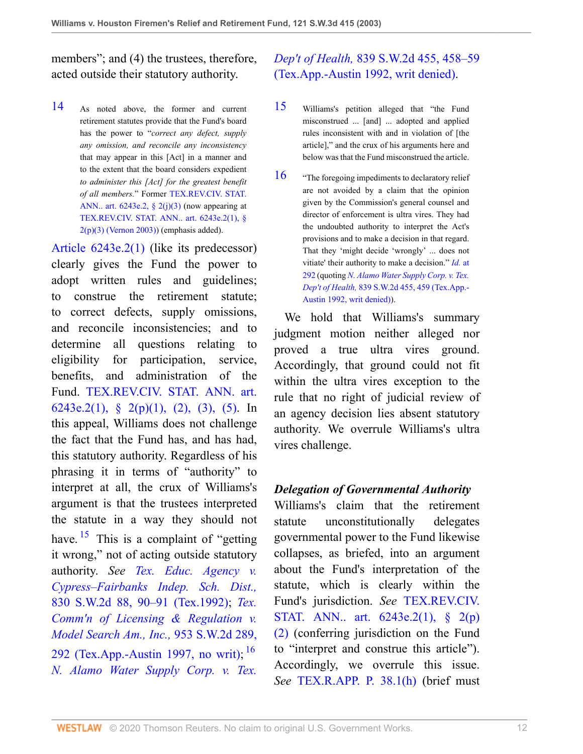members"; and (4) the trustees, therefore, acted outside their statutory authority.

<span id="page-11-0"></span>[14](#page-10-0) As noted above, the former and current retirement statutes provide that the Fund's board has the power to "*correct any defect, supply any omission, and reconcile any inconsistency* that may appear in this [Act] in a manner and to the extent that the board considers expedient *to administer this [Act] for the greatest benefit of all members.*" Former [TEX.REV.CIV. STAT.](http://www.westlaw.com/Link/Document/FullText?findType=L&pubNum=1000188&cite=TXCSART6243E.2&originatingDoc=I8d0b46b0e7df11d99439b076ef9ec4de&refType=LQ&originationContext=document&vr=3.0&rs=cblt1.0&transitionType=DocumentItem&contextData=(sc.UserEnteredCitation)) ANN.. art.  $6243e.2$ ,  $\frac{2}{103}$  (now appearing at [TEX.REV.CIV. STAT. ANN.. art. 6243e.2\(1\), §](http://www.westlaw.com/Link/Document/FullText?findType=L&pubNum=1000188&cite=TXCSART6243E.2(1)&originatingDoc=I8d0b46b0e7df11d99439b076ef9ec4de&refType=LQ&originationContext=document&vr=3.0&rs=cblt1.0&transitionType=DocumentItem&contextData=(sc.UserEnteredCitation))  $2(p)(3)$  (Vernon 2003)) (emphasis added).

[Article 6243e.2\(1\)](http://www.westlaw.com/Link/Document/FullText?findType=L&pubNum=1000188&cite=TXCSART6243E.2(1)&originatingDoc=I8d0b46b0e7df11d99439b076ef9ec4de&refType=LQ&originationContext=document&vr=3.0&rs=cblt1.0&transitionType=DocumentItem&contextData=(sc.UserEnteredCitation)) (like its predecessor) clearly gives the Fund the power to adopt written rules and guidelines; to construe the retirement statute; to correct defects, supply omissions, and reconcile inconsistencies; and to determine all questions relating to eligibility for participation, service, benefits, and administration of the Fund. [TEX.REV.CIV. STAT. ANN. art.](http://www.westlaw.com/Link/Document/FullText?findType=L&pubNum=1000301&cite=TXCSART6243E.2&originatingDoc=I8d0b46b0e7df11d99439b076ef9ec4de&refType=LQ&originationContext=document&vr=3.0&rs=cblt1.0&transitionType=DocumentItem&contextData=(sc.UserEnteredCitation)) [6243e.2\(1\), § 2\(p\)\(1\), \(2\), \(3\), \(5\).](http://www.westlaw.com/Link/Document/FullText?findType=L&pubNum=1000301&cite=TXCSART6243E.2&originatingDoc=I8d0b46b0e7df11d99439b076ef9ec4de&refType=LQ&originationContext=document&vr=3.0&rs=cblt1.0&transitionType=DocumentItem&contextData=(sc.UserEnteredCitation)) In this appeal, Williams does not challenge the fact that the Fund has, and has had, this statutory authority. Regardless of his phrasing it in terms of "authority" to interpret at all, the crux of Williams's argument is that the trustees interpreted the statute in a way they should not have.  $15$  This is a complaint of "getting" it wrong," not of acting outside statutory authority. *See [Tex. Educ. Agency v.](http://www.westlaw.com/Link/Document/FullText?findType=Y&serNum=1992086018&pubNum=0000713&originatingDoc=I8d0b46b0e7df11d99439b076ef9ec4de&refType=RP&fi=co_pp_sp_713_90&originationContext=document&vr=3.0&rs=cblt1.0&transitionType=DocumentItem&contextData=(sc.UserEnteredCitation)#co_pp_sp_713_90) [Cypress–Fairbanks Indep. Sch. Dist.,](http://www.westlaw.com/Link/Document/FullText?findType=Y&serNum=1992086018&pubNum=0000713&originatingDoc=I8d0b46b0e7df11d99439b076ef9ec4de&refType=RP&fi=co_pp_sp_713_90&originationContext=document&vr=3.0&rs=cblt1.0&transitionType=DocumentItem&contextData=(sc.UserEnteredCitation)#co_pp_sp_713_90)* [830 S.W.2d 88, 90–91 \(Tex.1992\);](http://www.westlaw.com/Link/Document/FullText?findType=Y&serNum=1992086018&pubNum=0000713&originatingDoc=I8d0b46b0e7df11d99439b076ef9ec4de&refType=RP&fi=co_pp_sp_713_90&originationContext=document&vr=3.0&rs=cblt1.0&transitionType=DocumentItem&contextData=(sc.UserEnteredCitation)#co_pp_sp_713_90) *[Tex.](http://www.westlaw.com/Link/Document/FullText?findType=Y&serNum=1997125445&pubNum=0000713&originatingDoc=I8d0b46b0e7df11d99439b076ef9ec4de&refType=RP&fi=co_pp_sp_713_292&originationContext=document&vr=3.0&rs=cblt1.0&transitionType=DocumentItem&contextData=(sc.UserEnteredCitation)#co_pp_sp_713_292) [Comm'n of Licensing & Regulation v.](http://www.westlaw.com/Link/Document/FullText?findType=Y&serNum=1997125445&pubNum=0000713&originatingDoc=I8d0b46b0e7df11d99439b076ef9ec4de&refType=RP&fi=co_pp_sp_713_292&originationContext=document&vr=3.0&rs=cblt1.0&transitionType=DocumentItem&contextData=(sc.UserEnteredCitation)#co_pp_sp_713_292) [Model Search Am., Inc.,](http://www.westlaw.com/Link/Document/FullText?findType=Y&serNum=1997125445&pubNum=0000713&originatingDoc=I8d0b46b0e7df11d99439b076ef9ec4de&refType=RP&fi=co_pp_sp_713_292&originationContext=document&vr=3.0&rs=cblt1.0&transitionType=DocumentItem&contextData=(sc.UserEnteredCitation)#co_pp_sp_713_292)* 953 S.W.2d 289, [292 \(Tex.App.-Austin 1997, no writ\)](http://www.westlaw.com/Link/Document/FullText?findType=Y&serNum=1997125445&pubNum=0000713&originatingDoc=I8d0b46b0e7df11d99439b076ef9ec4de&refType=RP&fi=co_pp_sp_713_292&originationContext=document&vr=3.0&rs=cblt1.0&transitionType=DocumentItem&contextData=(sc.UserEnteredCitation)#co_pp_sp_713_292);  $^{16}$  $^{16}$  $^{16}$ *[N. Alamo Water Supply Corp. v. Tex.](http://www.westlaw.com/Link/Document/FullText?findType=Y&serNum=1992151398&pubNum=0000713&originatingDoc=I8d0b46b0e7df11d99439b076ef9ec4de&refType=RP&fi=co_pp_sp_713_458&originationContext=document&vr=3.0&rs=cblt1.0&transitionType=DocumentItem&contextData=(sc.UserEnteredCitation)#co_pp_sp_713_458)*

# *Dep't of Health,* [839 S.W.2d 455, 458–59](http://www.westlaw.com/Link/Document/FullText?findType=Y&serNum=1992151398&pubNum=0000713&originatingDoc=I8d0b46b0e7df11d99439b076ef9ec4de&refType=RP&fi=co_pp_sp_713_458&originationContext=document&vr=3.0&rs=cblt1.0&transitionType=DocumentItem&contextData=(sc.UserEnteredCitation)#co_pp_sp_713_458) [\(Tex.App.-Austin 1992, writ denied\)](http://www.westlaw.com/Link/Document/FullText?findType=Y&serNum=1992151398&pubNum=0000713&originatingDoc=I8d0b46b0e7df11d99439b076ef9ec4de&refType=RP&fi=co_pp_sp_713_458&originationContext=document&vr=3.0&rs=cblt1.0&transitionType=DocumentItem&contextData=(sc.UserEnteredCitation)#co_pp_sp_713_458).

- <span id="page-11-1"></span>[15](#page-11-3) Williams's petition alleged that "the Fund misconstrued ... [and] ... adopted and applied rules inconsistent with and in violation of [the article]," and the crux of his arguments here and below was that the Fund misconstrued the article.
- <span id="page-11-2"></span>[16](#page-11-4) "The foregoing impediments to declaratory relief are not avoided by a claim that the opinion given by the Commission's general counsel and director of enforcement is ultra vires. They had the undoubted authority to interpret the Act's provisions and to make a decision in that regard. That they 'might decide 'wrongly' ... does not vitiate' their authority to make a decision." *[Id.](http://www.westlaw.com/Link/Document/FullText?findType=Y&serNum=1997125445&pubNum=0000713&originatingDoc=I8d0b46b0e7df11d99439b076ef9ec4de&refType=RP&fi=co_pp_sp_713_292&originationContext=document&vr=3.0&rs=cblt1.0&transitionType=DocumentItem&contextData=(sc.UserEnteredCitation)#co_pp_sp_713_292)* at [292](http://www.westlaw.com/Link/Document/FullText?findType=Y&serNum=1997125445&pubNum=0000713&originatingDoc=I8d0b46b0e7df11d99439b076ef9ec4de&refType=RP&fi=co_pp_sp_713_292&originationContext=document&vr=3.0&rs=cblt1.0&transitionType=DocumentItem&contextData=(sc.UserEnteredCitation)#co_pp_sp_713_292) (quoting *[N. Alamo Water Supply Corp. v. Tex.](http://www.westlaw.com/Link/Document/FullText?findType=Y&serNum=1992151398&pubNum=0000713&originatingDoc=I8d0b46b0e7df11d99439b076ef9ec4de&refType=RP&fi=co_pp_sp_713_459&originationContext=document&vr=3.0&rs=cblt1.0&transitionType=DocumentItem&contextData=(sc.UserEnteredCitation)#co_pp_sp_713_459) Dep't of Health,* [839 S.W.2d 455, 459 \(Tex.App.-](http://www.westlaw.com/Link/Document/FullText?findType=Y&serNum=1992151398&pubNum=0000713&originatingDoc=I8d0b46b0e7df11d99439b076ef9ec4de&refType=RP&fi=co_pp_sp_713_459&originationContext=document&vr=3.0&rs=cblt1.0&transitionType=DocumentItem&contextData=(sc.UserEnteredCitation)#co_pp_sp_713_459) [Austin 1992, writ denied\)](http://www.westlaw.com/Link/Document/FullText?findType=Y&serNum=1992151398&pubNum=0000713&originatingDoc=I8d0b46b0e7df11d99439b076ef9ec4de&refType=RP&fi=co_pp_sp_713_459&originationContext=document&vr=3.0&rs=cblt1.0&transitionType=DocumentItem&contextData=(sc.UserEnteredCitation)#co_pp_sp_713_459)).

 We hold that Williams's summary judgment motion neither alleged nor proved a true ultra vires ground. Accordingly, that ground could not fit within the ultra vires exception to the rule that no right of judicial review of an agency decision lies absent statutory authority. We overrule Williams's ultra vires challenge.

#### *Delegation of Governmental Authority*

<span id="page-11-4"></span><span id="page-11-3"></span>Williams's claim that the retirement statute unconstitutionally delegates governmental power to the Fund likewise collapses, as briefed, into an argument about the Fund's interpretation of the statute, which is clearly within the Fund's jurisdiction. *See* [TEX.REV.CIV.](http://www.westlaw.com/Link/Document/FullText?findType=L&pubNum=1000188&cite=TXCSART6243E.2(1)&originatingDoc=I8d0b46b0e7df11d99439b076ef9ec4de&refType=LQ&originationContext=document&vr=3.0&rs=cblt1.0&transitionType=DocumentItem&contextData=(sc.UserEnteredCitation)) [STAT. ANN.. art. 6243e.2\(1\), § 2\(p\)](http://www.westlaw.com/Link/Document/FullText?findType=L&pubNum=1000188&cite=TXCSART6243E.2(1)&originatingDoc=I8d0b46b0e7df11d99439b076ef9ec4de&refType=LQ&originationContext=document&vr=3.0&rs=cblt1.0&transitionType=DocumentItem&contextData=(sc.UserEnteredCitation)) [\(2\)](http://www.westlaw.com/Link/Document/FullText?findType=L&pubNum=1000188&cite=TXCSART6243E.2(1)&originatingDoc=I8d0b46b0e7df11d99439b076ef9ec4de&refType=LQ&originationContext=document&vr=3.0&rs=cblt1.0&transitionType=DocumentItem&contextData=(sc.UserEnteredCitation)) (conferring jurisdiction on the Fund to "interpret and construe this article"). Accordingly, we overrule this issue. *See* [TEX.R.APP. P. 38.1\(h\)](http://www.westlaw.com/Link/Document/FullText?findType=L&pubNum=1005293&cite=TXRRAPR38.1&originatingDoc=I8d0b46b0e7df11d99439b076ef9ec4de&refType=LQ&originationContext=document&vr=3.0&rs=cblt1.0&transitionType=DocumentItem&contextData=(sc.UserEnteredCitation)) (brief must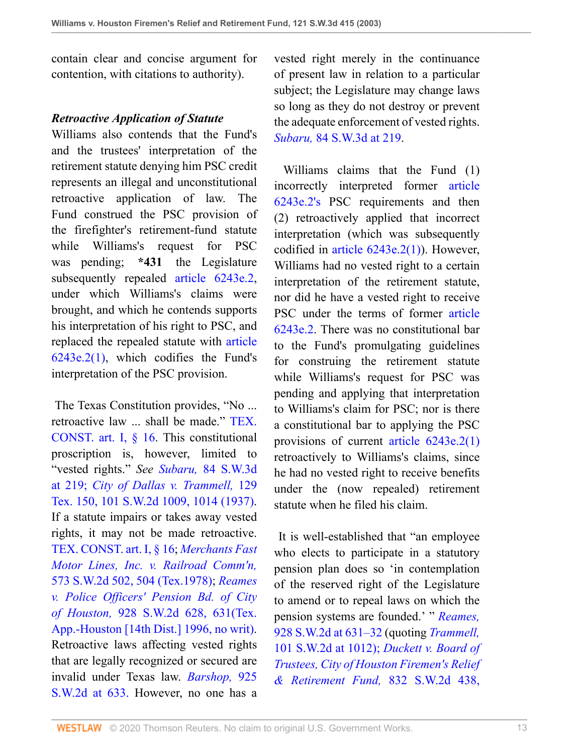contain clear and concise argument for contention, with citations to authority).

### *Retroactive Application of Statute*

Williams also contends that the Fund's and the trustees' interpretation of the retirement statute denying him PSC credit represents an illegal and unconstitutional retroactive application of law. The Fund construed the PSC provision of the firefighter's retirement-fund statute while Williams's request for PSC was pending; **\*431** the Legislature subsequently repealed [article 6243e.2,](http://www.westlaw.com/Link/Document/FullText?findType=L&pubNum=1000188&cite=TXCSART6243E.2&originatingDoc=I8d0b46b0e7df11d99439b076ef9ec4de&refType=LQ&originationContext=document&vr=3.0&rs=cblt1.0&transitionType=DocumentItem&contextData=(sc.UserEnteredCitation)) under which Williams's claims were brought, and which he contends supports his interpretation of his right to PSC, and replaced the repealed statute with [article](http://www.westlaw.com/Link/Document/FullText?findType=L&pubNum=1000188&cite=TXCSART6243E.2(1)&originatingDoc=I8d0b46b0e7df11d99439b076ef9ec4de&refType=LQ&originationContext=document&vr=3.0&rs=cblt1.0&transitionType=DocumentItem&contextData=(sc.UserEnteredCitation)) [6243e.2\(1\),](http://www.westlaw.com/Link/Document/FullText?findType=L&pubNum=1000188&cite=TXCSART6243E.2(1)&originatingDoc=I8d0b46b0e7df11d99439b076ef9ec4de&refType=LQ&originationContext=document&vr=3.0&rs=cblt1.0&transitionType=DocumentItem&contextData=(sc.UserEnteredCitation)) which codifies the Fund's interpretation of the PSC provision.

 The Texas Constitution provides, "No ... retroactive law ... shall be made." [TEX.](http://www.westlaw.com/Link/Document/FullText?findType=L&pubNum=1000171&cite=TXCNART1S16&originatingDoc=I8d0b46b0e7df11d99439b076ef9ec4de&refType=LQ&originationContext=document&vr=3.0&rs=cblt1.0&transitionType=DocumentItem&contextData=(sc.UserEnteredCitation)) [CONST. art. I, § 16.](http://www.westlaw.com/Link/Document/FullText?findType=L&pubNum=1000171&cite=TXCNART1S16&originatingDoc=I8d0b46b0e7df11d99439b076ef9ec4de&refType=LQ&originationContext=document&vr=3.0&rs=cblt1.0&transitionType=DocumentItem&contextData=(sc.UserEnteredCitation)) This constitutional proscription is, however, limited to "vested rights." *See Subaru,* [84 S.W.3d](http://www.westlaw.com/Link/Document/FullText?findType=Y&serNum=2002399333&pubNum=4644&originatingDoc=I8d0b46b0e7df11d99439b076ef9ec4de&refType=RP&fi=co_pp_sp_4644_219&originationContext=document&vr=3.0&rs=cblt1.0&transitionType=DocumentItem&contextData=(sc.UserEnteredCitation)#co_pp_sp_4644_219) [at 219;](http://www.westlaw.com/Link/Document/FullText?findType=Y&serNum=2002399333&pubNum=4644&originatingDoc=I8d0b46b0e7df11d99439b076ef9ec4de&refType=RP&fi=co_pp_sp_4644_219&originationContext=document&vr=3.0&rs=cblt1.0&transitionType=DocumentItem&contextData=(sc.UserEnteredCitation)#co_pp_sp_4644_219) *[City of Dallas v. Trammell,](http://www.westlaw.com/Link/Document/FullText?findType=Y&serNum=1937103195&pubNum=0000713&originatingDoc=I8d0b46b0e7df11d99439b076ef9ec4de&refType=RP&fi=co_pp_sp_713_1014&originationContext=document&vr=3.0&rs=cblt1.0&transitionType=DocumentItem&contextData=(sc.UserEnteredCitation)#co_pp_sp_713_1014)* 129 [Tex. 150, 101 S.W.2d 1009, 1014 \(1937\).](http://www.westlaw.com/Link/Document/FullText?findType=Y&serNum=1937103195&pubNum=0000713&originatingDoc=I8d0b46b0e7df11d99439b076ef9ec4de&refType=RP&fi=co_pp_sp_713_1014&originationContext=document&vr=3.0&rs=cblt1.0&transitionType=DocumentItem&contextData=(sc.UserEnteredCitation)#co_pp_sp_713_1014) If a statute impairs or takes away vested rights, it may not be made retroactive. [TEX. CONST. art. I, § 16](http://www.westlaw.com/Link/Document/FullText?findType=L&pubNum=1000171&cite=TXCNART1S16&originatingDoc=I8d0b46b0e7df11d99439b076ef9ec4de&refType=LQ&originationContext=document&vr=3.0&rs=cblt1.0&transitionType=DocumentItem&contextData=(sc.UserEnteredCitation)); *[Merchants Fast](http://www.westlaw.com/Link/Document/FullText?findType=Y&serNum=1978135880&pubNum=0000713&originatingDoc=I8d0b46b0e7df11d99439b076ef9ec4de&refType=RP&fi=co_pp_sp_713_504&originationContext=document&vr=3.0&rs=cblt1.0&transitionType=DocumentItem&contextData=(sc.UserEnteredCitation)#co_pp_sp_713_504) [Motor Lines, Inc. v. Railroad Comm'n,](http://www.westlaw.com/Link/Document/FullText?findType=Y&serNum=1978135880&pubNum=0000713&originatingDoc=I8d0b46b0e7df11d99439b076ef9ec4de&refType=RP&fi=co_pp_sp_713_504&originationContext=document&vr=3.0&rs=cblt1.0&transitionType=DocumentItem&contextData=(sc.UserEnteredCitation)#co_pp_sp_713_504)* [573 S.W.2d 502, 504 \(Tex.1978\);](http://www.westlaw.com/Link/Document/FullText?findType=Y&serNum=1978135880&pubNum=0000713&originatingDoc=I8d0b46b0e7df11d99439b076ef9ec4de&refType=RP&fi=co_pp_sp_713_504&originationContext=document&vr=3.0&rs=cblt1.0&transitionType=DocumentItem&contextData=(sc.UserEnteredCitation)#co_pp_sp_713_504) *[Reames](http://www.westlaw.com/Link/Document/FullText?findType=Y&serNum=1996148421&pubNum=0000713&originatingDoc=I8d0b46b0e7df11d99439b076ef9ec4de&refType=RP&fi=co_pp_sp_713_631&originationContext=document&vr=3.0&rs=cblt1.0&transitionType=DocumentItem&contextData=(sc.UserEnteredCitation)#co_pp_sp_713_631) [v. Police Officers' Pension Bd. of City](http://www.westlaw.com/Link/Document/FullText?findType=Y&serNum=1996148421&pubNum=0000713&originatingDoc=I8d0b46b0e7df11d99439b076ef9ec4de&refType=RP&fi=co_pp_sp_713_631&originationContext=document&vr=3.0&rs=cblt1.0&transitionType=DocumentItem&contextData=(sc.UserEnteredCitation)#co_pp_sp_713_631) of Houston,* [928 S.W.2d 628, 631\(Tex.](http://www.westlaw.com/Link/Document/FullText?findType=Y&serNum=1996148421&pubNum=0000713&originatingDoc=I8d0b46b0e7df11d99439b076ef9ec4de&refType=RP&fi=co_pp_sp_713_631&originationContext=document&vr=3.0&rs=cblt1.0&transitionType=DocumentItem&contextData=(sc.UserEnteredCitation)#co_pp_sp_713_631) [App.-Houston \[14th Dist.\] 1996, no writ\).](http://www.westlaw.com/Link/Document/FullText?findType=Y&serNum=1996148421&pubNum=0000713&originatingDoc=I8d0b46b0e7df11d99439b076ef9ec4de&refType=RP&fi=co_pp_sp_713_631&originationContext=document&vr=3.0&rs=cblt1.0&transitionType=DocumentItem&contextData=(sc.UserEnteredCitation)#co_pp_sp_713_631) Retroactive laws affecting vested rights that are legally recognized or secured are invalid under Texas law. *[Barshop,](http://www.westlaw.com/Link/Document/FullText?findType=Y&serNum=1996144856&pubNum=713&originatingDoc=I8d0b46b0e7df11d99439b076ef9ec4de&refType=RP&fi=co_pp_sp_713_633&originationContext=document&vr=3.0&rs=cblt1.0&transitionType=DocumentItem&contextData=(sc.UserEnteredCitation)#co_pp_sp_713_633)* 925 [S.W.2d at 633.](http://www.westlaw.com/Link/Document/FullText?findType=Y&serNum=1996144856&pubNum=713&originatingDoc=I8d0b46b0e7df11d99439b076ef9ec4de&refType=RP&fi=co_pp_sp_713_633&originationContext=document&vr=3.0&rs=cblt1.0&transitionType=DocumentItem&contextData=(sc.UserEnteredCitation)#co_pp_sp_713_633) However, no one has a vested right merely in the continuance of present law in relation to a particular subject; the Legislature may change laws so long as they do not destroy or prevent the adequate enforcement of vested rights. *Subaru,* [84 S.W.3d at 219](http://www.westlaw.com/Link/Document/FullText?findType=Y&serNum=2002399333&pubNum=0004644&originatingDoc=I8d0b46b0e7df11d99439b076ef9ec4de&refType=RP&fi=co_pp_sp_4644_219&originationContext=document&vr=3.0&rs=cblt1.0&transitionType=DocumentItem&contextData=(sc.UserEnteredCitation)#co_pp_sp_4644_219).

 Williams claims that the Fund (1) incorrectly interpreted former [article](http://www.westlaw.com/Link/Document/FullText?findType=L&pubNum=1000188&cite=TXCSART6243E.2&originatingDoc=I8d0b46b0e7df11d99439b076ef9ec4de&refType=LQ&originationContext=document&vr=3.0&rs=cblt1.0&transitionType=DocumentItem&contextData=(sc.UserEnteredCitation)) [6243e.2's](http://www.westlaw.com/Link/Document/FullText?findType=L&pubNum=1000188&cite=TXCSART6243E.2&originatingDoc=I8d0b46b0e7df11d99439b076ef9ec4de&refType=LQ&originationContext=document&vr=3.0&rs=cblt1.0&transitionType=DocumentItem&contextData=(sc.UserEnteredCitation)) PSC requirements and then (2) retroactively applied that incorrect interpretation (which was subsequently codified in [article 6243e.2\(1\)\)](http://www.westlaw.com/Link/Document/FullText?findType=L&pubNum=1000188&cite=TXCSART6243E.2(1)&originatingDoc=I8d0b46b0e7df11d99439b076ef9ec4de&refType=LQ&originationContext=document&vr=3.0&rs=cblt1.0&transitionType=DocumentItem&contextData=(sc.UserEnteredCitation)). However, Williams had no vested right to a certain interpretation of the retirement statute, nor did he have a vested right to receive PSC under the terms of former [article](http://www.westlaw.com/Link/Document/FullText?findType=L&pubNum=1000188&cite=TXCSART6243E.2&originatingDoc=I8d0b46b0e7df11d99439b076ef9ec4de&refType=LQ&originationContext=document&vr=3.0&rs=cblt1.0&transitionType=DocumentItem&contextData=(sc.UserEnteredCitation)) [6243e.2.](http://www.westlaw.com/Link/Document/FullText?findType=L&pubNum=1000188&cite=TXCSART6243E.2&originatingDoc=I8d0b46b0e7df11d99439b076ef9ec4de&refType=LQ&originationContext=document&vr=3.0&rs=cblt1.0&transitionType=DocumentItem&contextData=(sc.UserEnteredCitation)) There was no constitutional bar to the Fund's promulgating guidelines for construing the retirement statute while Williams's request for PSC was pending and applying that interpretation to Williams's claim for PSC; nor is there a constitutional bar to applying the PSC provisions of current [article 6243e.2\(1\)](http://www.westlaw.com/Link/Document/FullText?findType=L&pubNum=1000188&cite=TXCSART6243E.2(1)&originatingDoc=I8d0b46b0e7df11d99439b076ef9ec4de&refType=LQ&originationContext=document&vr=3.0&rs=cblt1.0&transitionType=DocumentItem&contextData=(sc.UserEnteredCitation)) retroactively to Williams's claims, since he had no vested right to receive benefits under the (now repealed) retirement statute when he filed his claim.

 It is well-established that "an employee who elects to participate in a statutory pension plan does so 'in contemplation of the reserved right of the Legislature to amend or to repeal laws on which the pension systems are founded.' " *[Reames,](http://www.westlaw.com/Link/Document/FullText?findType=Y&serNum=1996148421&pubNum=0000713&originatingDoc=I8d0b46b0e7df11d99439b076ef9ec4de&refType=RP&fi=co_pp_sp_713_631&originationContext=document&vr=3.0&rs=cblt1.0&transitionType=DocumentItem&contextData=(sc.UserEnteredCitation)#co_pp_sp_713_631)* [928 S.W.2d at 631–32](http://www.westlaw.com/Link/Document/FullText?findType=Y&serNum=1996148421&pubNum=0000713&originatingDoc=I8d0b46b0e7df11d99439b076ef9ec4de&refType=RP&fi=co_pp_sp_713_631&originationContext=document&vr=3.0&rs=cblt1.0&transitionType=DocumentItem&contextData=(sc.UserEnteredCitation)#co_pp_sp_713_631) (quoting *[Trammell,](http://www.westlaw.com/Link/Document/FullText?findType=Y&serNum=1937103195&pubNum=713&originatingDoc=I8d0b46b0e7df11d99439b076ef9ec4de&refType=RP&fi=co_pp_sp_713_1012&originationContext=document&vr=3.0&rs=cblt1.0&transitionType=DocumentItem&contextData=(sc.UserEnteredCitation)#co_pp_sp_713_1012)* [101 S.W.2d at 1012\);](http://www.westlaw.com/Link/Document/FullText?findType=Y&serNum=1937103195&pubNum=713&originatingDoc=I8d0b46b0e7df11d99439b076ef9ec4de&refType=RP&fi=co_pp_sp_713_1012&originationContext=document&vr=3.0&rs=cblt1.0&transitionType=DocumentItem&contextData=(sc.UserEnteredCitation)#co_pp_sp_713_1012) *[Duckett v. Board of](http://www.westlaw.com/Link/Document/FullText?findType=Y&serNum=1992110720&pubNum=0000713&originatingDoc=I8d0b46b0e7df11d99439b076ef9ec4de&refType=RP&fi=co_pp_sp_713_442&originationContext=document&vr=3.0&rs=cblt1.0&transitionType=DocumentItem&contextData=(sc.UserEnteredCitation)#co_pp_sp_713_442) [Trustees, City of Houston Firemen's Relief](http://www.westlaw.com/Link/Document/FullText?findType=Y&serNum=1992110720&pubNum=0000713&originatingDoc=I8d0b46b0e7df11d99439b076ef9ec4de&refType=RP&fi=co_pp_sp_713_442&originationContext=document&vr=3.0&rs=cblt1.0&transitionType=DocumentItem&contextData=(sc.UserEnteredCitation)#co_pp_sp_713_442) [& Retirement Fund,](http://www.westlaw.com/Link/Document/FullText?findType=Y&serNum=1992110720&pubNum=0000713&originatingDoc=I8d0b46b0e7df11d99439b076ef9ec4de&refType=RP&fi=co_pp_sp_713_442&originationContext=document&vr=3.0&rs=cblt1.0&transitionType=DocumentItem&contextData=(sc.UserEnteredCitation)#co_pp_sp_713_442)* 832 S.W.2d 438,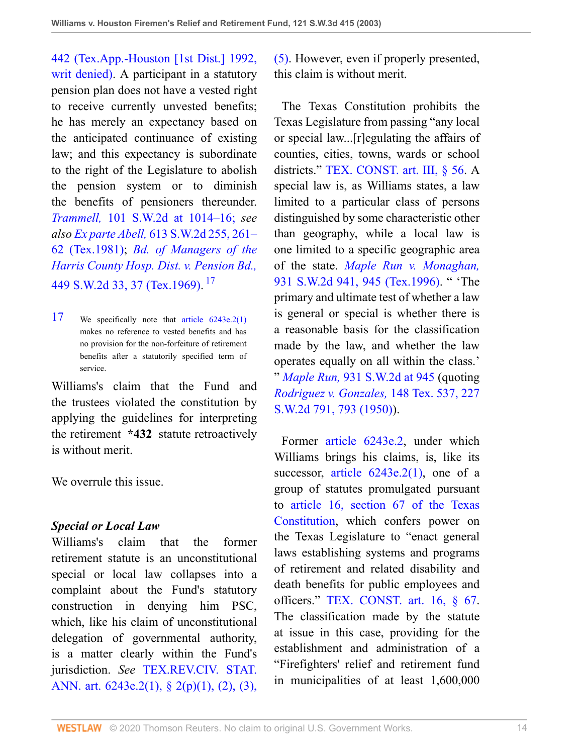[442 \(Tex.App.-Houston \[1st Dist.\] 1992,](http://www.westlaw.com/Link/Document/FullText?findType=Y&serNum=1992110720&pubNum=0000713&originatingDoc=I8d0b46b0e7df11d99439b076ef9ec4de&refType=RP&fi=co_pp_sp_713_442&originationContext=document&vr=3.0&rs=cblt1.0&transitionType=DocumentItem&contextData=(sc.UserEnteredCitation)#co_pp_sp_713_442) [writ denied\)](http://www.westlaw.com/Link/Document/FullText?findType=Y&serNum=1992110720&pubNum=0000713&originatingDoc=I8d0b46b0e7df11d99439b076ef9ec4de&refType=RP&fi=co_pp_sp_713_442&originationContext=document&vr=3.0&rs=cblt1.0&transitionType=DocumentItem&contextData=(sc.UserEnteredCitation)#co_pp_sp_713_442). A participant in a statutory pension plan does not have a vested right to receive currently unvested benefits; he has merely an expectancy based on the anticipated continuance of existing law; and this expectancy is subordinate to the right of the Legislature to abolish the pension system or to diminish the benefits of pensioners thereunder. *Trammell,* [101 S.W.2d at 1014–16;](http://www.westlaw.com/Link/Document/FullText?findType=Y&serNum=1937103195&pubNum=713&originatingDoc=I8d0b46b0e7df11d99439b076ef9ec4de&refType=RP&fi=co_pp_sp_713_1014&originationContext=document&vr=3.0&rs=cblt1.0&transitionType=DocumentItem&contextData=(sc.UserEnteredCitation)#co_pp_sp_713_1014) *see also Ex parte Abell,* [613 S.W.2d 255, 261–](http://www.westlaw.com/Link/Document/FullText?findType=Y&serNum=1981111697&pubNum=0000713&originatingDoc=I8d0b46b0e7df11d99439b076ef9ec4de&refType=RP&fi=co_pp_sp_713_261&originationContext=document&vr=3.0&rs=cblt1.0&transitionType=DocumentItem&contextData=(sc.UserEnteredCitation)#co_pp_sp_713_261) [62 \(Tex.1981\)](http://www.westlaw.com/Link/Document/FullText?findType=Y&serNum=1981111697&pubNum=0000713&originatingDoc=I8d0b46b0e7df11d99439b076ef9ec4de&refType=RP&fi=co_pp_sp_713_261&originationContext=document&vr=3.0&rs=cblt1.0&transitionType=DocumentItem&contextData=(sc.UserEnteredCitation)#co_pp_sp_713_261); *[Bd. of Managers of the](http://www.westlaw.com/Link/Document/FullText?findType=Y&serNum=1969137943&pubNum=0000713&originatingDoc=I8d0b46b0e7df11d99439b076ef9ec4de&refType=RP&fi=co_pp_sp_713_37&originationContext=document&vr=3.0&rs=cblt1.0&transitionType=DocumentItem&contextData=(sc.UserEnteredCitation)#co_pp_sp_713_37) [Harris County Hosp. Dist. v. Pension Bd.,](http://www.westlaw.com/Link/Document/FullText?findType=Y&serNum=1969137943&pubNum=0000713&originatingDoc=I8d0b46b0e7df11d99439b076ef9ec4de&refType=RP&fi=co_pp_sp_713_37&originationContext=document&vr=3.0&rs=cblt1.0&transitionType=DocumentItem&contextData=(sc.UserEnteredCitation)#co_pp_sp_713_37)* [449 S.W.2d 33, 37 \(Tex.1969\).](http://www.westlaw.com/Link/Document/FullText?findType=Y&serNum=1969137943&pubNum=0000713&originatingDoc=I8d0b46b0e7df11d99439b076ef9ec4de&refType=RP&fi=co_pp_sp_713_37&originationContext=document&vr=3.0&rs=cblt1.0&transitionType=DocumentItem&contextData=(sc.UserEnteredCitation)#co_pp_sp_713_37)<sup>[17](#page-13-0)</sup>

<span id="page-13-0"></span>[17](#page-13-1) We specifically note that [article 6243e.2\(1\)](http://www.westlaw.com/Link/Document/FullText?findType=L&pubNum=1000188&cite=TXCSART6243E.2(1)&originatingDoc=I8d0b46b0e7df11d99439b076ef9ec4de&refType=LQ&originationContext=document&vr=3.0&rs=cblt1.0&transitionType=DocumentItem&contextData=(sc.UserEnteredCitation)) makes no reference to vested benefits and has no provision for the non-forfeiture of retirement benefits after a statutorily specified term of service.

Williams's claim that the Fund and the trustees violated the constitution by applying the guidelines for interpreting the retirement **\*432** statute retroactively is without merit.

We overrule this issue.

### *Special or Local Law*

Williams's claim that the former retirement statute is an unconstitutional special or local law collapses into a complaint about the Fund's statutory construction in denying him PSC, which, like his claim of unconstitutional delegation of governmental authority, is a matter clearly within the Fund's jurisdiction. *See* [TEX.REV.CIV. STAT.](http://www.westlaw.com/Link/Document/FullText?findType=L&pubNum=1000301&cite=TXCSART6243E.2&originatingDoc=I8d0b46b0e7df11d99439b076ef9ec4de&refType=LQ&originationContext=document&vr=3.0&rs=cblt1.0&transitionType=DocumentItem&contextData=(sc.UserEnteredCitation)) [ANN. art. 6243e.2\(1\), § 2\(p\)\(1\), \(2\), \(3\),](http://www.westlaw.com/Link/Document/FullText?findType=L&pubNum=1000301&cite=TXCSART6243E.2&originatingDoc=I8d0b46b0e7df11d99439b076ef9ec4de&refType=LQ&originationContext=document&vr=3.0&rs=cblt1.0&transitionType=DocumentItem&contextData=(sc.UserEnteredCitation)) [\(5\)](http://www.westlaw.com/Link/Document/FullText?findType=L&pubNum=1000301&cite=TXCSART6243E.2&originatingDoc=I8d0b46b0e7df11d99439b076ef9ec4de&refType=LQ&originationContext=document&vr=3.0&rs=cblt1.0&transitionType=DocumentItem&contextData=(sc.UserEnteredCitation)). However, even if properly presented, this claim is without merit.

 The Texas Constitution prohibits the Texas Legislature from passing "any local or special law...[r]egulating the affairs of counties, cities, towns, wards or school districts." [TEX. CONST. art. III, § 56](http://www.westlaw.com/Link/Document/FullText?findType=L&pubNum=1000171&cite=TXCNART3S56&originatingDoc=I8d0b46b0e7df11d99439b076ef9ec4de&refType=LQ&originationContext=document&vr=3.0&rs=cblt1.0&transitionType=DocumentItem&contextData=(sc.UserEnteredCitation)). A special law is, as Williams states, a law limited to a particular class of persons distinguished by some characteristic other than geography, while a local law is one limited to a specific geographic area of the state. *[Maple Run v. Monaghan,](http://www.westlaw.com/Link/Document/FullText?findType=Y&serNum=1996235469&pubNum=0000713&originatingDoc=I8d0b46b0e7df11d99439b076ef9ec4de&refType=RP&fi=co_pp_sp_713_945&originationContext=document&vr=3.0&rs=cblt1.0&transitionType=DocumentItem&contextData=(sc.UserEnteredCitation)#co_pp_sp_713_945)* [931 S.W.2d 941, 945 \(Tex.1996\).](http://www.westlaw.com/Link/Document/FullText?findType=Y&serNum=1996235469&pubNum=0000713&originatingDoc=I8d0b46b0e7df11d99439b076ef9ec4de&refType=RP&fi=co_pp_sp_713_945&originationContext=document&vr=3.0&rs=cblt1.0&transitionType=DocumentItem&contextData=(sc.UserEnteredCitation)#co_pp_sp_713_945) " 'The primary and ultimate test of whether a law is general or special is whether there is a reasonable basis for the classification made by the law, and whether the law operates equally on all within the class.'

<span id="page-13-1"></span>" *Maple Run,* [931 S.W.2d at 945](http://www.westlaw.com/Link/Document/FullText?findType=Y&serNum=1996235469&pubNum=0000713&originatingDoc=I8d0b46b0e7df11d99439b076ef9ec4de&refType=RP&fi=co_pp_sp_713_945&originationContext=document&vr=3.0&rs=cblt1.0&transitionType=DocumentItem&contextData=(sc.UserEnteredCitation)#co_pp_sp_713_945) (quoting *[Rodriguez v. Gonzales,](http://www.westlaw.com/Link/Document/FullText?findType=Y&serNum=1950102092&pubNum=0000713&originatingDoc=I8d0b46b0e7df11d99439b076ef9ec4de&refType=RP&fi=co_pp_sp_713_793&originationContext=document&vr=3.0&rs=cblt1.0&transitionType=DocumentItem&contextData=(sc.UserEnteredCitation)#co_pp_sp_713_793)* 148 Tex. 537, 227 [S.W.2d 791, 793 \(1950\)](http://www.westlaw.com/Link/Document/FullText?findType=Y&serNum=1950102092&pubNum=0000713&originatingDoc=I8d0b46b0e7df11d99439b076ef9ec4de&refType=RP&fi=co_pp_sp_713_793&originationContext=document&vr=3.0&rs=cblt1.0&transitionType=DocumentItem&contextData=(sc.UserEnteredCitation)#co_pp_sp_713_793)).

 Former [article 6243e.2,](http://www.westlaw.com/Link/Document/FullText?findType=L&pubNum=1000188&cite=TXCSART6243E.2&originatingDoc=I8d0b46b0e7df11d99439b076ef9ec4de&refType=LQ&originationContext=document&vr=3.0&rs=cblt1.0&transitionType=DocumentItem&contextData=(sc.UserEnteredCitation)) under which Williams brings his claims, is, like its successor, article  $6243e.2(1)$ , one of a group of statutes promulgated pursuant to [article 16, section 67 of the Texas](http://www.westlaw.com/Link/Document/FullText?findType=L&pubNum=1000171&cite=TXCNART16S67&originatingDoc=I8d0b46b0e7df11d99439b076ef9ec4de&refType=LQ&originationContext=document&vr=3.0&rs=cblt1.0&transitionType=DocumentItem&contextData=(sc.UserEnteredCitation)) [Constitution](http://www.westlaw.com/Link/Document/FullText?findType=L&pubNum=1000171&cite=TXCNART16S67&originatingDoc=I8d0b46b0e7df11d99439b076ef9ec4de&refType=LQ&originationContext=document&vr=3.0&rs=cblt1.0&transitionType=DocumentItem&contextData=(sc.UserEnteredCitation)), which confers power on the Texas Legislature to "enact general laws establishing systems and programs of retirement and related disability and death benefits for public employees and officers." [TEX. CONST. art. 16, § 67.](http://www.westlaw.com/Link/Document/FullText?findType=L&pubNum=1000171&cite=TXCNART16S67&originatingDoc=I8d0b46b0e7df11d99439b076ef9ec4de&refType=LQ&originationContext=document&vr=3.0&rs=cblt1.0&transitionType=DocumentItem&contextData=(sc.UserEnteredCitation)) The classification made by the statute at issue in this case, providing for the establishment and administration of a "Firefighters' relief and retirement fund in municipalities of at least 1,600,000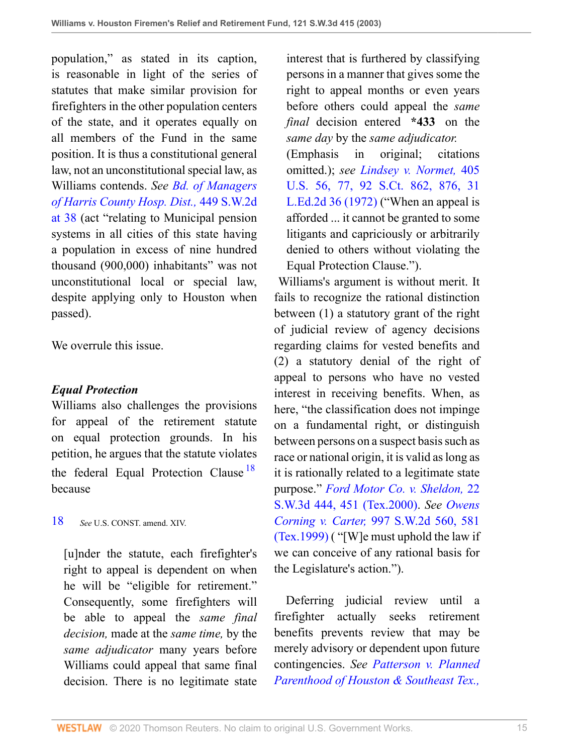population," as stated in its caption, is reasonable in light of the series of statutes that make similar provision for firefighters in the other population centers of the state, and it operates equally on all members of the Fund in the same position. It is thus a constitutional general law, not an unconstitutional special law, as Williams contends. *See [Bd. of Managers](http://www.westlaw.com/Link/Document/FullText?findType=Y&serNum=1969137943&pubNum=0000713&originatingDoc=I8d0b46b0e7df11d99439b076ef9ec4de&refType=RP&fi=co_pp_sp_713_38&originationContext=document&vr=3.0&rs=cblt1.0&transitionType=DocumentItem&contextData=(sc.UserEnteredCitation)#co_pp_sp_713_38) [of Harris County Hosp. Dist.,](http://www.westlaw.com/Link/Document/FullText?findType=Y&serNum=1969137943&pubNum=0000713&originatingDoc=I8d0b46b0e7df11d99439b076ef9ec4de&refType=RP&fi=co_pp_sp_713_38&originationContext=document&vr=3.0&rs=cblt1.0&transitionType=DocumentItem&contextData=(sc.UserEnteredCitation)#co_pp_sp_713_38)* 449 S.W.2d [at 38](http://www.westlaw.com/Link/Document/FullText?findType=Y&serNum=1969137943&pubNum=0000713&originatingDoc=I8d0b46b0e7df11d99439b076ef9ec4de&refType=RP&fi=co_pp_sp_713_38&originationContext=document&vr=3.0&rs=cblt1.0&transitionType=DocumentItem&contextData=(sc.UserEnteredCitation)#co_pp_sp_713_38) (act "relating to Municipal pension systems in all cities of this state having a population in excess of nine hundred thousand (900,000) inhabitants" was not unconstitutional local or special law, despite applying only to Houston when passed).

We overrule this issue.

## *Equal Protection*

Williams also challenges the provisions for appeal of the retirement statute on equal protection grounds. In his petition, he argues that the statute violates the federal Equal Protection Clause<sup>[18](#page-14-0)</sup> because

<span id="page-14-0"></span>[18](#page-14-1) *See* U.S. CONST. amend. XIV.

[u]nder the statute, each firefighter's right to appeal is dependent on when he will be "eligible for retirement." Consequently, some firefighters will be able to appeal the *same final decision,* made at the *same time,* by the *same adjudicator* many years before Williams could appeal that same final decision. There is no legitimate state

interest that is furthered by classifying persons in a manner that gives some the right to appeal months or even years before others could appeal the *same final* decision entered **\*433** on the *same day* by the *same adjudicator.*

(Emphasis in original; citations omitted.); *see [Lindsey v. Normet,](http://www.westlaw.com/Link/Document/FullText?findType=Y&serNum=1972127081&pubNum=0000708&originatingDoc=I8d0b46b0e7df11d99439b076ef9ec4de&refType=RP&fi=co_pp_sp_708_876&originationContext=document&vr=3.0&rs=cblt1.0&transitionType=DocumentItem&contextData=(sc.UserEnteredCitation)#co_pp_sp_708_876)* 405 [U.S. 56, 77, 92 S.Ct. 862, 876, 31](http://www.westlaw.com/Link/Document/FullText?findType=Y&serNum=1972127081&pubNum=0000708&originatingDoc=I8d0b46b0e7df11d99439b076ef9ec4de&refType=RP&fi=co_pp_sp_708_876&originationContext=document&vr=3.0&rs=cblt1.0&transitionType=DocumentItem&contextData=(sc.UserEnteredCitation)#co_pp_sp_708_876) [L.Ed.2d 36 \(1972\)](http://www.westlaw.com/Link/Document/FullText?findType=Y&serNum=1972127081&pubNum=0000708&originatingDoc=I8d0b46b0e7df11d99439b076ef9ec4de&refType=RP&fi=co_pp_sp_708_876&originationContext=document&vr=3.0&rs=cblt1.0&transitionType=DocumentItem&contextData=(sc.UserEnteredCitation)#co_pp_sp_708_876) ("When an appeal is afforded ... it cannot be granted to some litigants and capriciously or arbitrarily denied to others without violating the Equal Protection Clause.").

 Williams's argument is without merit. It fails to recognize the rational distinction between (1) a statutory grant of the right of judicial review of agency decisions regarding claims for vested benefits and (2) a statutory denial of the right of appeal to persons who have no vested interest in receiving benefits. When, as here, "the classification does not impinge on a fundamental right, or distinguish between persons on a suspect basis such as race or national origin, it is valid as long as it is rationally related to a legitimate state purpose." *[Ford Motor Co. v. Sheldon,](http://www.westlaw.com/Link/Document/FullText?findType=Y&serNum=2000306526&pubNum=0004644&originatingDoc=I8d0b46b0e7df11d99439b076ef9ec4de&refType=RP&fi=co_pp_sp_4644_451&originationContext=document&vr=3.0&rs=cblt1.0&transitionType=DocumentItem&contextData=(sc.UserEnteredCitation)#co_pp_sp_4644_451)* 22 [S.W.3d 444, 451 \(Tex.2000\).](http://www.westlaw.com/Link/Document/FullText?findType=Y&serNum=2000306526&pubNum=0004644&originatingDoc=I8d0b46b0e7df11d99439b076ef9ec4de&refType=RP&fi=co_pp_sp_4644_451&originationContext=document&vr=3.0&rs=cblt1.0&transitionType=DocumentItem&contextData=(sc.UserEnteredCitation)#co_pp_sp_4644_451) *See [Owens](http://www.westlaw.com/Link/Document/FullText?findType=Y&serNum=1999157550&pubNum=0000713&originatingDoc=I8d0b46b0e7df11d99439b076ef9ec4de&refType=RP&fi=co_pp_sp_713_581&originationContext=document&vr=3.0&rs=cblt1.0&transitionType=DocumentItem&contextData=(sc.UserEnteredCitation)#co_pp_sp_713_581) Corning v. Carter,* [997 S.W.2d 560, 581](http://www.westlaw.com/Link/Document/FullText?findType=Y&serNum=1999157550&pubNum=0000713&originatingDoc=I8d0b46b0e7df11d99439b076ef9ec4de&refType=RP&fi=co_pp_sp_713_581&originationContext=document&vr=3.0&rs=cblt1.0&transitionType=DocumentItem&contextData=(sc.UserEnteredCitation)#co_pp_sp_713_581) [\(Tex.1999\)](http://www.westlaw.com/Link/Document/FullText?findType=Y&serNum=1999157550&pubNum=0000713&originatingDoc=I8d0b46b0e7df11d99439b076ef9ec4de&refType=RP&fi=co_pp_sp_713_581&originationContext=document&vr=3.0&rs=cblt1.0&transitionType=DocumentItem&contextData=(sc.UserEnteredCitation)#co_pp_sp_713_581) ( "[W]e must uphold the law if we can conceive of any rational basis for the Legislature's action.").

<span id="page-14-1"></span> Deferring judicial review until a firefighter actually seeks retirement benefits prevents review that may be merely advisory or dependent upon future contingencies. *See [Patterson v. Planned](http://www.westlaw.com/Link/Document/FullText?findType=Y&serNum=1998130526&pubNum=0000713&originatingDoc=I8d0b46b0e7df11d99439b076ef9ec4de&refType=RP&fi=co_pp_sp_713_442&originationContext=document&vr=3.0&rs=cblt1.0&transitionType=DocumentItem&contextData=(sc.UserEnteredCitation)#co_pp_sp_713_442) [Parenthood of Houston & Southeast Tex.,](http://www.westlaw.com/Link/Document/FullText?findType=Y&serNum=1998130526&pubNum=0000713&originatingDoc=I8d0b46b0e7df11d99439b076ef9ec4de&refType=RP&fi=co_pp_sp_713_442&originationContext=document&vr=3.0&rs=cblt1.0&transitionType=DocumentItem&contextData=(sc.UserEnteredCitation)#co_pp_sp_713_442)*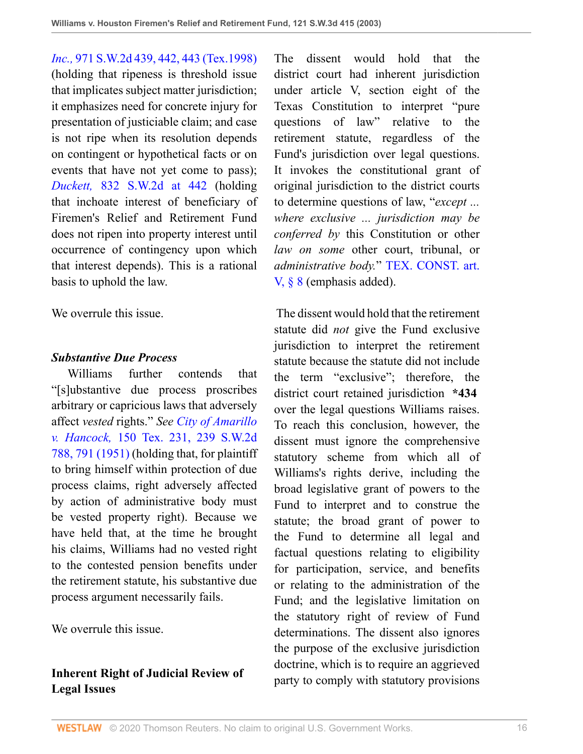*Inc.,* [971 S.W.2d 439, 442, 443 \(Tex.1998\)](http://www.westlaw.com/Link/Document/FullText?findType=Y&serNum=1998130526&pubNum=0000713&originatingDoc=I8d0b46b0e7df11d99439b076ef9ec4de&refType=RP&fi=co_pp_sp_713_442&originationContext=document&vr=3.0&rs=cblt1.0&transitionType=DocumentItem&contextData=(sc.UserEnteredCitation)#co_pp_sp_713_442) (holding that ripeness is threshold issue that implicates subject matter jurisdiction; it emphasizes need for concrete injury for presentation of justiciable claim; and case is not ripe when its resolution depends on contingent or hypothetical facts or on events that have not yet come to pass); *Duckett,* [832 S.W.2d at 442](http://www.westlaw.com/Link/Document/FullText?findType=Y&serNum=1992110720&pubNum=0000713&originatingDoc=I8d0b46b0e7df11d99439b076ef9ec4de&refType=RP&fi=co_pp_sp_713_442&originationContext=document&vr=3.0&rs=cblt1.0&transitionType=DocumentItem&contextData=(sc.UserEnteredCitation)#co_pp_sp_713_442) (holding that inchoate interest of beneficiary of Firemen's Relief and Retirement Fund does not ripen into property interest until occurrence of contingency upon which that interest depends). This is a rational basis to uphold the law.

We overrule this issue.

### *Substantive Due Process*

 Williams further contends that "[s]ubstantive due process proscribes arbitrary or capricious laws that adversely affect *vested* rights." *See [City of Amarillo](http://www.westlaw.com/Link/Document/FullText?findType=Y&serNum=1951102012&pubNum=0000713&originatingDoc=I8d0b46b0e7df11d99439b076ef9ec4de&refType=RP&fi=co_pp_sp_713_791&originationContext=document&vr=3.0&rs=cblt1.0&transitionType=DocumentItem&contextData=(sc.UserEnteredCitation)#co_pp_sp_713_791) v. Hancock,* [150 Tex. 231, 239 S.W.2d](http://www.westlaw.com/Link/Document/FullText?findType=Y&serNum=1951102012&pubNum=0000713&originatingDoc=I8d0b46b0e7df11d99439b076ef9ec4de&refType=RP&fi=co_pp_sp_713_791&originationContext=document&vr=3.0&rs=cblt1.0&transitionType=DocumentItem&contextData=(sc.UserEnteredCitation)#co_pp_sp_713_791) [788, 791 \(1951\)](http://www.westlaw.com/Link/Document/FullText?findType=Y&serNum=1951102012&pubNum=0000713&originatingDoc=I8d0b46b0e7df11d99439b076ef9ec4de&refType=RP&fi=co_pp_sp_713_791&originationContext=document&vr=3.0&rs=cblt1.0&transitionType=DocumentItem&contextData=(sc.UserEnteredCitation)#co_pp_sp_713_791) (holding that, for plaintiff to bring himself within protection of due process claims, right adversely affected by action of administrative body must be vested property right). Because we have held that, at the time he brought his claims, Williams had no vested right to the contested pension benefits under the retirement statute, his substantive due process argument necessarily fails.

We overrule this issue.

# **Inherent Right of Judicial Review of Legal Issues**

The dissent would hold that the district court had inherent jurisdiction under article V, section eight of the Texas Constitution to interpret "pure questions of law" relative to the retirement statute, regardless of the Fund's jurisdiction over legal questions. It invokes the constitutional grant of original jurisdiction to the district courts to determine questions of law, "*except ... where exclusive ... jurisdiction may be conferred by* this Constitution or other *law on some* other court, tribunal, or *administrative body.*" [TEX. CONST. art.](http://www.westlaw.com/Link/Document/FullText?findType=L&pubNum=1000171&cite=TXCNART5S8&originatingDoc=I8d0b46b0e7df11d99439b076ef9ec4de&refType=LQ&originationContext=document&vr=3.0&rs=cblt1.0&transitionType=DocumentItem&contextData=(sc.UserEnteredCitation)) [V, § 8](http://www.westlaw.com/Link/Document/FullText?findType=L&pubNum=1000171&cite=TXCNART5S8&originatingDoc=I8d0b46b0e7df11d99439b076ef9ec4de&refType=LQ&originationContext=document&vr=3.0&rs=cblt1.0&transitionType=DocumentItem&contextData=(sc.UserEnteredCitation)) (emphasis added).

 The dissent would hold that the retirement statute did *not* give the Fund exclusive jurisdiction to interpret the retirement statute because the statute did not include the term "exclusive"; therefore, the district court retained jurisdiction **\*434** over the legal questions Williams raises. To reach this conclusion, however, the dissent must ignore the comprehensive statutory scheme from which all of Williams's rights derive, including the broad legislative grant of powers to the Fund to interpret and to construe the statute; the broad grant of power to the Fund to determine all legal and factual questions relating to eligibility for participation, service, and benefits or relating to the administration of the Fund; and the legislative limitation on the statutory right of review of Fund determinations. The dissent also ignores the purpose of the exclusive jurisdiction doctrine, which is to require an aggrieved party to comply with statutory provisions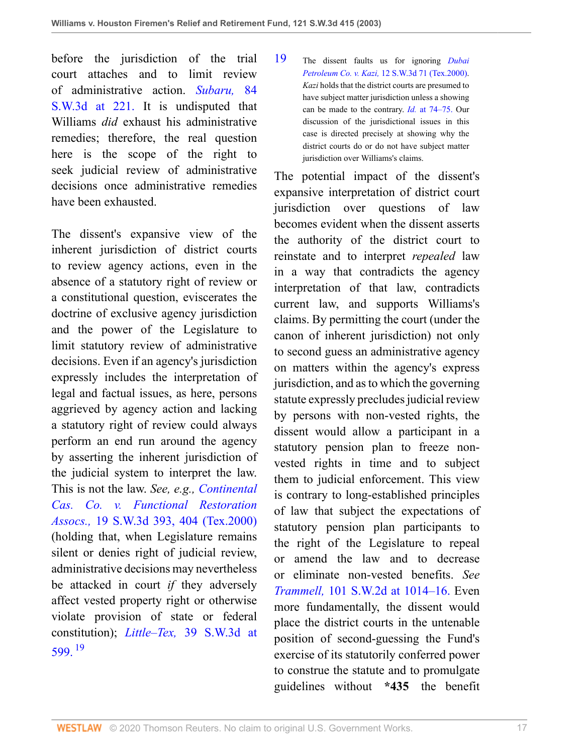before the jurisdiction of the trial court attaches and to limit review of administrative action. *[Subaru,](http://www.westlaw.com/Link/Document/FullText?findType=Y&serNum=2002399333&pubNum=4644&originatingDoc=I8d0b46b0e7df11d99439b076ef9ec4de&refType=RP&fi=co_pp_sp_4644_221&originationContext=document&vr=3.0&rs=cblt1.0&transitionType=DocumentItem&contextData=(sc.UserEnteredCitation)#co_pp_sp_4644_221)* 84 [S.W.3d at 221.](http://www.westlaw.com/Link/Document/FullText?findType=Y&serNum=2002399333&pubNum=4644&originatingDoc=I8d0b46b0e7df11d99439b076ef9ec4de&refType=RP&fi=co_pp_sp_4644_221&originationContext=document&vr=3.0&rs=cblt1.0&transitionType=DocumentItem&contextData=(sc.UserEnteredCitation)#co_pp_sp_4644_221) It is undisputed that Williams *did* exhaust his administrative remedies; therefore, the real question here is the scope of the right to seek judicial review of administrative decisions once administrative remedies have been exhausted.

<span id="page-16-1"></span>The dissent's expansive view of the inherent jurisdiction of district courts to review agency actions, even in the absence of a statutory right of review or a constitutional question, eviscerates the doctrine of exclusive agency jurisdiction and the power of the Legislature to limit statutory review of administrative decisions. Even if an agency's jurisdiction expressly includes the interpretation of legal and factual issues, as here, persons aggrieved by agency action and lacking a statutory right of review could always perform an end run around the agency by asserting the inherent jurisdiction of the judicial system to interpret the law. This is not the law. *See, e.g., [Continental](http://www.westlaw.com/Link/Document/FullText?findType=Y&serNum=2000093458&pubNum=0004644&originatingDoc=I8d0b46b0e7df11d99439b076ef9ec4de&refType=RP&fi=co_pp_sp_4644_404&originationContext=document&vr=3.0&rs=cblt1.0&transitionType=DocumentItem&contextData=(sc.UserEnteredCitation)#co_pp_sp_4644_404) [Cas. Co. v. Functional Restoration](http://www.westlaw.com/Link/Document/FullText?findType=Y&serNum=2000093458&pubNum=0004644&originatingDoc=I8d0b46b0e7df11d99439b076ef9ec4de&refType=RP&fi=co_pp_sp_4644_404&originationContext=document&vr=3.0&rs=cblt1.0&transitionType=DocumentItem&contextData=(sc.UserEnteredCitation)#co_pp_sp_4644_404) Assocs.,* [19 S.W.3d 393, 404 \(Tex.2000\)](http://www.westlaw.com/Link/Document/FullText?findType=Y&serNum=2000093458&pubNum=0004644&originatingDoc=I8d0b46b0e7df11d99439b076ef9ec4de&refType=RP&fi=co_pp_sp_4644_404&originationContext=document&vr=3.0&rs=cblt1.0&transitionType=DocumentItem&contextData=(sc.UserEnteredCitation)#co_pp_sp_4644_404) (holding that, when Legislature remains silent or denies right of judicial review, administrative decisions may nevertheless be attacked in court *if* they adversely affect vested property right or otherwise violate provision of state or federal constitution); *Little–Tex,* [39 S.W.3d at](http://www.westlaw.com/Link/Document/FullText?findType=Y&serNum=2001112179&pubNum=4644&originatingDoc=I8d0b46b0e7df11d99439b076ef9ec4de&refType=RP&fi=co_pp_sp_4644_599&originationContext=document&vr=3.0&rs=cblt1.0&transitionType=DocumentItem&contextData=(sc.UserEnteredCitation)#co_pp_sp_4644_599) [599.](http://www.westlaw.com/Link/Document/FullText?findType=Y&serNum=2001112179&pubNum=4644&originatingDoc=I8d0b46b0e7df11d99439b076ef9ec4de&refType=RP&fi=co_pp_sp_4644_599&originationContext=document&vr=3.0&rs=cblt1.0&transitionType=DocumentItem&contextData=(sc.UserEnteredCitation)#co_pp_sp_4644_599) [19](#page-16-0)

<span id="page-16-0"></span>[19](#page-16-1) The dissent faults us for ignoring *[Dubai](http://www.westlaw.com/Link/Document/FullText?findType=Y&serNum=2000051427&pubNum=0004644&originatingDoc=I8d0b46b0e7df11d99439b076ef9ec4de&refType=RP&originationContext=document&vr=3.0&rs=cblt1.0&transitionType=DocumentItem&contextData=(sc.UserEnteredCitation)) Petroleum Co. v. Kazi,* [12 S.W.3d 71 \(Tex.2000\).](http://www.westlaw.com/Link/Document/FullText?findType=Y&serNum=2000051427&pubNum=0004644&originatingDoc=I8d0b46b0e7df11d99439b076ef9ec4de&refType=RP&originationContext=document&vr=3.0&rs=cblt1.0&transitionType=DocumentItem&contextData=(sc.UserEnteredCitation)) *Kazi* holds that the district courts are presumed to have subject matter jurisdiction unless a showing can be made to the contrary. *Id.* [at 74–75.](http://www.westlaw.com/Link/Document/FullText?findType=Y&serNum=2000051427&originatingDoc=I8d0b46b0e7df11d99439b076ef9ec4de&refType=RP&originationContext=document&vr=3.0&rs=cblt1.0&transitionType=DocumentItem&contextData=(sc.UserEnteredCitation)) Our discussion of the jurisdictional issues in this case is directed precisely at showing why the district courts do or do not have subject matter jurisdiction over Williams's claims.

The potential impact of the dissent's expansive interpretation of district court jurisdiction over questions of law becomes evident when the dissent asserts the authority of the district court to reinstate and to interpret *repealed* law in a way that contradicts the agency interpretation of that law, contradicts current law, and supports Williams's claims. By permitting the court (under the canon of inherent jurisdiction) not only to second guess an administrative agency on matters within the agency's express jurisdiction, and as to which the governing statute expressly precludes judicial review by persons with non-vested rights, the dissent would allow a participant in a statutory pension plan to freeze nonvested rights in time and to subject them to judicial enforcement. This view is contrary to long-established principles of law that subject the expectations of statutory pension plan participants to the right of the Legislature to repeal or amend the law and to decrease or eliminate non-vested benefits. *See Trammell,* [101 S.W.2d at 1014–16.](http://www.westlaw.com/Link/Document/FullText?findType=Y&serNum=1937103195&pubNum=713&originatingDoc=I8d0b46b0e7df11d99439b076ef9ec4de&refType=RP&fi=co_pp_sp_713_1014&originationContext=document&vr=3.0&rs=cblt1.0&transitionType=DocumentItem&contextData=(sc.UserEnteredCitation)#co_pp_sp_713_1014) Even more fundamentally, the dissent would place the district courts in the untenable position of second-guessing the Fund's exercise of its statutorily conferred power to construe the statute and to promulgate guidelines without **\*435** the benefit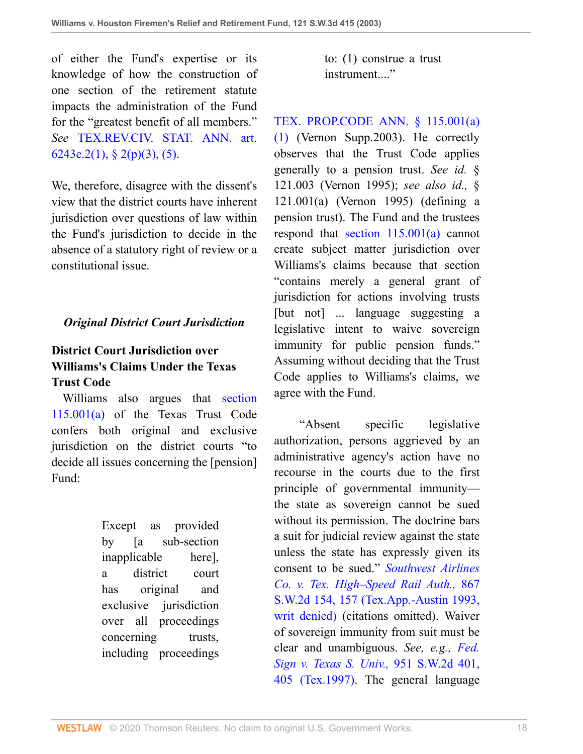of either the Fund's expertise or its knowledge of how the construction of one section of the retirement statute impacts the administration of the Fund for the "greatest benefit of all members." *See* [TEX.REV.CIV. STAT. ANN. art.](http://www.westlaw.com/Link/Document/FullText?findType=L&pubNum=1000301&cite=TXCSART6243E.2&originatingDoc=I8d0b46b0e7df11d99439b076ef9ec4de&refType=LQ&originationContext=document&vr=3.0&rs=cblt1.0&transitionType=DocumentItem&contextData=(sc.UserEnteredCitation)) [6243e.2\(1\), § 2\(p\)\(3\), \(5\)](http://www.westlaw.com/Link/Document/FullText?findType=L&pubNum=1000301&cite=TXCSART6243E.2&originatingDoc=I8d0b46b0e7df11d99439b076ef9ec4de&refType=LQ&originationContext=document&vr=3.0&rs=cblt1.0&transitionType=DocumentItem&contextData=(sc.UserEnteredCitation)).

We, therefore, disagree with the dissent's view that the district courts have inherent jurisdiction over questions of law within the Fund's jurisdiction to decide in the absence of a statutory right of review or a constitutional issue.

## *Original District Court Jurisdiction*

# **District Court Jurisdiction over Williams's Claims Under the Texas Trust Code**

 Williams also argues that [section](http://www.westlaw.com/Link/Document/FullText?findType=L&pubNum=1000301&cite=TXPOS115.001&originatingDoc=I8d0b46b0e7df11d99439b076ef9ec4de&refType=LQ&originationContext=document&vr=3.0&rs=cblt1.0&transitionType=DocumentItem&contextData=(sc.UserEnteredCitation)) [115.001\(a\)](http://www.westlaw.com/Link/Document/FullText?findType=L&pubNum=1000301&cite=TXPOS115.001&originatingDoc=I8d0b46b0e7df11d99439b076ef9ec4de&refType=LQ&originationContext=document&vr=3.0&rs=cblt1.0&transitionType=DocumentItem&contextData=(sc.UserEnteredCitation)) of the Texas Trust Code confers both original and exclusive jurisdiction on the district courts "to decide all issues concerning the [pension] Fund:

> Except as provided by [a sub-section inapplicable here], a district court has original and exclusive jurisdiction over all proceedings concerning trusts, including proceedings

to: (1) construe a trust instrument...."

[TEX. PROP.CODE ANN. § 115.001\(a\)](http://www.westlaw.com/Link/Document/FullText?findType=L&pubNum=1000184&cite=TXPOS115.001&originatingDoc=I8d0b46b0e7df11d99439b076ef9ec4de&refType=SP&originationContext=document&vr=3.0&rs=cblt1.0&transitionType=DocumentItem&contextData=(sc.UserEnteredCitation)#co_pp_7b9b000044381) [\(1\)](http://www.westlaw.com/Link/Document/FullText?findType=L&pubNum=1000184&cite=TXPOS115.001&originatingDoc=I8d0b46b0e7df11d99439b076ef9ec4de&refType=SP&originationContext=document&vr=3.0&rs=cblt1.0&transitionType=DocumentItem&contextData=(sc.UserEnteredCitation)#co_pp_7b9b000044381) (Vernon Supp.2003). He correctly observes that the Trust Code applies generally to a pension trust. *See id.* § 121.003 (Vernon 1995); *see also id.,* § 121.001(a) (Vernon 1995) (defining a pension trust). The Fund and the trustees respond that [section 115.001\(a\)](http://www.westlaw.com/Link/Document/FullText?findType=L&pubNum=1000184&cite=TXPOS115.001&originatingDoc=I8d0b46b0e7df11d99439b076ef9ec4de&refType=SP&originationContext=document&vr=3.0&rs=cblt1.0&transitionType=DocumentItem&contextData=(sc.UserEnteredCitation)#co_pp_8b3b0000958a4) cannot create subject matter jurisdiction over Williams's claims because that section "contains merely a general grant of jurisdiction for actions involving trusts [but not] ... language suggesting a legislative intent to waive sovereign immunity for public pension funds." Assuming without deciding that the Trust Code applies to Williams's claims, we agree with the Fund.

 "Absent specific legislative authorization, persons aggrieved by an administrative agency's action have no recourse in the courts due to the first principle of governmental immunity the state as sovereign cannot be sued without its permission. The doctrine bars a suit for judicial review against the state unless the state has expressly given its consent to be sued." *[Southwest Airlines](http://www.westlaw.com/Link/Document/FullText?findType=Y&serNum=1993235758&pubNum=0000713&originatingDoc=I8d0b46b0e7df11d99439b076ef9ec4de&refType=RP&fi=co_pp_sp_713_157&originationContext=document&vr=3.0&rs=cblt1.0&transitionType=DocumentItem&contextData=(sc.UserEnteredCitation)#co_pp_sp_713_157) [Co. v. Tex. High–Speed Rail Auth.,](http://www.westlaw.com/Link/Document/FullText?findType=Y&serNum=1993235758&pubNum=0000713&originatingDoc=I8d0b46b0e7df11d99439b076ef9ec4de&refType=RP&fi=co_pp_sp_713_157&originationContext=document&vr=3.0&rs=cblt1.0&transitionType=DocumentItem&contextData=(sc.UserEnteredCitation)#co_pp_sp_713_157)* 867 [S.W.2d 154, 157 \(Tex.App.-Austin 1993,](http://www.westlaw.com/Link/Document/FullText?findType=Y&serNum=1993235758&pubNum=0000713&originatingDoc=I8d0b46b0e7df11d99439b076ef9ec4de&refType=RP&fi=co_pp_sp_713_157&originationContext=document&vr=3.0&rs=cblt1.0&transitionType=DocumentItem&contextData=(sc.UserEnteredCitation)#co_pp_sp_713_157) [writ denied\)](http://www.westlaw.com/Link/Document/FullText?findType=Y&serNum=1993235758&pubNum=0000713&originatingDoc=I8d0b46b0e7df11d99439b076ef9ec4de&refType=RP&fi=co_pp_sp_713_157&originationContext=document&vr=3.0&rs=cblt1.0&transitionType=DocumentItem&contextData=(sc.UserEnteredCitation)#co_pp_sp_713_157) (citations omitted). Waiver of sovereign immunity from suit must be clear and unambiguous. *See, e.g., [Fed.](http://www.westlaw.com/Link/Document/FullText?findType=Y&serNum=1997131018&pubNum=0000713&originatingDoc=I8d0b46b0e7df11d99439b076ef9ec4de&refType=RP&fi=co_pp_sp_713_405&originationContext=document&vr=3.0&rs=cblt1.0&transitionType=DocumentItem&contextData=(sc.UserEnteredCitation)#co_pp_sp_713_405) [Sign v. Texas S. Univ.,](http://www.westlaw.com/Link/Document/FullText?findType=Y&serNum=1997131018&pubNum=0000713&originatingDoc=I8d0b46b0e7df11d99439b076ef9ec4de&refType=RP&fi=co_pp_sp_713_405&originationContext=document&vr=3.0&rs=cblt1.0&transitionType=DocumentItem&contextData=(sc.UserEnteredCitation)#co_pp_sp_713_405)* 951 S.W.2d 401, [405 \(Tex.1997\)](http://www.westlaw.com/Link/Document/FullText?findType=Y&serNum=1997131018&pubNum=0000713&originatingDoc=I8d0b46b0e7df11d99439b076ef9ec4de&refType=RP&fi=co_pp_sp_713_405&originationContext=document&vr=3.0&rs=cblt1.0&transitionType=DocumentItem&contextData=(sc.UserEnteredCitation)#co_pp_sp_713_405). The general language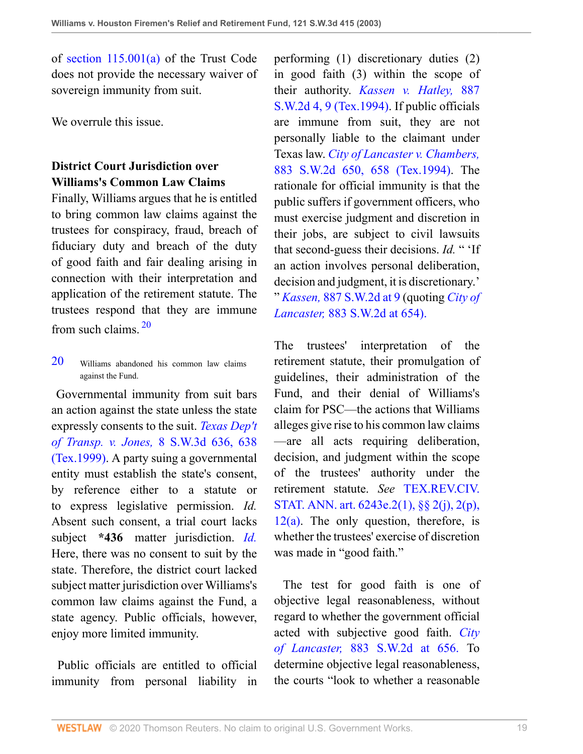of [section 115.001\(a\)](http://www.westlaw.com/Link/Document/FullText?findType=L&pubNum=1000301&cite=TXPOS115.001&originatingDoc=I8d0b46b0e7df11d99439b076ef9ec4de&refType=LQ&originationContext=document&vr=3.0&rs=cblt1.0&transitionType=DocumentItem&contextData=(sc.UserEnteredCitation)) of the Trust Code does not provide the necessary waiver of sovereign immunity from suit.

We overrule this issue.

## **District Court Jurisdiction over Williams's Common Law Claims**

Finally, Williams argues that he is entitled to bring common law claims against the trustees for conspiracy, fraud, breach of fiduciary duty and breach of the duty of good faith and fair dealing arising in connection with their interpretation and application of the retirement statute. The trustees respond that they are immune from such claims. [20](#page-18-0)

<span id="page-18-1"></span><span id="page-18-0"></span>[20](#page-18-1) Williams abandoned his common law claims against the Fund.

 Governmental immunity from suit bars an action against the state unless the state expressly consents to the suit. *[Texas Dep't](http://www.westlaw.com/Link/Document/FullText?findType=Y&serNum=1999265124&pubNum=0004644&originatingDoc=I8d0b46b0e7df11d99439b076ef9ec4de&refType=RP&fi=co_pp_sp_4644_638&originationContext=document&vr=3.0&rs=cblt1.0&transitionType=DocumentItem&contextData=(sc.UserEnteredCitation)#co_pp_sp_4644_638) of Transp. v. Jones,* [8 S.W.3d 636, 638](http://www.westlaw.com/Link/Document/FullText?findType=Y&serNum=1999265124&pubNum=0004644&originatingDoc=I8d0b46b0e7df11d99439b076ef9ec4de&refType=RP&fi=co_pp_sp_4644_638&originationContext=document&vr=3.0&rs=cblt1.0&transitionType=DocumentItem&contextData=(sc.UserEnteredCitation)#co_pp_sp_4644_638) [\(Tex.1999\)](http://www.westlaw.com/Link/Document/FullText?findType=Y&serNum=1999265124&pubNum=0004644&originatingDoc=I8d0b46b0e7df11d99439b076ef9ec4de&refType=RP&fi=co_pp_sp_4644_638&originationContext=document&vr=3.0&rs=cblt1.0&transitionType=DocumentItem&contextData=(sc.UserEnteredCitation)#co_pp_sp_4644_638). A party suing a governmental entity must establish the state's consent, by reference either to a statute or to express legislative permission. *Id.* Absent such consent, a trial court lacks subject **\*436** matter jurisdiction. *[Id.](http://www.westlaw.com/Link/Document/FullText?findType=Y&serNum=1999265124&originatingDoc=I8d0b46b0e7df11d99439b076ef9ec4de&refType=RP&originationContext=document&vr=3.0&rs=cblt1.0&transitionType=DocumentItem&contextData=(sc.UserEnteredCitation))* Here, there was no consent to suit by the state. Therefore, the district court lacked subject matter jurisdiction over Williams's common law claims against the Fund, a state agency. Public officials, however, enjoy more limited immunity.

 Public officials are entitled to official immunity from personal liability in performing (1) discretionary duties (2) in good faith (3) within the scope of their authority. *[Kassen v. Hatley,](http://www.westlaw.com/Link/Document/FullText?findType=Y&serNum=1994226166&pubNum=0000713&originatingDoc=I8d0b46b0e7df11d99439b076ef9ec4de&refType=RP&fi=co_pp_sp_713_9&originationContext=document&vr=3.0&rs=cblt1.0&transitionType=DocumentItem&contextData=(sc.UserEnteredCitation)#co_pp_sp_713_9)* 887 [S.W.2d 4, 9 \(Tex.1994\)](http://www.westlaw.com/Link/Document/FullText?findType=Y&serNum=1994226166&pubNum=0000713&originatingDoc=I8d0b46b0e7df11d99439b076ef9ec4de&refType=RP&fi=co_pp_sp_713_9&originationContext=document&vr=3.0&rs=cblt1.0&transitionType=DocumentItem&contextData=(sc.UserEnteredCitation)#co_pp_sp_713_9). If public officials are immune from suit, they are not personally liable to the claimant under Texas law. *[City of Lancaster v. Chambers,](http://www.westlaw.com/Link/Document/FullText?findType=Y&serNum=1994131594&pubNum=0000713&originatingDoc=I8d0b46b0e7df11d99439b076ef9ec4de&refType=RP&fi=co_pp_sp_713_658&originationContext=document&vr=3.0&rs=cblt1.0&transitionType=DocumentItem&contextData=(sc.UserEnteredCitation)#co_pp_sp_713_658)* [883 S.W.2d 650, 658 \(Tex.1994\)](http://www.westlaw.com/Link/Document/FullText?findType=Y&serNum=1994131594&pubNum=0000713&originatingDoc=I8d0b46b0e7df11d99439b076ef9ec4de&refType=RP&fi=co_pp_sp_713_658&originationContext=document&vr=3.0&rs=cblt1.0&transitionType=DocumentItem&contextData=(sc.UserEnteredCitation)#co_pp_sp_713_658). The rationale for official immunity is that the public suffers if government officers, who must exercise judgment and discretion in their jobs, are subject to civil lawsuits that second-guess their decisions. *Id.* " 'If an action involves personal deliberation, decision and judgment, it is discretionary.' " *Kassen,* [887 S.W.2d at 9](http://www.westlaw.com/Link/Document/FullText?findType=Y&serNum=1994226166&pubNum=0000713&originatingDoc=I8d0b46b0e7df11d99439b076ef9ec4de&refType=RP&fi=co_pp_sp_713_9&originationContext=document&vr=3.0&rs=cblt1.0&transitionType=DocumentItem&contextData=(sc.UserEnteredCitation)#co_pp_sp_713_9) (quoting *[City of](http://www.westlaw.com/Link/Document/FullText?findType=Y&serNum=1994131594&pubNum=713&originatingDoc=I8d0b46b0e7df11d99439b076ef9ec4de&refType=RP&fi=co_pp_sp_713_654&originationContext=document&vr=3.0&rs=cblt1.0&transitionType=DocumentItem&contextData=(sc.UserEnteredCitation)#co_pp_sp_713_654) Lancaster,* [883 S.W.2d at 654\).](http://www.westlaw.com/Link/Document/FullText?findType=Y&serNum=1994131594&pubNum=713&originatingDoc=I8d0b46b0e7df11d99439b076ef9ec4de&refType=RP&fi=co_pp_sp_713_654&originationContext=document&vr=3.0&rs=cblt1.0&transitionType=DocumentItem&contextData=(sc.UserEnteredCitation)#co_pp_sp_713_654)

The trustees' interpretation of the retirement statute, their promulgation of guidelines, their administration of the Fund, and their denial of Williams's claim for PSC—the actions that Williams alleges give rise to his common law claims —are all acts requiring deliberation, decision, and judgment within the scope of the trustees' authority under the retirement statute. *See* [TEX.REV.CIV.](http://www.westlaw.com/Link/Document/FullText?findType=L&pubNum=1000301&cite=TXCSART6243E.2&originatingDoc=I8d0b46b0e7df11d99439b076ef9ec4de&refType=LQ&originationContext=document&vr=3.0&rs=cblt1.0&transitionType=DocumentItem&contextData=(sc.UserEnteredCitation)) [STAT. ANN. art. 6243e.2\(1\), §§ 2\(j\), 2\(p\),](http://www.westlaw.com/Link/Document/FullText?findType=L&pubNum=1000301&cite=TXCSART6243E.2&originatingDoc=I8d0b46b0e7df11d99439b076ef9ec4de&refType=LQ&originationContext=document&vr=3.0&rs=cblt1.0&transitionType=DocumentItem&contextData=(sc.UserEnteredCitation))  $12(a)$ . The only question, therefore, is whether the trustees' exercise of discretion was made in "good faith."

 The test for good faith is one of objective legal reasonableness, without regard to whether the government official acted with subjective good faith. *[City](http://www.westlaw.com/Link/Document/FullText?findType=Y&serNum=1994131594&pubNum=713&originatingDoc=I8d0b46b0e7df11d99439b076ef9ec4de&refType=RP&fi=co_pp_sp_713_656&originationContext=document&vr=3.0&rs=cblt1.0&transitionType=DocumentItem&contextData=(sc.UserEnteredCitation)#co_pp_sp_713_656) of Lancaster,* [883 S.W.2d at 656.](http://www.westlaw.com/Link/Document/FullText?findType=Y&serNum=1994131594&pubNum=713&originatingDoc=I8d0b46b0e7df11d99439b076ef9ec4de&refType=RP&fi=co_pp_sp_713_656&originationContext=document&vr=3.0&rs=cblt1.0&transitionType=DocumentItem&contextData=(sc.UserEnteredCitation)#co_pp_sp_713_656) To determine objective legal reasonableness, the courts "look to whether a reasonable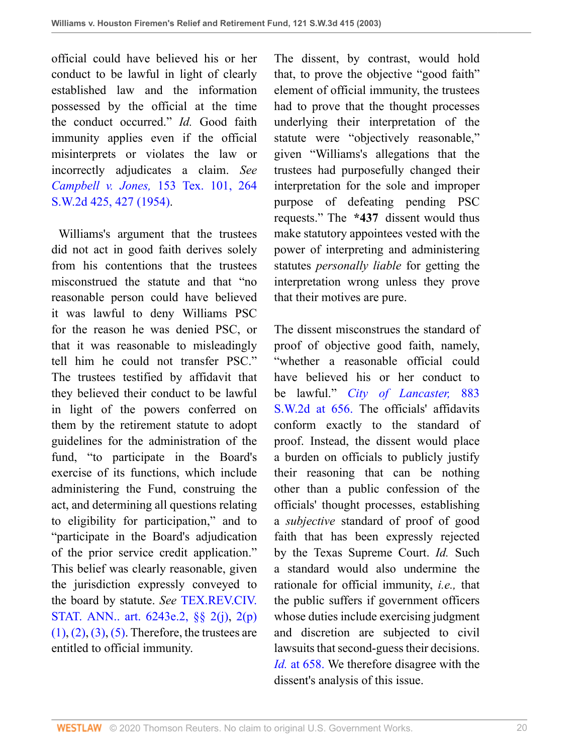official could have believed his or her conduct to be lawful in light of clearly established law and the information possessed by the official at the time the conduct occurred." *Id.* Good faith immunity applies even if the official misinterprets or violates the law or incorrectly adjudicates a claim. *See Campbell v. Jones,* [153 Tex. 101, 264](http://www.westlaw.com/Link/Document/FullText?findType=Y&serNum=1954102261&pubNum=0000713&originatingDoc=I8d0b46b0e7df11d99439b076ef9ec4de&refType=RP&fi=co_pp_sp_713_427&originationContext=document&vr=3.0&rs=cblt1.0&transitionType=DocumentItem&contextData=(sc.UserEnteredCitation)#co_pp_sp_713_427) [S.W.2d 425, 427 \(1954\)](http://www.westlaw.com/Link/Document/FullText?findType=Y&serNum=1954102261&pubNum=0000713&originatingDoc=I8d0b46b0e7df11d99439b076ef9ec4de&refType=RP&fi=co_pp_sp_713_427&originationContext=document&vr=3.0&rs=cblt1.0&transitionType=DocumentItem&contextData=(sc.UserEnteredCitation)#co_pp_sp_713_427).

 Williams's argument that the trustees did not act in good faith derives solely from his contentions that the trustees misconstrued the statute and that "no reasonable person could have believed it was lawful to deny Williams PSC for the reason he was denied PSC, or that it was reasonable to misleadingly tell him he could not transfer PSC." The trustees testified by affidavit that they believed their conduct to be lawful in light of the powers conferred on them by the retirement statute to adopt guidelines for the administration of the fund, "to participate in the Board's exercise of its functions, which include administering the Fund, construing the act, and determining all questions relating to eligibility for participation," and to "participate in the Board's adjudication of the prior service credit application." This belief was clearly reasonable, given the jurisdiction expressly conveyed to the board by statute. *See* [TEX.REV.CIV.](http://www.westlaw.com/Link/Document/FullText?findType=L&pubNum=1000188&cite=TXCSART6243E.2&originatingDoc=I8d0b46b0e7df11d99439b076ef9ec4de&refType=LQ&originationContext=document&vr=3.0&rs=cblt1.0&transitionType=DocumentItem&contextData=(sc.UserEnteredCitation)) [STAT. ANN.. art. 6243e.2, §§ 2\(j\),](http://www.westlaw.com/Link/Document/FullText?findType=L&pubNum=1000188&cite=TXCSART6243E.2&originatingDoc=I8d0b46b0e7df11d99439b076ef9ec4de&refType=LQ&originationContext=document&vr=3.0&rs=cblt1.0&transitionType=DocumentItem&contextData=(sc.UserEnteredCitation)) [2\(p\)](http://www.westlaw.com/Link/Document/FullText?findType=L&pubNum=1000188&cite=TXCSART6243E.2&originatingDoc=I8d0b46b0e7df11d99439b076ef9ec4de&refType=LQ&originationContext=document&vr=3.0&rs=cblt1.0&transitionType=DocumentItem&contextData=(sc.UserEnteredCitation))  $(1), (2), (3), (5)$  $(1), (2), (3), (5)$  $(1), (2), (3), (5)$ . Therefore, the trustees are entitled to official immunity.

The dissent, by contrast, would hold that, to prove the objective "good faith" element of official immunity, the trustees had to prove that the thought processes underlying their interpretation of the statute were "objectively reasonable," given "Williams's allegations that the trustees had purposefully changed their interpretation for the sole and improper purpose of defeating pending PSC requests." The **\*437** dissent would thus make statutory appointees vested with the power of interpreting and administering statutes *personally liable* for getting the interpretation wrong unless they prove that their motives are pure.

The dissent misconstrues the standard of proof of objective good faith, namely, "whether a reasonable official could have believed his or her conduct to be lawful." *[City of Lancaster,](http://www.westlaw.com/Link/Document/FullText?findType=Y&serNum=1994131594&pubNum=713&originatingDoc=I8d0b46b0e7df11d99439b076ef9ec4de&refType=RP&fi=co_pp_sp_713_656&originationContext=document&vr=3.0&rs=cblt1.0&transitionType=DocumentItem&contextData=(sc.UserEnteredCitation)#co_pp_sp_713_656)* 883 [S.W.2d at 656.](http://www.westlaw.com/Link/Document/FullText?findType=Y&serNum=1994131594&pubNum=713&originatingDoc=I8d0b46b0e7df11d99439b076ef9ec4de&refType=RP&fi=co_pp_sp_713_656&originationContext=document&vr=3.0&rs=cblt1.0&transitionType=DocumentItem&contextData=(sc.UserEnteredCitation)#co_pp_sp_713_656) The officials' affidavits conform exactly to the standard of proof. Instead, the dissent would place a burden on officials to publicly justify their reasoning that can be nothing other than a public confession of the officials' thought processes, establishing a *subjective* standard of proof of good faith that has been expressly rejected by the Texas Supreme Court. *Id.* Such a standard would also undermine the rationale for official immunity, *i.e.,* that the public suffers if government officers whose duties include exercising judgment and discretion are subjected to civil lawsuits that second-guess their decisions. *Id.* [at 658.](http://www.westlaw.com/Link/Document/FullText?findType=Y&serNum=1994131594&originatingDoc=I8d0b46b0e7df11d99439b076ef9ec4de&refType=RP&originationContext=document&vr=3.0&rs=cblt1.0&transitionType=DocumentItem&contextData=(sc.UserEnteredCitation)) We therefore disagree with the dissent's analysis of this issue.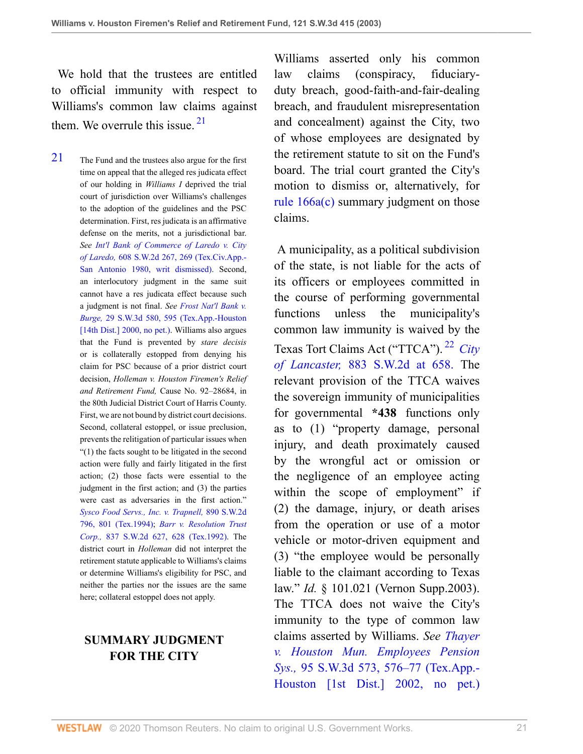We hold that the trustees are entitled to official immunity with respect to Williams's common law claims against them. We overrule this issue.  $2<sup>1</sup>$ 

<span id="page-20-0"></span>[21](#page-20-1) The Fund and the trustees also argue for the first time on appeal that the alleged res judicata effect of our holding in *Williams I* deprived the trial court of jurisdiction over Williams's challenges to the adoption of the guidelines and the PSC determination. First, res judicata is an affirmative defense on the merits, not a jurisdictional bar. *See [Int'l Bank of Commerce of Laredo v. City](http://www.westlaw.com/Link/Document/FullText?findType=Y&serNum=1980150022&pubNum=0000713&originatingDoc=I8d0b46b0e7df11d99439b076ef9ec4de&refType=RP&fi=co_pp_sp_713_269&originationContext=document&vr=3.0&rs=cblt1.0&transitionType=DocumentItem&contextData=(sc.UserEnteredCitation)#co_pp_sp_713_269) of Laredo,* [608 S.W.2d 267, 269 \(Tex.Civ.App.-](http://www.westlaw.com/Link/Document/FullText?findType=Y&serNum=1980150022&pubNum=0000713&originatingDoc=I8d0b46b0e7df11d99439b076ef9ec4de&refType=RP&fi=co_pp_sp_713_269&originationContext=document&vr=3.0&rs=cblt1.0&transitionType=DocumentItem&contextData=(sc.UserEnteredCitation)#co_pp_sp_713_269) [San Antonio 1980, writ dismissed\)](http://www.westlaw.com/Link/Document/FullText?findType=Y&serNum=1980150022&pubNum=0000713&originatingDoc=I8d0b46b0e7df11d99439b076ef9ec4de&refType=RP&fi=co_pp_sp_713_269&originationContext=document&vr=3.0&rs=cblt1.0&transitionType=DocumentItem&contextData=(sc.UserEnteredCitation)#co_pp_sp_713_269). Second, an interlocutory judgment in the same suit cannot have a res judicata effect because such a judgment is not final. *See [Frost Nat'l Bank v.](http://www.westlaw.com/Link/Document/FullText?findType=Y&serNum=2000479163&pubNum=0004644&originatingDoc=I8d0b46b0e7df11d99439b076ef9ec4de&refType=RP&fi=co_pp_sp_4644_595&originationContext=document&vr=3.0&rs=cblt1.0&transitionType=DocumentItem&contextData=(sc.UserEnteredCitation)#co_pp_sp_4644_595) Burge,* [29 S.W.3d 580, 595 \(Tex.App.-Houston](http://www.westlaw.com/Link/Document/FullText?findType=Y&serNum=2000479163&pubNum=0004644&originatingDoc=I8d0b46b0e7df11d99439b076ef9ec4de&refType=RP&fi=co_pp_sp_4644_595&originationContext=document&vr=3.0&rs=cblt1.0&transitionType=DocumentItem&contextData=(sc.UserEnteredCitation)#co_pp_sp_4644_595) [\[14th Dist.\] 2000, no pet.\).](http://www.westlaw.com/Link/Document/FullText?findType=Y&serNum=2000479163&pubNum=0004644&originatingDoc=I8d0b46b0e7df11d99439b076ef9ec4de&refType=RP&fi=co_pp_sp_4644_595&originationContext=document&vr=3.0&rs=cblt1.0&transitionType=DocumentItem&contextData=(sc.UserEnteredCitation)#co_pp_sp_4644_595) Williams also argues that the Fund is prevented by *stare decisis* or is collaterally estopped from denying his claim for PSC because of a prior district court decision, *Holleman v. Houston Firemen's Relief and Retirement Fund,* Cause No. 92–28684, in the 80th Judicial District Court of Harris County. First, we are not bound by district court decisions. Second, collateral estoppel, or issue preclusion, prevents the relitigation of particular issues when "(1) the facts sought to be litigated in the second action were fully and fairly litigated in the first action; (2) those facts were essential to the judgment in the first action; and (3) the parties were cast as adversaries in the first action." *[Sysco Food Servs., Inc. v. Trapnell,](http://www.westlaw.com/Link/Document/FullText?findType=Y&serNum=1994135982&pubNum=0000713&originatingDoc=I8d0b46b0e7df11d99439b076ef9ec4de&refType=RP&fi=co_pp_sp_713_801&originationContext=document&vr=3.0&rs=cblt1.0&transitionType=DocumentItem&contextData=(sc.UserEnteredCitation)#co_pp_sp_713_801)* 890 S.W.2d [796, 801 \(Tex.1994\);](http://www.westlaw.com/Link/Document/FullText?findType=Y&serNum=1994135982&pubNum=0000713&originatingDoc=I8d0b46b0e7df11d99439b076ef9ec4de&refType=RP&fi=co_pp_sp_713_801&originationContext=document&vr=3.0&rs=cblt1.0&transitionType=DocumentItem&contextData=(sc.UserEnteredCitation)#co_pp_sp_713_801) *[Barr v. Resolution Trust](http://www.westlaw.com/Link/Document/FullText?findType=Y&serNum=1992166190&pubNum=0000713&originatingDoc=I8d0b46b0e7df11d99439b076ef9ec4de&refType=RP&fi=co_pp_sp_713_628&originationContext=document&vr=3.0&rs=cblt1.0&transitionType=DocumentItem&contextData=(sc.UserEnteredCitation)#co_pp_sp_713_628) Corp.,* [837 S.W.2d 627, 628 \(Tex.1992\)](http://www.westlaw.com/Link/Document/FullText?findType=Y&serNum=1992166190&pubNum=0000713&originatingDoc=I8d0b46b0e7df11d99439b076ef9ec4de&refType=RP&fi=co_pp_sp_713_628&originationContext=document&vr=3.0&rs=cblt1.0&transitionType=DocumentItem&contextData=(sc.UserEnteredCitation)#co_pp_sp_713_628). The district court in *Holleman* did not interpret the retirement statute applicable to Williams's claims or determine Williams's eligibility for PSC, and neither the parties nor the issues are the same here; collateral estoppel does not apply.

### **SUMMARY JUDGMENT FOR THE CITY**

<span id="page-20-1"></span>Williams asserted only his common law claims (conspiracy, fiduciaryduty breach, good-faith-and-fair-dealing breach, and fraudulent misrepresentation and concealment) against the City, two of whose employees are designated by the retirement statute to sit on the Fund's board. The trial court granted the City's motion to dismiss or, alternatively, for [rule 166a\(c\)](http://www.westlaw.com/Link/Document/FullText?findType=L&pubNum=1003817&cite=TXRRCPR166A&originatingDoc=I8d0b46b0e7df11d99439b076ef9ec4de&refType=LQ&originationContext=document&vr=3.0&rs=cblt1.0&transitionType=DocumentItem&contextData=(sc.UserEnteredCitation)) summary judgment on those claims.

<span id="page-20-2"></span> A municipality, as a political subdivision of the state, is not liable for the acts of its officers or employees committed in the course of performing governmental functions unless the municipality's common law immunity is waived by the Texas Tort Claims Act ("TTCA"). [22](#page-21-0) *[City](http://www.westlaw.com/Link/Document/FullText?findType=Y&serNum=1994131594&pubNum=713&originatingDoc=I8d0b46b0e7df11d99439b076ef9ec4de&refType=RP&fi=co_pp_sp_713_658&originationContext=document&vr=3.0&rs=cblt1.0&transitionType=DocumentItem&contextData=(sc.UserEnteredCitation)#co_pp_sp_713_658) of Lancaster,* [883 S.W.2d at 658.](http://www.westlaw.com/Link/Document/FullText?findType=Y&serNum=1994131594&pubNum=713&originatingDoc=I8d0b46b0e7df11d99439b076ef9ec4de&refType=RP&fi=co_pp_sp_713_658&originationContext=document&vr=3.0&rs=cblt1.0&transitionType=DocumentItem&contextData=(sc.UserEnteredCitation)#co_pp_sp_713_658) The relevant provision of the TTCA waives the sovereign immunity of municipalities for governmental **\*438** functions only as to (1) "property damage, personal injury, and death proximately caused by the wrongful act or omission or the negligence of an employee acting within the scope of employment" if (2) the damage, injury, or death arises from the operation or use of a motor vehicle or motor-driven equipment and (3) "the employee would be personally liable to the claimant according to Texas law." *Id.* § 101.021 (Vernon Supp.2003). The TTCA does not waive the City's immunity to the type of common law claims asserted by Williams. *See [Thayer](http://www.westlaw.com/Link/Document/FullText?findType=Y&serNum=2002772648&pubNum=0004644&originatingDoc=I8d0b46b0e7df11d99439b076ef9ec4de&refType=RP&fi=co_pp_sp_4644_576&originationContext=document&vr=3.0&rs=cblt1.0&transitionType=DocumentItem&contextData=(sc.UserEnteredCitation)#co_pp_sp_4644_576) [v. Houston Mun. Employees Pension](http://www.westlaw.com/Link/Document/FullText?findType=Y&serNum=2002772648&pubNum=0004644&originatingDoc=I8d0b46b0e7df11d99439b076ef9ec4de&refType=RP&fi=co_pp_sp_4644_576&originationContext=document&vr=3.0&rs=cblt1.0&transitionType=DocumentItem&contextData=(sc.UserEnteredCitation)#co_pp_sp_4644_576) Sys.,* [95 S.W.3d 573, 576–77 \(Tex.App.-](http://www.westlaw.com/Link/Document/FullText?findType=Y&serNum=2002772648&pubNum=0004644&originatingDoc=I8d0b46b0e7df11d99439b076ef9ec4de&refType=RP&fi=co_pp_sp_4644_576&originationContext=document&vr=3.0&rs=cblt1.0&transitionType=DocumentItem&contextData=(sc.UserEnteredCitation)#co_pp_sp_4644_576) [Houston \[1st Dist.\] 2002, no pet.\)](http://www.westlaw.com/Link/Document/FullText?findType=Y&serNum=2002772648&pubNum=0004644&originatingDoc=I8d0b46b0e7df11d99439b076ef9ec4de&refType=RP&fi=co_pp_sp_4644_576&originationContext=document&vr=3.0&rs=cblt1.0&transitionType=DocumentItem&contextData=(sc.UserEnteredCitation)#co_pp_sp_4644_576)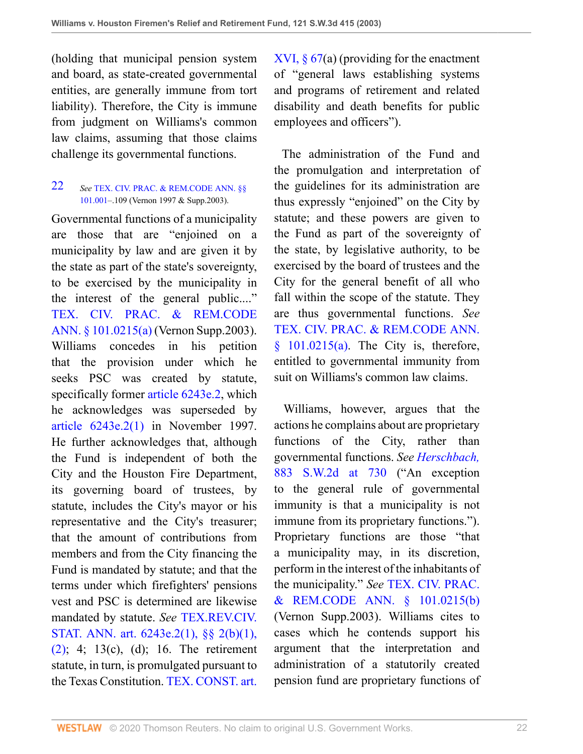(holding that municipal pension system and board, as state-created governmental entities, are generally immune from tort liability). Therefore, the City is immune from judgment on Williams's common law claims, assuming that those claims challenge its governmental functions.

#### <span id="page-21-0"></span>[22](#page-20-2) *See* [TEX. CIV. PRAC. & REM.CODE ANN. §§](http://www.westlaw.com/Link/Document/FullText?findType=L&pubNum=1000170&cite=TXCPS101.001&originatingDoc=I8d0b46b0e7df11d99439b076ef9ec4de&refType=LQ&originationContext=document&vr=3.0&rs=cblt1.0&transitionType=DocumentItem&contextData=(sc.UserEnteredCitation)) [101.001](http://www.westlaw.com/Link/Document/FullText?findType=L&pubNum=1000170&cite=TXCPS101.001&originatingDoc=I8d0b46b0e7df11d99439b076ef9ec4de&refType=LQ&originationContext=document&vr=3.0&rs=cblt1.0&transitionType=DocumentItem&contextData=(sc.UserEnteredCitation))–.109 (Vernon 1997 & Supp.2003).

Governmental functions of a municipality are those that are "enjoined on a municipality by law and are given it by the state as part of the state's sovereignty, to be exercised by the municipality in the interest of the general public...." [TEX. CIV. PRAC. & REM.CODE](http://www.westlaw.com/Link/Document/FullText?findType=L&pubNum=1000170&cite=TXCPS101.0215&originatingDoc=I8d0b46b0e7df11d99439b076ef9ec4de&refType=SP&originationContext=document&vr=3.0&rs=cblt1.0&transitionType=DocumentItem&contextData=(sc.UserEnteredCitation)#co_pp_8b3b0000958a4) [ANN. § 101.0215\(a\)](http://www.westlaw.com/Link/Document/FullText?findType=L&pubNum=1000170&cite=TXCPS101.0215&originatingDoc=I8d0b46b0e7df11d99439b076ef9ec4de&refType=SP&originationContext=document&vr=3.0&rs=cblt1.0&transitionType=DocumentItem&contextData=(sc.UserEnteredCitation)#co_pp_8b3b0000958a4) (Vernon Supp.2003). Williams concedes in his petition that the provision under which he seeks PSC was created by statute, specifically former [article 6243e.2](http://www.westlaw.com/Link/Document/FullText?findType=L&pubNum=1000188&cite=TXCSART6243E.2&originatingDoc=I8d0b46b0e7df11d99439b076ef9ec4de&refType=LQ&originationContext=document&vr=3.0&rs=cblt1.0&transitionType=DocumentItem&contextData=(sc.UserEnteredCitation)), which he acknowledges was superseded by [article 6243e.2\(1\)](http://www.westlaw.com/Link/Document/FullText?findType=L&pubNum=1000188&cite=TXCSART6243E.2(1)&originatingDoc=I8d0b46b0e7df11d99439b076ef9ec4de&refType=LQ&originationContext=document&vr=3.0&rs=cblt1.0&transitionType=DocumentItem&contextData=(sc.UserEnteredCitation)) in November 1997. He further acknowledges that, although the Fund is independent of both the City and the Houston Fire Department, its governing board of trustees, by statute, includes the City's mayor or his representative and the City's treasurer; that the amount of contributions from members and from the City financing the Fund is mandated by statute; and that the terms under which firefighters' pensions vest and PSC is determined are likewise mandated by statute. *See* [TEX.REV.CIV.](http://www.westlaw.com/Link/Document/FullText?findType=L&pubNum=1000301&cite=TXCSART6243E.2&originatingDoc=I8d0b46b0e7df11d99439b076ef9ec4de&refType=LQ&originationContext=document&vr=3.0&rs=cblt1.0&transitionType=DocumentItem&contextData=(sc.UserEnteredCitation)) [STAT. ANN. art. 6243e.2\(1\), §§ 2\(b\)\(1\),](http://www.westlaw.com/Link/Document/FullText?findType=L&pubNum=1000301&cite=TXCSART6243E.2&originatingDoc=I8d0b46b0e7df11d99439b076ef9ec4de&refType=LQ&originationContext=document&vr=3.0&rs=cblt1.0&transitionType=DocumentItem&contextData=(sc.UserEnteredCitation))  $(2)$ ; 4; 13(c), (d); 16. The retirement statute, in turn, is promulgated pursuant to the Texas Constitution. [TEX. CONST. art.](http://www.westlaw.com/Link/Document/FullText?findType=L&pubNum=1000171&cite=TXCNART16S67&originatingDoc=I8d0b46b0e7df11d99439b076ef9ec4de&refType=LQ&originationContext=document&vr=3.0&rs=cblt1.0&transitionType=DocumentItem&contextData=(sc.UserEnteredCitation))

XVI,  $\S 67(a)$  (providing for the enactment of "general laws establishing systems and programs of retirement and related disability and death benefits for public employees and officers").

 The administration of the Fund and the promulgation and interpretation of the guidelines for its administration are thus expressly "enjoined" on the City by statute; and these powers are given to the Fund as part of the sovereignty of the state, by legislative authority, to be exercised by the board of trustees and the City for the general benefit of all who fall within the scope of the statute. They are thus governmental functions. *See* [TEX. CIV. PRAC. & REM.CODE ANN.](http://www.westlaw.com/Link/Document/FullText?findType=L&pubNum=1000170&cite=TXCPS101.0215&originatingDoc=I8d0b46b0e7df11d99439b076ef9ec4de&refType=SP&originationContext=document&vr=3.0&rs=cblt1.0&transitionType=DocumentItem&contextData=(sc.UserEnteredCitation)#co_pp_8b3b0000958a4)  $§$  101.0215(a). The City is, therefore, entitled to governmental immunity from suit on Williams's common law claims.

 Williams, however, argues that the actions he complains about are proprietary functions of the City, rather than governmental functions. *See [Herschbach,](http://www.westlaw.com/Link/Document/FullText?findType=Y&serNum=1994175054&pubNum=0000713&originatingDoc=I8d0b46b0e7df11d99439b076ef9ec4de&refType=RP&fi=co_pp_sp_713_730&originationContext=document&vr=3.0&rs=cblt1.0&transitionType=DocumentItem&contextData=(sc.UserEnteredCitation)#co_pp_sp_713_730)* [883 S.W.2d at 730](http://www.westlaw.com/Link/Document/FullText?findType=Y&serNum=1994175054&pubNum=0000713&originatingDoc=I8d0b46b0e7df11d99439b076ef9ec4de&refType=RP&fi=co_pp_sp_713_730&originationContext=document&vr=3.0&rs=cblt1.0&transitionType=DocumentItem&contextData=(sc.UserEnteredCitation)#co_pp_sp_713_730) ("An exception to the general rule of governmental immunity is that a municipality is not immune from its proprietary functions."). Proprietary functions are those "that a municipality may, in its discretion, perform in the interest of the inhabitants of the municipality." *See* [TEX. CIV. PRAC.](http://www.westlaw.com/Link/Document/FullText?findType=L&pubNum=1000170&cite=TXCPS101.0215&originatingDoc=I8d0b46b0e7df11d99439b076ef9ec4de&refType=SP&originationContext=document&vr=3.0&rs=cblt1.0&transitionType=DocumentItem&contextData=(sc.UserEnteredCitation)#co_pp_a83b000018c76) [& REM.CODE ANN. § 101.0215\(b\)](http://www.westlaw.com/Link/Document/FullText?findType=L&pubNum=1000170&cite=TXCPS101.0215&originatingDoc=I8d0b46b0e7df11d99439b076ef9ec4de&refType=SP&originationContext=document&vr=3.0&rs=cblt1.0&transitionType=DocumentItem&contextData=(sc.UserEnteredCitation)#co_pp_a83b000018c76) (Vernon Supp.2003). Williams cites to cases which he contends support his argument that the interpretation and administration of a statutorily created pension fund are proprietary functions of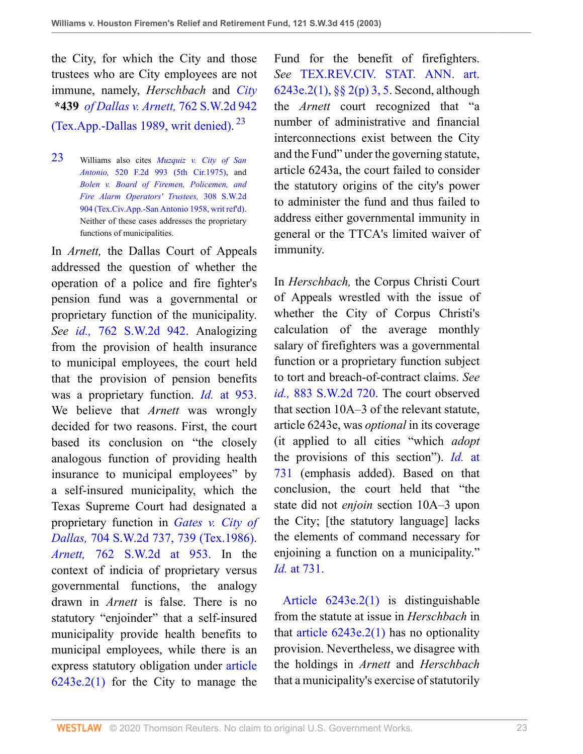the City, for which the City and those trustees who are City employees are not immune, namely, *Herschbach* and *[City](http://www.westlaw.com/Link/Document/FullText?findType=Y&serNum=1989018663&pubNum=0000713&originatingDoc=I8d0b46b0e7df11d99439b076ef9ec4de&refType=RP&originationContext=document&vr=3.0&rs=cblt1.0&transitionType=DocumentItem&contextData=(sc.UserEnteredCitation))* **\*439** *[of Dallas v. Arnett,](http://www.westlaw.com/Link/Document/FullText?findType=Y&serNum=1989018663&pubNum=0000713&originatingDoc=I8d0b46b0e7df11d99439b076ef9ec4de&refType=RP&originationContext=document&vr=3.0&rs=cblt1.0&transitionType=DocumentItem&contextData=(sc.UserEnteredCitation))* 762 S.W.2d 942 [\(Tex.App.-Dallas 1989, writ denied\).](http://www.westlaw.com/Link/Document/FullText?findType=Y&serNum=1989018663&pubNum=0000713&originatingDoc=I8d0b46b0e7df11d99439b076ef9ec4de&refType=RP&originationContext=document&vr=3.0&rs=cblt1.0&transitionType=DocumentItem&contextData=(sc.UserEnteredCitation))<sup>[23](#page-22-0)</sup>

<span id="page-22-0"></span>[23](#page-22-1) Williams also cites *[Muzquiz v. City of San](http://www.westlaw.com/Link/Document/FullText?findType=Y&serNum=1975111946&pubNum=0000350&originatingDoc=I8d0b46b0e7df11d99439b076ef9ec4de&refType=RP&originationContext=document&vr=3.0&rs=cblt1.0&transitionType=DocumentItem&contextData=(sc.UserEnteredCitation)) Antonio,* [520 F.2d 993 \(5th Cir.1975\)](http://www.westlaw.com/Link/Document/FullText?findType=Y&serNum=1975111946&pubNum=0000350&originatingDoc=I8d0b46b0e7df11d99439b076ef9ec4de&refType=RP&originationContext=document&vr=3.0&rs=cblt1.0&transitionType=DocumentItem&contextData=(sc.UserEnteredCitation)), and *[Bolen v. Board of Firemen, Policemen, and](http://www.westlaw.com/Link/Document/FullText?findType=Y&serNum=1958123235&pubNum=0000713&originatingDoc=I8d0b46b0e7df11d99439b076ef9ec4de&refType=RP&originationContext=document&vr=3.0&rs=cblt1.0&transitionType=DocumentItem&contextData=(sc.UserEnteredCitation)) [Fire Alarm Operators' Trustees,](http://www.westlaw.com/Link/Document/FullText?findType=Y&serNum=1958123235&pubNum=0000713&originatingDoc=I8d0b46b0e7df11d99439b076ef9ec4de&refType=RP&originationContext=document&vr=3.0&rs=cblt1.0&transitionType=DocumentItem&contextData=(sc.UserEnteredCitation))* 308 S.W.2d [904 \(Tex.Civ.App.-San Antonio 1958, writ ref'd\).](http://www.westlaw.com/Link/Document/FullText?findType=Y&serNum=1958123235&pubNum=0000713&originatingDoc=I8d0b46b0e7df11d99439b076ef9ec4de&refType=RP&originationContext=document&vr=3.0&rs=cblt1.0&transitionType=DocumentItem&contextData=(sc.UserEnteredCitation)) Neither of these cases addresses the proprietary functions of municipalities.

In *Arnett,* the Dallas Court of Appeals addressed the question of whether the operation of a police and fire fighter's pension fund was a governmental or proprietary function of the municipality. *See id.,* [762 S.W.2d 942.](http://www.westlaw.com/Link/Document/FullText?findType=Y&serNum=1989018663&pubNum=713&originatingDoc=I8d0b46b0e7df11d99439b076ef9ec4de&refType=RP&originationContext=document&vr=3.0&rs=cblt1.0&transitionType=DocumentItem&contextData=(sc.UserEnteredCitation)) Analogizing from the provision of health insurance to municipal employees, the court held that the provision of pension benefits was a proprietary function. *Id.* [at 953.](http://www.westlaw.com/Link/Document/FullText?findType=Y&serNum=1989018663&originatingDoc=I8d0b46b0e7df11d99439b076ef9ec4de&refType=RP&originationContext=document&vr=3.0&rs=cblt1.0&transitionType=DocumentItem&contextData=(sc.UserEnteredCitation)) We believe that *Arnett* was wrongly decided for two reasons. First, the court based its conclusion on "the closely analogous function of providing health insurance to municipal employees" by a self-insured municipality, which the Texas Supreme Court had designated a proprietary function in *[Gates v. City of](http://www.westlaw.com/Link/Document/FullText?findType=Y&serNum=1986107731&pubNum=0000713&originatingDoc=I8d0b46b0e7df11d99439b076ef9ec4de&refType=RP&fi=co_pp_sp_713_739&originationContext=document&vr=3.0&rs=cblt1.0&transitionType=DocumentItem&contextData=(sc.UserEnteredCitation)#co_pp_sp_713_739) Dallas,* [704 S.W.2d 737, 739 \(Tex.1986\).](http://www.westlaw.com/Link/Document/FullText?findType=Y&serNum=1986107731&pubNum=0000713&originatingDoc=I8d0b46b0e7df11d99439b076ef9ec4de&refType=RP&fi=co_pp_sp_713_739&originationContext=document&vr=3.0&rs=cblt1.0&transitionType=DocumentItem&contextData=(sc.UserEnteredCitation)#co_pp_sp_713_739) *Arnett,* [762 S.W.2d at 953.](http://www.westlaw.com/Link/Document/FullText?findType=Y&serNum=1989018663&pubNum=713&originatingDoc=I8d0b46b0e7df11d99439b076ef9ec4de&refType=RP&fi=co_pp_sp_713_953&originationContext=document&vr=3.0&rs=cblt1.0&transitionType=DocumentItem&contextData=(sc.UserEnteredCitation)#co_pp_sp_713_953) In the context of indicia of proprietary versus governmental functions, the analogy drawn in *Arnett* is false. There is no statutory "enjoinder" that a self-insured municipality provide health benefits to municipal employees, while there is an express statutory obligation under [article](http://www.westlaw.com/Link/Document/FullText?findType=L&pubNum=1000188&cite=TXCSART6243E.2(1)&originatingDoc=I8d0b46b0e7df11d99439b076ef9ec4de&refType=LQ&originationContext=document&vr=3.0&rs=cblt1.0&transitionType=DocumentItem&contextData=(sc.UserEnteredCitation))  $6243e.2(1)$  for the City to manage the

<span id="page-22-1"></span>Fund for the benefit of firefighters. *See* [TEX.REV.CIV. STAT. ANN. art.](http://www.westlaw.com/Link/Document/FullText?findType=L&pubNum=1000301&cite=TXCSART6243E.2&originatingDoc=I8d0b46b0e7df11d99439b076ef9ec4de&refType=LQ&originationContext=document&vr=3.0&rs=cblt1.0&transitionType=DocumentItem&contextData=(sc.UserEnteredCitation)) [6243e.2\(1\), §§ 2\(p\) 3, 5.](http://www.westlaw.com/Link/Document/FullText?findType=L&pubNum=1000301&cite=TXCSART6243E.2&originatingDoc=I8d0b46b0e7df11d99439b076ef9ec4de&refType=LQ&originationContext=document&vr=3.0&rs=cblt1.0&transitionType=DocumentItem&contextData=(sc.UserEnteredCitation)) Second, although the *Arnett* court recognized that "a number of administrative and financial interconnections exist between the City and the Fund" under the governing statute, article 6243a, the court failed to consider the statutory origins of the city's power to administer the fund and thus failed to address either governmental immunity in general or the TTCA's limited waiver of immunity.

In *Herschbach,* the Corpus Christi Court of Appeals wrestled with the issue of whether the City of Corpus Christi's calculation of the average monthly salary of firefighters was a governmental function or a proprietary function subject to tort and breach-of-contract claims. *See id.,* [883 S.W.2d 720.](http://www.westlaw.com/Link/Document/FullText?findType=Y&serNum=1994175054&pubNum=713&originatingDoc=I8d0b46b0e7df11d99439b076ef9ec4de&refType=RP&originationContext=document&vr=3.0&rs=cblt1.0&transitionType=DocumentItem&contextData=(sc.UserEnteredCitation)) The court observed that section 10A–3 of the relevant statute, article 6243e, was *optional* in its coverage (it applied to all cities "which *adopt* the provisions of this section"). *Id.* [at](http://www.westlaw.com/Link/Document/FullText?findType=Y&serNum=1994175054&pubNum=0000713&originatingDoc=I8d0b46b0e7df11d99439b076ef9ec4de&refType=RP&fi=co_pp_sp_713_731&originationContext=document&vr=3.0&rs=cblt1.0&transitionType=DocumentItem&contextData=(sc.UserEnteredCitation)#co_pp_sp_713_731) [731](http://www.westlaw.com/Link/Document/FullText?findType=Y&serNum=1994175054&pubNum=0000713&originatingDoc=I8d0b46b0e7df11d99439b076ef9ec4de&refType=RP&fi=co_pp_sp_713_731&originationContext=document&vr=3.0&rs=cblt1.0&transitionType=DocumentItem&contextData=(sc.UserEnteredCitation)#co_pp_sp_713_731) (emphasis added). Based on that conclusion, the court held that "the state did not *enjoin* section 10A–3 upon the City; [the statutory language] lacks the elements of command necessary for enjoining a function on a municipality." *Id.* [at 731.](http://www.westlaw.com/Link/Document/FullText?findType=Y&serNum=1994175054&originatingDoc=I8d0b46b0e7df11d99439b076ef9ec4de&refType=RP&originationContext=document&vr=3.0&rs=cblt1.0&transitionType=DocumentItem&contextData=(sc.UserEnteredCitation))

[Article 6243e.2\(1\)](http://www.westlaw.com/Link/Document/FullText?findType=L&pubNum=1000188&cite=TXCSART6243E.2(1)&originatingDoc=I8d0b46b0e7df11d99439b076ef9ec4de&refType=LQ&originationContext=document&vr=3.0&rs=cblt1.0&transitionType=DocumentItem&contextData=(sc.UserEnteredCitation)) is distinguishable from the statute at issue in *Herschbach* in that article  $6243e.2(1)$  has no optionality provision. Nevertheless, we disagree with the holdings in *Arnett* and *Herschbach* that a municipality's exercise of statutorily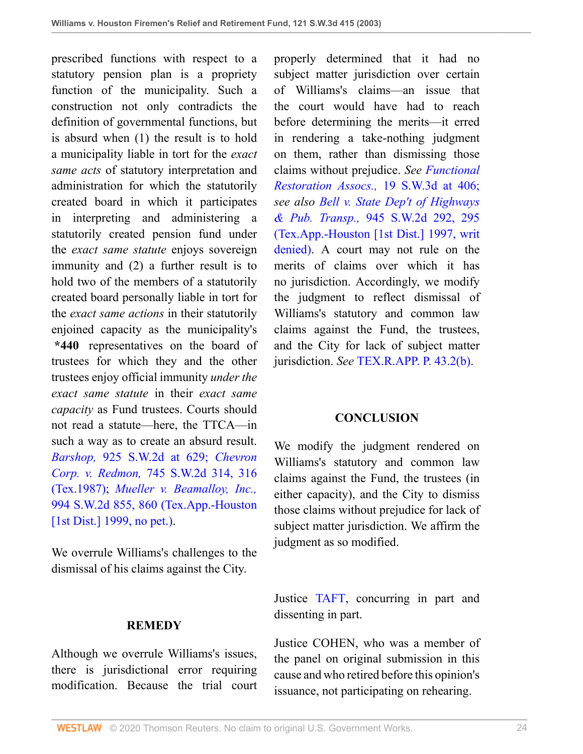prescribed functions with respect to a statutory pension plan is a propriety function of the municipality. Such a construction not only contradicts the definition of governmental functions, but is absurd when (1) the result is to hold a municipality liable in tort for the *exact same acts* of statutory interpretation and administration for which the statutorily created board in which it participates in interpreting and administering a statutorily created pension fund under the *exact same statute* enjoys sovereign immunity and (2) a further result is to hold two of the members of a statutorily created board personally liable in tort for the *exact same actions* in their statutorily enjoined capacity as the municipality's **\*440** representatives on the board of trustees for which they and the other trustees enjoy official immunity *under the exact same statute* in their *exact same capacity* as Fund trustees. Courts should not read a statute—here, the TTCA—in such a way as to create an absurd result. *Barshop,* [925 S.W.2d at 629;](http://www.westlaw.com/Link/Document/FullText?findType=Y&serNum=1996144856&pubNum=713&originatingDoc=I8d0b46b0e7df11d99439b076ef9ec4de&refType=RP&fi=co_pp_sp_713_629&originationContext=document&vr=3.0&rs=cblt1.0&transitionType=DocumentItem&contextData=(sc.UserEnteredCitation)#co_pp_sp_713_629) *[Chevron](http://www.westlaw.com/Link/Document/FullText?findType=Y&serNum=1987156416&pubNum=0000713&originatingDoc=I8d0b46b0e7df11d99439b076ef9ec4de&refType=RP&fi=co_pp_sp_713_316&originationContext=document&vr=3.0&rs=cblt1.0&transitionType=DocumentItem&contextData=(sc.UserEnteredCitation)#co_pp_sp_713_316) Corp. v. Redmon,* [745 S.W.2d 314, 316](http://www.westlaw.com/Link/Document/FullText?findType=Y&serNum=1987156416&pubNum=0000713&originatingDoc=I8d0b46b0e7df11d99439b076ef9ec4de&refType=RP&fi=co_pp_sp_713_316&originationContext=document&vr=3.0&rs=cblt1.0&transitionType=DocumentItem&contextData=(sc.UserEnteredCitation)#co_pp_sp_713_316) [\(Tex.1987\)](http://www.westlaw.com/Link/Document/FullText?findType=Y&serNum=1987156416&pubNum=0000713&originatingDoc=I8d0b46b0e7df11d99439b076ef9ec4de&refType=RP&fi=co_pp_sp_713_316&originationContext=document&vr=3.0&rs=cblt1.0&transitionType=DocumentItem&contextData=(sc.UserEnteredCitation)#co_pp_sp_713_316); *[Mueller v. Beamalloy, Inc.,](http://www.westlaw.com/Link/Document/FullText?findType=Y&serNum=1999133196&pubNum=0000713&originatingDoc=I8d0b46b0e7df11d99439b076ef9ec4de&refType=RP&fi=co_pp_sp_713_860&originationContext=document&vr=3.0&rs=cblt1.0&transitionType=DocumentItem&contextData=(sc.UserEnteredCitation)#co_pp_sp_713_860)* [994 S.W.2d 855, 860 \(Tex.App.-Houston](http://www.westlaw.com/Link/Document/FullText?findType=Y&serNum=1999133196&pubNum=0000713&originatingDoc=I8d0b46b0e7df11d99439b076ef9ec4de&refType=RP&fi=co_pp_sp_713_860&originationContext=document&vr=3.0&rs=cblt1.0&transitionType=DocumentItem&contextData=(sc.UserEnteredCitation)#co_pp_sp_713_860) [\[1st Dist.\] 1999, no pet.\)](http://www.westlaw.com/Link/Document/FullText?findType=Y&serNum=1999133196&pubNum=0000713&originatingDoc=I8d0b46b0e7df11d99439b076ef9ec4de&refType=RP&fi=co_pp_sp_713_860&originationContext=document&vr=3.0&rs=cblt1.0&transitionType=DocumentItem&contextData=(sc.UserEnteredCitation)#co_pp_sp_713_860).

We overrule Williams's challenges to the dismissal of his claims against the City.

#### **REMEDY**

Although we overrule Williams's issues, there is jurisdictional error requiring modification. Because the trial court properly determined that it had no subject matter jurisdiction over certain of Williams's claims—an issue that the court would have had to reach before determining the merits—it erred in rendering a take-nothing judgment on them, rather than dismissing those claims without prejudice. *See [Functional](http://www.westlaw.com/Link/Document/FullText?findType=Y&serNum=2000093458&pubNum=4644&originatingDoc=I8d0b46b0e7df11d99439b076ef9ec4de&refType=RP&fi=co_pp_sp_4644_406&originationContext=document&vr=3.0&rs=cblt1.0&transitionType=DocumentItem&contextData=(sc.UserEnteredCitation)#co_pp_sp_4644_406) [Restoration Assocs.,](http://www.westlaw.com/Link/Document/FullText?findType=Y&serNum=2000093458&pubNum=4644&originatingDoc=I8d0b46b0e7df11d99439b076ef9ec4de&refType=RP&fi=co_pp_sp_4644_406&originationContext=document&vr=3.0&rs=cblt1.0&transitionType=DocumentItem&contextData=(sc.UserEnteredCitation)#co_pp_sp_4644_406)* 19 S.W.3d at 406; *see also [Bell v. State Dep't of Highways](http://www.westlaw.com/Link/Document/FullText?findType=Y&serNum=1997096761&pubNum=0000713&originatingDoc=I8d0b46b0e7df11d99439b076ef9ec4de&refType=RP&fi=co_pp_sp_713_295&originationContext=document&vr=3.0&rs=cblt1.0&transitionType=DocumentItem&contextData=(sc.UserEnteredCitation)#co_pp_sp_713_295) & Pub. Transp.,* [945 S.W.2d 292, 295](http://www.westlaw.com/Link/Document/FullText?findType=Y&serNum=1997096761&pubNum=0000713&originatingDoc=I8d0b46b0e7df11d99439b076ef9ec4de&refType=RP&fi=co_pp_sp_713_295&originationContext=document&vr=3.0&rs=cblt1.0&transitionType=DocumentItem&contextData=(sc.UserEnteredCitation)#co_pp_sp_713_295) [\(Tex.App.-Houston \[1st Dist.\] 1997, writ](http://www.westlaw.com/Link/Document/FullText?findType=Y&serNum=1997096761&pubNum=0000713&originatingDoc=I8d0b46b0e7df11d99439b076ef9ec4de&refType=RP&fi=co_pp_sp_713_295&originationContext=document&vr=3.0&rs=cblt1.0&transitionType=DocumentItem&contextData=(sc.UserEnteredCitation)#co_pp_sp_713_295) [denied\).](http://www.westlaw.com/Link/Document/FullText?findType=Y&serNum=1997096761&pubNum=0000713&originatingDoc=I8d0b46b0e7df11d99439b076ef9ec4de&refType=RP&fi=co_pp_sp_713_295&originationContext=document&vr=3.0&rs=cblt1.0&transitionType=DocumentItem&contextData=(sc.UserEnteredCitation)#co_pp_sp_713_295) A court may not rule on the merits of claims over which it has no jurisdiction. Accordingly, we modify the judgment to reflect dismissal of Williams's statutory and common law claims against the Fund, the trustees, and the City for lack of subject matter jurisdiction. *See* [TEX.R.APP. P. 43.2\(b\)](http://www.westlaw.com/Link/Document/FullText?findType=L&pubNum=1005293&cite=TXRRAPR43.2&originatingDoc=I8d0b46b0e7df11d99439b076ef9ec4de&refType=LQ&originationContext=document&vr=3.0&rs=cblt1.0&transitionType=DocumentItem&contextData=(sc.UserEnteredCitation)).

#### **CONCLUSION**

We modify the judgment rendered on Williams's statutory and common law claims against the Fund, the trustees (in either capacity), and the City to dismiss those claims without prejudice for lack of subject matter jurisdiction. We affirm the judgment as so modified.

Justice [TAFT,](http://www.westlaw.com/Link/Document/FullText?findType=h&pubNum=176284&cite=0114187901&originatingDoc=I8d0b46b0e7df11d99439b076ef9ec4de&refType=RQ&originationContext=document&vr=3.0&rs=cblt1.0&transitionType=DocumentItem&contextData=(sc.UserEnteredCitation)) concurring in part and dissenting in part.

Justice COHEN, who was a member of the panel on original submission in this cause and who retired before this opinion's issuance, not participating on rehearing.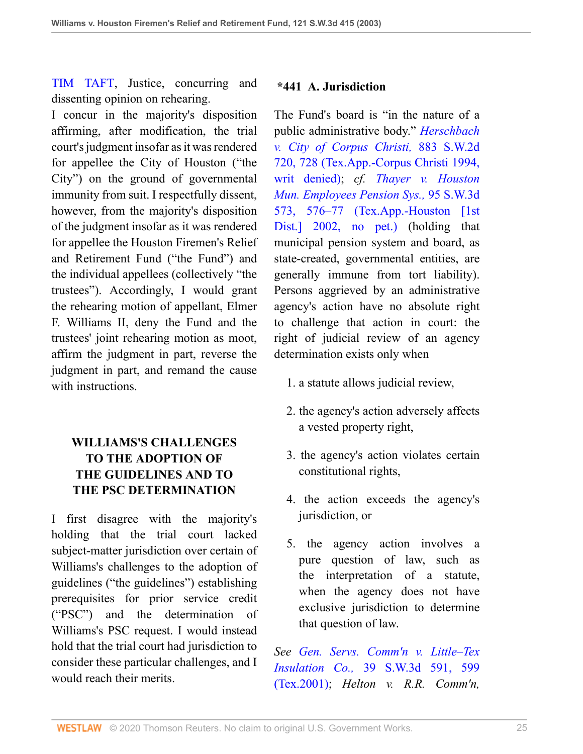[TIM TAFT](http://www.westlaw.com/Link/Document/FullText?findType=h&pubNum=176284&cite=0114187901&originatingDoc=I8d0b46b0e7df11d99439b076ef9ec4de&refType=RQ&originationContext=document&vr=3.0&rs=cblt1.0&transitionType=DocumentItem&contextData=(sc.UserEnteredCitation)), Justice, concurring and dissenting opinion on rehearing.

I concur in the majority's disposition affirming, after modification, the trial court's judgment insofar as it was rendered for appellee the City of Houston ("the City") on the ground of governmental immunity from suit. I respectfully dissent, however, from the majority's disposition of the judgment insofar as it was rendered for appellee the Houston Firemen's Relief and Retirement Fund ("the Fund") and the individual appellees (collectively "the trustees"). Accordingly, I would grant the rehearing motion of appellant, Elmer F. Williams II, deny the Fund and the trustees' joint rehearing motion as moot, affirm the judgment in part, reverse the judgment in part, and remand the cause with instructions

# **WILLIAMS'S CHALLENGES TO THE ADOPTION OF THE GUIDELINES AND TO THE PSC DETERMINATION**

I first disagree with the majority's holding that the trial court lacked subject-matter jurisdiction over certain of Williams's challenges to the adoption of guidelines ("the guidelines") establishing prerequisites for prior service credit ("PSC") and the determination of Williams's PSC request. I would instead hold that the trial court had jurisdiction to consider these particular challenges, and I would reach their merits.

### **\*441 A. Jurisdiction**

The Fund's board is "in the nature of a public administrative body." *[Herschbach](http://www.westlaw.com/Link/Document/FullText?findType=Y&serNum=1994175054&pubNum=0000713&originatingDoc=I8d0b46b0e7df11d99439b076ef9ec4de&refType=RP&fi=co_pp_sp_713_728&originationContext=document&vr=3.0&rs=cblt1.0&transitionType=DocumentItem&contextData=(sc.UserEnteredCitation)#co_pp_sp_713_728) [v. City of Corpus Christi,](http://www.westlaw.com/Link/Document/FullText?findType=Y&serNum=1994175054&pubNum=0000713&originatingDoc=I8d0b46b0e7df11d99439b076ef9ec4de&refType=RP&fi=co_pp_sp_713_728&originationContext=document&vr=3.0&rs=cblt1.0&transitionType=DocumentItem&contextData=(sc.UserEnteredCitation)#co_pp_sp_713_728)* 883 S.W.2d [720, 728 \(Tex.App.-Corpus Christi 1994,](http://www.westlaw.com/Link/Document/FullText?findType=Y&serNum=1994175054&pubNum=0000713&originatingDoc=I8d0b46b0e7df11d99439b076ef9ec4de&refType=RP&fi=co_pp_sp_713_728&originationContext=document&vr=3.0&rs=cblt1.0&transitionType=DocumentItem&contextData=(sc.UserEnteredCitation)#co_pp_sp_713_728) [writ denied\)](http://www.westlaw.com/Link/Document/FullText?findType=Y&serNum=1994175054&pubNum=0000713&originatingDoc=I8d0b46b0e7df11d99439b076ef9ec4de&refType=RP&fi=co_pp_sp_713_728&originationContext=document&vr=3.0&rs=cblt1.0&transitionType=DocumentItem&contextData=(sc.UserEnteredCitation)#co_pp_sp_713_728); *cf. [Thayer v. Houston](http://www.westlaw.com/Link/Document/FullText?findType=Y&serNum=2002772648&pubNum=0004644&originatingDoc=I8d0b46b0e7df11d99439b076ef9ec4de&refType=RP&fi=co_pp_sp_4644_576&originationContext=document&vr=3.0&rs=cblt1.0&transitionType=DocumentItem&contextData=(sc.UserEnteredCitation)#co_pp_sp_4644_576) [Mun. Employees Pension Sys.,](http://www.westlaw.com/Link/Document/FullText?findType=Y&serNum=2002772648&pubNum=0004644&originatingDoc=I8d0b46b0e7df11d99439b076ef9ec4de&refType=RP&fi=co_pp_sp_4644_576&originationContext=document&vr=3.0&rs=cblt1.0&transitionType=DocumentItem&contextData=(sc.UserEnteredCitation)#co_pp_sp_4644_576)* 95 S.W.3d [573, 576–77 \(Tex.App.-Houston \[1st](http://www.westlaw.com/Link/Document/FullText?findType=Y&serNum=2002772648&pubNum=0004644&originatingDoc=I8d0b46b0e7df11d99439b076ef9ec4de&refType=RP&fi=co_pp_sp_4644_576&originationContext=document&vr=3.0&rs=cblt1.0&transitionType=DocumentItem&contextData=(sc.UserEnteredCitation)#co_pp_sp_4644_576) [Dist.\] 2002, no pet.\)](http://www.westlaw.com/Link/Document/FullText?findType=Y&serNum=2002772648&pubNum=0004644&originatingDoc=I8d0b46b0e7df11d99439b076ef9ec4de&refType=RP&fi=co_pp_sp_4644_576&originationContext=document&vr=3.0&rs=cblt1.0&transitionType=DocumentItem&contextData=(sc.UserEnteredCitation)#co_pp_sp_4644_576) (holding that municipal pension system and board, as state-created, governmental entities, are generally immune from tort liability). Persons aggrieved by an administrative agency's action have no absolute right to challenge that action in court: the right of judicial review of an agency determination exists only when

- 1. a statute allows judicial review,
- 2. the agency's action adversely affects a vested property right,
- 3. the agency's action violates certain constitutional rights,
- 4. the action exceeds the agency's jurisdiction, or
- 5. the agency action involves a pure question of law, such as the interpretation of a statute, when the agency does not have exclusive jurisdiction to determine that question of law.

*See [Gen. Servs. Comm'n v. Little–Tex](http://www.westlaw.com/Link/Document/FullText?findType=Y&serNum=2001112179&pubNum=0004644&originatingDoc=I8d0b46b0e7df11d99439b076ef9ec4de&refType=RP&fi=co_pp_sp_4644_599&originationContext=document&vr=3.0&rs=cblt1.0&transitionType=DocumentItem&contextData=(sc.UserEnteredCitation)#co_pp_sp_4644_599) Insulation Co.,* [39 S.W.3d 591, 599](http://www.westlaw.com/Link/Document/FullText?findType=Y&serNum=2001112179&pubNum=0004644&originatingDoc=I8d0b46b0e7df11d99439b076ef9ec4de&refType=RP&fi=co_pp_sp_4644_599&originationContext=document&vr=3.0&rs=cblt1.0&transitionType=DocumentItem&contextData=(sc.UserEnteredCitation)#co_pp_sp_4644_599) [\(Tex.2001\)](http://www.westlaw.com/Link/Document/FullText?findType=Y&serNum=2001112179&pubNum=0004644&originatingDoc=I8d0b46b0e7df11d99439b076ef9ec4de&refType=RP&fi=co_pp_sp_4644_599&originationContext=document&vr=3.0&rs=cblt1.0&transitionType=DocumentItem&contextData=(sc.UserEnteredCitation)#co_pp_sp_4644_599); *Helton v. R.R. Comm'n,*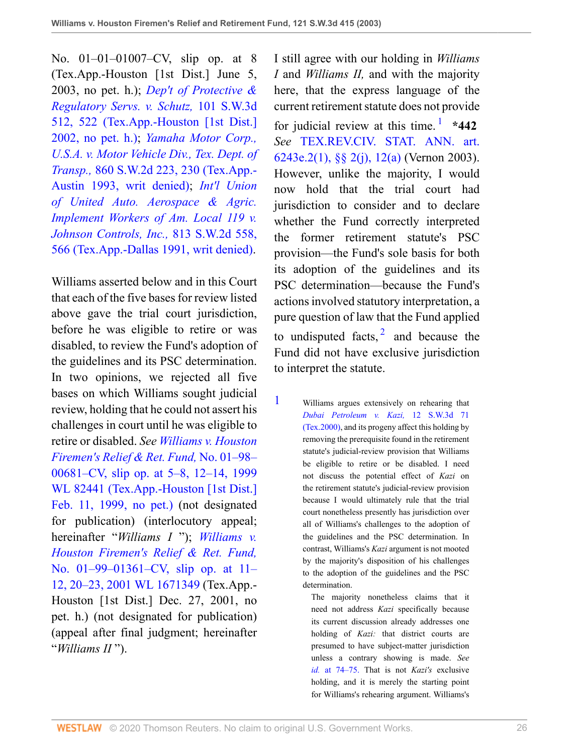No. 01–01–01007–CV, slip op. at 8 (Tex.App.-Houston [1st Dist.] June 5, 2003, no pet. h.); *[Dep't of Protective &](http://www.westlaw.com/Link/Document/FullText?findType=Y&serNum=2002789503&pubNum=0004644&originatingDoc=I8d0b46b0e7df11d99439b076ef9ec4de&refType=RP&fi=co_pp_sp_4644_522&originationContext=document&vr=3.0&rs=cblt1.0&transitionType=DocumentItem&contextData=(sc.UserEnteredCitation)#co_pp_sp_4644_522) [Regulatory Servs. v. Schutz,](http://www.westlaw.com/Link/Document/FullText?findType=Y&serNum=2002789503&pubNum=0004644&originatingDoc=I8d0b46b0e7df11d99439b076ef9ec4de&refType=RP&fi=co_pp_sp_4644_522&originationContext=document&vr=3.0&rs=cblt1.0&transitionType=DocumentItem&contextData=(sc.UserEnteredCitation)#co_pp_sp_4644_522)* 101 S.W.3d [512, 522 \(Tex.App.-Houston \[1st Dist.\]](http://www.westlaw.com/Link/Document/FullText?findType=Y&serNum=2002789503&pubNum=0004644&originatingDoc=I8d0b46b0e7df11d99439b076ef9ec4de&refType=RP&fi=co_pp_sp_4644_522&originationContext=document&vr=3.0&rs=cblt1.0&transitionType=DocumentItem&contextData=(sc.UserEnteredCitation)#co_pp_sp_4644_522) [2002, no pet. h.\)](http://www.westlaw.com/Link/Document/FullText?findType=Y&serNum=2002789503&pubNum=0004644&originatingDoc=I8d0b46b0e7df11d99439b076ef9ec4de&refType=RP&fi=co_pp_sp_4644_522&originationContext=document&vr=3.0&rs=cblt1.0&transitionType=DocumentItem&contextData=(sc.UserEnteredCitation)#co_pp_sp_4644_522); *[Yamaha Motor Corp.,](http://www.westlaw.com/Link/Document/FullText?findType=Y&serNum=1993159948&pubNum=0000713&originatingDoc=I8d0b46b0e7df11d99439b076ef9ec4de&refType=RP&fi=co_pp_sp_713_230&originationContext=document&vr=3.0&rs=cblt1.0&transitionType=DocumentItem&contextData=(sc.UserEnteredCitation)#co_pp_sp_713_230) [U.S.A. v. Motor Vehicle Div., Tex. Dept. of](http://www.westlaw.com/Link/Document/FullText?findType=Y&serNum=1993159948&pubNum=0000713&originatingDoc=I8d0b46b0e7df11d99439b076ef9ec4de&refType=RP&fi=co_pp_sp_713_230&originationContext=document&vr=3.0&rs=cblt1.0&transitionType=DocumentItem&contextData=(sc.UserEnteredCitation)#co_pp_sp_713_230) Transp.,* [860 S.W.2d 223, 230 \(Tex.App.-](http://www.westlaw.com/Link/Document/FullText?findType=Y&serNum=1993159948&pubNum=0000713&originatingDoc=I8d0b46b0e7df11d99439b076ef9ec4de&refType=RP&fi=co_pp_sp_713_230&originationContext=document&vr=3.0&rs=cblt1.0&transitionType=DocumentItem&contextData=(sc.UserEnteredCitation)#co_pp_sp_713_230) [Austin 1993, writ denied\);](http://www.westlaw.com/Link/Document/FullText?findType=Y&serNum=1993159948&pubNum=0000713&originatingDoc=I8d0b46b0e7df11d99439b076ef9ec4de&refType=RP&fi=co_pp_sp_713_230&originationContext=document&vr=3.0&rs=cblt1.0&transitionType=DocumentItem&contextData=(sc.UserEnteredCitation)#co_pp_sp_713_230) *[Int'l Union](http://www.westlaw.com/Link/Document/FullText?findType=Y&serNum=1991110109&pubNum=0000713&originatingDoc=I8d0b46b0e7df11d99439b076ef9ec4de&refType=RP&fi=co_pp_sp_713_566&originationContext=document&vr=3.0&rs=cblt1.0&transitionType=DocumentItem&contextData=(sc.UserEnteredCitation)#co_pp_sp_713_566) [of United Auto. Aerospace & Agric.](http://www.westlaw.com/Link/Document/FullText?findType=Y&serNum=1991110109&pubNum=0000713&originatingDoc=I8d0b46b0e7df11d99439b076ef9ec4de&refType=RP&fi=co_pp_sp_713_566&originationContext=document&vr=3.0&rs=cblt1.0&transitionType=DocumentItem&contextData=(sc.UserEnteredCitation)#co_pp_sp_713_566) [Implement Workers of Am. Local 119 v.](http://www.westlaw.com/Link/Document/FullText?findType=Y&serNum=1991110109&pubNum=0000713&originatingDoc=I8d0b46b0e7df11d99439b076ef9ec4de&refType=RP&fi=co_pp_sp_713_566&originationContext=document&vr=3.0&rs=cblt1.0&transitionType=DocumentItem&contextData=(sc.UserEnteredCitation)#co_pp_sp_713_566) [Johnson Controls, Inc.,](http://www.westlaw.com/Link/Document/FullText?findType=Y&serNum=1991110109&pubNum=0000713&originatingDoc=I8d0b46b0e7df11d99439b076ef9ec4de&refType=RP&fi=co_pp_sp_713_566&originationContext=document&vr=3.0&rs=cblt1.0&transitionType=DocumentItem&contextData=(sc.UserEnteredCitation)#co_pp_sp_713_566)* 813 S.W.2d 558, [566 \(Tex.App.-Dallas 1991, writ denied\).](http://www.westlaw.com/Link/Document/FullText?findType=Y&serNum=1991110109&pubNum=0000713&originatingDoc=I8d0b46b0e7df11d99439b076ef9ec4de&refType=RP&fi=co_pp_sp_713_566&originationContext=document&vr=3.0&rs=cblt1.0&transitionType=DocumentItem&contextData=(sc.UserEnteredCitation)#co_pp_sp_713_566)

Williams asserted below and in this Court that each of the five bases for review listed above gave the trial court jurisdiction, before he was eligible to retire or was disabled, to review the Fund's adoption of the guidelines and its PSC determination. In two opinions, we rejected all five bases on which Williams sought judicial review, holding that he could not assert his challenges in court until he was eligible to retire or disabled. *See [Williams v. Houston](http://www.westlaw.com/Link/Document/FullText?findType=Y&serNum=1999061264&pubNum=0000999&originatingDoc=I8d0b46b0e7df11d99439b076ef9ec4de&refType=RP&originationContext=document&vr=3.0&rs=cblt1.0&transitionType=DocumentItem&contextData=(sc.UserEnteredCitation)) [Firemen's Relief & Ret. Fund,](http://www.westlaw.com/Link/Document/FullText?findType=Y&serNum=1999061264&pubNum=0000999&originatingDoc=I8d0b46b0e7df11d99439b076ef9ec4de&refType=RP&originationContext=document&vr=3.0&rs=cblt1.0&transitionType=DocumentItem&contextData=(sc.UserEnteredCitation))* No. 01–98– [00681–CV, slip op. at 5–8, 12–14, 1999](http://www.westlaw.com/Link/Document/FullText?findType=Y&serNum=1999061264&pubNum=0000999&originatingDoc=I8d0b46b0e7df11d99439b076ef9ec4de&refType=RP&originationContext=document&vr=3.0&rs=cblt1.0&transitionType=DocumentItem&contextData=(sc.UserEnteredCitation)) [WL 82441 \(Tex.App.-Houston \[1st Dist.\]](http://www.westlaw.com/Link/Document/FullText?findType=Y&serNum=1999061264&pubNum=0000999&originatingDoc=I8d0b46b0e7df11d99439b076ef9ec4de&refType=RP&originationContext=document&vr=3.0&rs=cblt1.0&transitionType=DocumentItem&contextData=(sc.UserEnteredCitation)) [Feb. 11, 1999, no pet.\)](http://www.westlaw.com/Link/Document/FullText?findType=Y&serNum=1999061264&pubNum=0000999&originatingDoc=I8d0b46b0e7df11d99439b076ef9ec4de&refType=RP&originationContext=document&vr=3.0&rs=cblt1.0&transitionType=DocumentItem&contextData=(sc.UserEnteredCitation)) (not designated for publication) (interlocutory appeal; hereinafter "*Williams I* "); *[Williams v.](http://www.westlaw.com/Link/Document/FullText?findType=Y&serNum=2002038490&pubNum=0000999&originatingDoc=I8d0b46b0e7df11d99439b076ef9ec4de&refType=RP&originationContext=document&vr=3.0&rs=cblt1.0&transitionType=DocumentItem&contextData=(sc.UserEnteredCitation)) [Houston Firemen's Relief & Ret. Fund,](http://www.westlaw.com/Link/Document/FullText?findType=Y&serNum=2002038490&pubNum=0000999&originatingDoc=I8d0b46b0e7df11d99439b076ef9ec4de&refType=RP&originationContext=document&vr=3.0&rs=cblt1.0&transitionType=DocumentItem&contextData=(sc.UserEnteredCitation))* [No. 01–99–01361–CV, slip op. at 11–](http://www.westlaw.com/Link/Document/FullText?findType=Y&serNum=2002038490&pubNum=0000999&originatingDoc=I8d0b46b0e7df11d99439b076ef9ec4de&refType=RP&originationContext=document&vr=3.0&rs=cblt1.0&transitionType=DocumentItem&contextData=(sc.UserEnteredCitation)) [12, 20–23, 2001 WL 1671349](http://www.westlaw.com/Link/Document/FullText?findType=Y&serNum=2002038490&pubNum=0000999&originatingDoc=I8d0b46b0e7df11d99439b076ef9ec4de&refType=RP&originationContext=document&vr=3.0&rs=cblt1.0&transitionType=DocumentItem&contextData=(sc.UserEnteredCitation)) (Tex.App.- Houston [1st Dist.] Dec. 27, 2001, no pet. h.) (not designated for publication) (appeal after final judgment; hereinafter "*Williams II* ").

<span id="page-25-1"></span>I still agree with our holding in *Williams I* and *Williams II,* and with the majority here, that the express language of the current retirement statute does not provide for judicial review at this time.<sup>[1](#page-25-0)</sup> \*442 *See* [TEX.REV.CIV. STAT. ANN. art.](http://www.westlaw.com/Link/Document/FullText?findType=L&pubNum=1000301&cite=TXCSART6243E.2&originatingDoc=I8d0b46b0e7df11d99439b076ef9ec4de&refType=LQ&originationContext=document&vr=3.0&rs=cblt1.0&transitionType=DocumentItem&contextData=(sc.UserEnteredCitation)) [6243e.2\(1\), §§ 2\(j\), 12\(a\)](http://www.westlaw.com/Link/Document/FullText?findType=L&pubNum=1000301&cite=TXCSART6243E.2&originatingDoc=I8d0b46b0e7df11d99439b076ef9ec4de&refType=LQ&originationContext=document&vr=3.0&rs=cblt1.0&transitionType=DocumentItem&contextData=(sc.UserEnteredCitation)) (Vernon 2003). However, unlike the majority, I would now hold that the trial court had jurisdiction to consider and to declare whether the Fund correctly interpreted the former retirement statute's PSC provision—the Fund's sole basis for both its adoption of the guidelines and its PSC determination—because the Fund's actions involved statutory interpretation, a pure question of law that the Fund applied to undisputed facts,  $\frac{2}{3}$  $\frac{2}{3}$  $\frac{2}{3}$  and because the Fund did not have exclusive jurisdiction to interpret the statute.

<span id="page-25-2"></span><span id="page-25-0"></span>[1](#page-25-1) Williams argues extensively on rehearing that *[Dubai Petroleum v. Kazi,](http://www.westlaw.com/Link/Document/FullText?findType=Y&serNum=2000051427&pubNum=0004644&originatingDoc=I8d0b46b0e7df11d99439b076ef9ec4de&refType=RP&originationContext=document&vr=3.0&rs=cblt1.0&transitionType=DocumentItem&contextData=(sc.UserEnteredCitation))* 12 S.W.3d 71 [\(Tex.2000\),](http://www.westlaw.com/Link/Document/FullText?findType=Y&serNum=2000051427&pubNum=0004644&originatingDoc=I8d0b46b0e7df11d99439b076ef9ec4de&refType=RP&originationContext=document&vr=3.0&rs=cblt1.0&transitionType=DocumentItem&contextData=(sc.UserEnteredCitation)) and its progeny affect this holding by removing the prerequisite found in the retirement statute's judicial-review provision that Williams be eligible to retire or be disabled. I need not discuss the potential effect of *Kazi* on the retirement statute's judicial-review provision because I would ultimately rule that the trial court nonetheless presently has jurisdiction over all of Williams's challenges to the adoption of the guidelines and the PSC determination. In contrast, Williams's *Kazi* argument is not mooted by the majority's disposition of his challenges to the adoption of the guidelines and the PSC determination.

> The majority nonetheless claims that it need not address *Kazi* specifically because its current discussion already addresses one holding of *Kazi:* that district courts are presumed to have subject-matter jurisdiction unless a contrary showing is made. *See id.* [at 74–75.](http://www.westlaw.com/Link/Document/FullText?findType=Y&serNum=2000051427&originatingDoc=I8d0b46b0e7df11d99439b076ef9ec4de&refType=RP&originationContext=document&vr=3.0&rs=cblt1.0&transitionType=DocumentItem&contextData=(sc.UserEnteredCitation)) That is not *Kazi's* exclusive holding, and it is merely the starting point for Williams's rehearing argument. Williams's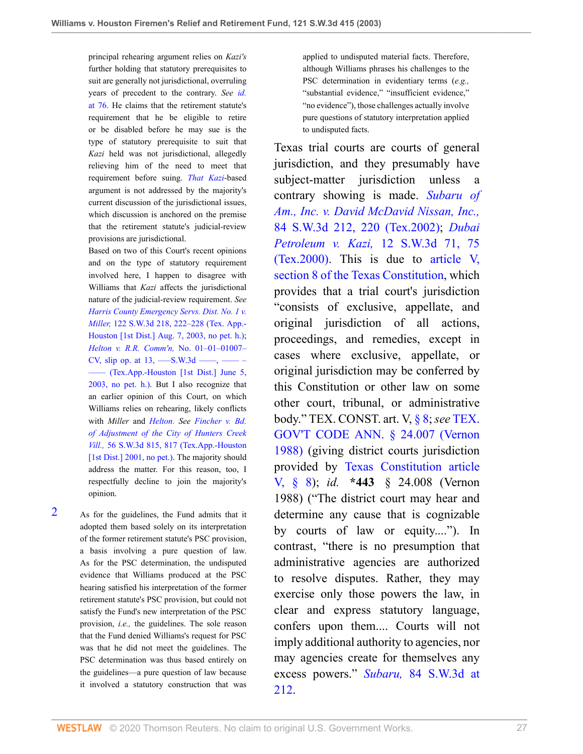principal rehearing argument relies on *Kazi's* further holding that statutory prerequisites to suit are generally not jurisdictional, overruling years of precedent to the contrary. *See [id.](http://www.westlaw.com/Link/Document/FullText?findType=Y&serNum=2000051427&originatingDoc=I8d0b46b0e7df11d99439b076ef9ec4de&refType=RP&originationContext=document&vr=3.0&rs=cblt1.0&transitionType=DocumentItem&contextData=(sc.UserEnteredCitation))* [at 76.](http://www.westlaw.com/Link/Document/FullText?findType=Y&serNum=2000051427&originatingDoc=I8d0b46b0e7df11d99439b076ef9ec4de&refType=RP&originationContext=document&vr=3.0&rs=cblt1.0&transitionType=DocumentItem&contextData=(sc.UserEnteredCitation)) He claims that the retirement statute's requirement that he be eligible to retire or be disabled before he may sue is the type of statutory prerequisite to suit that *Kazi* held was not jurisdictional, allegedly relieving him of the need to meet that requirement before suing. *[That Kazi](http://www.westlaw.com/Link/Document/FullText?findType=Y&serNum=2000051427&originatingDoc=I8d0b46b0e7df11d99439b076ef9ec4de&refType=RP&originationContext=document&vr=3.0&rs=cblt1.0&transitionType=DocumentItem&contextData=(sc.UserEnteredCitation))*-based argument is not addressed by the majority's current discussion of the jurisdictional issues, which discussion is anchored on the premise that the retirement statute's judicial-review provisions are jurisdictional.

Based on two of this Court's recent opinions and on the type of statutory requirement involved here, I happen to disagree with Williams that *Kazi* affects the jurisdictional nature of the judicial-review requirement. *See [Harris County Emergency Servs. Dist. No. 1 v.](http://www.westlaw.com/Link/Document/FullText?findType=Y&serNum=2003545508&pubNum=0004644&originatingDoc=I8d0b46b0e7df11d99439b076ef9ec4de&refType=RP&fi=co_pp_sp_4644_222&originationContext=document&vr=3.0&rs=cblt1.0&transitionType=DocumentItem&contextData=(sc.UserEnteredCitation)#co_pp_sp_4644_222) Miller,* [122 S.W.3d 218, 222–228 \(Tex. App.-](http://www.westlaw.com/Link/Document/FullText?findType=Y&serNum=2003545508&pubNum=0004644&originatingDoc=I8d0b46b0e7df11d99439b076ef9ec4de&refType=RP&fi=co_pp_sp_4644_222&originationContext=document&vr=3.0&rs=cblt1.0&transitionType=DocumentItem&contextData=(sc.UserEnteredCitation)#co_pp_sp_4644_222) [Houston \[1st Dist.\] Aug. 7, 2003, no pet. h.\);](http://www.westlaw.com/Link/Document/FullText?findType=Y&serNum=2003545508&pubNum=0004644&originatingDoc=I8d0b46b0e7df11d99439b076ef9ec4de&refType=RP&fi=co_pp_sp_4644_222&originationContext=document&vr=3.0&rs=cblt1.0&transitionType=DocumentItem&contextData=(sc.UserEnteredCitation)#co_pp_sp_4644_222) *[Helton v. R.R. Comm'n,](http://www.westlaw.com/Link/Document/FullText?findType=Y&serNum=2003401754&originatingDoc=I8d0b46b0e7df11d99439b076ef9ec4de&refType=RP&originationContext=document&vr=3.0&rs=cblt1.0&transitionType=DocumentItem&contextData=(sc.UserEnteredCitation))* No. 01–01–01007– CV, slip op. at  $13,$  —–S.W.3d —–, —– [–––– \(Tex.App.-Houston \[1st Dist.\] June 5,](http://www.westlaw.com/Link/Document/FullText?findType=Y&serNum=2003401754&originatingDoc=I8d0b46b0e7df11d99439b076ef9ec4de&refType=RP&originationContext=document&vr=3.0&rs=cblt1.0&transitionType=DocumentItem&contextData=(sc.UserEnteredCitation)) [2003, no pet. h.\)](http://www.westlaw.com/Link/Document/FullText?findType=Y&serNum=2003401754&originatingDoc=I8d0b46b0e7df11d99439b076ef9ec4de&refType=RP&originationContext=document&vr=3.0&rs=cblt1.0&transitionType=DocumentItem&contextData=(sc.UserEnteredCitation)). But I also recognize that an earlier opinion of this Court, on which Williams relies on rehearing, likely conflicts with *Miller* and *[Helton.](http://www.westlaw.com/Link/Document/FullText?findType=Y&serNum=2003401754&originatingDoc=I8d0b46b0e7df11d99439b076ef9ec4de&refType=RP&originationContext=document&vr=3.0&rs=cblt1.0&transitionType=DocumentItem&contextData=(sc.UserEnteredCitation)) See [Fincher v. Bd.](http://www.westlaw.com/Link/Document/FullText?findType=Y&serNum=2001749917&pubNum=0004644&originatingDoc=I8d0b46b0e7df11d99439b076ef9ec4de&refType=RP&fi=co_pp_sp_4644_817&originationContext=document&vr=3.0&rs=cblt1.0&transitionType=DocumentItem&contextData=(sc.UserEnteredCitation)#co_pp_sp_4644_817) [of Adjustment of the City of Hunters Creek](http://www.westlaw.com/Link/Document/FullText?findType=Y&serNum=2001749917&pubNum=0004644&originatingDoc=I8d0b46b0e7df11d99439b076ef9ec4de&refType=RP&fi=co_pp_sp_4644_817&originationContext=document&vr=3.0&rs=cblt1.0&transitionType=DocumentItem&contextData=(sc.UserEnteredCitation)#co_pp_sp_4644_817) Vill.,* [56 S.W.3d 815, 817 \(Tex.App.-Houston](http://www.westlaw.com/Link/Document/FullText?findType=Y&serNum=2001749917&pubNum=0004644&originatingDoc=I8d0b46b0e7df11d99439b076ef9ec4de&refType=RP&fi=co_pp_sp_4644_817&originationContext=document&vr=3.0&rs=cblt1.0&transitionType=DocumentItem&contextData=(sc.UserEnteredCitation)#co_pp_sp_4644_817) [\[1st Dist.\] 2001, no pet.\)](http://www.westlaw.com/Link/Document/FullText?findType=Y&serNum=2001749917&pubNum=0004644&originatingDoc=I8d0b46b0e7df11d99439b076ef9ec4de&refType=RP&fi=co_pp_sp_4644_817&originationContext=document&vr=3.0&rs=cblt1.0&transitionType=DocumentItem&contextData=(sc.UserEnteredCitation)#co_pp_sp_4644_817). The majority should address the matter. For this reason, too, I respectfully decline to join the majority's opinion.

<span id="page-26-0"></span>[2](#page-25-2) As for the guidelines, the Fund admits that it adopted them based solely on its interpretation of the former retirement statute's PSC provision, a basis involving a pure question of law. As for the PSC determination, the undisputed evidence that Williams produced at the PSC hearing satisfied his interpretation of the former retirement statute's PSC provision, but could not satisfy the Fund's new interpretation of the PSC provision, *i.e.,* the guidelines. The sole reason that the Fund denied Williams's request for PSC was that he did not meet the guidelines. The PSC determination was thus based entirely on the guidelines—a pure question of law because it involved a statutory construction that was applied to undisputed material facts. Therefore, although Williams phrases his challenges to the PSC determination in evidentiary terms (*e.g.,* "substantial evidence," "insufficient evidence," "no evidence"), those challenges actually involve pure questions of statutory interpretation applied to undisputed facts.

Texas trial courts are courts of general jurisdiction, and they presumably have subject-matter jurisdiction unless a contrary showing is made. *[Subaru of](http://www.westlaw.com/Link/Document/FullText?findType=Y&serNum=2002399333&pubNum=0004644&originatingDoc=I8d0b46b0e7df11d99439b076ef9ec4de&refType=RP&fi=co_pp_sp_4644_220&originationContext=document&vr=3.0&rs=cblt1.0&transitionType=DocumentItem&contextData=(sc.UserEnteredCitation)#co_pp_sp_4644_220) [Am., Inc. v. David McDavid Nissan, Inc.,](http://www.westlaw.com/Link/Document/FullText?findType=Y&serNum=2002399333&pubNum=0004644&originatingDoc=I8d0b46b0e7df11d99439b076ef9ec4de&refType=RP&fi=co_pp_sp_4644_220&originationContext=document&vr=3.0&rs=cblt1.0&transitionType=DocumentItem&contextData=(sc.UserEnteredCitation)#co_pp_sp_4644_220)* [84 S.W.3d 212, 220 \(Tex.2002\);](http://www.westlaw.com/Link/Document/FullText?findType=Y&serNum=2002399333&pubNum=0004644&originatingDoc=I8d0b46b0e7df11d99439b076ef9ec4de&refType=RP&fi=co_pp_sp_4644_220&originationContext=document&vr=3.0&rs=cblt1.0&transitionType=DocumentItem&contextData=(sc.UserEnteredCitation)#co_pp_sp_4644_220) *[Dubai](http://www.westlaw.com/Link/Document/FullText?findType=Y&serNum=2000051427&pubNum=0004644&originatingDoc=I8d0b46b0e7df11d99439b076ef9ec4de&refType=RP&fi=co_pp_sp_4644_75&originationContext=document&vr=3.0&rs=cblt1.0&transitionType=DocumentItem&contextData=(sc.UserEnteredCitation)#co_pp_sp_4644_75) Petroleum v. Kazi,* [12 S.W.3d 71, 75](http://www.westlaw.com/Link/Document/FullText?findType=Y&serNum=2000051427&pubNum=0004644&originatingDoc=I8d0b46b0e7df11d99439b076ef9ec4de&refType=RP&fi=co_pp_sp_4644_75&originationContext=document&vr=3.0&rs=cblt1.0&transitionType=DocumentItem&contextData=(sc.UserEnteredCitation)#co_pp_sp_4644_75) [\(Tex.2000\)](http://www.westlaw.com/Link/Document/FullText?findType=Y&serNum=2000051427&pubNum=0004644&originatingDoc=I8d0b46b0e7df11d99439b076ef9ec4de&refType=RP&fi=co_pp_sp_4644_75&originationContext=document&vr=3.0&rs=cblt1.0&transitionType=DocumentItem&contextData=(sc.UserEnteredCitation)#co_pp_sp_4644_75). This is due to [article V,](http://www.westlaw.com/Link/Document/FullText?findType=L&pubNum=1000301&cite=TXCNART5S8&originatingDoc=I8d0b46b0e7df11d99439b076ef9ec4de&refType=LQ&originationContext=document&vr=3.0&rs=cblt1.0&transitionType=DocumentItem&contextData=(sc.UserEnteredCitation)) [section 8 of the Texas Constitution](http://www.westlaw.com/Link/Document/FullText?findType=L&pubNum=1000301&cite=TXCNART5S8&originatingDoc=I8d0b46b0e7df11d99439b076ef9ec4de&refType=LQ&originationContext=document&vr=3.0&rs=cblt1.0&transitionType=DocumentItem&contextData=(sc.UserEnteredCitation)), which provides that a trial court's jurisdiction "consists of exclusive, appellate, and original jurisdiction of all actions, proceedings, and remedies, except in cases where exclusive, appellate, or original jurisdiction may be conferred by this Constitution or other law on some other court, tribunal, or administrative body." TEX. CONST. art. V, [§ 8;](http://www.westlaw.com/Link/Document/FullText?findType=L&pubNum=1000301&cite=TXCNART5S8&originatingDoc=I8d0b46b0e7df11d99439b076ef9ec4de&refType=LQ&originationContext=document&vr=3.0&rs=cblt1.0&transitionType=DocumentItem&contextData=(sc.UserEnteredCitation)) *see* [TEX.](http://www.westlaw.com/Link/Document/FullText?findType=L&pubNum=1000176&cite=TXGTS24.007&originatingDoc=I8d0b46b0e7df11d99439b076ef9ec4de&refType=LQ&originationContext=document&vr=3.0&rs=cblt1.0&transitionType=DocumentItem&contextData=(sc.UserEnteredCitation)) [GOV'T CODE ANN. § 24.007 \(Vernon](http://www.westlaw.com/Link/Document/FullText?findType=L&pubNum=1000176&cite=TXGTS24.007&originatingDoc=I8d0b46b0e7df11d99439b076ef9ec4de&refType=LQ&originationContext=document&vr=3.0&rs=cblt1.0&transitionType=DocumentItem&contextData=(sc.UserEnteredCitation)) [1988\)](http://www.westlaw.com/Link/Document/FullText?findType=L&pubNum=1000176&cite=TXGTS24.007&originatingDoc=I8d0b46b0e7df11d99439b076ef9ec4de&refType=LQ&originationContext=document&vr=3.0&rs=cblt1.0&transitionType=DocumentItem&contextData=(sc.UserEnteredCitation)) (giving district courts jurisdiction provided by [Texas Constitution article](http://www.westlaw.com/Link/Document/FullText?findType=L&pubNum=1000301&cite=TXCNART5S8&originatingDoc=I8d0b46b0e7df11d99439b076ef9ec4de&refType=LQ&originationContext=document&vr=3.0&rs=cblt1.0&transitionType=DocumentItem&contextData=(sc.UserEnteredCitation)) [V, § 8\)](http://www.westlaw.com/Link/Document/FullText?findType=L&pubNum=1000301&cite=TXCNART5S8&originatingDoc=I8d0b46b0e7df11d99439b076ef9ec4de&refType=LQ&originationContext=document&vr=3.0&rs=cblt1.0&transitionType=DocumentItem&contextData=(sc.UserEnteredCitation)); *id.* **\*443** § 24.008 (Vernon 1988) ("The district court may hear and determine any cause that is cognizable by courts of law or equity...."). In contrast, "there is no presumption that administrative agencies are authorized to resolve disputes. Rather, they may exercise only those powers the law, in clear and express statutory language, confers upon them.... Courts will not imply additional authority to agencies, nor may agencies create for themselves any excess powers." *Subaru,* [84 S.W.3d at](http://www.westlaw.com/Link/Document/FullText?findType=Y&serNum=2002399333&pubNum=0004644&originatingDoc=I8d0b46b0e7df11d99439b076ef9ec4de&refType=RP&fi=co_pp_sp_4644_212&originationContext=document&vr=3.0&rs=cblt1.0&transitionType=DocumentItem&contextData=(sc.UserEnteredCitation)#co_pp_sp_4644_212) [212.](http://www.westlaw.com/Link/Document/FullText?findType=Y&serNum=2002399333&pubNum=0004644&originatingDoc=I8d0b46b0e7df11d99439b076ef9ec4de&refType=RP&fi=co_pp_sp_4644_212&originationContext=document&vr=3.0&rs=cblt1.0&transitionType=DocumentItem&contextData=(sc.UserEnteredCitation)#co_pp_sp_4644_212)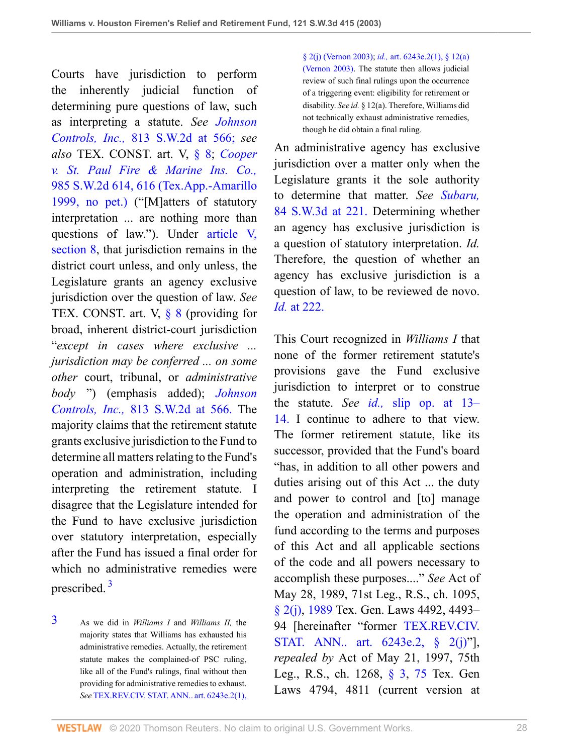Courts have jurisdiction to perform the inherently judicial function of determining pure questions of law, such as interpreting a statute. *See [Johnson](http://www.westlaw.com/Link/Document/FullText?findType=Y&serNum=1991110109&pubNum=713&originatingDoc=I8d0b46b0e7df11d99439b076ef9ec4de&refType=RP&fi=co_pp_sp_713_566&originationContext=document&vr=3.0&rs=cblt1.0&transitionType=DocumentItem&contextData=(sc.UserEnteredCitation)#co_pp_sp_713_566) Controls, Inc.,* [813 S.W.2d at 566;](http://www.westlaw.com/Link/Document/FullText?findType=Y&serNum=1991110109&pubNum=713&originatingDoc=I8d0b46b0e7df11d99439b076ef9ec4de&refType=RP&fi=co_pp_sp_713_566&originationContext=document&vr=3.0&rs=cblt1.0&transitionType=DocumentItem&contextData=(sc.UserEnteredCitation)#co_pp_sp_713_566) *see also* TEX. CONST. art. V, [§ 8](http://www.westlaw.com/Link/Document/FullText?findType=L&pubNum=1000301&cite=TXCNART5S8&originatingDoc=I8d0b46b0e7df11d99439b076ef9ec4de&refType=LQ&originationContext=document&vr=3.0&rs=cblt1.0&transitionType=DocumentItem&contextData=(sc.UserEnteredCitation)); *[Cooper](http://www.westlaw.com/Link/Document/FullText?findType=Y&serNum=1999030267&pubNum=0000713&originatingDoc=I8d0b46b0e7df11d99439b076ef9ec4de&refType=RP&fi=co_pp_sp_713_616&originationContext=document&vr=3.0&rs=cblt1.0&transitionType=DocumentItem&contextData=(sc.UserEnteredCitation)#co_pp_sp_713_616) [v. St. Paul Fire & Marine Ins. Co.,](http://www.westlaw.com/Link/Document/FullText?findType=Y&serNum=1999030267&pubNum=0000713&originatingDoc=I8d0b46b0e7df11d99439b076ef9ec4de&refType=RP&fi=co_pp_sp_713_616&originationContext=document&vr=3.0&rs=cblt1.0&transitionType=DocumentItem&contextData=(sc.UserEnteredCitation)#co_pp_sp_713_616)* [985 S.W.2d 614, 616 \(Tex.App.-Amarillo](http://www.westlaw.com/Link/Document/FullText?findType=Y&serNum=1999030267&pubNum=0000713&originatingDoc=I8d0b46b0e7df11d99439b076ef9ec4de&refType=RP&fi=co_pp_sp_713_616&originationContext=document&vr=3.0&rs=cblt1.0&transitionType=DocumentItem&contextData=(sc.UserEnteredCitation)#co_pp_sp_713_616) [1999, no pet.\)](http://www.westlaw.com/Link/Document/FullText?findType=Y&serNum=1999030267&pubNum=0000713&originatingDoc=I8d0b46b0e7df11d99439b076ef9ec4de&refType=RP&fi=co_pp_sp_713_616&originationContext=document&vr=3.0&rs=cblt1.0&transitionType=DocumentItem&contextData=(sc.UserEnteredCitation)#co_pp_sp_713_616) ("[M]atters of statutory interpretation ... are nothing more than questions of law."). Under [article V,](http://www.westlaw.com/Link/Document/FullText?findType=L&pubNum=1000171&cite=TXCNART5S8&originatingDoc=I8d0b46b0e7df11d99439b076ef9ec4de&refType=LQ&originationContext=document&vr=3.0&rs=cblt1.0&transitionType=DocumentItem&contextData=(sc.UserEnteredCitation)) [section 8](http://www.westlaw.com/Link/Document/FullText?findType=L&pubNum=1000171&cite=TXCNART5S8&originatingDoc=I8d0b46b0e7df11d99439b076ef9ec4de&refType=LQ&originationContext=document&vr=3.0&rs=cblt1.0&transitionType=DocumentItem&contextData=(sc.UserEnteredCitation)), that jurisdiction remains in the district court unless, and only unless, the Legislature grants an agency exclusive jurisdiction over the question of law. *See* TEX. CONST. art. V,  $\S$  8 (providing for broad, inherent district-court jurisdiction "*except in cases where exclusive ... jurisdiction may be conferred ... on some other* court, tribunal, or *administrative body* ") (emphasis added); *[Johnson](http://www.westlaw.com/Link/Document/FullText?findType=Y&serNum=1991110109&pubNum=713&originatingDoc=I8d0b46b0e7df11d99439b076ef9ec4de&refType=RP&fi=co_pp_sp_713_566&originationContext=document&vr=3.0&rs=cblt1.0&transitionType=DocumentItem&contextData=(sc.UserEnteredCitation)#co_pp_sp_713_566) Controls, Inc.,* [813 S.W.2d at 566.](http://www.westlaw.com/Link/Document/FullText?findType=Y&serNum=1991110109&pubNum=713&originatingDoc=I8d0b46b0e7df11d99439b076ef9ec4de&refType=RP&fi=co_pp_sp_713_566&originationContext=document&vr=3.0&rs=cblt1.0&transitionType=DocumentItem&contextData=(sc.UserEnteredCitation)#co_pp_sp_713_566) The majority claims that the retirement statute grants exclusive jurisdiction to the Fund to determine all matters relating to the Fund's operation and administration, including interpreting the retirement statute. I disagree that the Legislature intended for the Fund to have exclusive jurisdiction over statutory interpretation, especially after the Fund has issued a final order for which no administrative remedies were prescribed. [3](#page-27-0)

<span id="page-27-1"></span><span id="page-27-0"></span>[3](#page-27-1) As we did in *Williams I* and *Williams II,* the majority states that Williams has exhausted his administrative remedies. Actually, the retirement statute makes the complained-of PSC ruling, like all of the Fund's rulings, final without then providing for administrative remedies to exhaust. *See* [TEX.REV.CIV. STAT. ANN.. art. 6243e.2\(1\),](http://www.westlaw.com/Link/Document/FullText?findType=L&pubNum=1000188&cite=TXCSART6243E.2(1)&originatingDoc=I8d0b46b0e7df11d99439b076ef9ec4de&refType=LQ&originationContext=document&vr=3.0&rs=cblt1.0&transitionType=DocumentItem&contextData=(sc.UserEnteredCitation)) [§ 2\(j\) \(Vernon 2003\);](http://www.westlaw.com/Link/Document/FullText?findType=L&pubNum=1000188&cite=TXCSART6243E.2(1)&originatingDoc=I8d0b46b0e7df11d99439b076ef9ec4de&refType=LQ&originationContext=document&vr=3.0&rs=cblt1.0&transitionType=DocumentItem&contextData=(sc.UserEnteredCitation)) *id.,* [art. 6243e.2\(1\), § 12\(a\)](http://www.westlaw.com/Link/Document/FullText?findType=L&pubNum=1000188&cite=TXCSART6243E.2(1)&originatingDoc=I8d0b46b0e7df11d99439b076ef9ec4de&refType=LQ&originationContext=document&vr=3.0&rs=cblt1.0&transitionType=DocumentItem&contextData=(sc.UserEnteredCitation)) [\(Vernon 2003\)](http://www.westlaw.com/Link/Document/FullText?findType=L&pubNum=1000188&cite=TXCSART6243E.2(1)&originatingDoc=I8d0b46b0e7df11d99439b076ef9ec4de&refType=LQ&originationContext=document&vr=3.0&rs=cblt1.0&transitionType=DocumentItem&contextData=(sc.UserEnteredCitation)). The statute then allows judicial review of such final rulings upon the occurrence of a triggering event: eligibility for retirement or disability. *See id.* § 12(a). Therefore, Williams did not technically exhaust administrative remedies, though he did obtain a final ruling.

An administrative agency has exclusive jurisdiction over a matter only when the Legislature grants it the sole authority to determine that matter. *See [Subaru,](http://www.westlaw.com/Link/Document/FullText?findType=Y&serNum=2002399333&pubNum=4644&originatingDoc=I8d0b46b0e7df11d99439b076ef9ec4de&refType=RP&fi=co_pp_sp_4644_221&originationContext=document&vr=3.0&rs=cblt1.0&transitionType=DocumentItem&contextData=(sc.UserEnteredCitation)#co_pp_sp_4644_221)* [84 S.W.3d at 221.](http://www.westlaw.com/Link/Document/FullText?findType=Y&serNum=2002399333&pubNum=4644&originatingDoc=I8d0b46b0e7df11d99439b076ef9ec4de&refType=RP&fi=co_pp_sp_4644_221&originationContext=document&vr=3.0&rs=cblt1.0&transitionType=DocumentItem&contextData=(sc.UserEnteredCitation)#co_pp_sp_4644_221) Determining whether an agency has exclusive jurisdiction is a question of statutory interpretation. *Id.* Therefore, the question of whether an agency has exclusive jurisdiction is a question of law, to be reviewed de novo. *Id.* [at 222.](http://www.westlaw.com/Link/Document/FullText?findType=Y&serNum=2002399333&originatingDoc=I8d0b46b0e7df11d99439b076ef9ec4de&refType=RP&originationContext=document&vr=3.0&rs=cblt1.0&transitionType=DocumentItem&contextData=(sc.UserEnteredCitation))

This Court recognized in *Williams I* that none of the former retirement statute's provisions gave the Fund exclusive jurisdiction to interpret or to construe the statute. *See id.,* [slip op. at 13–](http://www.westlaw.com/Link/Document/FullText?findType=Y&serNum=1999061264&originatingDoc=I8d0b46b0e7df11d99439b076ef9ec4de&refType=RP&originationContext=document&vr=3.0&rs=cblt1.0&transitionType=DocumentItem&contextData=(sc.UserEnteredCitation)) [14.](http://www.westlaw.com/Link/Document/FullText?findType=Y&serNum=1999061264&originatingDoc=I8d0b46b0e7df11d99439b076ef9ec4de&refType=RP&originationContext=document&vr=3.0&rs=cblt1.0&transitionType=DocumentItem&contextData=(sc.UserEnteredCitation)) I continue to adhere to that view. The former retirement statute, like its successor, provided that the Fund's board "has, in addition to all other powers and duties arising out of this Act ... the duty and power to control and [to] manage the operation and administration of the fund according to the terms and purposes of this Act and all applicable sections of the code and all powers necessary to accomplish these purposes...." *See* Act of May 28, 1989, 71st Leg., R.S., ch. 1095, [§ 2\(j\),](http://www.westlaw.com/Link/Document/FullText?findType=L&pubNum=1000188&cite=TXCSART6243E.2(1)&originatingDoc=I8d0b46b0e7df11d99439b076ef9ec4de&refType=LQ&originationContext=document&vr=3.0&rs=cblt1.0&transitionType=DocumentItem&contextData=(sc.UserEnteredCitation)) [1989](http://www.westlaw.com/Link/Document/FullText?findType=L&pubNum=1000188&cite=TXCSART1989&originatingDoc=I8d0b46b0e7df11d99439b076ef9ec4de&refType=LQ&originationContext=document&vr=3.0&rs=cblt1.0&transitionType=DocumentItem&contextData=(sc.UserEnteredCitation)) Tex. Gen. Laws 4492, 4493– 94 [hereinafter "former [TEX.REV.CIV.](http://www.westlaw.com/Link/Document/FullText?findType=L&pubNum=1000188&cite=TXCSART6243E.2&originatingDoc=I8d0b46b0e7df11d99439b076ef9ec4de&refType=LQ&originationContext=document&vr=3.0&rs=cblt1.0&transitionType=DocumentItem&contextData=(sc.UserEnteredCitation)) [STAT. ANN.. art. 6243e.2, § 2\(j\)"](http://www.westlaw.com/Link/Document/FullText?findType=L&pubNum=1000188&cite=TXCSART6243E.2&originatingDoc=I8d0b46b0e7df11d99439b076ef9ec4de&refType=LQ&originationContext=document&vr=3.0&rs=cblt1.0&transitionType=DocumentItem&contextData=(sc.UserEnteredCitation))], *repealed by* Act of May 21, 1997, 75th Leg., R.S., ch. 1268, [§ 3,](http://www.westlaw.com/Link/Document/FullText?findType=L&pubNum=1000188&cite=TXCSART6243E.2(1)&originatingDoc=I8d0b46b0e7df11d99439b076ef9ec4de&refType=LQ&originationContext=document&vr=3.0&rs=cblt1.0&transitionType=DocumentItem&contextData=(sc.UserEnteredCitation)) [75](http://www.westlaw.com/Link/Document/FullText?findType=L&pubNum=1000188&cite=TXCSART6243E.2(1)&originatingDoc=I8d0b46b0e7df11d99439b076ef9ec4de&refType=LQ&originationContext=document&vr=3.0&rs=cblt1.0&transitionType=DocumentItem&contextData=(sc.UserEnteredCitation)) Tex. Gen Laws 4794, 4811 (current version at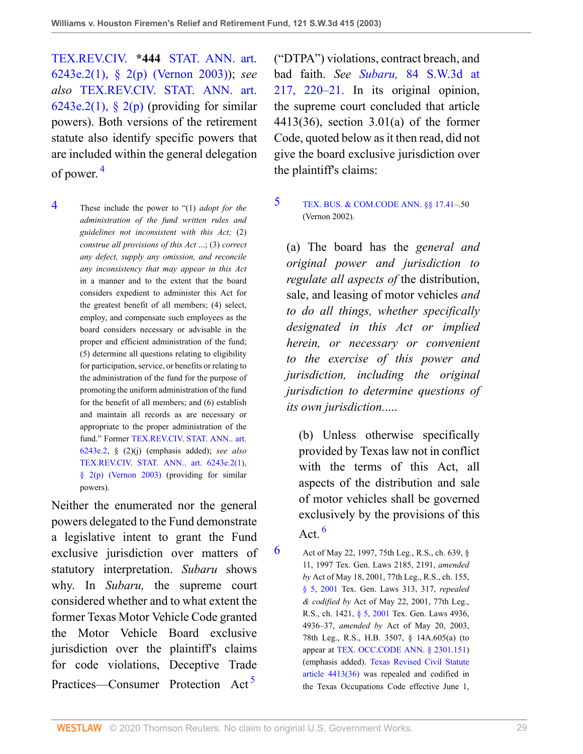TEX.REV.CIV. **\*444** [STAT. ANN. art.](http://www.westlaw.com/Link/Document/FullText?findType=L&pubNum=1000188&cite=TXCSART6243E.2(1)&originatingDoc=I8d0b46b0e7df11d99439b076ef9ec4de&refType=LQ&originationContext=document&vr=3.0&rs=cblt1.0&transitionType=DocumentItem&contextData=(sc.UserEnteredCitation)) [6243e.2\(1\), § 2\(p\) \(Vernon 2003\)](http://www.westlaw.com/Link/Document/FullText?findType=L&pubNum=1000188&cite=TXCSART6243E.2(1)&originatingDoc=I8d0b46b0e7df11d99439b076ef9ec4de&refType=LQ&originationContext=document&vr=3.0&rs=cblt1.0&transitionType=DocumentItem&contextData=(sc.UserEnteredCitation))); *see also* [TEX.REV.CIV. STAT. ANN. art.](http://www.westlaw.com/Link/Document/FullText?findType=L&pubNum=1000188&cite=TXCSART6243E.2(1)&originatingDoc=I8d0b46b0e7df11d99439b076ef9ec4de&refType=LQ&originationContext=document&vr=3.0&rs=cblt1.0&transitionType=DocumentItem&contextData=(sc.UserEnteredCitation))  $6243e.2(1)$ , § 2(p) (providing for similar powers). Both versions of the retirement statute also identify specific powers that are included within the general delegation of power. [4](#page-28-0)

<span id="page-28-1"></span><span id="page-28-0"></span>[4](#page-28-1) These include the power to "(1) *adopt for the administration of the fund written rules and guidelines not inconsistent with this Act;* (2) *construe all provisions of this Act* ...; (3) *correct any defect, supply any omission, and reconcile any inconsistency that may appear in this Act* in a manner and to the extent that the board considers expedient to administer this Act for the greatest benefit of all members; (4) select, employ, and compensate such employees as the board considers necessary or advisable in the proper and efficient administration of the fund; (5) determine all questions relating to eligibility for participation, service, or benefits or relating to the administration of the fund for the purpose of promoting the uniform administration of the fund for the benefit of all members; and (6) establish and maintain all records as are necessary or appropriate to the proper administration of the fund." Former [TEX.REV.CIV. STAT. ANN.. art.](http://www.westlaw.com/Link/Document/FullText?findType=L&pubNum=1000188&cite=TXCSART6243E.2&originatingDoc=I8d0b46b0e7df11d99439b076ef9ec4de&refType=LQ&originationContext=document&vr=3.0&rs=cblt1.0&transitionType=DocumentItem&contextData=(sc.UserEnteredCitation)) [6243e.2,](http://www.westlaw.com/Link/Document/FullText?findType=L&pubNum=1000188&cite=TXCSART6243E.2&originatingDoc=I8d0b46b0e7df11d99439b076ef9ec4de&refType=LQ&originationContext=document&vr=3.0&rs=cblt1.0&transitionType=DocumentItem&contextData=(sc.UserEnteredCitation)) § (2)(j) (emphasis added); *see also* [TEX.REV.CIV. STAT. ANN.. art. 6243e.2\(1\),](http://www.westlaw.com/Link/Document/FullText?findType=L&pubNum=1000188&cite=TXCSART6243E.2(1)&originatingDoc=I8d0b46b0e7df11d99439b076ef9ec4de&refType=LQ&originationContext=document&vr=3.0&rs=cblt1.0&transitionType=DocumentItem&contextData=(sc.UserEnteredCitation)) [§ 2\(p\) \(Vernon 2003\)](http://www.westlaw.com/Link/Document/FullText?findType=L&pubNum=1000188&cite=TXCSART6243E.2(1)&originatingDoc=I8d0b46b0e7df11d99439b076ef9ec4de&refType=LQ&originationContext=document&vr=3.0&rs=cblt1.0&transitionType=DocumentItem&contextData=(sc.UserEnteredCitation)) (providing for similar powers).

Neither the enumerated nor the general powers delegated to the Fund demonstrate a legislative intent to grant the Fund exclusive jurisdiction over matters of statutory interpretation. *Subaru* shows why. In *Subaru,* the supreme court considered whether and to what extent the former Texas Motor Vehicle Code granted the Motor Vehicle Board exclusive jurisdiction over the plaintiff's claims for code violations, Deceptive Trade Practices—Consumer Protection Act [5](#page-28-2)

("DTPA") violations, contract breach, and bad faith. *See Subaru,* [84 S.W.3d at](http://www.westlaw.com/Link/Document/FullText?findType=Y&serNum=2002399333&pubNum=4644&originatingDoc=I8d0b46b0e7df11d99439b076ef9ec4de&refType=RP&fi=co_pp_sp_4644_217&originationContext=document&vr=3.0&rs=cblt1.0&transitionType=DocumentItem&contextData=(sc.UserEnteredCitation)#co_pp_sp_4644_217) [217, 220–21.](http://www.westlaw.com/Link/Document/FullText?findType=Y&serNum=2002399333&pubNum=4644&originatingDoc=I8d0b46b0e7df11d99439b076ef9ec4de&refType=RP&fi=co_pp_sp_4644_217&originationContext=document&vr=3.0&rs=cblt1.0&transitionType=DocumentItem&contextData=(sc.UserEnteredCitation)#co_pp_sp_4644_217) In its original opinion, the supreme court concluded that article 4413(36), section 3.01(a) of the former Code, quoted below as it then read, did not give the board exclusive jurisdiction over the plaintiff's claims:

#### <span id="page-28-2"></span>[5](#page-28-3) [TEX. BUS. & COM.CODE ANN. §§ 17.41](http://www.westlaw.com/Link/Document/FullText?findType=L&pubNum=1000168&cite=TXBCS17.41&originatingDoc=I8d0b46b0e7df11d99439b076ef9ec4de&refType=LQ&originationContext=document&vr=3.0&rs=cblt1.0&transitionType=DocumentItem&contextData=(sc.UserEnteredCitation))–.50 (Vernon 2002).

(a) The board has the *general and original power and jurisdiction to regulate all aspects of* the distribution, sale, and leasing of motor vehicles *and to do all things, whether specifically designated in this Act or implied herein, or necessary or convenient to the exercise of this power and jurisdiction, including the original jurisdiction to determine questions of its own jurisdiction.*....

(b) Unless otherwise specifically provided by Texas law not in conflict with the terms of this Act, all aspects of the distribution and sale of motor vehicles shall be governed exclusively by the provisions of this Act. [6](#page-28-4)

<span id="page-28-5"></span><span id="page-28-4"></span><span id="page-28-3"></span>[6](#page-28-5) Act of May 22, 1997, 75th Leg., R.S., ch. 639,  $\S$ 11, 1997 Tex. Gen. Laws 2185, 2191, *amended by* Act of May 18, 2001, 77th Leg., R.S., ch. 155, [§ 5,](http://www.westlaw.com/Link/Document/FullText?findType=L&pubNum=1000188&cite=TXCSART6243E.2(1)&originatingDoc=I8d0b46b0e7df11d99439b076ef9ec4de&refType=LQ&originationContext=document&vr=3.0&rs=cblt1.0&transitionType=DocumentItem&contextData=(sc.UserEnteredCitation)) [2001](http://www.westlaw.com/Link/Document/FullText?findType=L&pubNum=1000188&cite=TXCSART2001&originatingDoc=I8d0b46b0e7df11d99439b076ef9ec4de&refType=LQ&originationContext=document&vr=3.0&rs=cblt1.0&transitionType=DocumentItem&contextData=(sc.UserEnteredCitation)) Tex. Gen. Laws 313, 317, *repealed & codified by* Act of May 22, 2001, 77th Leg., R.S., ch. 1421, [§ 5,](http://www.westlaw.com/Link/Document/FullText?findType=L&pubNum=1000188&cite=TXCSART6243E.2(1)&originatingDoc=I8d0b46b0e7df11d99439b076ef9ec4de&refType=LQ&originationContext=document&vr=3.0&rs=cblt1.0&transitionType=DocumentItem&contextData=(sc.UserEnteredCitation)) [2001](http://www.westlaw.com/Link/Document/FullText?findType=L&pubNum=1000188&cite=TXCSART2001&originatingDoc=I8d0b46b0e7df11d99439b076ef9ec4de&refType=LQ&originationContext=document&vr=3.0&rs=cblt1.0&transitionType=DocumentItem&contextData=(sc.UserEnteredCitation)) Tex. Gen. Laws 4936, 4936–37, *amended by* Act of May 20, 2003, 78th Leg., R.S., H.B. 3507, § 14A.605(a) (to appear at [TEX. OCC.CODE ANN. § 2301.151](http://www.westlaw.com/Link/Document/FullText?findType=L&pubNum=1016178&cite=TXOCS2301.151&originatingDoc=I8d0b46b0e7df11d99439b076ef9ec4de&refType=LQ&originationContext=document&vr=3.0&rs=cblt1.0&transitionType=DocumentItem&contextData=(sc.UserEnteredCitation))) (emphasis added). [Texas Revised Civil Statute](http://www.westlaw.com/Link/Document/FullText?findType=L&pubNum=1000188&cite=TXCSART4413(36)&originatingDoc=I8d0b46b0e7df11d99439b076ef9ec4de&refType=LQ&originationContext=document&vr=3.0&rs=cblt1.0&transitionType=DocumentItem&contextData=(sc.UserEnteredCitation)) [article 4413\(36\)](http://www.westlaw.com/Link/Document/FullText?findType=L&pubNum=1000188&cite=TXCSART4413(36)&originatingDoc=I8d0b46b0e7df11d99439b076ef9ec4de&refType=LQ&originationContext=document&vr=3.0&rs=cblt1.0&transitionType=DocumentItem&contextData=(sc.UserEnteredCitation)) was repealed and codified in the Texas Occupations Code effective June 1,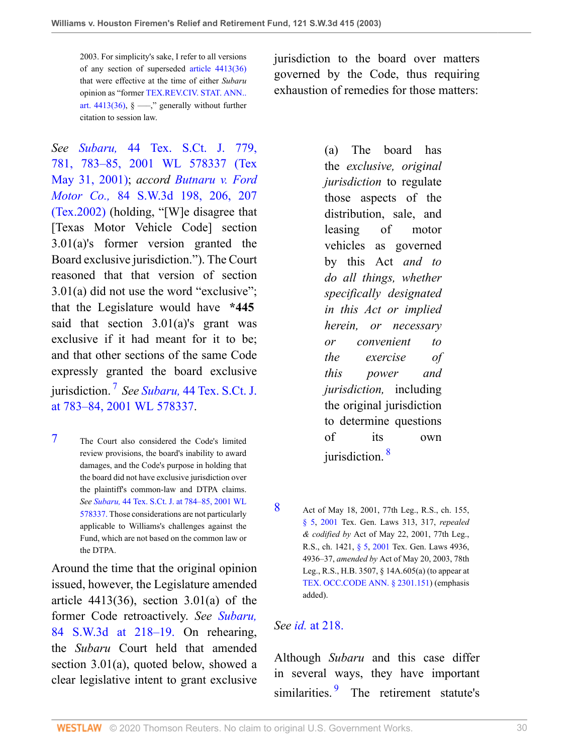2003. For simplicity's sake, I refer to all versions of any section of superseded [article 4413\(36\)](http://www.westlaw.com/Link/Document/FullText?findType=L&pubNum=1000188&cite=TXCSART4413(36)&originatingDoc=I8d0b46b0e7df11d99439b076ef9ec4de&refType=LQ&originationContext=document&vr=3.0&rs=cblt1.0&transitionType=DocumentItem&contextData=(sc.UserEnteredCitation)) that were effective at the time of either *Subaru* opinion as "former [TEX.REV.CIV. STAT. ANN..](http://www.westlaw.com/Link/Document/FullText?findType=L&pubNum=1000188&cite=TXCSART4413(36)&originatingDoc=I8d0b46b0e7df11d99439b076ef9ec4de&refType=LQ&originationContext=document&vr=3.0&rs=cblt1.0&transitionType=DocumentItem&contextData=(sc.UserEnteredCitation)) [art. 4413\(36\),](http://www.westlaw.com/Link/Document/FullText?findType=L&pubNum=1000188&cite=TXCSART4413(36)&originatingDoc=I8d0b46b0e7df11d99439b076ef9ec4de&refType=LQ&originationContext=document&vr=3.0&rs=cblt1.0&transitionType=DocumentItem&contextData=(sc.UserEnteredCitation))  $\S$  —," generally without further citation to session law.

jurisdiction to the board over matters governed by the Code, thus requiring exhaustion of remedies for those matters:

*See Subaru,* [44 Tex. S.Ct. J. 779,](http://www.westlaw.com/Link/Document/FullText?findType=Y&serNum=2001454677&pubNum=999&originatingDoc=I8d0b46b0e7df11d99439b076ef9ec4de&refType=RP&originationContext=document&vr=3.0&rs=cblt1.0&transitionType=DocumentItem&contextData=(sc.UserEnteredCitation)) [781, 783–85, 2001 WL 578337 \(Tex](http://www.westlaw.com/Link/Document/FullText?findType=Y&serNum=2001454677&pubNum=999&originatingDoc=I8d0b46b0e7df11d99439b076ef9ec4de&refType=RP&originationContext=document&vr=3.0&rs=cblt1.0&transitionType=DocumentItem&contextData=(sc.UserEnteredCitation)) [May 31, 2001\)](http://www.westlaw.com/Link/Document/FullText?findType=Y&serNum=2001454677&pubNum=999&originatingDoc=I8d0b46b0e7df11d99439b076ef9ec4de&refType=RP&originationContext=document&vr=3.0&rs=cblt1.0&transitionType=DocumentItem&contextData=(sc.UserEnteredCitation)); *accord [Butnaru v. Ford](http://www.westlaw.com/Link/Document/FullText?findType=Y&serNum=2002399369&pubNum=0004644&originatingDoc=I8d0b46b0e7df11d99439b076ef9ec4de&refType=RP&fi=co_pp_sp_4644_206&originationContext=document&vr=3.0&rs=cblt1.0&transitionType=DocumentItem&contextData=(sc.UserEnteredCitation)#co_pp_sp_4644_206) Motor Co.,* [84 S.W.3d 198, 206, 207](http://www.westlaw.com/Link/Document/FullText?findType=Y&serNum=2002399369&pubNum=0004644&originatingDoc=I8d0b46b0e7df11d99439b076ef9ec4de&refType=RP&fi=co_pp_sp_4644_206&originationContext=document&vr=3.0&rs=cblt1.0&transitionType=DocumentItem&contextData=(sc.UserEnteredCitation)#co_pp_sp_4644_206) [\(Tex.2002\)](http://www.westlaw.com/Link/Document/FullText?findType=Y&serNum=2002399369&pubNum=0004644&originatingDoc=I8d0b46b0e7df11d99439b076ef9ec4de&refType=RP&fi=co_pp_sp_4644_206&originationContext=document&vr=3.0&rs=cblt1.0&transitionType=DocumentItem&contextData=(sc.UserEnteredCitation)#co_pp_sp_4644_206) (holding, "[W]e disagree that [Texas Motor Vehicle Code] section 3.01(a)'s former version granted the Board exclusive jurisdiction."). The Court reasoned that that version of section 3.01(a) did not use the word "exclusive"; that the Legislature would have **\*445** said that section  $3.01(a)$ 's grant was exclusive if it had meant for it to be; and that other sections of the same Code expressly granted the board exclusive jurisdiction. [7](#page-29-0) *See Subaru,* [44 Tex. S.Ct. J.](http://www.westlaw.com/Link/Document/FullText?findType=Y&serNum=2001454677&pubNum=999&originatingDoc=I8d0b46b0e7df11d99439b076ef9ec4de&refType=RP&originationContext=document&vr=3.0&rs=cblt1.0&transitionType=DocumentItem&contextData=(sc.UserEnteredCitation)) [at 783–84, 2001 WL 578337.](http://www.westlaw.com/Link/Document/FullText?findType=Y&serNum=2001454677&pubNum=999&originatingDoc=I8d0b46b0e7df11d99439b076ef9ec4de&refType=RP&originationContext=document&vr=3.0&rs=cblt1.0&transitionType=DocumentItem&contextData=(sc.UserEnteredCitation))

<span id="page-29-1"></span><span id="page-29-0"></span>[7](#page-29-1) The Court also considered the Code's limited review provisions, the board's inability to award damages, and the Code's purpose in holding that the board did not have exclusive jurisdiction over the plaintiff's common-law and DTPA claims. *See Subaru,* [44 Tex. S.Ct. J. at 784–85, 2001 WL](http://www.westlaw.com/Link/Document/FullText?findType=Y&serNum=2001454677&pubNum=999&originatingDoc=I8d0b46b0e7df11d99439b076ef9ec4de&refType=RP&originationContext=document&vr=3.0&rs=cblt1.0&transitionType=DocumentItem&contextData=(sc.UserEnteredCitation)) [578337.](http://www.westlaw.com/Link/Document/FullText?findType=Y&serNum=2001454677&pubNum=999&originatingDoc=I8d0b46b0e7df11d99439b076ef9ec4de&refType=RP&originationContext=document&vr=3.0&rs=cblt1.0&transitionType=DocumentItem&contextData=(sc.UserEnteredCitation)) Those considerations are not particularly applicable to Williams's challenges against the Fund, which are not based on the common law or the DTPA.

Around the time that the original opinion issued, however, the Legislature amended article  $4413(36)$ , section  $3.01(a)$  of the former Code retroactively. *See [Subaru,](http://www.westlaw.com/Link/Document/FullText?findType=Y&serNum=2002399333&pubNum=4644&originatingDoc=I8d0b46b0e7df11d99439b076ef9ec4de&refType=RP&fi=co_pp_sp_4644_218&originationContext=document&vr=3.0&rs=cblt1.0&transitionType=DocumentItem&contextData=(sc.UserEnteredCitation)#co_pp_sp_4644_218)* [84 S.W.3d at 218–19.](http://www.westlaw.com/Link/Document/FullText?findType=Y&serNum=2002399333&pubNum=4644&originatingDoc=I8d0b46b0e7df11d99439b076ef9ec4de&refType=RP&fi=co_pp_sp_4644_218&originationContext=document&vr=3.0&rs=cblt1.0&transitionType=DocumentItem&contextData=(sc.UserEnteredCitation)#co_pp_sp_4644_218) On rehearing, the *Subaru* Court held that amended section 3.01(a), quoted below, showed a clear legislative intent to grant exclusive

(a) The board has the *exclusive, original jurisdiction* to regulate those aspects of the distribution, sale, and leasing of motor vehicles as governed by this Act *and to do all things, whether specifically designated in this Act or implied herein, or necessary or convenient to the exercise of this power and jurisdiction,* including the original jurisdiction to determine questions of its own jurisdiction. [8](#page-29-2)

<span id="page-29-3"></span><span id="page-29-2"></span>[8](#page-29-3) Act of May 18, 2001, 77th Leg., R.S., ch. 155, [§ 5,](http://www.westlaw.com/Link/Document/FullText?findType=L&pubNum=1000188&cite=TXCSART6243E.2(1)&originatingDoc=I8d0b46b0e7df11d99439b076ef9ec4de&refType=LQ&originationContext=document&vr=3.0&rs=cblt1.0&transitionType=DocumentItem&contextData=(sc.UserEnteredCitation)) [2001](http://www.westlaw.com/Link/Document/FullText?findType=L&pubNum=1000188&cite=TXCSART2001&originatingDoc=I8d0b46b0e7df11d99439b076ef9ec4de&refType=LQ&originationContext=document&vr=3.0&rs=cblt1.0&transitionType=DocumentItem&contextData=(sc.UserEnteredCitation)) Tex. Gen. Laws 313, 317, *repealed & codified by* Act of May 22, 2001, 77th Leg., R.S., ch. 1421, [§ 5,](http://www.westlaw.com/Link/Document/FullText?findType=L&pubNum=1000188&cite=TXCSART6243E.2(1)&originatingDoc=I8d0b46b0e7df11d99439b076ef9ec4de&refType=LQ&originationContext=document&vr=3.0&rs=cblt1.0&transitionType=DocumentItem&contextData=(sc.UserEnteredCitation)) [2001](http://www.westlaw.com/Link/Document/FullText?findType=L&pubNum=1000188&cite=TXCSART2001&originatingDoc=I8d0b46b0e7df11d99439b076ef9ec4de&refType=LQ&originationContext=document&vr=3.0&rs=cblt1.0&transitionType=DocumentItem&contextData=(sc.UserEnteredCitation)) Tex. Gen. Laws 4936, 4936–37, *amended by* Act of May 20, 2003, 78th Leg., R.S., H.B. 3507, § 14A.605(a) (to appear at [TEX. OCC.CODE ANN. § 2301.151](http://www.westlaw.com/Link/Document/FullText?findType=L&pubNum=1016178&cite=TXOCS2301.151&originatingDoc=I8d0b46b0e7df11d99439b076ef9ec4de&refType=LQ&originationContext=document&vr=3.0&rs=cblt1.0&transitionType=DocumentItem&contextData=(sc.UserEnteredCitation))) (emphasis added).

### *See id.* [at 218.](http://www.westlaw.com/Link/Document/FullText?findType=Y&serNum=2002399333&originatingDoc=I8d0b46b0e7df11d99439b076ef9ec4de&refType=RP&originationContext=document&vr=3.0&rs=cblt1.0&transitionType=DocumentItem&contextData=(sc.UserEnteredCitation))

<span id="page-29-4"></span>Although *Subaru* and this case differ in several ways, they have important similarities.<sup>[9](#page-30-0)</sup> The retirement statute's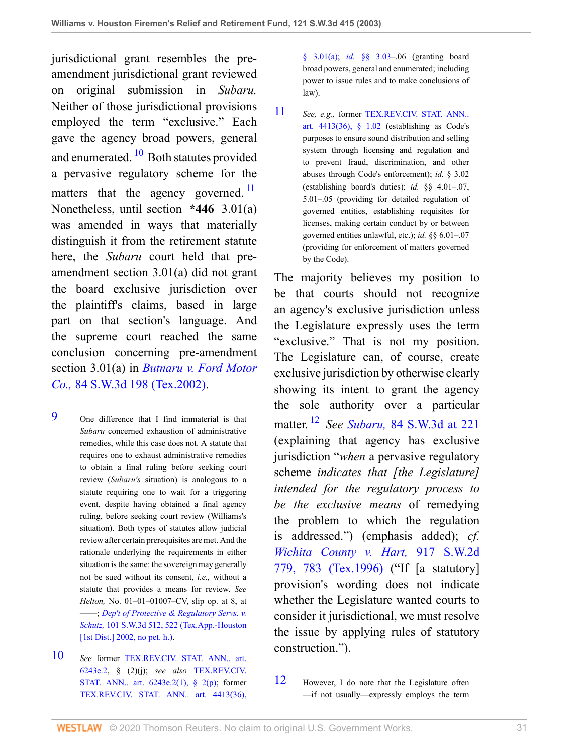<span id="page-30-3"></span>jurisdictional grant resembles the preamendment jurisdictional grant reviewed on original submission in *Subaru.* Neither of those jurisdictional provisions employed the term "exclusive." Each gave the agency broad powers, general and enumerated.<sup>[10](#page-30-1)</sup> Both statutes provided a pervasive regulatory scheme for the matters that the agency governed.<sup>[11](#page-30-2)</sup> Nonetheless, until section **\*446** 3.01(a) was amended in ways that materially distinguish it from the retirement statute here, the *Subaru* court held that preamendment section 3.01(a) did not grant the board exclusive jurisdiction over the plaintiff's claims, based in large part on that section's language. And the supreme court reached the same conclusion concerning pre-amendment section 3.01(a) in *[Butnaru v. Ford Motor](http://www.westlaw.com/Link/Document/FullText?findType=Y&serNum=2002399369&pubNum=0004644&originatingDoc=I8d0b46b0e7df11d99439b076ef9ec4de&refType=RP&originationContext=document&vr=3.0&rs=cblt1.0&transitionType=DocumentItem&contextData=(sc.UserEnteredCitation)) Co.,* [84 S.W.3d 198 \(Tex.2002\)](http://www.westlaw.com/Link/Document/FullText?findType=Y&serNum=2002399369&pubNum=0004644&originatingDoc=I8d0b46b0e7df11d99439b076ef9ec4de&refType=RP&originationContext=document&vr=3.0&rs=cblt1.0&transitionType=DocumentItem&contextData=(sc.UserEnteredCitation)).

- <span id="page-30-0"></span>[9](#page-29-4) One difference that I find immaterial is that *Subaru* concerned exhaustion of administrative remedies, while this case does not. A statute that requires one to exhaust administrative remedies to obtain a final ruling before seeking court review (*Subaru's* situation) is analogous to a statute requiring one to wait for a triggering event, despite having obtained a final agency ruling, before seeking court review (Williams's situation). Both types of statutes allow judicial review after certain prerequisites are met. And the rationale underlying the requirements in either situation is the same: the sovereign may generally not be sued without its consent, *i.e.,* without a statute that provides a means for review. *See Helton,* No. 01–01–01007–CV, slip op. at 8, at ––––; *[Dep't of Protective & Regulatory Servs. v.](http://www.westlaw.com/Link/Document/FullText?findType=Y&serNum=2002789503&pubNum=0004644&originatingDoc=I8d0b46b0e7df11d99439b076ef9ec4de&refType=RP&fi=co_pp_sp_4644_522&originationContext=document&vr=3.0&rs=cblt1.0&transitionType=DocumentItem&contextData=(sc.UserEnteredCitation)#co_pp_sp_4644_522) Schutz,* [101 S.W.3d 512, 522 \(Tex.App.-Houston](http://www.westlaw.com/Link/Document/FullText?findType=Y&serNum=2002789503&pubNum=0004644&originatingDoc=I8d0b46b0e7df11d99439b076ef9ec4de&refType=RP&fi=co_pp_sp_4644_522&originationContext=document&vr=3.0&rs=cblt1.0&transitionType=DocumentItem&contextData=(sc.UserEnteredCitation)#co_pp_sp_4644_522) [\[1st Dist.\] 2002, no pet. h.\)](http://www.westlaw.com/Link/Document/FullText?findType=Y&serNum=2002789503&pubNum=0004644&originatingDoc=I8d0b46b0e7df11d99439b076ef9ec4de&refType=RP&fi=co_pp_sp_4644_522&originationContext=document&vr=3.0&rs=cblt1.0&transitionType=DocumentItem&contextData=(sc.UserEnteredCitation)#co_pp_sp_4644_522).
- <span id="page-30-1"></span>[10](#page-30-3) *See* former [TEX.REV.CIV. STAT. ANN.. art.](http://www.westlaw.com/Link/Document/FullText?findType=L&pubNum=1000188&cite=TXCSART6243E.2&originatingDoc=I8d0b46b0e7df11d99439b076ef9ec4de&refType=LQ&originationContext=document&vr=3.0&rs=cblt1.0&transitionType=DocumentItem&contextData=(sc.UserEnteredCitation)) [6243e.2,](http://www.westlaw.com/Link/Document/FullText?findType=L&pubNum=1000188&cite=TXCSART6243E.2&originatingDoc=I8d0b46b0e7df11d99439b076ef9ec4de&refType=LQ&originationContext=document&vr=3.0&rs=cblt1.0&transitionType=DocumentItem&contextData=(sc.UserEnteredCitation)) § (2)(j); *see also* [TEX.REV.CIV.](http://www.westlaw.com/Link/Document/FullText?findType=L&pubNum=1000188&cite=TXCSART6243E.2(1)&originatingDoc=I8d0b46b0e7df11d99439b076ef9ec4de&refType=LQ&originationContext=document&vr=3.0&rs=cblt1.0&transitionType=DocumentItem&contextData=(sc.UserEnteredCitation)) [STAT. ANN.. art. 6243e.2\(1\), § 2\(p\)](http://www.westlaw.com/Link/Document/FullText?findType=L&pubNum=1000188&cite=TXCSART6243E.2(1)&originatingDoc=I8d0b46b0e7df11d99439b076ef9ec4de&refType=LQ&originationContext=document&vr=3.0&rs=cblt1.0&transitionType=DocumentItem&contextData=(sc.UserEnteredCitation)); former [TEX.REV.CIV. STAT. ANN.. art. 4413\(36\),](http://www.westlaw.com/Link/Document/FullText?findType=L&pubNum=1000188&cite=TXCSART4413(36)&originatingDoc=I8d0b46b0e7df11d99439b076ef9ec4de&refType=LQ&originationContext=document&vr=3.0&rs=cblt1.0&transitionType=DocumentItem&contextData=(sc.UserEnteredCitation))

[§ 3.01\(a\);](http://www.westlaw.com/Link/Document/FullText?findType=L&pubNum=1000188&cite=TXCSART4413(36)&originatingDoc=I8d0b46b0e7df11d99439b076ef9ec4de&refType=LQ&originationContext=document&vr=3.0&rs=cblt1.0&transitionType=DocumentItem&contextData=(sc.UserEnteredCitation)) *id.* [§§ 3.03–](http://www.westlaw.com/Link/Document/FullText?findType=L&pubNum=1000188&cite=TXCSART4413(36)&originatingDoc=I8d0b46b0e7df11d99439b076ef9ec4de&refType=LQ&originationContext=document&vr=3.0&rs=cblt1.0&transitionType=DocumentItem&contextData=(sc.UserEnteredCitation)).06 (granting board broad powers, general and enumerated; including power to issue rules and to make conclusions of law).

<span id="page-30-4"></span><span id="page-30-2"></span>[11](#page-30-4) *See, e.g.,* former [TEX.REV.CIV. STAT. ANN..](http://www.westlaw.com/Link/Document/FullText?findType=L&pubNum=1000188&cite=TXCSART4413(36)&originatingDoc=I8d0b46b0e7df11d99439b076ef9ec4de&refType=LQ&originationContext=document&vr=3.0&rs=cblt1.0&transitionType=DocumentItem&contextData=(sc.UserEnteredCitation)) [art. 4413\(36\), § 1.02](http://www.westlaw.com/Link/Document/FullText?findType=L&pubNum=1000188&cite=TXCSART4413(36)&originatingDoc=I8d0b46b0e7df11d99439b076ef9ec4de&refType=LQ&originationContext=document&vr=3.0&rs=cblt1.0&transitionType=DocumentItem&contextData=(sc.UserEnteredCitation)) (establishing as Code's purposes to ensure sound distribution and selling system through licensing and regulation and to prevent fraud, discrimination, and other abuses through Code's enforcement); *id.* § 3.02 (establishing board's duties); *id.* §§ 4.01–.07, 5.01–.05 (providing for detailed regulation of governed entities, establishing requisites for licenses, making certain conduct by or between governed entities unlawful, etc.); *id.* §§ 6.01–.07 (providing for enforcement of matters governed by the Code).

<span id="page-30-6"></span>The majority believes my position to be that courts should not recognize an agency's exclusive jurisdiction unless the Legislature expressly uses the term "exclusive." That is not my position. The Legislature can, of course, create exclusive jurisdiction by otherwise clearly showing its intent to grant the agency the sole authority over a particular matter. [12](#page-30-5) *See Subaru,* [84 S.W.3d at 221](http://www.westlaw.com/Link/Document/FullText?findType=Y&serNum=2002399333&pubNum=0004644&originatingDoc=I8d0b46b0e7df11d99439b076ef9ec4de&refType=RP&fi=co_pp_sp_4644_221&originationContext=document&vr=3.0&rs=cblt1.0&transitionType=DocumentItem&contextData=(sc.UserEnteredCitation)#co_pp_sp_4644_221) (explaining that agency has exclusive jurisdiction "*when* a pervasive regulatory scheme *indicates that [the Legislature] intended for the regulatory process to be the exclusive means* of remedying the problem to which the regulation is addressed.") (emphasis added); *cf. [Wichita County v. Hart,](http://www.westlaw.com/Link/Document/FullText?findType=Y&serNum=1996048351&pubNum=0000713&originatingDoc=I8d0b46b0e7df11d99439b076ef9ec4de&refType=RP&fi=co_pp_sp_713_783&originationContext=document&vr=3.0&rs=cblt1.0&transitionType=DocumentItem&contextData=(sc.UserEnteredCitation)#co_pp_sp_713_783)* 917 S.W.2d [779, 783 \(Tex.1996\)](http://www.westlaw.com/Link/Document/FullText?findType=Y&serNum=1996048351&pubNum=0000713&originatingDoc=I8d0b46b0e7df11d99439b076ef9ec4de&refType=RP&fi=co_pp_sp_713_783&originationContext=document&vr=3.0&rs=cblt1.0&transitionType=DocumentItem&contextData=(sc.UserEnteredCitation)#co_pp_sp_713_783) ("If [a statutory] provision's wording does not indicate whether the Legislature wanted courts to consider it jurisdictional, we must resolve the issue by applying rules of statutory construction.").

<span id="page-30-5"></span>[12](#page-30-6) However, I do note that the Legislature often —if not usually—expressly employs the term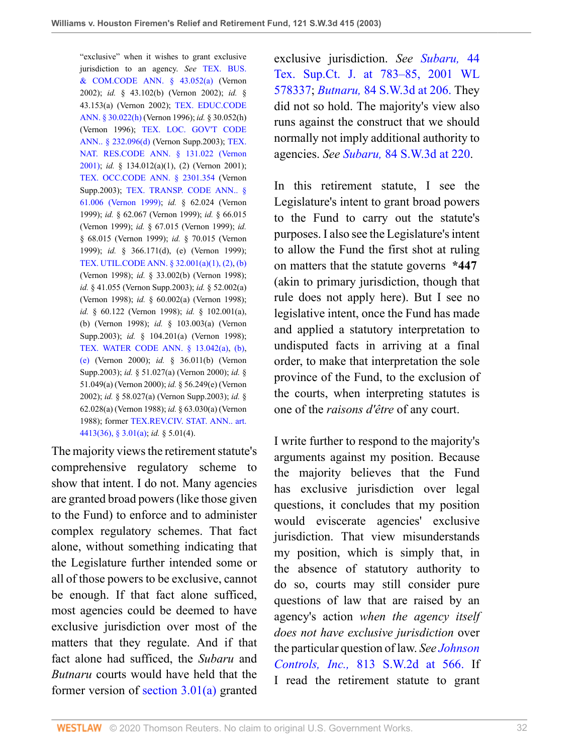"exclusive" when it wishes to grant exclusive jurisdiction to an agency. *See* [TEX. BUS.](http://www.westlaw.com/Link/Document/FullText?findType=L&pubNum=1000168&cite=TXBCS43.052&originatingDoc=I8d0b46b0e7df11d99439b076ef9ec4de&refType=LQ&originationContext=document&vr=3.0&rs=cblt1.0&transitionType=DocumentItem&contextData=(sc.UserEnteredCitation))  $& COM. CODE ANN. \S$  43.052(a) (Vernon 2002); *id.* § 43.102(b) (Vernon 2002); *id.* § 43.153(a) (Vernon 2002); [TEX. EDUC.CODE](http://www.westlaw.com/Link/Document/FullText?findType=L&pubNum=1000173&cite=TXEDS30.022&originatingDoc=I8d0b46b0e7df11d99439b076ef9ec4de&refType=SP&originationContext=document&vr=3.0&rs=cblt1.0&transitionType=DocumentItem&contextData=(sc.UserEnteredCitation)#co_pp_f383000077b35) [ANN. § 30.022\(h\)](http://www.westlaw.com/Link/Document/FullText?findType=L&pubNum=1000173&cite=TXEDS30.022&originatingDoc=I8d0b46b0e7df11d99439b076ef9ec4de&refType=SP&originationContext=document&vr=3.0&rs=cblt1.0&transitionType=DocumentItem&contextData=(sc.UserEnteredCitation)#co_pp_f383000077b35) (Vernon 1996); *id.* § 30.052(h) (Vernon 1996); [TEX. LOC. GOV'T CODE](http://www.westlaw.com/Link/Document/FullText?findType=L&pubNum=1000179&cite=TXLGS232.096&originatingDoc=I8d0b46b0e7df11d99439b076ef9ec4de&refType=SP&originationContext=document&vr=3.0&rs=cblt1.0&transitionType=DocumentItem&contextData=(sc.UserEnteredCitation)#co_pp_5ba1000067d06) [ANN.. § 232.096\(d\)](http://www.westlaw.com/Link/Document/FullText?findType=L&pubNum=1000179&cite=TXLGS232.096&originatingDoc=I8d0b46b0e7df11d99439b076ef9ec4de&refType=SP&originationContext=document&vr=3.0&rs=cblt1.0&transitionType=DocumentItem&contextData=(sc.UserEnteredCitation)#co_pp_5ba1000067d06) (Vernon Supp.2003); [TEX.](http://www.westlaw.com/Link/Document/FullText?findType=L&pubNum=1000180&cite=TXNRS131.022&originatingDoc=I8d0b46b0e7df11d99439b076ef9ec4de&refType=LQ&originationContext=document&vr=3.0&rs=cblt1.0&transitionType=DocumentItem&contextData=(sc.UserEnteredCitation)) [NAT. RES.CODE ANN. § 131.022 \(Vernon](http://www.westlaw.com/Link/Document/FullText?findType=L&pubNum=1000180&cite=TXNRS131.022&originatingDoc=I8d0b46b0e7df11d99439b076ef9ec4de&refType=LQ&originationContext=document&vr=3.0&rs=cblt1.0&transitionType=DocumentItem&contextData=(sc.UserEnteredCitation)) [2001\);](http://www.westlaw.com/Link/Document/FullText?findType=L&pubNum=1000180&cite=TXNRS131.022&originatingDoc=I8d0b46b0e7df11d99439b076ef9ec4de&refType=LQ&originationContext=document&vr=3.0&rs=cblt1.0&transitionType=DocumentItem&contextData=(sc.UserEnteredCitation)) *id.* § 134.012(a)(1), (2) (Vernon 2001); [TEX. OCC.CODE ANN. § 2301.354](http://www.westlaw.com/Link/Document/FullText?findType=L&pubNum=1016178&cite=TXOCS2301.354&originatingDoc=I8d0b46b0e7df11d99439b076ef9ec4de&refType=LQ&originationContext=document&vr=3.0&rs=cblt1.0&transitionType=DocumentItem&contextData=(sc.UserEnteredCitation)) (Vernon Supp.2003); [TEX. TRANSP. CODE ANN.. §](http://www.westlaw.com/Link/Document/FullText?findType=L&pubNum=1013482&cite=TXTRPS61.006&originatingDoc=I8d0b46b0e7df11d99439b076ef9ec4de&refType=LQ&originationContext=document&vr=3.0&rs=cblt1.0&transitionType=DocumentItem&contextData=(sc.UserEnteredCitation)) [61.006 \(Vernon 1999\);](http://www.westlaw.com/Link/Document/FullText?findType=L&pubNum=1013482&cite=TXTRPS61.006&originatingDoc=I8d0b46b0e7df11d99439b076ef9ec4de&refType=LQ&originationContext=document&vr=3.0&rs=cblt1.0&transitionType=DocumentItem&contextData=(sc.UserEnteredCitation)) *id.* § 62.024 (Vernon 1999); *id.* § 62.067 (Vernon 1999); *id.* § 66.015 (Vernon 1999); *id.* § 67.015 (Vernon 1999); *id.* § 68.015 (Vernon 1999); *id.* § 70.015 (Vernon 1999); *id.* § 366.171(d), (e) (Vernon 1999); [TEX. UTIL.CODE ANN. § 32.001\(a\)\(1\), \(2\)](http://www.westlaw.com/Link/Document/FullText?findType=L&pubNum=1015461&cite=TXUTS32.001&originatingDoc=I8d0b46b0e7df11d99439b076ef9ec4de&refType=SP&originationContext=document&vr=3.0&rs=cblt1.0&transitionType=DocumentItem&contextData=(sc.UserEnteredCitation)#co_pp_7b9b000044381), [\(b\)](http://www.westlaw.com/Link/Document/FullText?findType=L&pubNum=1015461&cite=TXUTS32.001&originatingDoc=I8d0b46b0e7df11d99439b076ef9ec4de&refType=SP&originationContext=document&vr=3.0&rs=cblt1.0&transitionType=DocumentItem&contextData=(sc.UserEnteredCitation)#co_pp_a83b000018c76) (Vernon 1998); *id.* § 33.002(b) (Vernon 1998); *id.* § 41.055 (Vernon Supp.2003); *id.* § 52.002(a) (Vernon 1998); *id.* § 60.002(a) (Vernon 1998); *id.* § 60.122 (Vernon 1998); *id.* § 102.001(a), (b) (Vernon 1998); *id.* § 103.003(a) (Vernon Supp.2003); *id.* § 104.201(a) (Vernon 1998); [TEX. WATER CODE ANN. § 13.042\(a\),](http://www.westlaw.com/Link/Document/FullText?findType=L&pubNum=1000186&cite=TXWAS13.042&originatingDoc=I8d0b46b0e7df11d99439b076ef9ec4de&refType=SP&originationContext=document&vr=3.0&rs=cblt1.0&transitionType=DocumentItem&contextData=(sc.UserEnteredCitation)#co_pp_8b3b0000958a4) [\(b\),](http://www.westlaw.com/Link/Document/FullText?findType=L&pubNum=1000186&cite=TXWAS13.042&originatingDoc=I8d0b46b0e7df11d99439b076ef9ec4de&refType=SP&originationContext=document&vr=3.0&rs=cblt1.0&transitionType=DocumentItem&contextData=(sc.UserEnteredCitation)#co_pp_a83b000018c76) [\(e\)](http://www.westlaw.com/Link/Document/FullText?findType=L&pubNum=1000186&cite=TXWAS13.042&originatingDoc=I8d0b46b0e7df11d99439b076ef9ec4de&refType=SP&originationContext=document&vr=3.0&rs=cblt1.0&transitionType=DocumentItem&contextData=(sc.UserEnteredCitation)#co_pp_7fdd00001ca15) (Vernon 2000); *id.* § 36.011(b) (Vernon Supp.2003); *id.* § 51.027(a) (Vernon 2000); *id.* § 51.049(a) (Vernon 2000); *id.* § 56.249(e) (Vernon 2002); *id.* § 58.027(a) (Vernon Supp.2003); *id.* § 62.028(a) (Vernon 1988); *id.* § 63.030(a) (Vernon 1988); former [TEX.REV.CIV. STAT. ANN.. art.](http://www.westlaw.com/Link/Document/FullText?findType=L&pubNum=1000188&cite=TXCSART4413(36)&originatingDoc=I8d0b46b0e7df11d99439b076ef9ec4de&refType=LQ&originationContext=document&vr=3.0&rs=cblt1.0&transitionType=DocumentItem&contextData=(sc.UserEnteredCitation)) [4413\(36\), § 3.01\(a\);](http://www.westlaw.com/Link/Document/FullText?findType=L&pubNum=1000188&cite=TXCSART4413(36)&originatingDoc=I8d0b46b0e7df11d99439b076ef9ec4de&refType=LQ&originationContext=document&vr=3.0&rs=cblt1.0&transitionType=DocumentItem&contextData=(sc.UserEnteredCitation)) *id.* § 5.01(4).

The majority views the retirement statute's comprehensive regulatory scheme to show that intent. I do not. Many agencies are granted broad powers (like those given to the Fund) to enforce and to administer complex regulatory schemes. That fact alone, without something indicating that the Legislature further intended some or all of those powers to be exclusive, cannot be enough. If that fact alone sufficed, most agencies could be deemed to have exclusive jurisdiction over most of the matters that they regulate. And if that fact alone had sufficed, the *Subaru* and *Butnaru* courts would have held that the former version of [section 3.01\(a\)](http://www.westlaw.com/Link/Document/FullText?findType=L&pubNum=1000188&cite=TXCSART4413(36)&originatingDoc=I8d0b46b0e7df11d99439b076ef9ec4de&refType=LQ&originationContext=document&vr=3.0&rs=cblt1.0&transitionType=DocumentItem&contextData=(sc.UserEnteredCitation)) granted

exclusive jurisdiction. *See [Subaru,](http://www.westlaw.com/Link/Document/FullText?findType=Y&serNum=2001454677&pubNum=0004475&originatingDoc=I8d0b46b0e7df11d99439b076ef9ec4de&refType=RP&fi=co_pp_sp_4475_783&originationContext=document&vr=3.0&rs=cblt1.0&transitionType=DocumentItem&contextData=(sc.UserEnteredCitation)#co_pp_sp_4475_783)* 44 [Tex. Sup.Ct. J. at 783–85, 2001 WL](http://www.westlaw.com/Link/Document/FullText?findType=Y&serNum=2001454677&pubNum=0004475&originatingDoc=I8d0b46b0e7df11d99439b076ef9ec4de&refType=RP&fi=co_pp_sp_4475_783&originationContext=document&vr=3.0&rs=cblt1.0&transitionType=DocumentItem&contextData=(sc.UserEnteredCitation)#co_pp_sp_4475_783) [578337](http://www.westlaw.com/Link/Document/FullText?findType=Y&serNum=2001454677&pubNum=0004475&originatingDoc=I8d0b46b0e7df11d99439b076ef9ec4de&refType=RP&fi=co_pp_sp_4475_783&originationContext=document&vr=3.0&rs=cblt1.0&transitionType=DocumentItem&contextData=(sc.UserEnteredCitation)#co_pp_sp_4475_783); *Butnaru,* [84 S.W.3d at 206.](http://www.westlaw.com/Link/Document/FullText?findType=Y&serNum=2002399369&pubNum=4644&originatingDoc=I8d0b46b0e7df11d99439b076ef9ec4de&refType=RP&fi=co_pp_sp_4644_206&originationContext=document&vr=3.0&rs=cblt1.0&transitionType=DocumentItem&contextData=(sc.UserEnteredCitation)#co_pp_sp_4644_206) They did not so hold. The majority's view also runs against the construct that we should normally not imply additional authority to agencies. *See Subaru,* [84 S.W.3d at 220.](http://www.westlaw.com/Link/Document/FullText?findType=Y&serNum=2002399333&pubNum=0004644&originatingDoc=I8d0b46b0e7df11d99439b076ef9ec4de&refType=RP&fi=co_pp_sp_4644_220&originationContext=document&vr=3.0&rs=cblt1.0&transitionType=DocumentItem&contextData=(sc.UserEnteredCitation)#co_pp_sp_4644_220)

In this retirement statute, I see the Legislature's intent to grant broad powers to the Fund to carry out the statute's purposes. I also see the Legislature's intent to allow the Fund the first shot at ruling on matters that the statute governs **\*447** (akin to primary jurisdiction, though that rule does not apply here). But I see no legislative intent, once the Fund has made and applied a statutory interpretation to undisputed facts in arriving at a final order, to make that interpretation the sole province of the Fund, to the exclusion of the courts, when interpreting statutes is one of the *raisons d'être* of any court.

I write further to respond to the majority's arguments against my position. Because the majority believes that the Fund has exclusive jurisdiction over legal questions, it concludes that my position would eviscerate agencies' exclusive jurisdiction. That view misunderstands my position, which is simply that, in the absence of statutory authority to do so, courts may still consider pure questions of law that are raised by an agency's action *when the agency itself does not have exclusive jurisdiction* over the particular question of law. *See [Johnson](http://www.westlaw.com/Link/Document/FullText?findType=Y&serNum=1991110109&pubNum=713&originatingDoc=I8d0b46b0e7df11d99439b076ef9ec4de&refType=RP&fi=co_pp_sp_713_566&originationContext=document&vr=3.0&rs=cblt1.0&transitionType=DocumentItem&contextData=(sc.UserEnteredCitation)#co_pp_sp_713_566) Controls, Inc.,* [813 S.W.2d at 566.](http://www.westlaw.com/Link/Document/FullText?findType=Y&serNum=1991110109&pubNum=713&originatingDoc=I8d0b46b0e7df11d99439b076ef9ec4de&refType=RP&fi=co_pp_sp_713_566&originationContext=document&vr=3.0&rs=cblt1.0&transitionType=DocumentItem&contextData=(sc.UserEnteredCitation)#co_pp_sp_713_566) If I read the retirement statute to grant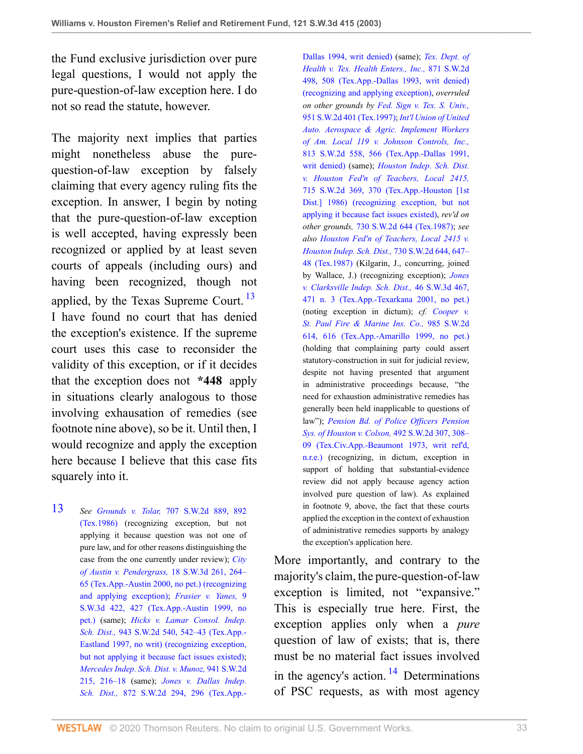the Fund exclusive jurisdiction over pure legal questions, I would not apply the pure-question-of-law exception here. I do not so read the statute, however.

The majority next implies that parties might nonetheless abuse the purequestion-of-law exception by falsely claiming that every agency ruling fits the exception. In answer, I begin by noting that the pure-question-of-law exception is well accepted, having expressly been recognized or applied by at least seven courts of appeals (including ours) and having been recognized, though not applied, by the Texas Supreme Court.  $^{13}$  $^{13}$  $^{13}$ I have found no court that has denied the exception's existence. If the supreme court uses this case to reconsider the validity of this exception, or if it decides that the exception does not **\*448** apply in situations clearly analogous to those involving exhausation of remedies (see footnote nine above), so be it. Until then, I would recognize and apply the exception here because I believe that this case fits squarely into it.

<span id="page-32-0"></span>[13](#page-32-1) *See Grounds v. Tolar,* [707 S.W.2d 889, 892](http://www.westlaw.com/Link/Document/FullText?findType=Y&serNum=1986116930&pubNum=0000713&originatingDoc=I8d0b46b0e7df11d99439b076ef9ec4de&refType=RP&fi=co_pp_sp_713_892&originationContext=document&vr=3.0&rs=cblt1.0&transitionType=DocumentItem&contextData=(sc.UserEnteredCitation)#co_pp_sp_713_892) [\(Tex.1986\)](http://www.westlaw.com/Link/Document/FullText?findType=Y&serNum=1986116930&pubNum=0000713&originatingDoc=I8d0b46b0e7df11d99439b076ef9ec4de&refType=RP&fi=co_pp_sp_713_892&originationContext=document&vr=3.0&rs=cblt1.0&transitionType=DocumentItem&contextData=(sc.UserEnteredCitation)#co_pp_sp_713_892) (recognizing exception, but not applying it because question was not one of pure law, and for other reasons distinguishing the case from the one currently under review); *[City](http://www.westlaw.com/Link/Document/FullText?findType=Y&serNum=2000113587&pubNum=0004644&originatingDoc=I8d0b46b0e7df11d99439b076ef9ec4de&refType=RP&fi=co_pp_sp_4644_264&originationContext=document&vr=3.0&rs=cblt1.0&transitionType=DocumentItem&contextData=(sc.UserEnteredCitation)#co_pp_sp_4644_264) [of Austin v. Pendergrass,](http://www.westlaw.com/Link/Document/FullText?findType=Y&serNum=2000113587&pubNum=0004644&originatingDoc=I8d0b46b0e7df11d99439b076ef9ec4de&refType=RP&fi=co_pp_sp_4644_264&originationContext=document&vr=3.0&rs=cblt1.0&transitionType=DocumentItem&contextData=(sc.UserEnteredCitation)#co_pp_sp_4644_264)* 18 S.W.3d 261, 264– [65 \(Tex.App.-Austin 2000, no pet.\) \(recognizing](http://www.westlaw.com/Link/Document/FullText?findType=Y&serNum=2000113587&pubNum=0004644&originatingDoc=I8d0b46b0e7df11d99439b076ef9ec4de&refType=RP&fi=co_pp_sp_4644_264&originationContext=document&vr=3.0&rs=cblt1.0&transitionType=DocumentItem&contextData=(sc.UserEnteredCitation)#co_pp_sp_4644_264) [and applying exception\)](http://www.westlaw.com/Link/Document/FullText?findType=Y&serNum=2000113587&pubNum=0004644&originatingDoc=I8d0b46b0e7df11d99439b076ef9ec4de&refType=RP&fi=co_pp_sp_4644_264&originationContext=document&vr=3.0&rs=cblt1.0&transitionType=DocumentItem&contextData=(sc.UserEnteredCitation)#co_pp_sp_4644_264); *[Frasier v. Yanes,](http://www.westlaw.com/Link/Document/FullText?findType=Y&serNum=1999275519&pubNum=0004644&originatingDoc=I8d0b46b0e7df11d99439b076ef9ec4de&refType=RP&fi=co_pp_sp_4644_427&originationContext=document&vr=3.0&rs=cblt1.0&transitionType=DocumentItem&contextData=(sc.UserEnteredCitation)#co_pp_sp_4644_427)* 9 [S.W.3d 422, 427 \(Tex.App.-Austin 1999, no](http://www.westlaw.com/Link/Document/FullText?findType=Y&serNum=1999275519&pubNum=0004644&originatingDoc=I8d0b46b0e7df11d99439b076ef9ec4de&refType=RP&fi=co_pp_sp_4644_427&originationContext=document&vr=3.0&rs=cblt1.0&transitionType=DocumentItem&contextData=(sc.UserEnteredCitation)#co_pp_sp_4644_427) [pet.\)](http://www.westlaw.com/Link/Document/FullText?findType=Y&serNum=1999275519&pubNum=0004644&originatingDoc=I8d0b46b0e7df11d99439b076ef9ec4de&refType=RP&fi=co_pp_sp_4644_427&originationContext=document&vr=3.0&rs=cblt1.0&transitionType=DocumentItem&contextData=(sc.UserEnteredCitation)#co_pp_sp_4644_427) (same); *[Hicks v. Lamar Consol. Indep.](http://www.westlaw.com/Link/Document/FullText?findType=Y&serNum=1997085613&pubNum=0000713&originatingDoc=I8d0b46b0e7df11d99439b076ef9ec4de&refType=RP&fi=co_pp_sp_713_542&originationContext=document&vr=3.0&rs=cblt1.0&transitionType=DocumentItem&contextData=(sc.UserEnteredCitation)#co_pp_sp_713_542) Sch. Dist.,* [943 S.W.2d 540, 542–43 \(Tex.App.-](http://www.westlaw.com/Link/Document/FullText?findType=Y&serNum=1997085613&pubNum=0000713&originatingDoc=I8d0b46b0e7df11d99439b076ef9ec4de&refType=RP&fi=co_pp_sp_713_542&originationContext=document&vr=3.0&rs=cblt1.0&transitionType=DocumentItem&contextData=(sc.UserEnteredCitation)#co_pp_sp_713_542) [Eastland 1997, no writ\) \(recognizing exception,](http://www.westlaw.com/Link/Document/FullText?findType=Y&serNum=1997085613&pubNum=0000713&originatingDoc=I8d0b46b0e7df11d99439b076ef9ec4de&refType=RP&fi=co_pp_sp_713_542&originationContext=document&vr=3.0&rs=cblt1.0&transitionType=DocumentItem&contextData=(sc.UserEnteredCitation)#co_pp_sp_713_542) [but not applying it because fact issues existed\);](http://www.westlaw.com/Link/Document/FullText?findType=Y&serNum=1997085613&pubNum=0000713&originatingDoc=I8d0b46b0e7df11d99439b076ef9ec4de&refType=RP&fi=co_pp_sp_713_542&originationContext=document&vr=3.0&rs=cblt1.0&transitionType=DocumentItem&contextData=(sc.UserEnteredCitation)#co_pp_sp_713_542) *[Mercedes Indep. Sch. Dist. v. Munoz,](http://www.westlaw.com/Link/Document/FullText?findType=Y&serNum=1996260861&pubNum=0000713&originatingDoc=I8d0b46b0e7df11d99439b076ef9ec4de&refType=RP&fi=co_pp_sp_713_216&originationContext=document&vr=3.0&rs=cblt1.0&transitionType=DocumentItem&contextData=(sc.UserEnteredCitation)#co_pp_sp_713_216)* 941 S.W.2d [215, 216–18](http://www.westlaw.com/Link/Document/FullText?findType=Y&serNum=1996260861&pubNum=0000713&originatingDoc=I8d0b46b0e7df11d99439b076ef9ec4de&refType=RP&fi=co_pp_sp_713_216&originationContext=document&vr=3.0&rs=cblt1.0&transitionType=DocumentItem&contextData=(sc.UserEnteredCitation)#co_pp_sp_713_216) (same); *[Jones v. Dallas Indep.](http://www.westlaw.com/Link/Document/FullText?findType=Y&serNum=1994056500&pubNum=0000713&originatingDoc=I8d0b46b0e7df11d99439b076ef9ec4de&refType=RP&fi=co_pp_sp_713_296&originationContext=document&vr=3.0&rs=cblt1.0&transitionType=DocumentItem&contextData=(sc.UserEnteredCitation)#co_pp_sp_713_296) Sch. Dist.,* [872 S.W.2d 294, 296 \(Tex.App.-](http://www.westlaw.com/Link/Document/FullText?findType=Y&serNum=1994056500&pubNum=0000713&originatingDoc=I8d0b46b0e7df11d99439b076ef9ec4de&refType=RP&fi=co_pp_sp_713_296&originationContext=document&vr=3.0&rs=cblt1.0&transitionType=DocumentItem&contextData=(sc.UserEnteredCitation)#co_pp_sp_713_296)

<span id="page-32-1"></span>[Dallas 1994, writ denied\)](http://www.westlaw.com/Link/Document/FullText?findType=Y&serNum=1994056500&pubNum=0000713&originatingDoc=I8d0b46b0e7df11d99439b076ef9ec4de&refType=RP&fi=co_pp_sp_713_296&originationContext=document&vr=3.0&rs=cblt1.0&transitionType=DocumentItem&contextData=(sc.UserEnteredCitation)#co_pp_sp_713_296) (same); *[Tex. Dept. of](http://www.westlaw.com/Link/Document/FullText?findType=Y&serNum=1993232901&pubNum=0000713&originatingDoc=I8d0b46b0e7df11d99439b076ef9ec4de&refType=RP&fi=co_pp_sp_713_508&originationContext=document&vr=3.0&rs=cblt1.0&transitionType=DocumentItem&contextData=(sc.UserEnteredCitation)#co_pp_sp_713_508) [Health v. Tex. Health Enters., Inc.,](http://www.westlaw.com/Link/Document/FullText?findType=Y&serNum=1993232901&pubNum=0000713&originatingDoc=I8d0b46b0e7df11d99439b076ef9ec4de&refType=RP&fi=co_pp_sp_713_508&originationContext=document&vr=3.0&rs=cblt1.0&transitionType=DocumentItem&contextData=(sc.UserEnteredCitation)#co_pp_sp_713_508)* 871 S.W.2d [498, 508 \(Tex.App.-Dallas 1993, writ denied\)](http://www.westlaw.com/Link/Document/FullText?findType=Y&serNum=1993232901&pubNum=0000713&originatingDoc=I8d0b46b0e7df11d99439b076ef9ec4de&refType=RP&fi=co_pp_sp_713_508&originationContext=document&vr=3.0&rs=cblt1.0&transitionType=DocumentItem&contextData=(sc.UserEnteredCitation)#co_pp_sp_713_508) [\(recognizing and applying exception\)](http://www.westlaw.com/Link/Document/FullText?findType=Y&serNum=1993232901&pubNum=0000713&originatingDoc=I8d0b46b0e7df11d99439b076ef9ec4de&refType=RP&fi=co_pp_sp_713_508&originationContext=document&vr=3.0&rs=cblt1.0&transitionType=DocumentItem&contextData=(sc.UserEnteredCitation)#co_pp_sp_713_508), *overruled on other grounds by [Fed. Sign v. Tex. S. Univ.,](http://www.westlaw.com/Link/Document/FullText?findType=Y&serNum=1997131018&pubNum=0000713&originatingDoc=I8d0b46b0e7df11d99439b076ef9ec4de&refType=RP&originationContext=document&vr=3.0&rs=cblt1.0&transitionType=DocumentItem&contextData=(sc.UserEnteredCitation))* [951 S.W.2d 401 \(Tex.1997\);](http://www.westlaw.com/Link/Document/FullText?findType=Y&serNum=1997131018&pubNum=0000713&originatingDoc=I8d0b46b0e7df11d99439b076ef9ec4de&refType=RP&originationContext=document&vr=3.0&rs=cblt1.0&transitionType=DocumentItem&contextData=(sc.UserEnteredCitation)) *[Int'l Union of United](http://www.westlaw.com/Link/Document/FullText?findType=Y&serNum=1991110109&pubNum=0000713&originatingDoc=I8d0b46b0e7df11d99439b076ef9ec4de&refType=RP&fi=co_pp_sp_713_566&originationContext=document&vr=3.0&rs=cblt1.0&transitionType=DocumentItem&contextData=(sc.UserEnteredCitation)#co_pp_sp_713_566) [Auto. Aerospace & Agric. Implement Workers](http://www.westlaw.com/Link/Document/FullText?findType=Y&serNum=1991110109&pubNum=0000713&originatingDoc=I8d0b46b0e7df11d99439b076ef9ec4de&refType=RP&fi=co_pp_sp_713_566&originationContext=document&vr=3.0&rs=cblt1.0&transitionType=DocumentItem&contextData=(sc.UserEnteredCitation)#co_pp_sp_713_566) [of Am. Local 119 v. Johnson Controls, Inc.,](http://www.westlaw.com/Link/Document/FullText?findType=Y&serNum=1991110109&pubNum=0000713&originatingDoc=I8d0b46b0e7df11d99439b076ef9ec4de&refType=RP&fi=co_pp_sp_713_566&originationContext=document&vr=3.0&rs=cblt1.0&transitionType=DocumentItem&contextData=(sc.UserEnteredCitation)#co_pp_sp_713_566)* [813 S.W.2d 558, 566 \(Tex.App.-Dallas 1991,](http://www.westlaw.com/Link/Document/FullText?findType=Y&serNum=1991110109&pubNum=0000713&originatingDoc=I8d0b46b0e7df11d99439b076ef9ec4de&refType=RP&fi=co_pp_sp_713_566&originationContext=document&vr=3.0&rs=cblt1.0&transitionType=DocumentItem&contextData=(sc.UserEnteredCitation)#co_pp_sp_713_566) [writ denied\)](http://www.westlaw.com/Link/Document/FullText?findType=Y&serNum=1991110109&pubNum=0000713&originatingDoc=I8d0b46b0e7df11d99439b076ef9ec4de&refType=RP&fi=co_pp_sp_713_566&originationContext=document&vr=3.0&rs=cblt1.0&transitionType=DocumentItem&contextData=(sc.UserEnteredCitation)#co_pp_sp_713_566) (same); *[Houston Indep. Sch. Dist.](http://www.westlaw.com/Link/Document/FullText?findType=Y&serNum=1986126892&pubNum=0000713&originatingDoc=I8d0b46b0e7df11d99439b076ef9ec4de&refType=RP&fi=co_pp_sp_713_370&originationContext=document&vr=3.0&rs=cblt1.0&transitionType=DocumentItem&contextData=(sc.UserEnteredCitation)#co_pp_sp_713_370) [v. Houston Fed'n of Teachers, Local 2415,](http://www.westlaw.com/Link/Document/FullText?findType=Y&serNum=1986126892&pubNum=0000713&originatingDoc=I8d0b46b0e7df11d99439b076ef9ec4de&refType=RP&fi=co_pp_sp_713_370&originationContext=document&vr=3.0&rs=cblt1.0&transitionType=DocumentItem&contextData=(sc.UserEnteredCitation)#co_pp_sp_713_370)* [715 S.W.2d 369, 370 \(Tex.App.-Houston \[1st](http://www.westlaw.com/Link/Document/FullText?findType=Y&serNum=1986126892&pubNum=0000713&originatingDoc=I8d0b46b0e7df11d99439b076ef9ec4de&refType=RP&fi=co_pp_sp_713_370&originationContext=document&vr=3.0&rs=cblt1.0&transitionType=DocumentItem&contextData=(sc.UserEnteredCitation)#co_pp_sp_713_370) [Dist.\] 1986\) \(recognizing exception, but not](http://www.westlaw.com/Link/Document/FullText?findType=Y&serNum=1986126892&pubNum=0000713&originatingDoc=I8d0b46b0e7df11d99439b076ef9ec4de&refType=RP&fi=co_pp_sp_713_370&originationContext=document&vr=3.0&rs=cblt1.0&transitionType=DocumentItem&contextData=(sc.UserEnteredCitation)#co_pp_sp_713_370) [applying it because fact issues existed\)](http://www.westlaw.com/Link/Document/FullText?findType=Y&serNum=1986126892&pubNum=0000713&originatingDoc=I8d0b46b0e7df11d99439b076ef9ec4de&refType=RP&fi=co_pp_sp_713_370&originationContext=document&vr=3.0&rs=cblt1.0&transitionType=DocumentItem&contextData=(sc.UserEnteredCitation)#co_pp_sp_713_370), *rev'd on other grounds,* [730 S.W.2d 644 \(Tex.1987\)](http://www.westlaw.com/Link/Document/FullText?findType=Y&serNum=1987051007&pubNum=0000713&originatingDoc=I8d0b46b0e7df11d99439b076ef9ec4de&refType=RP&originationContext=document&vr=3.0&rs=cblt1.0&transitionType=DocumentItem&contextData=(sc.UserEnteredCitation)); *see also [Houston Fed'n of Teachers, Local 2415 v.](http://www.westlaw.com/Link/Document/FullText?findType=Y&serNum=1987051007&pubNum=0000713&originatingDoc=I8d0b46b0e7df11d99439b076ef9ec4de&refType=RP&fi=co_pp_sp_713_647&originationContext=document&vr=3.0&rs=cblt1.0&transitionType=DocumentItem&contextData=(sc.UserEnteredCitation)#co_pp_sp_713_647) [Houston Indep. Sch. Dist.,](http://www.westlaw.com/Link/Document/FullText?findType=Y&serNum=1987051007&pubNum=0000713&originatingDoc=I8d0b46b0e7df11d99439b076ef9ec4de&refType=RP&fi=co_pp_sp_713_647&originationContext=document&vr=3.0&rs=cblt1.0&transitionType=DocumentItem&contextData=(sc.UserEnteredCitation)#co_pp_sp_713_647)* 730 S.W.2d 644, 647– [48 \(Tex.1987\)](http://www.westlaw.com/Link/Document/FullText?findType=Y&serNum=1987051007&pubNum=0000713&originatingDoc=I8d0b46b0e7df11d99439b076ef9ec4de&refType=RP&fi=co_pp_sp_713_647&originationContext=document&vr=3.0&rs=cblt1.0&transitionType=DocumentItem&contextData=(sc.UserEnteredCitation)#co_pp_sp_713_647) (Kilgarin, J., concurring, joined by Wallace, J.) (recognizing exception); *[Jones](http://www.westlaw.com/Link/Document/FullText?findType=Y&serNum=2001420017&pubNum=0004644&originatingDoc=I8d0b46b0e7df11d99439b076ef9ec4de&refType=RP&fi=co_pp_sp_4644_471&originationContext=document&vr=3.0&rs=cblt1.0&transitionType=DocumentItem&contextData=(sc.UserEnteredCitation)#co_pp_sp_4644_471) [v. Clarksville Indep. Sch. Dist.,](http://www.westlaw.com/Link/Document/FullText?findType=Y&serNum=2001420017&pubNum=0004644&originatingDoc=I8d0b46b0e7df11d99439b076ef9ec4de&refType=RP&fi=co_pp_sp_4644_471&originationContext=document&vr=3.0&rs=cblt1.0&transitionType=DocumentItem&contextData=(sc.UserEnteredCitation)#co_pp_sp_4644_471)* 46 S.W.3d 467, [471 n. 3 \(Tex.App.-Texarkana 2001, no pet.\)](http://www.westlaw.com/Link/Document/FullText?findType=Y&serNum=2001420017&pubNum=0004644&originatingDoc=I8d0b46b0e7df11d99439b076ef9ec4de&refType=RP&fi=co_pp_sp_4644_471&originationContext=document&vr=3.0&rs=cblt1.0&transitionType=DocumentItem&contextData=(sc.UserEnteredCitation)#co_pp_sp_4644_471) (noting exception in dictum); *cf. [Cooper v.](http://www.westlaw.com/Link/Document/FullText?findType=Y&serNum=1999030267&pubNum=0000713&originatingDoc=I8d0b46b0e7df11d99439b076ef9ec4de&refType=RP&fi=co_pp_sp_713_616&originationContext=document&vr=3.0&rs=cblt1.0&transitionType=DocumentItem&contextData=(sc.UserEnteredCitation)#co_pp_sp_713_616) [St. Paul Fire & Marine Ins. Co.,](http://www.westlaw.com/Link/Document/FullText?findType=Y&serNum=1999030267&pubNum=0000713&originatingDoc=I8d0b46b0e7df11d99439b076ef9ec4de&refType=RP&fi=co_pp_sp_713_616&originationContext=document&vr=3.0&rs=cblt1.0&transitionType=DocumentItem&contextData=(sc.UserEnteredCitation)#co_pp_sp_713_616)* 985 S.W.2d [614, 616 \(Tex.App.-Amarillo 1999, no pet.\)](http://www.westlaw.com/Link/Document/FullText?findType=Y&serNum=1999030267&pubNum=0000713&originatingDoc=I8d0b46b0e7df11d99439b076ef9ec4de&refType=RP&fi=co_pp_sp_713_616&originationContext=document&vr=3.0&rs=cblt1.0&transitionType=DocumentItem&contextData=(sc.UserEnteredCitation)#co_pp_sp_713_616) (holding that complaining party could assert statutory-construction in suit for judicial review, despite not having presented that argument in administrative proceedings because, "the need for exhaustion administrative remedies has generally been held inapplicable to questions of law"); *[Pension Bd. of Police Officers Pension](http://www.westlaw.com/Link/Document/FullText?findType=Y&serNum=1973129771&pubNum=0000713&originatingDoc=I8d0b46b0e7df11d99439b076ef9ec4de&refType=RP&fi=co_pp_sp_713_308&originationContext=document&vr=3.0&rs=cblt1.0&transitionType=DocumentItem&contextData=(sc.UserEnteredCitation)#co_pp_sp_713_308) [Sys. of Houston v. Colson,](http://www.westlaw.com/Link/Document/FullText?findType=Y&serNum=1973129771&pubNum=0000713&originatingDoc=I8d0b46b0e7df11d99439b076ef9ec4de&refType=RP&fi=co_pp_sp_713_308&originationContext=document&vr=3.0&rs=cblt1.0&transitionType=DocumentItem&contextData=(sc.UserEnteredCitation)#co_pp_sp_713_308)* 492 S.W.2d 307, 308– [09 \(Tex.Civ.App.-Beaumont 1973, writ ref'd,](http://www.westlaw.com/Link/Document/FullText?findType=Y&serNum=1973129771&pubNum=0000713&originatingDoc=I8d0b46b0e7df11d99439b076ef9ec4de&refType=RP&fi=co_pp_sp_713_308&originationContext=document&vr=3.0&rs=cblt1.0&transitionType=DocumentItem&contextData=(sc.UserEnteredCitation)#co_pp_sp_713_308) [n.r.e.\)](http://www.westlaw.com/Link/Document/FullText?findType=Y&serNum=1973129771&pubNum=0000713&originatingDoc=I8d0b46b0e7df11d99439b076ef9ec4de&refType=RP&fi=co_pp_sp_713_308&originationContext=document&vr=3.0&rs=cblt1.0&transitionType=DocumentItem&contextData=(sc.UserEnteredCitation)#co_pp_sp_713_308) (recognizing, in dictum, exception in support of holding that substantial-evidence review did not apply because agency action involved pure question of law). As explained in footnote 9, above, the fact that these courts applied the exception in the context of exhaustion of administrative remedies supports by analogy the exception's application here.

<span id="page-32-2"></span>More importantly, and contrary to the majority's claim, the pure-question-of-law exception is limited, not "expansive." This is especially true here. First, the exception applies only when a *pure* question of law of exists; that is, there must be no material fact issues involved in the agency's action.  $14$  Determinations of PSC requests, as with most agency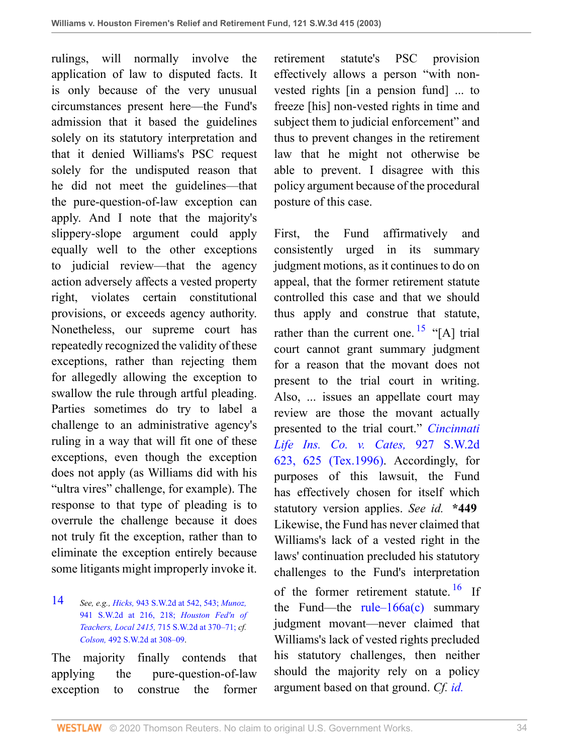rulings, will normally involve the application of law to disputed facts. It is only because of the very unusual circumstances present here—the Fund's admission that it based the guidelines solely on its statutory interpretation and that it denied Williams's PSC request solely for the undisputed reason that he did not meet the guidelines—that the pure-question-of-law exception can apply. And I note that the majority's slippery-slope argument could apply equally well to the other exceptions to judicial review—that the agency action adversely affects a vested property right, violates certain constitutional provisions, or exceeds agency authority. Nonetheless, our supreme court has repeatedly recognized the validity of these exceptions, rather than rejecting them for allegedly allowing the exception to swallow the rule through artful pleading. Parties sometimes do try to label a challenge to an administrative agency's ruling in a way that will fit one of these exceptions, even though the exception does not apply (as Williams did with his "ultra vires" challenge, for example). The response to that type of pleading is to overrule the challenge because it does not truly fit the exception, rather than to eliminate the exception entirely because some litigants might improperly invoke it.

<span id="page-33-0"></span>[14](#page-32-2) *See, e.g., Hicks,* [943 S.W.2d at 542, 543;](http://www.westlaw.com/Link/Document/FullText?findType=Y&serNum=1997085613&pubNum=713&originatingDoc=I8d0b46b0e7df11d99439b076ef9ec4de&refType=RP&fi=co_pp_sp_713_542&originationContext=document&vr=3.0&rs=cblt1.0&transitionType=DocumentItem&contextData=(sc.UserEnteredCitation)#co_pp_sp_713_542) *[Munoz,](http://www.westlaw.com/Link/Document/FullText?findType=Y&serNum=1996260861&pubNum=713&originatingDoc=I8d0b46b0e7df11d99439b076ef9ec4de&refType=RP&fi=co_pp_sp_713_216&originationContext=document&vr=3.0&rs=cblt1.0&transitionType=DocumentItem&contextData=(sc.UserEnteredCitation)#co_pp_sp_713_216)* [941 S.W.2d at 216, 218;](http://www.westlaw.com/Link/Document/FullText?findType=Y&serNum=1996260861&pubNum=713&originatingDoc=I8d0b46b0e7df11d99439b076ef9ec4de&refType=RP&fi=co_pp_sp_713_216&originationContext=document&vr=3.0&rs=cblt1.0&transitionType=DocumentItem&contextData=(sc.UserEnteredCitation)#co_pp_sp_713_216) *[Houston Fed'n of](http://www.westlaw.com/Link/Document/FullText?findType=Y&serNum=1986126892&pubNum=713&originatingDoc=I8d0b46b0e7df11d99439b076ef9ec4de&refType=RP&fi=co_pp_sp_713_370&originationContext=document&vr=3.0&rs=cblt1.0&transitionType=DocumentItem&contextData=(sc.UserEnteredCitation)#co_pp_sp_713_370) Teachers, Local 2415,* [715 S.W.2d at 370–71;](http://www.westlaw.com/Link/Document/FullText?findType=Y&serNum=1986126892&pubNum=713&originatingDoc=I8d0b46b0e7df11d99439b076ef9ec4de&refType=RP&fi=co_pp_sp_713_370&originationContext=document&vr=3.0&rs=cblt1.0&transitionType=DocumentItem&contextData=(sc.UserEnteredCitation)#co_pp_sp_713_370) *cf. Colson,* [492 S.W.2d at 308–09.](http://www.westlaw.com/Link/Document/FullText?findType=Y&serNum=1973129771&pubNum=0000713&originatingDoc=I8d0b46b0e7df11d99439b076ef9ec4de&refType=RP&fi=co_pp_sp_713_308&originationContext=document&vr=3.0&rs=cblt1.0&transitionType=DocumentItem&contextData=(sc.UserEnteredCitation)#co_pp_sp_713_308)

The majority finally contends that applying the pure-question-of-law exception to construe the former retirement statute's PSC provision effectively allows a person "with nonvested rights [in a pension fund] ... to freeze [his] non-vested rights in time and subject them to judicial enforcement" and thus to prevent changes in the retirement law that he might not otherwise be able to prevent. I disagree with this policy argument because of the procedural posture of this case.

<span id="page-33-2"></span><span id="page-33-1"></span>First, the Fund affirmatively and consistently urged in its summary judgment motions, as it continues to do on appeal, that the former retirement statute controlled this case and that we should thus apply and construe that statute, rather than the current one.  $^{15}$  $^{15}$  $^{15}$  "[A] trial court cannot grant summary judgment for a reason that the movant does not present to the trial court in writing. Also, ... issues an appellate court may review are those the movant actually presented to the trial court." *[Cincinnati](http://www.westlaw.com/Link/Document/FullText?findType=Y&serNum=1996154144&pubNum=0000713&originatingDoc=I8d0b46b0e7df11d99439b076ef9ec4de&refType=RP&fi=co_pp_sp_713_625&originationContext=document&vr=3.0&rs=cblt1.0&transitionType=DocumentItem&contextData=(sc.UserEnteredCitation)#co_pp_sp_713_625) [Life Ins. Co. v. Cates,](http://www.westlaw.com/Link/Document/FullText?findType=Y&serNum=1996154144&pubNum=0000713&originatingDoc=I8d0b46b0e7df11d99439b076ef9ec4de&refType=RP&fi=co_pp_sp_713_625&originationContext=document&vr=3.0&rs=cblt1.0&transitionType=DocumentItem&contextData=(sc.UserEnteredCitation)#co_pp_sp_713_625)* 927 S.W.2d [623, 625 \(Tex.1996\).](http://www.westlaw.com/Link/Document/FullText?findType=Y&serNum=1996154144&pubNum=0000713&originatingDoc=I8d0b46b0e7df11d99439b076ef9ec4de&refType=RP&fi=co_pp_sp_713_625&originationContext=document&vr=3.0&rs=cblt1.0&transitionType=DocumentItem&contextData=(sc.UserEnteredCitation)#co_pp_sp_713_625) Accordingly, for purposes of this lawsuit, the Fund has effectively chosen for itself which statutory version applies. *See id.* **\*449** Likewise, the Fund has never claimed that Williams's lack of a vested right in the laws' continuation precluded his statutory challenges to the Fund's interpretation of the former retirement statute.  $16$  If the Fund—the rule– $166a(c)$  summary judgment movant—never claimed that Williams's lack of vested rights precluded his statutory challenges, then neither should the majority rely on a policy argument based on that ground. *Cf. [id.](http://www.westlaw.com/Link/Document/FullText?findType=Y&serNum=1996154144&originatingDoc=I8d0b46b0e7df11d99439b076ef9ec4de&refType=RP&originationContext=document&vr=3.0&rs=cblt1.0&transitionType=DocumentItem&contextData=(sc.UserEnteredCitation))*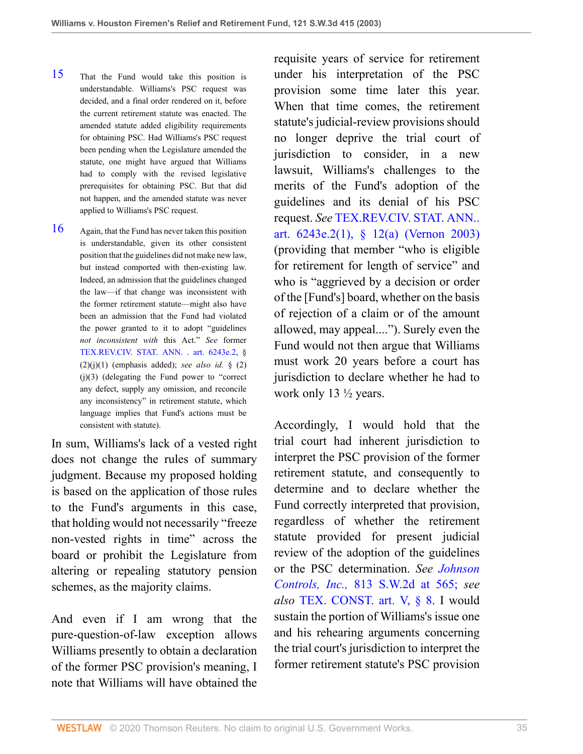- <span id="page-34-0"></span>[15](#page-33-1) That the Fund would take this position is understandable. Williams's PSC request was decided, and a final order rendered on it, before the current retirement statute was enacted. The amended statute added eligibility requirements for obtaining PSC. Had Williams's PSC request been pending when the Legislature amended the statute, one might have argued that Williams had to comply with the revised legislative prerequisites for obtaining PSC. But that did not happen, and the amended statute was never applied to Williams's PSC request.
- <span id="page-34-1"></span>[16](#page-33-2) Again, that the Fund has never taken this position is understandable, given its other consistent position that the guidelines did not make new law, but instead comported with then-existing law. Indeed, an admission that the guidelines changed the law—if that change was inconsistent with the former retirement statute—might also have been an admission that the Fund had violated the power granted to it to adopt "guidelines *not inconsistent with* this Act." *See* former [TEX.REV.CIV. STAT. ANN. . art. 6243e.2,](http://www.westlaw.com/Link/Document/FullText?findType=L&pubNum=1000188&cite=TXCSART6243E.2&originatingDoc=I8d0b46b0e7df11d99439b076ef9ec4de&refType=LQ&originationContext=document&vr=3.0&rs=cblt1.0&transitionType=DocumentItem&contextData=(sc.UserEnteredCitation)) §  $(2)(j)(1)$  (emphasis added); *see also id.* §  $(2)$ (j)(3) (delegating the Fund power to "correct any defect, supply any omission, and reconcile any inconsistency" in retirement statute, which language implies that Fund's actions must be consistent with statute).

In sum, Williams's lack of a vested right does not change the rules of summary judgment. Because my proposed holding is based on the application of those rules to the Fund's arguments in this case, that holding would not necessarily "freeze non-vested rights in time" across the board or prohibit the Legislature from altering or repealing statutory pension schemes, as the majority claims.

And even if I am wrong that the pure-question-of-law exception allows Williams presently to obtain a declaration of the former PSC provision's meaning, I note that Williams will have obtained the requisite years of service for retirement under his interpretation of the PSC provision some time later this year. When that time comes, the retirement statute's judicial-review provisions should no longer deprive the trial court of jurisdiction to consider, in a new lawsuit, Williams's challenges to the merits of the Fund's adoption of the guidelines and its denial of his PSC request. *See* [TEX.REV.CIV. STAT. ANN..](http://www.westlaw.com/Link/Document/FullText?findType=L&pubNum=1000188&cite=TXCSART6243E.2(1)&originatingDoc=I8d0b46b0e7df11d99439b076ef9ec4de&refType=LQ&originationContext=document&vr=3.0&rs=cblt1.0&transitionType=DocumentItem&contextData=(sc.UserEnteredCitation)) [art. 6243e.2\(1\), § 12\(a\) \(Vernon 2003\)](http://www.westlaw.com/Link/Document/FullText?findType=L&pubNum=1000188&cite=TXCSART6243E.2(1)&originatingDoc=I8d0b46b0e7df11d99439b076ef9ec4de&refType=LQ&originationContext=document&vr=3.0&rs=cblt1.0&transitionType=DocumentItem&contextData=(sc.UserEnteredCitation)) (providing that member "who is eligible for retirement for length of service" and who is "aggrieved by a decision or order of the [Fund's] board, whether on the basis of rejection of a claim or of the amount allowed, may appeal...."). Surely even the Fund would not then argue that Williams must work 20 years before a court has jurisdiction to declare whether he had to work only 13 ½ years.

Accordingly, I would hold that the trial court had inherent jurisdiction to interpret the PSC provision of the former retirement statute, and consequently to determine and to declare whether the Fund correctly interpreted that provision, regardless of whether the retirement statute provided for present judicial review of the adoption of the guidelines or the PSC determination. *See [Johnson](http://www.westlaw.com/Link/Document/FullText?findType=Y&serNum=1991110109&pubNum=713&originatingDoc=I8d0b46b0e7df11d99439b076ef9ec4de&refType=RP&fi=co_pp_sp_713_565&originationContext=document&vr=3.0&rs=cblt1.0&transitionType=DocumentItem&contextData=(sc.UserEnteredCitation)#co_pp_sp_713_565) Controls, Inc.,* [813 S.W.2d at 565;](http://www.westlaw.com/Link/Document/FullText?findType=Y&serNum=1991110109&pubNum=713&originatingDoc=I8d0b46b0e7df11d99439b076ef9ec4de&refType=RP&fi=co_pp_sp_713_565&originationContext=document&vr=3.0&rs=cblt1.0&transitionType=DocumentItem&contextData=(sc.UserEnteredCitation)#co_pp_sp_713_565) *see also* [TEX. CONST. art. V, § 8.](http://www.westlaw.com/Link/Document/FullText?findType=L&pubNum=1000301&cite=TXCNART5S8&originatingDoc=I8d0b46b0e7df11d99439b076ef9ec4de&refType=LQ&originationContext=document&vr=3.0&rs=cblt1.0&transitionType=DocumentItem&contextData=(sc.UserEnteredCitation)) I would sustain the portion of Williams's issue one and his rehearing arguments concerning the trial court's jurisdiction to interpret the former retirement statute's PSC provision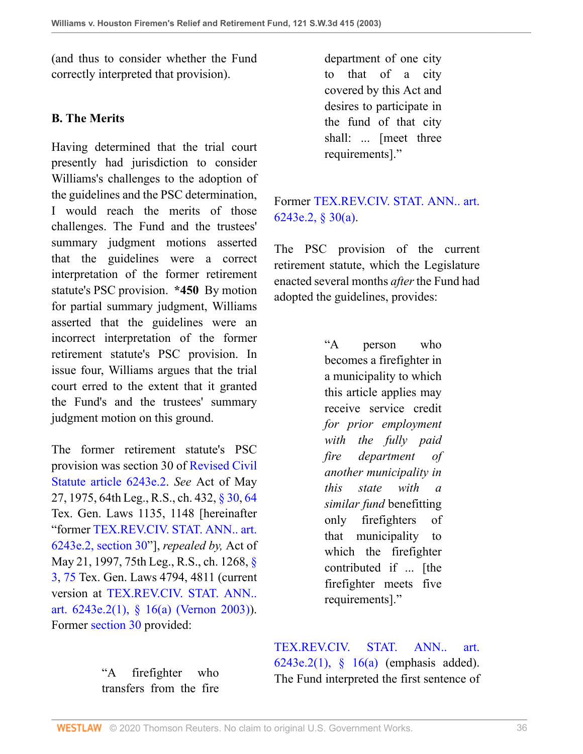(and thus to consider whether the Fund correctly interpreted that provision).

## **B. The Merits**

Having determined that the trial court presently had jurisdiction to consider Williams's challenges to the adoption of the guidelines and the PSC determination, I would reach the merits of those challenges. The Fund and the trustees' summary judgment motions asserted that the guidelines were a correct interpretation of the former retirement statute's PSC provision. **\*450** By motion for partial summary judgment, Williams asserted that the guidelines were an incorrect interpretation of the former retirement statute's PSC provision. In issue four, Williams argues that the trial court erred to the extent that it granted the Fund's and the trustees' summary judgment motion on this ground.

The former retirement statute's PSC provision was section 30 of [Revised Civil](http://www.westlaw.com/Link/Document/FullText?findType=L&pubNum=1000188&cite=TXCSART6243E.2&originatingDoc=I8d0b46b0e7df11d99439b076ef9ec4de&refType=LQ&originationContext=document&vr=3.0&rs=cblt1.0&transitionType=DocumentItem&contextData=(sc.UserEnteredCitation)) [Statute article 6243e.2](http://www.westlaw.com/Link/Document/FullText?findType=L&pubNum=1000188&cite=TXCSART6243E.2&originatingDoc=I8d0b46b0e7df11d99439b076ef9ec4de&refType=LQ&originationContext=document&vr=3.0&rs=cblt1.0&transitionType=DocumentItem&contextData=(sc.UserEnteredCitation)). *See* Act of May 27, 1975, 64th Leg., R.S., ch. 432, [§ 30](http://www.westlaw.com/Link/Document/FullText?findType=L&pubNum=1000188&cite=TXCSART6243E.2&originatingDoc=I8d0b46b0e7df11d99439b076ef9ec4de&refType=LQ&originationContext=document&vr=3.0&rs=cblt1.0&transitionType=DocumentItem&contextData=(sc.UserEnteredCitation)), [64](http://www.westlaw.com/Link/Document/FullText?findType=L&pubNum=1000188&cite=TXCSART6243E.2&originatingDoc=I8d0b46b0e7df11d99439b076ef9ec4de&refType=LQ&originationContext=document&vr=3.0&rs=cblt1.0&transitionType=DocumentItem&contextData=(sc.UserEnteredCitation)) Tex. Gen. Laws 1135, 1148 [hereinafter "former [TEX.REV.CIV. STAT. ANN.. art.](http://www.westlaw.com/Link/Document/FullText?findType=L&pubNum=1000188&cite=TXCSART6243E.2&originatingDoc=I8d0b46b0e7df11d99439b076ef9ec4de&refType=LQ&originationContext=document&vr=3.0&rs=cblt1.0&transitionType=DocumentItem&contextData=(sc.UserEnteredCitation)) [6243e.2, section 30"](http://www.westlaw.com/Link/Document/FullText?findType=L&pubNum=1000188&cite=TXCSART6243E.2&originatingDoc=I8d0b46b0e7df11d99439b076ef9ec4de&refType=LQ&originationContext=document&vr=3.0&rs=cblt1.0&transitionType=DocumentItem&contextData=(sc.UserEnteredCitation))], *repealed by,* Act of May 21, 1997, 75th Leg., R.S., ch. 1268, [§](http://www.westlaw.com/Link/Document/FullText?findType=L&pubNum=1000188&cite=TXCSART6243E.2(1)&originatingDoc=I8d0b46b0e7df11d99439b076ef9ec4de&refType=LQ&originationContext=document&vr=3.0&rs=cblt1.0&transitionType=DocumentItem&contextData=(sc.UserEnteredCitation)) [3](http://www.westlaw.com/Link/Document/FullText?findType=L&pubNum=1000188&cite=TXCSART6243E.2(1)&originatingDoc=I8d0b46b0e7df11d99439b076ef9ec4de&refType=LQ&originationContext=document&vr=3.0&rs=cblt1.0&transitionType=DocumentItem&contextData=(sc.UserEnteredCitation)), [75](http://www.westlaw.com/Link/Document/FullText?findType=L&pubNum=1000188&cite=TXCSART6243E.2(1)&originatingDoc=I8d0b46b0e7df11d99439b076ef9ec4de&refType=LQ&originationContext=document&vr=3.0&rs=cblt1.0&transitionType=DocumentItem&contextData=(sc.UserEnteredCitation)) Tex. Gen. Laws 4794, 4811 (current version at [TEX.REV.CIV. STAT. ANN..](http://www.westlaw.com/Link/Document/FullText?findType=L&pubNum=1000188&cite=TXCSART6243E.2(1)&originatingDoc=I8d0b46b0e7df11d99439b076ef9ec4de&refType=LQ&originationContext=document&vr=3.0&rs=cblt1.0&transitionType=DocumentItem&contextData=(sc.UserEnteredCitation)) [art. 6243e.2\(1\), § 16\(a\) \(Vernon 2003\)](http://www.westlaw.com/Link/Document/FullText?findType=L&pubNum=1000188&cite=TXCSART6243E.2(1)&originatingDoc=I8d0b46b0e7df11d99439b076ef9ec4de&refType=LQ&originationContext=document&vr=3.0&rs=cblt1.0&transitionType=DocumentItem&contextData=(sc.UserEnteredCitation))). Former [section 30](http://www.westlaw.com/Link/Document/FullText?findType=L&pubNum=1000188&cite=TXCSART6243E.2&originatingDoc=I8d0b46b0e7df11d99439b076ef9ec4de&refType=LQ&originationContext=document&vr=3.0&rs=cblt1.0&transitionType=DocumentItem&contextData=(sc.UserEnteredCitation)) provided:

> "A firefighter who transfers from the fire

department of one city to that of a city covered by this Act and desires to participate in the fund of that city shall: ... [meet three requirements]."

# Former [TEX.REV.CIV. STAT. ANN.. art.](http://www.westlaw.com/Link/Document/FullText?findType=L&pubNum=1000188&cite=TXCSART6243E.2&originatingDoc=I8d0b46b0e7df11d99439b076ef9ec4de&refType=LQ&originationContext=document&vr=3.0&rs=cblt1.0&transitionType=DocumentItem&contextData=(sc.UserEnteredCitation)) [6243e.2, § 30\(a\)](http://www.westlaw.com/Link/Document/FullText?findType=L&pubNum=1000188&cite=TXCSART6243E.2&originatingDoc=I8d0b46b0e7df11d99439b076ef9ec4de&refType=LQ&originationContext=document&vr=3.0&rs=cblt1.0&transitionType=DocumentItem&contextData=(sc.UserEnteredCitation)).

The PSC provision of the current retirement statute, which the Legislature enacted several months *after* the Fund had adopted the guidelines, provides:

> "A person who becomes a firefighter in a municipality to which this article applies may receive service credit *for prior employment with the fully paid fire department of another municipality in this state with a similar fund* benefitting only firefighters of that municipality to which the firefighter contributed if ... [the firefighter meets five requirements]."

[TEX.REV.CIV. STAT. ANN.. art.](http://www.westlaw.com/Link/Document/FullText?findType=L&pubNum=1000188&cite=TXCSART6243E.2(1)&originatingDoc=I8d0b46b0e7df11d99439b076ef9ec4de&refType=LQ&originationContext=document&vr=3.0&rs=cblt1.0&transitionType=DocumentItem&contextData=(sc.UserEnteredCitation)) [6243e.2\(1\), § 16\(a\)](http://www.westlaw.com/Link/Document/FullText?findType=L&pubNum=1000188&cite=TXCSART6243E.2(1)&originatingDoc=I8d0b46b0e7df11d99439b076ef9ec4de&refType=LQ&originationContext=document&vr=3.0&rs=cblt1.0&transitionType=DocumentItem&contextData=(sc.UserEnteredCitation)) (emphasis added). The Fund interpreted the first sentence of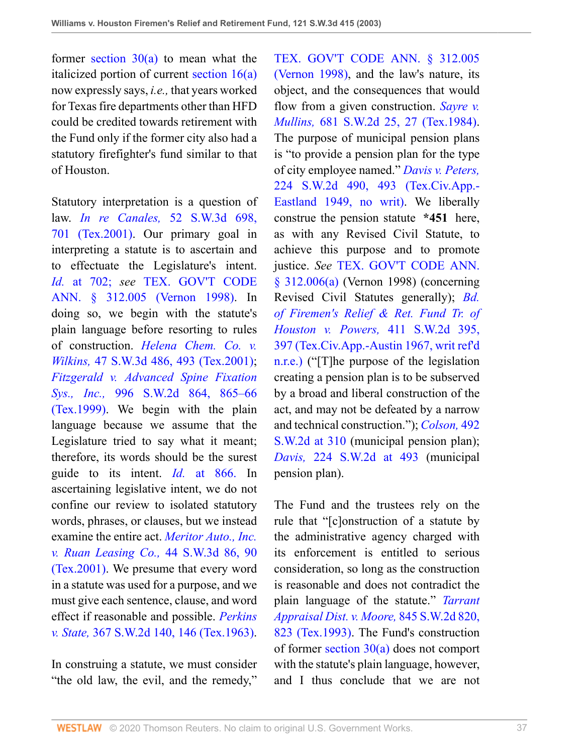former section  $30(a)$  to mean what the italicized portion of current [section 16\(a\)](http://www.westlaw.com/Link/Document/FullText?findType=L&pubNum=1000188&cite=TXCSART6243E.2(1)&originatingDoc=I8d0b46b0e7df11d99439b076ef9ec4de&refType=LQ&originationContext=document&vr=3.0&rs=cblt1.0&transitionType=DocumentItem&contextData=(sc.UserEnteredCitation)) now expressly says, *i.e.,* that years worked for Texas fire departments other than HFD could be credited towards retirement with the Fund only if the former city also had a statutory firefighter's fund similar to that of Houston.

Statutory interpretation is a question of law. *In re Canales,* [52 S.W.3d 698,](http://www.westlaw.com/Link/Document/FullText?findType=Y&serNum=2001112175&pubNum=0004644&originatingDoc=I8d0b46b0e7df11d99439b076ef9ec4de&refType=RP&fi=co_pp_sp_4644_701&originationContext=document&vr=3.0&rs=cblt1.0&transitionType=DocumentItem&contextData=(sc.UserEnteredCitation)#co_pp_sp_4644_701) [701 \(Tex.2001\)](http://www.westlaw.com/Link/Document/FullText?findType=Y&serNum=2001112175&pubNum=0004644&originatingDoc=I8d0b46b0e7df11d99439b076ef9ec4de&refType=RP&fi=co_pp_sp_4644_701&originationContext=document&vr=3.0&rs=cblt1.0&transitionType=DocumentItem&contextData=(sc.UserEnteredCitation)#co_pp_sp_4644_701). Our primary goal in interpreting a statute is to ascertain and to effectuate the Legislature's intent. *Id.* [at 702;](http://www.westlaw.com/Link/Document/FullText?findType=Y&serNum=2001112175&originatingDoc=I8d0b46b0e7df11d99439b076ef9ec4de&refType=RP&originationContext=document&vr=3.0&rs=cblt1.0&transitionType=DocumentItem&contextData=(sc.UserEnteredCitation)) *see* [TEX. GOV'T CODE](http://www.westlaw.com/Link/Document/FullText?findType=L&pubNum=1000176&cite=TXGTS312.005&originatingDoc=I8d0b46b0e7df11d99439b076ef9ec4de&refType=LQ&originationContext=document&vr=3.0&rs=cblt1.0&transitionType=DocumentItem&contextData=(sc.UserEnteredCitation)) [ANN. § 312.005 \(Vernon 1998\)](http://www.westlaw.com/Link/Document/FullText?findType=L&pubNum=1000176&cite=TXGTS312.005&originatingDoc=I8d0b46b0e7df11d99439b076ef9ec4de&refType=LQ&originationContext=document&vr=3.0&rs=cblt1.0&transitionType=DocumentItem&contextData=(sc.UserEnteredCitation)). In doing so, we begin with the statute's plain language before resorting to rules of construction. *[Helena Chem. Co. v.](http://www.westlaw.com/Link/Document/FullText?findType=Y&serNum=2001407098&pubNum=0004644&originatingDoc=I8d0b46b0e7df11d99439b076ef9ec4de&refType=RP&fi=co_pp_sp_4644_493&originationContext=document&vr=3.0&rs=cblt1.0&transitionType=DocumentItem&contextData=(sc.UserEnteredCitation)#co_pp_sp_4644_493) Wilkins,* [47 S.W.3d 486, 493 \(Tex.2001\)](http://www.westlaw.com/Link/Document/FullText?findType=Y&serNum=2001407098&pubNum=0004644&originatingDoc=I8d0b46b0e7df11d99439b076ef9ec4de&refType=RP&fi=co_pp_sp_4644_493&originationContext=document&vr=3.0&rs=cblt1.0&transitionType=DocumentItem&contextData=(sc.UserEnteredCitation)#co_pp_sp_4644_493); *[Fitzgerald v. Advanced Spine Fixation](http://www.westlaw.com/Link/Document/FullText?findType=Y&serNum=1999157590&pubNum=0000713&originatingDoc=I8d0b46b0e7df11d99439b076ef9ec4de&refType=RP&fi=co_pp_sp_713_865&originationContext=document&vr=3.0&rs=cblt1.0&transitionType=DocumentItem&contextData=(sc.UserEnteredCitation)#co_pp_sp_713_865) Sys., Inc.,* [996 S.W.2d 864, 865–66](http://www.westlaw.com/Link/Document/FullText?findType=Y&serNum=1999157590&pubNum=0000713&originatingDoc=I8d0b46b0e7df11d99439b076ef9ec4de&refType=RP&fi=co_pp_sp_713_865&originationContext=document&vr=3.0&rs=cblt1.0&transitionType=DocumentItem&contextData=(sc.UserEnteredCitation)#co_pp_sp_713_865) [\(Tex.1999\)](http://www.westlaw.com/Link/Document/FullText?findType=Y&serNum=1999157590&pubNum=0000713&originatingDoc=I8d0b46b0e7df11d99439b076ef9ec4de&refType=RP&fi=co_pp_sp_713_865&originationContext=document&vr=3.0&rs=cblt1.0&transitionType=DocumentItem&contextData=(sc.UserEnteredCitation)#co_pp_sp_713_865). We begin with the plain language because we assume that the Legislature tried to say what it meant; therefore, its words should be the surest guide to its intent. *Id.* [at 866.](http://www.westlaw.com/Link/Document/FullText?findType=Y&serNum=1999157590&originatingDoc=I8d0b46b0e7df11d99439b076ef9ec4de&refType=RP&originationContext=document&vr=3.0&rs=cblt1.0&transitionType=DocumentItem&contextData=(sc.UserEnteredCitation)) In ascertaining legislative intent, we do not confine our review to isolated statutory words, phrases, or clauses, but we instead examine the entire act. *[Meritor Auto., Inc.](http://www.westlaw.com/Link/Document/FullText?findType=Y&serNum=2001259324&pubNum=0004644&originatingDoc=I8d0b46b0e7df11d99439b076ef9ec4de&refType=RP&fi=co_pp_sp_4644_90&originationContext=document&vr=3.0&rs=cblt1.0&transitionType=DocumentItem&contextData=(sc.UserEnteredCitation)#co_pp_sp_4644_90) [v. Ruan Leasing Co.,](http://www.westlaw.com/Link/Document/FullText?findType=Y&serNum=2001259324&pubNum=0004644&originatingDoc=I8d0b46b0e7df11d99439b076ef9ec4de&refType=RP&fi=co_pp_sp_4644_90&originationContext=document&vr=3.0&rs=cblt1.0&transitionType=DocumentItem&contextData=(sc.UserEnteredCitation)#co_pp_sp_4644_90)* 44 S.W.3d 86, 90 [\(Tex.2001\)](http://www.westlaw.com/Link/Document/FullText?findType=Y&serNum=2001259324&pubNum=0004644&originatingDoc=I8d0b46b0e7df11d99439b076ef9ec4de&refType=RP&fi=co_pp_sp_4644_90&originationContext=document&vr=3.0&rs=cblt1.0&transitionType=DocumentItem&contextData=(sc.UserEnteredCitation)#co_pp_sp_4644_90). We presume that every word in a statute was used for a purpose, and we must give each sentence, clause, and word effect if reasonable and possible. *[Perkins](http://www.westlaw.com/Link/Document/FullText?findType=Y&serNum=1963127705&pubNum=0000713&originatingDoc=I8d0b46b0e7df11d99439b076ef9ec4de&refType=RP&fi=co_pp_sp_713_146&originationContext=document&vr=3.0&rs=cblt1.0&transitionType=DocumentItem&contextData=(sc.UserEnteredCitation)#co_pp_sp_713_146) v. State,* [367 S.W.2d 140, 146 \(Tex.1963\).](http://www.westlaw.com/Link/Document/FullText?findType=Y&serNum=1963127705&pubNum=0000713&originatingDoc=I8d0b46b0e7df11d99439b076ef9ec4de&refType=RP&fi=co_pp_sp_713_146&originationContext=document&vr=3.0&rs=cblt1.0&transitionType=DocumentItem&contextData=(sc.UserEnteredCitation)#co_pp_sp_713_146)

In construing a statute, we must consider "the old law, the evil, and the remedy," [TEX. GOV'T CODE ANN. § 312.005](http://www.westlaw.com/Link/Document/FullText?findType=L&pubNum=1000176&cite=TXGTS312.005&originatingDoc=I8d0b46b0e7df11d99439b076ef9ec4de&refType=LQ&originationContext=document&vr=3.0&rs=cblt1.0&transitionType=DocumentItem&contextData=(sc.UserEnteredCitation)) [\(Vernon 1998\),](http://www.westlaw.com/Link/Document/FullText?findType=L&pubNum=1000176&cite=TXGTS312.005&originatingDoc=I8d0b46b0e7df11d99439b076ef9ec4de&refType=LQ&originationContext=document&vr=3.0&rs=cblt1.0&transitionType=DocumentItem&contextData=(sc.UserEnteredCitation)) and the law's nature, its object, and the consequences that would flow from a given construction. *[Sayre v.](http://www.westlaw.com/Link/Document/FullText?findType=Y&serNum=1984155762&pubNum=0000713&originatingDoc=I8d0b46b0e7df11d99439b076ef9ec4de&refType=RP&fi=co_pp_sp_713_27&originationContext=document&vr=3.0&rs=cblt1.0&transitionType=DocumentItem&contextData=(sc.UserEnteredCitation)#co_pp_sp_713_27) Mullins,* [681 S.W.2d 25, 27 \(Tex.1984\).](http://www.westlaw.com/Link/Document/FullText?findType=Y&serNum=1984155762&pubNum=0000713&originatingDoc=I8d0b46b0e7df11d99439b076ef9ec4de&refType=RP&fi=co_pp_sp_713_27&originationContext=document&vr=3.0&rs=cblt1.0&transitionType=DocumentItem&contextData=(sc.UserEnteredCitation)#co_pp_sp_713_27) The purpose of municipal pension plans is "to provide a pension plan for the type of city employee named." *[Davis v. Peters,](http://www.westlaw.com/Link/Document/FullText?findType=Y&serNum=1949120783&pubNum=0000713&originatingDoc=I8d0b46b0e7df11d99439b076ef9ec4de&refType=RP&fi=co_pp_sp_713_493&originationContext=document&vr=3.0&rs=cblt1.0&transitionType=DocumentItem&contextData=(sc.UserEnteredCitation)#co_pp_sp_713_493)* [224 S.W.2d 490, 493 \(Tex.Civ.App.-](http://www.westlaw.com/Link/Document/FullText?findType=Y&serNum=1949120783&pubNum=0000713&originatingDoc=I8d0b46b0e7df11d99439b076ef9ec4de&refType=RP&fi=co_pp_sp_713_493&originationContext=document&vr=3.0&rs=cblt1.0&transitionType=DocumentItem&contextData=(sc.UserEnteredCitation)#co_pp_sp_713_493) [Eastland 1949, no writ\)](http://www.westlaw.com/Link/Document/FullText?findType=Y&serNum=1949120783&pubNum=0000713&originatingDoc=I8d0b46b0e7df11d99439b076ef9ec4de&refType=RP&fi=co_pp_sp_713_493&originationContext=document&vr=3.0&rs=cblt1.0&transitionType=DocumentItem&contextData=(sc.UserEnteredCitation)#co_pp_sp_713_493). We liberally construe the pension statute **\*451** here, as with any Revised Civil Statute, to achieve this purpose and to promote justice. *See* [TEX. GOV'T CODE ANN.](http://www.westlaw.com/Link/Document/FullText?findType=L&pubNum=1000176&cite=TXGTS312.006&originatingDoc=I8d0b46b0e7df11d99439b076ef9ec4de&refType=SP&originationContext=document&vr=3.0&rs=cblt1.0&transitionType=DocumentItem&contextData=(sc.UserEnteredCitation)#co_pp_8b3b0000958a4) [§ 312.006\(a\)](http://www.westlaw.com/Link/Document/FullText?findType=L&pubNum=1000176&cite=TXGTS312.006&originatingDoc=I8d0b46b0e7df11d99439b076ef9ec4de&refType=SP&originationContext=document&vr=3.0&rs=cblt1.0&transitionType=DocumentItem&contextData=(sc.UserEnteredCitation)#co_pp_8b3b0000958a4) (Vernon 1998) (concerning Revised Civil Statutes generally); *[Bd.](http://www.westlaw.com/Link/Document/FullText?findType=Y&serNum=1967131583&pubNum=0000713&originatingDoc=I8d0b46b0e7df11d99439b076ef9ec4de&refType=RP&fi=co_pp_sp_713_397&originationContext=document&vr=3.0&rs=cblt1.0&transitionType=DocumentItem&contextData=(sc.UserEnteredCitation)#co_pp_sp_713_397) [of Firemen's Relief & Ret. Fund Tr. of](http://www.westlaw.com/Link/Document/FullText?findType=Y&serNum=1967131583&pubNum=0000713&originatingDoc=I8d0b46b0e7df11d99439b076ef9ec4de&refType=RP&fi=co_pp_sp_713_397&originationContext=document&vr=3.0&rs=cblt1.0&transitionType=DocumentItem&contextData=(sc.UserEnteredCitation)#co_pp_sp_713_397) [Houston v. Powers,](http://www.westlaw.com/Link/Document/FullText?findType=Y&serNum=1967131583&pubNum=0000713&originatingDoc=I8d0b46b0e7df11d99439b076ef9ec4de&refType=RP&fi=co_pp_sp_713_397&originationContext=document&vr=3.0&rs=cblt1.0&transitionType=DocumentItem&contextData=(sc.UserEnteredCitation)#co_pp_sp_713_397)* 411 S.W.2d 395, [397 \(Tex.Civ.App.-Austin 1967, writ ref'd](http://www.westlaw.com/Link/Document/FullText?findType=Y&serNum=1967131583&pubNum=0000713&originatingDoc=I8d0b46b0e7df11d99439b076ef9ec4de&refType=RP&fi=co_pp_sp_713_397&originationContext=document&vr=3.0&rs=cblt1.0&transitionType=DocumentItem&contextData=(sc.UserEnteredCitation)#co_pp_sp_713_397) [n.r.e.\)](http://www.westlaw.com/Link/Document/FullText?findType=Y&serNum=1967131583&pubNum=0000713&originatingDoc=I8d0b46b0e7df11d99439b076ef9ec4de&refType=RP&fi=co_pp_sp_713_397&originationContext=document&vr=3.0&rs=cblt1.0&transitionType=DocumentItem&contextData=(sc.UserEnteredCitation)#co_pp_sp_713_397) ("[T]he purpose of the legislation creating a pension plan is to be subserved by a broad and liberal construction of the act, and may not be defeated by a narrow and technical construction."); *[Colson,](http://www.westlaw.com/Link/Document/FullText?findType=Y&serNum=1973129771&pubNum=0000713&originatingDoc=I8d0b46b0e7df11d99439b076ef9ec4de&refType=RP&fi=co_pp_sp_713_310&originationContext=document&vr=3.0&rs=cblt1.0&transitionType=DocumentItem&contextData=(sc.UserEnteredCitation)#co_pp_sp_713_310)* 492 [S.W.2d at 310](http://www.westlaw.com/Link/Document/FullText?findType=Y&serNum=1973129771&pubNum=0000713&originatingDoc=I8d0b46b0e7df11d99439b076ef9ec4de&refType=RP&fi=co_pp_sp_713_310&originationContext=document&vr=3.0&rs=cblt1.0&transitionType=DocumentItem&contextData=(sc.UserEnteredCitation)#co_pp_sp_713_310) (municipal pension plan); *Davis,* [224 S.W.2d at 493](http://www.westlaw.com/Link/Document/FullText?findType=Y&serNum=1949120783&pubNum=0000713&originatingDoc=I8d0b46b0e7df11d99439b076ef9ec4de&refType=RP&fi=co_pp_sp_713_493&originationContext=document&vr=3.0&rs=cblt1.0&transitionType=DocumentItem&contextData=(sc.UserEnteredCitation)#co_pp_sp_713_493) (municipal pension plan).

The Fund and the trustees rely on the rule that "[c]onstruction of a statute by the administrative agency charged with its enforcement is entitled to serious consideration, so long as the construction is reasonable and does not contradict the plain language of the statute." *[Tarrant](http://www.westlaw.com/Link/Document/FullText?findType=Y&serNum=1993036595&pubNum=0000713&originatingDoc=I8d0b46b0e7df11d99439b076ef9ec4de&refType=RP&fi=co_pp_sp_713_823&originationContext=document&vr=3.0&rs=cblt1.0&transitionType=DocumentItem&contextData=(sc.UserEnteredCitation)#co_pp_sp_713_823) [Appraisal Dist. v. Moore,](http://www.westlaw.com/Link/Document/FullText?findType=Y&serNum=1993036595&pubNum=0000713&originatingDoc=I8d0b46b0e7df11d99439b076ef9ec4de&refType=RP&fi=co_pp_sp_713_823&originationContext=document&vr=3.0&rs=cblt1.0&transitionType=DocumentItem&contextData=(sc.UserEnteredCitation)#co_pp_sp_713_823)* 845 S.W.2d 820, [823 \(Tex.1993\)](http://www.westlaw.com/Link/Document/FullText?findType=Y&serNum=1993036595&pubNum=0000713&originatingDoc=I8d0b46b0e7df11d99439b076ef9ec4de&refType=RP&fi=co_pp_sp_713_823&originationContext=document&vr=3.0&rs=cblt1.0&transitionType=DocumentItem&contextData=(sc.UserEnteredCitation)#co_pp_sp_713_823). The Fund's construction of former section  $30(a)$  does not comport with the statute's plain language, however, and I thus conclude that we are not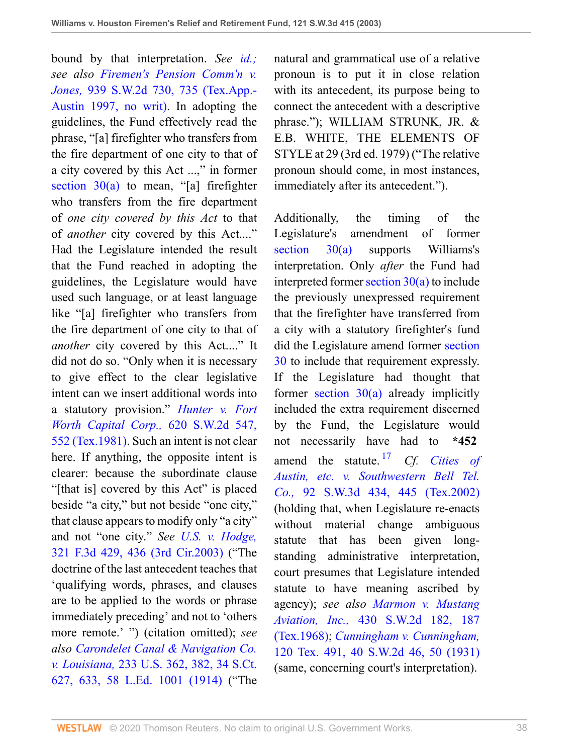bound by that interpretation. *See [id.;](http://www.westlaw.com/Link/Document/FullText?findType=Y&serNum=1993036595&originatingDoc=I8d0b46b0e7df11d99439b076ef9ec4de&refType=RP&originationContext=document&vr=3.0&rs=cblt1.0&transitionType=DocumentItem&contextData=(sc.UserEnteredCitation)) see also [Firemen's Pension Comm'n v.](http://www.westlaw.com/Link/Document/FullText?findType=Y&serNum=1997047188&pubNum=0000713&originatingDoc=I8d0b46b0e7df11d99439b076ef9ec4de&refType=RP&fi=co_pp_sp_713_735&originationContext=document&vr=3.0&rs=cblt1.0&transitionType=DocumentItem&contextData=(sc.UserEnteredCitation)#co_pp_sp_713_735) Jones,* [939 S.W.2d 730, 735 \(Tex.App.-](http://www.westlaw.com/Link/Document/FullText?findType=Y&serNum=1997047188&pubNum=0000713&originatingDoc=I8d0b46b0e7df11d99439b076ef9ec4de&refType=RP&fi=co_pp_sp_713_735&originationContext=document&vr=3.0&rs=cblt1.0&transitionType=DocumentItem&contextData=(sc.UserEnteredCitation)#co_pp_sp_713_735) [Austin 1997, no writ\)](http://www.westlaw.com/Link/Document/FullText?findType=Y&serNum=1997047188&pubNum=0000713&originatingDoc=I8d0b46b0e7df11d99439b076ef9ec4de&refType=RP&fi=co_pp_sp_713_735&originationContext=document&vr=3.0&rs=cblt1.0&transitionType=DocumentItem&contextData=(sc.UserEnteredCitation)#co_pp_sp_713_735). In adopting the guidelines, the Fund effectively read the phrase, "[a] firefighter who transfers from the fire department of one city to that of a city covered by this Act ...," in former section  $30(a)$  to mean, "[a] firefighter who transfers from the fire department of *one city covered by this Act* to that of *another* city covered by this Act...." Had the Legislature intended the result that the Fund reached in adopting the guidelines, the Legislature would have used such language, or at least language like "[a] firefighter who transfers from the fire department of one city to that of *another* city covered by this Act...." It did not do so. "Only when it is necessary to give effect to the clear legislative intent can we insert additional words into a statutory provision." *[Hunter v. Fort](http://www.westlaw.com/Link/Document/FullText?findType=Y&serNum=1981131805&pubNum=0000713&originatingDoc=I8d0b46b0e7df11d99439b076ef9ec4de&refType=RP&fi=co_pp_sp_713_552&originationContext=document&vr=3.0&rs=cblt1.0&transitionType=DocumentItem&contextData=(sc.UserEnteredCitation)#co_pp_sp_713_552) [Worth Capital Corp.,](http://www.westlaw.com/Link/Document/FullText?findType=Y&serNum=1981131805&pubNum=0000713&originatingDoc=I8d0b46b0e7df11d99439b076ef9ec4de&refType=RP&fi=co_pp_sp_713_552&originationContext=document&vr=3.0&rs=cblt1.0&transitionType=DocumentItem&contextData=(sc.UserEnteredCitation)#co_pp_sp_713_552)* 620 S.W.2d 547, [552 \(Tex.1981\)](http://www.westlaw.com/Link/Document/FullText?findType=Y&serNum=1981131805&pubNum=0000713&originatingDoc=I8d0b46b0e7df11d99439b076ef9ec4de&refType=RP&fi=co_pp_sp_713_552&originationContext=document&vr=3.0&rs=cblt1.0&transitionType=DocumentItem&contextData=(sc.UserEnteredCitation)#co_pp_sp_713_552). Such an intent is not clear here. If anything, the opposite intent is clearer: because the subordinate clause "[that is] covered by this Act" is placed beside "a city," but not beside "one city," that clause appears to modify only "a city" and not "one city." *See [U.S. v. Hodge,](http://www.westlaw.com/Link/Document/FullText?findType=Y&serNum=2003207196&pubNum=0000506&originatingDoc=I8d0b46b0e7df11d99439b076ef9ec4de&refType=RP&fi=co_pp_sp_506_436&originationContext=document&vr=3.0&rs=cblt1.0&transitionType=DocumentItem&contextData=(sc.UserEnteredCitation)#co_pp_sp_506_436)* [321 F.3d 429, 436 \(3rd Cir.2003\)](http://www.westlaw.com/Link/Document/FullText?findType=Y&serNum=2003207196&pubNum=0000506&originatingDoc=I8d0b46b0e7df11d99439b076ef9ec4de&refType=RP&fi=co_pp_sp_506_436&originationContext=document&vr=3.0&rs=cblt1.0&transitionType=DocumentItem&contextData=(sc.UserEnteredCitation)#co_pp_sp_506_436) ("The doctrine of the last antecedent teaches that 'qualifying words, phrases, and clauses are to be applied to the words or phrase immediately preceding' and not to 'others more remote.' ") (citation omitted); *see also [Carondelet Canal & Navigation Co.](http://www.westlaw.com/Link/Document/FullText?findType=Y&serNum=1914100435&pubNum=0000708&originatingDoc=I8d0b46b0e7df11d99439b076ef9ec4de&refType=RP&fi=co_pp_sp_708_633&originationContext=document&vr=3.0&rs=cblt1.0&transitionType=DocumentItem&contextData=(sc.UserEnteredCitation)#co_pp_sp_708_633) v. Louisiana,* [233 U.S. 362, 382, 34 S.Ct.](http://www.westlaw.com/Link/Document/FullText?findType=Y&serNum=1914100435&pubNum=0000708&originatingDoc=I8d0b46b0e7df11d99439b076ef9ec4de&refType=RP&fi=co_pp_sp_708_633&originationContext=document&vr=3.0&rs=cblt1.0&transitionType=DocumentItem&contextData=(sc.UserEnteredCitation)#co_pp_sp_708_633) [627, 633, 58 L.Ed. 1001 \(1914\)](http://www.westlaw.com/Link/Document/FullText?findType=Y&serNum=1914100435&pubNum=0000708&originatingDoc=I8d0b46b0e7df11d99439b076ef9ec4de&refType=RP&fi=co_pp_sp_708_633&originationContext=document&vr=3.0&rs=cblt1.0&transitionType=DocumentItem&contextData=(sc.UserEnteredCitation)#co_pp_sp_708_633) ("The

natural and grammatical use of a relative pronoun is to put it in close relation with its antecedent, its purpose being to connect the antecedent with a descriptive phrase."); WILLIAM STRUNK, JR. & E.B. WHITE, THE ELEMENTS OF STYLE at 29 (3rd ed. 1979) ("The relative pronoun should come, in most instances, immediately after its antecedent.").

<span id="page-37-0"></span>Additionally, the timing of the Legislature's amendment of former [section 30\(a\)](http://www.westlaw.com/Link/Document/FullText?findType=L&pubNum=1000188&cite=TXCSART6243E.2&originatingDoc=I8d0b46b0e7df11d99439b076ef9ec4de&refType=LQ&originationContext=document&vr=3.0&rs=cblt1.0&transitionType=DocumentItem&contextData=(sc.UserEnteredCitation)) supports Williams's interpretation. Only *after* the Fund had interpreted former section  $30(a)$  to include the previously unexpressed requirement that the firefighter have transferred from a city with a statutory firefighter's fund did the Legislature amend former [section](http://www.westlaw.com/Link/Document/FullText?findType=L&pubNum=1000188&cite=TXCSART6243E.2&originatingDoc=I8d0b46b0e7df11d99439b076ef9ec4de&refType=LQ&originationContext=document&vr=3.0&rs=cblt1.0&transitionType=DocumentItem&contextData=(sc.UserEnteredCitation)) [30](http://www.westlaw.com/Link/Document/FullText?findType=L&pubNum=1000188&cite=TXCSART6243E.2&originatingDoc=I8d0b46b0e7df11d99439b076ef9ec4de&refType=LQ&originationContext=document&vr=3.0&rs=cblt1.0&transitionType=DocumentItem&contextData=(sc.UserEnteredCitation)) to include that requirement expressly. If the Legislature had thought that former section  $30(a)$  already implicitly included the extra requirement discerned by the Fund, the Legislature would not necessarily have had to **\*452** amend the statute. [17](#page-38-0) *Cf. [Cities of](http://www.westlaw.com/Link/Document/FullText?findType=Y&serNum=2002351089&pubNum=0004644&originatingDoc=I8d0b46b0e7df11d99439b076ef9ec4de&refType=RP&fi=co_pp_sp_4644_445&originationContext=document&vr=3.0&rs=cblt1.0&transitionType=DocumentItem&contextData=(sc.UserEnteredCitation)#co_pp_sp_4644_445) [Austin, etc. v. Southwestern Bell Tel.](http://www.westlaw.com/Link/Document/FullText?findType=Y&serNum=2002351089&pubNum=0004644&originatingDoc=I8d0b46b0e7df11d99439b076ef9ec4de&refType=RP&fi=co_pp_sp_4644_445&originationContext=document&vr=3.0&rs=cblt1.0&transitionType=DocumentItem&contextData=(sc.UserEnteredCitation)#co_pp_sp_4644_445) Co.,* [92 S.W.3d 434, 445 \(Tex.2002\)](http://www.westlaw.com/Link/Document/FullText?findType=Y&serNum=2002351089&pubNum=0004644&originatingDoc=I8d0b46b0e7df11d99439b076ef9ec4de&refType=RP&fi=co_pp_sp_4644_445&originationContext=document&vr=3.0&rs=cblt1.0&transitionType=DocumentItem&contextData=(sc.UserEnteredCitation)#co_pp_sp_4644_445) (holding that, when Legislature re-enacts without material change ambiguous statute that has been given longstanding administrative interpretation, court presumes that Legislature intended statute to have meaning ascribed by agency); *see also [Marmon v. Mustang](http://www.westlaw.com/Link/Document/FullText?findType=Y&serNum=1968134828&pubNum=0000713&originatingDoc=I8d0b46b0e7df11d99439b076ef9ec4de&refType=RP&fi=co_pp_sp_713_187&originationContext=document&vr=3.0&rs=cblt1.0&transitionType=DocumentItem&contextData=(sc.UserEnteredCitation)#co_pp_sp_713_187) Aviation, Inc.,* [430 S.W.2d 182, 187](http://www.westlaw.com/Link/Document/FullText?findType=Y&serNum=1968134828&pubNum=0000713&originatingDoc=I8d0b46b0e7df11d99439b076ef9ec4de&refType=RP&fi=co_pp_sp_713_187&originationContext=document&vr=3.0&rs=cblt1.0&transitionType=DocumentItem&contextData=(sc.UserEnteredCitation)#co_pp_sp_713_187) [\(Tex.1968\)](http://www.westlaw.com/Link/Document/FullText?findType=Y&serNum=1968134828&pubNum=0000713&originatingDoc=I8d0b46b0e7df11d99439b076ef9ec4de&refType=RP&fi=co_pp_sp_713_187&originationContext=document&vr=3.0&rs=cblt1.0&transitionType=DocumentItem&contextData=(sc.UserEnteredCitation)#co_pp_sp_713_187); *[Cunningham v. Cunningham,](http://www.westlaw.com/Link/Document/FullText?findType=Y&serNum=1931102210&pubNum=0000713&originatingDoc=I8d0b46b0e7df11d99439b076ef9ec4de&refType=RP&fi=co_pp_sp_713_50&originationContext=document&vr=3.0&rs=cblt1.0&transitionType=DocumentItem&contextData=(sc.UserEnteredCitation)#co_pp_sp_713_50)* [120 Tex. 491, 40 S.W.2d 46, 50 \(1931\)](http://www.westlaw.com/Link/Document/FullText?findType=Y&serNum=1931102210&pubNum=0000713&originatingDoc=I8d0b46b0e7df11d99439b076ef9ec4de&refType=RP&fi=co_pp_sp_713_50&originationContext=document&vr=3.0&rs=cblt1.0&transitionType=DocumentItem&contextData=(sc.UserEnteredCitation)#co_pp_sp_713_50) (same, concerning court's interpretation).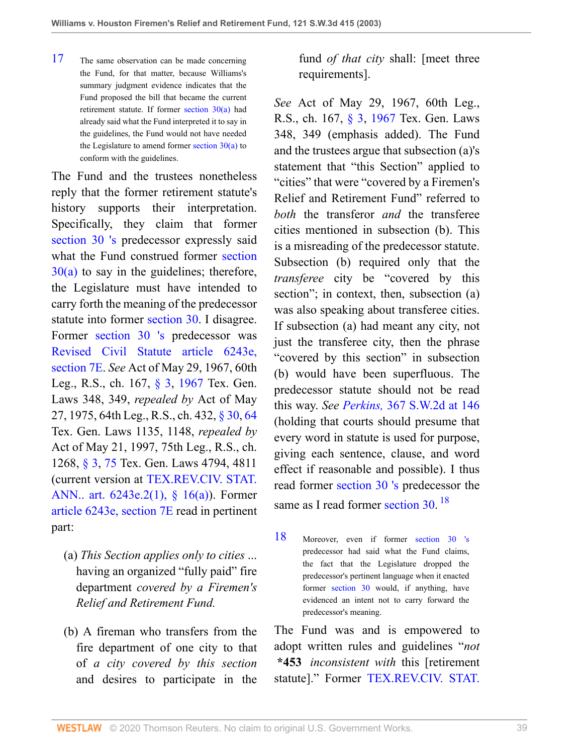<span id="page-38-0"></span>[17](#page-37-0) The same observation can be made concerning the Fund, for that matter, because Williams's summary judgment evidence indicates that the Fund proposed the bill that became the current retirement statute. If former [section 30\(a\)](http://www.westlaw.com/Link/Document/FullText?findType=L&pubNum=1000188&cite=TXCSART6243E.2&originatingDoc=I8d0b46b0e7df11d99439b076ef9ec4de&refType=LQ&originationContext=document&vr=3.0&rs=cblt1.0&transitionType=DocumentItem&contextData=(sc.UserEnteredCitation)) had already said what the Fund interpreted it to say in the guidelines, the Fund would not have needed the Legislature to amend former section  $30(a)$  to conform with the guidelines.

The Fund and the trustees nonetheless reply that the former retirement statute's history supports their interpretation. Specifically, they claim that former [section 30](http://www.westlaw.com/Link/Document/FullText?findType=L&pubNum=1000188&cite=TXCSART6243E.2&originatingDoc=I8d0b46b0e7df11d99439b076ef9ec4de&refType=LQ&originationContext=document&vr=3.0&rs=cblt1.0&transitionType=DocumentItem&contextData=(sc.UserEnteredCitation)) ['s](http://www.westlaw.com/Link/Document/FullText?findType=L&pubNum=1000188&cite=TXCSART6243E.2&originatingDoc=I8d0b46b0e7df11d99439b076ef9ec4de&refType=LQ&originationContext=document&vr=3.0&rs=cblt1.0&transitionType=DocumentItem&contextData=(sc.UserEnteredCitation)) predecessor expressly said what the Fund construed former [section](http://www.westlaw.com/Link/Document/FullText?findType=L&pubNum=1000188&cite=TXCSART6243E.2&originatingDoc=I8d0b46b0e7df11d99439b076ef9ec4de&refType=LQ&originationContext=document&vr=3.0&rs=cblt1.0&transitionType=DocumentItem&contextData=(sc.UserEnteredCitation))  $30(a)$  to say in the guidelines; therefore, the Legislature must have intended to carry forth the meaning of the predecessor statute into former [section 30](http://www.westlaw.com/Link/Document/FullText?findType=L&pubNum=1000188&cite=TXCSART6243E.2&originatingDoc=I8d0b46b0e7df11d99439b076ef9ec4de&refType=LQ&originationContext=document&vr=3.0&rs=cblt1.0&transitionType=DocumentItem&contextData=(sc.UserEnteredCitation)). I disagree. Former [section 30](http://www.westlaw.com/Link/Document/FullText?findType=L&pubNum=1000188&cite=TXCSART6243E.2&originatingDoc=I8d0b46b0e7df11d99439b076ef9ec4de&refType=LQ&originationContext=document&vr=3.0&rs=cblt1.0&transitionType=DocumentItem&contextData=(sc.UserEnteredCitation)) ['s](http://www.westlaw.com/Link/Document/FullText?findType=L&pubNum=1000188&cite=TXCSART6243E.2&originatingDoc=I8d0b46b0e7df11d99439b076ef9ec4de&refType=LQ&originationContext=document&vr=3.0&rs=cblt1.0&transitionType=DocumentItem&contextData=(sc.UserEnteredCitation)) predecessor was [Revised Civil Statute article 6243e,](http://www.westlaw.com/Link/Document/FullText?findType=L&pubNum=1000188&cite=TXCSART6243E&originatingDoc=I8d0b46b0e7df11d99439b076ef9ec4de&refType=LQ&originationContext=document&vr=3.0&rs=cblt1.0&transitionType=DocumentItem&contextData=(sc.UserEnteredCitation)) [section 7E.](http://www.westlaw.com/Link/Document/FullText?findType=L&pubNum=1000188&cite=TXCSART6243E&originatingDoc=I8d0b46b0e7df11d99439b076ef9ec4de&refType=LQ&originationContext=document&vr=3.0&rs=cblt1.0&transitionType=DocumentItem&contextData=(sc.UserEnteredCitation)) *See* Act of May 29, 1967, 60th Leg., R.S., ch. 167, [§ 3,](http://www.westlaw.com/Link/Document/FullText?findType=L&pubNum=1000188&cite=TXCSART6243E.2(1)&originatingDoc=I8d0b46b0e7df11d99439b076ef9ec4de&refType=LQ&originationContext=document&vr=3.0&rs=cblt1.0&transitionType=DocumentItem&contextData=(sc.UserEnteredCitation)) [1967](http://www.westlaw.com/Link/Document/FullText?findType=L&pubNum=1000188&cite=TXCSART1967&originatingDoc=I8d0b46b0e7df11d99439b076ef9ec4de&refType=LQ&originationContext=document&vr=3.0&rs=cblt1.0&transitionType=DocumentItem&contextData=(sc.UserEnteredCitation)) Tex. Gen. Laws 348, 349, *repealed by* Act of May 27, 1975, 64th Leg., R.S., ch. 432, [§ 30](http://www.westlaw.com/Link/Document/FullText?findType=L&pubNum=1000188&cite=TXCSART6243E.2&originatingDoc=I8d0b46b0e7df11d99439b076ef9ec4de&refType=LQ&originationContext=document&vr=3.0&rs=cblt1.0&transitionType=DocumentItem&contextData=(sc.UserEnteredCitation)), [64](http://www.westlaw.com/Link/Document/FullText?findType=L&pubNum=1000188&cite=TXCSART6243E.2&originatingDoc=I8d0b46b0e7df11d99439b076ef9ec4de&refType=LQ&originationContext=document&vr=3.0&rs=cblt1.0&transitionType=DocumentItem&contextData=(sc.UserEnteredCitation)) Tex. Gen. Laws 1135, 1148, *repealed by* Act of May 21, 1997, 75th Leg., R.S., ch. 1268, [§ 3](http://www.westlaw.com/Link/Document/FullText?findType=L&pubNum=1000188&cite=TXCSART6243E.2(1)&originatingDoc=I8d0b46b0e7df11d99439b076ef9ec4de&refType=LQ&originationContext=document&vr=3.0&rs=cblt1.0&transitionType=DocumentItem&contextData=(sc.UserEnteredCitation)), [75](http://www.westlaw.com/Link/Document/FullText?findType=L&pubNum=1000188&cite=TXCSART6243E.2(1)&originatingDoc=I8d0b46b0e7df11d99439b076ef9ec4de&refType=LQ&originationContext=document&vr=3.0&rs=cblt1.0&transitionType=DocumentItem&contextData=(sc.UserEnteredCitation)) Tex. Gen. Laws 4794, 4811 (current version at [TEX.REV.CIV. STAT.](http://www.westlaw.com/Link/Document/FullText?findType=L&pubNum=1000188&cite=TXCSART6243E.2(1)&originatingDoc=I8d0b46b0e7df11d99439b076ef9ec4de&refType=LQ&originationContext=document&vr=3.0&rs=cblt1.0&transitionType=DocumentItem&contextData=(sc.UserEnteredCitation)) [ANN.. art. 6243e.2\(1\), § 16\(a\)](http://www.westlaw.com/Link/Document/FullText?findType=L&pubNum=1000188&cite=TXCSART6243E.2(1)&originatingDoc=I8d0b46b0e7df11d99439b076ef9ec4de&refType=LQ&originationContext=document&vr=3.0&rs=cblt1.0&transitionType=DocumentItem&contextData=(sc.UserEnteredCitation))). Former [article 6243e, section 7E](http://www.westlaw.com/Link/Document/FullText?findType=L&pubNum=1000188&cite=TXCSART6243E&originatingDoc=I8d0b46b0e7df11d99439b076ef9ec4de&refType=LQ&originationContext=document&vr=3.0&rs=cblt1.0&transitionType=DocumentItem&contextData=(sc.UserEnteredCitation)) read in pertinent part:

- (a) *This Section applies only to cities* ... having an organized "fully paid" fire department *covered by a Firemen's Relief and Retirement Fund.*
- (b) A fireman who transfers from the fire department of one city to that of *a city covered by this section* and desires to participate in the

fund *of that city* shall: [meet three requirements].

*See* Act of May 29, 1967, 60th Leg., R.S., ch. 167, [§ 3](http://www.westlaw.com/Link/Document/FullText?findType=L&pubNum=1000188&cite=TXCSART6243E.2(1)&originatingDoc=I8d0b46b0e7df11d99439b076ef9ec4de&refType=LQ&originationContext=document&vr=3.0&rs=cblt1.0&transitionType=DocumentItem&contextData=(sc.UserEnteredCitation)), [1967](http://www.westlaw.com/Link/Document/FullText?findType=L&pubNum=1000188&cite=TXCSART1967&originatingDoc=I8d0b46b0e7df11d99439b076ef9ec4de&refType=LQ&originationContext=document&vr=3.0&rs=cblt1.0&transitionType=DocumentItem&contextData=(sc.UserEnteredCitation)) Tex. Gen. Laws 348, 349 (emphasis added). The Fund and the trustees argue that subsection (a)'s statement that "this Section" applied to "cities" that were "covered by a Firemen's Relief and Retirement Fund" referred to *both* the transferor *and* the transferee cities mentioned in subsection (b). This is a misreading of the predecessor statute. Subsection (b) required only that the *transferee* city be "covered by this section"; in context, then, subsection (a) was also speaking about transferee cities. If subsection (a) had meant any city, not just the transferee city, then the phrase "covered by this section" in subsection (b) would have been superfluous. The predecessor statute should not be read this way. *See Perkins,* [367 S.W.2d at 146](http://www.westlaw.com/Link/Document/FullText?findType=Y&serNum=1963127705&pubNum=0000713&originatingDoc=I8d0b46b0e7df11d99439b076ef9ec4de&refType=RP&fi=co_pp_sp_713_146&originationContext=document&vr=3.0&rs=cblt1.0&transitionType=DocumentItem&contextData=(sc.UserEnteredCitation)#co_pp_sp_713_146) (holding that courts should presume that every word in statute is used for purpose, giving each sentence, clause, and word effect if reasonable and possible). I thus read former [section 30](http://www.westlaw.com/Link/Document/FullText?findType=L&pubNum=1000188&cite=TXCSART6243E.2&originatingDoc=I8d0b46b0e7df11d99439b076ef9ec4de&refType=LQ&originationContext=document&vr=3.0&rs=cblt1.0&transitionType=DocumentItem&contextData=(sc.UserEnteredCitation)) ['s](http://www.westlaw.com/Link/Document/FullText?findType=L&pubNum=1000188&cite=TXCSART6243E.2&originatingDoc=I8d0b46b0e7df11d99439b076ef9ec4de&refType=LQ&originationContext=document&vr=3.0&rs=cblt1.0&transitionType=DocumentItem&contextData=(sc.UserEnteredCitation)) predecessor the same as I read former [section 30.](http://www.westlaw.com/Link/Document/FullText?findType=L&pubNum=1000188&cite=TXCSART6243E.2&originatingDoc=I8d0b46b0e7df11d99439b076ef9ec4de&refType=LQ&originationContext=document&vr=3.0&rs=cblt1.0&transitionType=DocumentItem&contextData=(sc.UserEnteredCitation))<sup>[18](#page-38-1)</sup>

<span id="page-38-2"></span><span id="page-38-1"></span>[18](#page-38-2) Moreover, even if former [section 30](http://www.westlaw.com/Link/Document/FullText?findType=L&pubNum=1000188&cite=TXCSART6243E.2&originatingDoc=I8d0b46b0e7df11d99439b076ef9ec4de&refType=LQ&originationContext=document&vr=3.0&rs=cblt1.0&transitionType=DocumentItem&contextData=(sc.UserEnteredCitation)) ['s](http://www.westlaw.com/Link/Document/FullText?findType=L&pubNum=1000188&cite=TXCSART6243E.2&originatingDoc=I8d0b46b0e7df11d99439b076ef9ec4de&refType=LQ&originationContext=document&vr=3.0&rs=cblt1.0&transitionType=DocumentItem&contextData=(sc.UserEnteredCitation)) predecessor had said what the Fund claims, the fact that the Legislature dropped the predecessor's pertinent language when it enacted former [section 30](http://www.westlaw.com/Link/Document/FullText?findType=L&pubNum=1000188&cite=TXCSART6243E.2&originatingDoc=I8d0b46b0e7df11d99439b076ef9ec4de&refType=LQ&originationContext=document&vr=3.0&rs=cblt1.0&transitionType=DocumentItem&contextData=(sc.UserEnteredCitation)) would, if anything, have evidenced an intent not to carry forward the predecessor's meaning.

The Fund was and is empowered to adopt written rules and guidelines "*not* **\*453** *inconsistent with* this [retirement statute]." Former [TEX.REV.CIV. STAT.](http://www.westlaw.com/Link/Document/FullText?findType=L&pubNum=1000188&cite=TXCSART6243E.2&originatingDoc=I8d0b46b0e7df11d99439b076ef9ec4de&refType=LQ&originationContext=document&vr=3.0&rs=cblt1.0&transitionType=DocumentItem&contextData=(sc.UserEnteredCitation))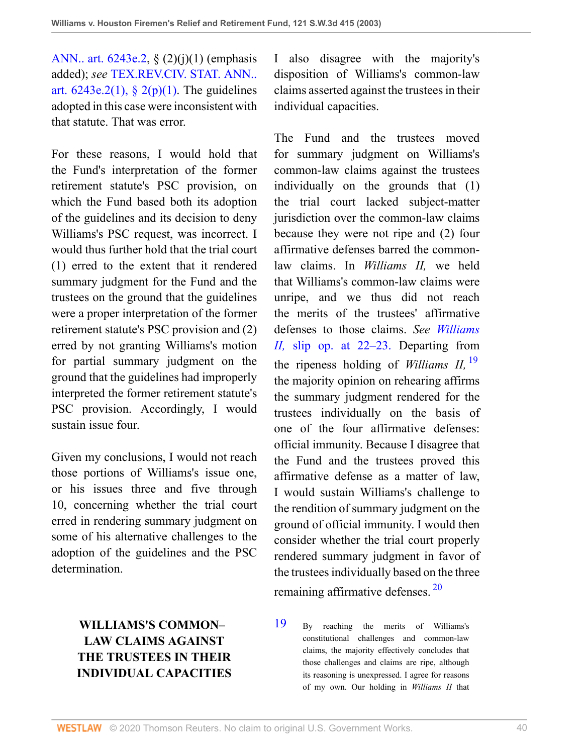[ANN.. art. 6243e.2](http://www.westlaw.com/Link/Document/FullText?findType=L&pubNum=1000188&cite=TXCSART6243E.2&originatingDoc=I8d0b46b0e7df11d99439b076ef9ec4de&refType=LQ&originationContext=document&vr=3.0&rs=cblt1.0&transitionType=DocumentItem&contextData=(sc.UserEnteredCitation)), § (2)(j)(1) (emphasis added); *see* [TEX.REV.CIV. STAT. ANN..](http://www.westlaw.com/Link/Document/FullText?findType=L&pubNum=1000188&cite=TXCSART6243E.2(1)&originatingDoc=I8d0b46b0e7df11d99439b076ef9ec4de&refType=LQ&originationContext=document&vr=3.0&rs=cblt1.0&transitionType=DocumentItem&contextData=(sc.UserEnteredCitation)) art.  $6243e.2(1)$ ,  $§ 2(p)(1)$ . The guidelines adopted in this case were inconsistent with that statute. That was error.

For these reasons, I would hold that the Fund's interpretation of the former retirement statute's PSC provision, on which the Fund based both its adoption of the guidelines and its decision to deny Williams's PSC request, was incorrect. I would thus further hold that the trial court (1) erred to the extent that it rendered summary judgment for the Fund and the trustees on the ground that the guidelines were a proper interpretation of the former retirement statute's PSC provision and (2) erred by not granting Williams's motion for partial summary judgment on the ground that the guidelines had improperly interpreted the former retirement statute's PSC provision. Accordingly, I would sustain issue four.

Given my conclusions, I would not reach those portions of Williams's issue one, or his issues three and five through 10, concerning whether the trial court erred in rendering summary judgment on some of his alternative challenges to the adoption of the guidelines and the PSC determination.

# **WILLIAMS'S COMMON– LAW CLAIMS AGAINST THE TRUSTEES IN THEIR INDIVIDUAL CAPACITIES**

I also disagree with the majority's disposition of Williams's common-law claims asserted against the trustees in their individual capacities.

<span id="page-39-1"></span>The Fund and the trustees moved for summary judgment on Williams's common-law claims against the trustees individually on the grounds that (1) the trial court lacked subject-matter jurisdiction over the common-law claims because they were not ripe and (2) four affirmative defenses barred the commonlaw claims. In *Williams II,* we held that Williams's common-law claims were unripe, and we thus did not reach the merits of the trustees' affirmative defenses to those claims. *See [Williams](http://www.westlaw.com/Link/Document/FullText?findType=Y&serNum=2002038490&originatingDoc=I8d0b46b0e7df11d99439b076ef9ec4de&refType=RP&originationContext=document&vr=3.0&rs=cblt1.0&transitionType=DocumentItem&contextData=(sc.UserEnteredCitation)) II,* [slip op. at 22–23.](http://www.westlaw.com/Link/Document/FullText?findType=Y&serNum=2002038490&originatingDoc=I8d0b46b0e7df11d99439b076ef9ec4de&refType=RP&originationContext=document&vr=3.0&rs=cblt1.0&transitionType=DocumentItem&contextData=(sc.UserEnteredCitation)) Departing from the ripeness holding of *Williams II,* [19](#page-39-0) the majority opinion on rehearing affirms the summary judgment rendered for the trustees individually on the basis of one of the four affirmative defenses: official immunity. Because I disagree that the Fund and the trustees proved this affirmative defense as a matter of law, I would sustain Williams's challenge to the rendition of summary judgment on the ground of official immunity. I would then consider whether the trial court properly rendered summary judgment in favor of the trustees individually based on the three remaining affirmative defenses. [20](#page-40-0)

<span id="page-39-2"></span><span id="page-39-0"></span>[19](#page-39-1) By reaching the merits of Williams's constitutional challenges and common-law claims, the majority effectively concludes that those challenges and claims are ripe, although its reasoning is unexpressed. I agree for reasons of my own. Our holding in *Williams II* that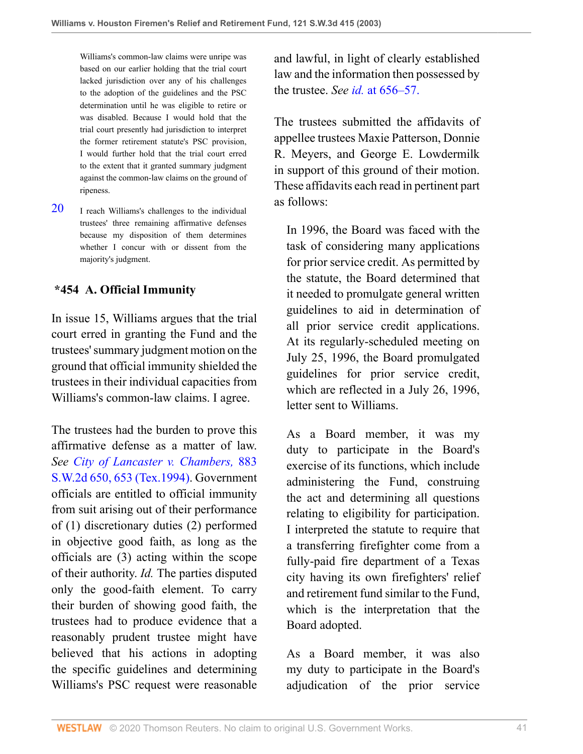Williams's common-law claims were unripe was based on our earlier holding that the trial court lacked jurisdiction over any of his challenges to the adoption of the guidelines and the PSC determination until he was eligible to retire or was disabled. Because I would hold that the trial court presently had jurisdiction to interpret the former retirement statute's PSC provision, I would further hold that the trial court erred to the extent that it granted summary judgment against the common-law claims on the ground of ripeness.

<span id="page-40-0"></span> $20$  I reach Williams's challenges to the individual trustees' three remaining affirmative defenses because my disposition of them determines whether I concur with or dissent from the majority's judgment.

## **\*454 A. Official Immunity**

In issue 15, Williams argues that the trial court erred in granting the Fund and the trustees' summary judgment motion on the ground that official immunity shielded the trustees in their individual capacities from Williams's common-law claims. I agree.

The trustees had the burden to prove this affirmative defense as a matter of law. *See [City of Lancaster v. Chambers,](http://www.westlaw.com/Link/Document/FullText?findType=Y&serNum=1994131594&pubNum=0000713&originatingDoc=I8d0b46b0e7df11d99439b076ef9ec4de&refType=RP&fi=co_pp_sp_713_653&originationContext=document&vr=3.0&rs=cblt1.0&transitionType=DocumentItem&contextData=(sc.UserEnteredCitation)#co_pp_sp_713_653)* 883 [S.W.2d 650, 653 \(Tex.1994\)](http://www.westlaw.com/Link/Document/FullText?findType=Y&serNum=1994131594&pubNum=0000713&originatingDoc=I8d0b46b0e7df11d99439b076ef9ec4de&refType=RP&fi=co_pp_sp_713_653&originationContext=document&vr=3.0&rs=cblt1.0&transitionType=DocumentItem&contextData=(sc.UserEnteredCitation)#co_pp_sp_713_653). Government officials are entitled to official immunity from suit arising out of their performance of (1) discretionary duties (2) performed in objective good faith, as long as the officials are (3) acting within the scope of their authority. *Id.* The parties disputed only the good-faith element. To carry their burden of showing good faith, the trustees had to produce evidence that a reasonably prudent trustee might have believed that his actions in adopting the specific guidelines and determining Williams's PSC request were reasonable and lawful, in light of clearly established law and the information then possessed by the trustee. *See id.* [at 656–57.](http://www.westlaw.com/Link/Document/FullText?findType=Y&serNum=1994131594&originatingDoc=I8d0b46b0e7df11d99439b076ef9ec4de&refType=RP&originationContext=document&vr=3.0&rs=cblt1.0&transitionType=DocumentItem&contextData=(sc.UserEnteredCitation))

The trustees submitted the affidavits of appellee trustees Maxie Patterson, Donnie R. Meyers, and George E. Lowdermilk in support of this ground of their motion. These affidavits each read in pertinent part as follows:

In 1996, the Board was faced with the task of considering many applications for prior service credit. As permitted by the statute, the Board determined that it needed to promulgate general written guidelines to aid in determination of all prior service credit applications. At its regularly-scheduled meeting on July 25, 1996, the Board promulgated guidelines for prior service credit, which are reflected in a July 26, 1996, letter sent to Williams.

As a Board member, it was my duty to participate in the Board's exercise of its functions, which include administering the Fund, construing the act and determining all questions relating to eligibility for participation. I interpreted the statute to require that a transferring firefighter come from a fully-paid fire department of a Texas city having its own firefighters' relief and retirement fund similar to the Fund, which is the interpretation that the Board adopted.

As a Board member, it was also my duty to participate in the Board's adjudication of the prior service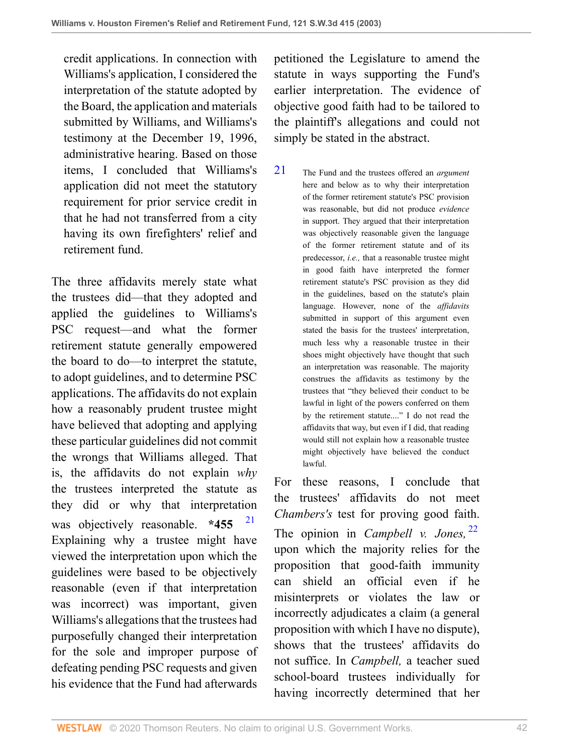credit applications. In connection with Williams's application, I considered the interpretation of the statute adopted by the Board, the application and materials submitted by Williams, and Williams's testimony at the December 19, 1996, administrative hearing. Based on those items, I concluded that Williams's application did not meet the statutory requirement for prior service credit in that he had not transferred from a city having its own firefighters' relief and retirement fund.

The three affidavits merely state what the trustees did—that they adopted and applied the guidelines to Williams's PSC request—and what the former retirement statute generally empowered the board to do—to interpret the statute, to adopt guidelines, and to determine PSC applications. The affidavits do not explain how a reasonably prudent trustee might have believed that adopting and applying these particular guidelines did not commit the wrongs that Williams alleged. That is, the affidavits do not explain *why* the trustees interpreted the statute as they did or why that interpretation was objectively reasonable. **\*455** [21](#page-41-0) Explaining why a trustee might have viewed the interpretation upon which the guidelines were based to be objectively reasonable (even if that interpretation was incorrect) was important, given Williams's allegations that the trustees had purposefully changed their interpretation for the sole and improper purpose of defeating pending PSC requests and given his evidence that the Fund had afterwards

petitioned the Legislature to amend the statute in ways supporting the Fund's earlier interpretation. The evidence of objective good faith had to be tailored to the plaintiff's allegations and could not simply be stated in the abstract.

<span id="page-41-0"></span>[21](#page-41-1) The Fund and the trustees offered an *argument* here and below as to why their interpretation of the former retirement statute's PSC provision was reasonable, but did not produce *evidence* in support. They argued that their interpretation was objectively reasonable given the language of the former retirement statute and of its predecessor, *i.e.,* that a reasonable trustee might in good faith have interpreted the former retirement statute's PSC provision as they did in the guidelines, based on the statute's plain language. However, none of the *affidavits* submitted in support of this argument even stated the basis for the trustees' interpretation, much less why a reasonable trustee in their shoes might objectively have thought that such an interpretation was reasonable. The majority construes the affidavits as testimony by the trustees that "they believed their conduct to be lawful in light of the powers conferred on them by the retirement statute...." I do not read the affidavits that way, but even if I did, that reading would still not explain how a reasonable trustee might objectively have believed the conduct lawful.

<span id="page-41-2"></span><span id="page-41-1"></span>For these reasons, I conclude that the trustees' affidavits do not meet *Chambers's* test for proving good faith. The opinion in *Campbell v. Jones,* [22](#page-42-0) upon which the majority relies for the proposition that good-faith immunity can shield an official even if he misinterprets or violates the law or incorrectly adjudicates a claim (a general proposition with which I have no dispute), shows that the trustees' affidavits do not suffice. In *Campbell,* a teacher sued school-board trustees individually for having incorrectly determined that her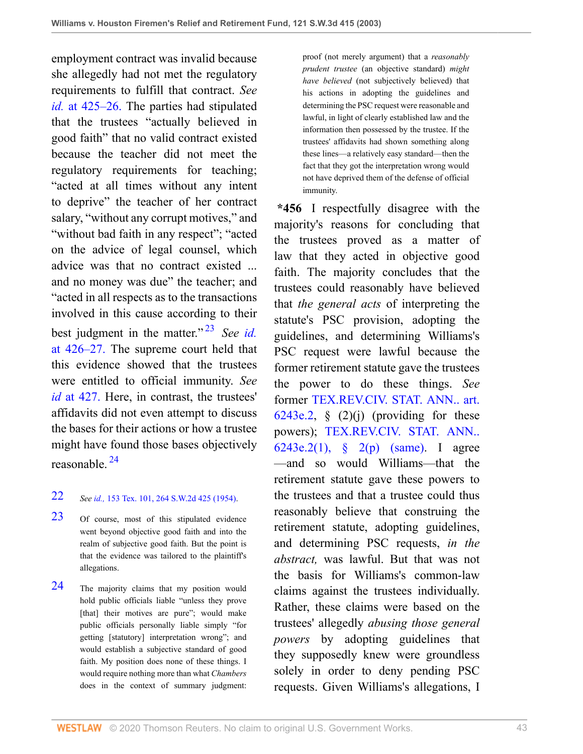employment contract was invalid because she allegedly had not met the regulatory requirements to fulfill that contract. *See id.* [at 425–26.](http://www.westlaw.com/Link/Document/FullText?findType=Y&serNum=1954102261&originatingDoc=I8d0b46b0e7df11d99439b076ef9ec4de&refType=RP&originationContext=document&vr=3.0&rs=cblt1.0&transitionType=DocumentItem&contextData=(sc.UserEnteredCitation)) The parties had stipulated that the trustees "actually believed in good faith" that no valid contract existed because the teacher did not meet the regulatory requirements for teaching; "acted at all times without any intent to deprive" the teacher of her contract salary, "without any corrupt motives," and "without bad faith in any respect"; "acted on the advice of legal counsel, which advice was that no contract existed ... and no money was due" the teacher; and "acted in all respects as to the transactions involved in this cause according to their best judgment in the matter." [23](#page-42-1) *See [id.](http://www.westlaw.com/Link/Document/FullText?findType=Y&serNum=1954102261&originatingDoc=I8d0b46b0e7df11d99439b076ef9ec4de&refType=RP&originationContext=document&vr=3.0&rs=cblt1.0&transitionType=DocumentItem&contextData=(sc.UserEnteredCitation))* [at 426–27.](http://www.westlaw.com/Link/Document/FullText?findType=Y&serNum=1954102261&originatingDoc=I8d0b46b0e7df11d99439b076ef9ec4de&refType=RP&originationContext=document&vr=3.0&rs=cblt1.0&transitionType=DocumentItem&contextData=(sc.UserEnteredCitation)) The supreme court held that this evidence showed that the trustees were entitled to official immunity. *See id* [at 427.](http://www.westlaw.com/Link/Document/FullText?findType=Y&serNum=1954102261&originatingDoc=I8d0b46b0e7df11d99439b076ef9ec4de&refType=RP&originationContext=document&vr=3.0&rs=cblt1.0&transitionType=DocumentItem&contextData=(sc.UserEnteredCitation)) Here, in contrast, the trustees' affidavits did not even attempt to discuss the bases for their actions or how a trustee might have found those bases objectively reasonable. [24](#page-42-2)

#### <span id="page-42-4"></span><span id="page-42-0"></span>[22](#page-41-2) *See id.,* [153 Tex. 101, 264 S.W.2d 425 \(1954\).](http://www.westlaw.com/Link/Document/FullText?findType=Y&serNum=1954102261&pubNum=0000713&originatingDoc=I8d0b46b0e7df11d99439b076ef9ec4de&refType=RP&originationContext=document&vr=3.0&rs=cblt1.0&transitionType=DocumentItem&contextData=(sc.UserEnteredCitation))

- <span id="page-42-1"></span>[23](#page-42-3) Of course, most of this stipulated evidence went beyond objective good faith and into the realm of subjective good faith. But the point is that the evidence was tailored to the plaintiff's allegations.
- <span id="page-42-2"></span>[24](#page-42-4) The majority claims that my position would hold public officials liable "unless they prove [that] their motives are pure"; would make public officials personally liable simply "for getting [statutory] interpretation wrong"; and would establish a subjective standard of good faith. My position does none of these things. I would require nothing more than what *Chambers* does in the context of summary judgment:

proof (not merely argument) that a *reasonably prudent trustee* (an objective standard) *might have believed* (not subjectively believed) that his actions in adopting the guidelines and determining the PSC request were reasonable and lawful, in light of clearly established law and the information then possessed by the trustee. If the trustees' affidavits had shown something along these lines—a relatively easy standard—then the fact that they got the interpretation wrong would not have deprived them of the defense of official immunity.

<span id="page-42-3"></span>**\*456** I respectfully disagree with the majority's reasons for concluding that the trustees proved as a matter of law that they acted in objective good faith. The majority concludes that the trustees could reasonably have believed that *the general acts* of interpreting the statute's PSC provision, adopting the guidelines, and determining Williams's PSC request were lawful because the former retirement statute gave the trustees the power to do these things. *See* former [TEX.REV.CIV. STAT. ANN.. art.](http://www.westlaw.com/Link/Document/FullText?findType=L&pubNum=1000188&cite=TXCSART6243E.2&originatingDoc=I8d0b46b0e7df11d99439b076ef9ec4de&refType=LQ&originationContext=document&vr=3.0&rs=cblt1.0&transitionType=DocumentItem&contextData=(sc.UserEnteredCitation)) [6243e.2,](http://www.westlaw.com/Link/Document/FullText?findType=L&pubNum=1000188&cite=TXCSART6243E.2&originatingDoc=I8d0b46b0e7df11d99439b076ef9ec4de&refType=LQ&originationContext=document&vr=3.0&rs=cblt1.0&transitionType=DocumentItem&contextData=(sc.UserEnteredCitation))  $\S(2)(j)$  (providing for these powers); [TEX.REV.CIV. STAT. ANN..](http://www.westlaw.com/Link/Document/FullText?findType=L&pubNum=1000188&cite=TXCSART6243E.2(1)&originatingDoc=I8d0b46b0e7df11d99439b076ef9ec4de&refType=LQ&originationContext=document&vr=3.0&rs=cblt1.0&transitionType=DocumentItem&contextData=(sc.UserEnteredCitation)) [6243e.2\(1\), § 2\(p\)](http://www.westlaw.com/Link/Document/FullText?findType=L&pubNum=1000188&cite=TXCSART6243E.2(1)&originatingDoc=I8d0b46b0e7df11d99439b076ef9ec4de&refType=LQ&originationContext=document&vr=3.0&rs=cblt1.0&transitionType=DocumentItem&contextData=(sc.UserEnteredCitation)) [\(same\).](http://www.westlaw.com/Link/Document/FullText?findType=L&pubNum=1000188&cite=TXCSART6243E.2(1)&originatingDoc=I8d0b46b0e7df11d99439b076ef9ec4de&refType=LQ&originationContext=document&vr=3.0&rs=cblt1.0&transitionType=DocumentItem&contextData=(sc.UserEnteredCitation)) I agree —and so would Williams—that the retirement statute gave these powers to the trustees and that a trustee could thus reasonably believe that construing the retirement statute, adopting guidelines, and determining PSC requests, *in the abstract,* was lawful. But that was not the basis for Williams's common-law claims against the trustees individually. Rather, these claims were based on the trustees' allegedly *abusing those general powers* by adopting guidelines that they supposedly knew were groundless solely in order to deny pending PSC requests. Given Williams's allegations, I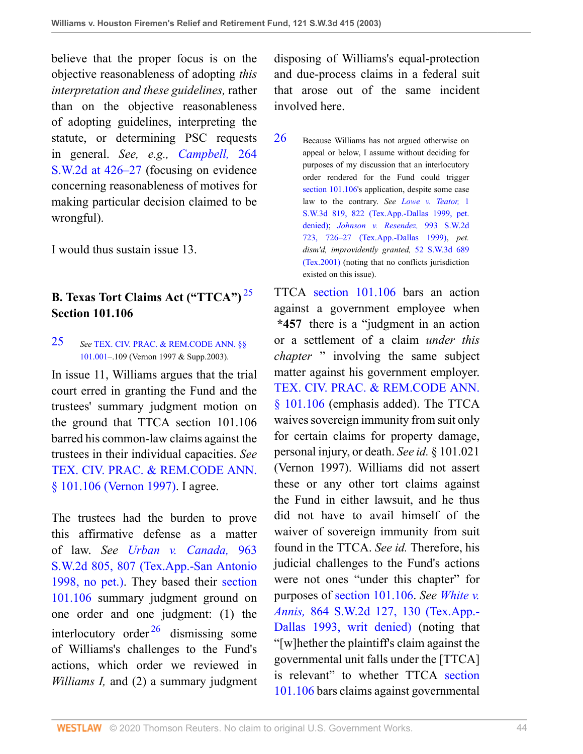believe that the proper focus is on the objective reasonableness of adopting *this interpretation and these guidelines,* rather than on the objective reasonableness of adopting guidelines, interpreting the statute, or determining PSC requests in general. *See, e.g., [Campbell,](http://www.westlaw.com/Link/Document/FullText?findType=Y&serNum=1954102261&pubNum=0000713&originatingDoc=I8d0b46b0e7df11d99439b076ef9ec4de&refType=RP&fi=co_pp_sp_713_426&originationContext=document&vr=3.0&rs=cblt1.0&transitionType=DocumentItem&contextData=(sc.UserEnteredCitation)#co_pp_sp_713_426)* 264 [S.W.2d at 426–27](http://www.westlaw.com/Link/Document/FullText?findType=Y&serNum=1954102261&pubNum=0000713&originatingDoc=I8d0b46b0e7df11d99439b076ef9ec4de&refType=RP&fi=co_pp_sp_713_426&originationContext=document&vr=3.0&rs=cblt1.0&transitionType=DocumentItem&contextData=(sc.UserEnteredCitation)#co_pp_sp_713_426) (focusing on evidence concerning reasonableness of motives for making particular decision claimed to be wrongful).

I would thus sustain issue 13.

# **B. Texas Tort Claims Act ("TTCA")** [25](#page-43-0) **Section 101.106**

#### <span id="page-43-0"></span>[25](#page-43-1) *See* [TEX. CIV. PRAC. & REM.CODE ANN. §§](http://www.westlaw.com/Link/Document/FullText?findType=L&pubNum=1000170&cite=TXCPS101.001&originatingDoc=I8d0b46b0e7df11d99439b076ef9ec4de&refType=LQ&originationContext=document&vr=3.0&rs=cblt1.0&transitionType=DocumentItem&contextData=(sc.UserEnteredCitation)) [101.001](http://www.westlaw.com/Link/Document/FullText?findType=L&pubNum=1000170&cite=TXCPS101.001&originatingDoc=I8d0b46b0e7df11d99439b076ef9ec4de&refType=LQ&originationContext=document&vr=3.0&rs=cblt1.0&transitionType=DocumentItem&contextData=(sc.UserEnteredCitation))–.109 (Vernon 1997 & Supp.2003).

In issue 11, Williams argues that the trial court erred in granting the Fund and the trustees' summary judgment motion on the ground that TTCA section 101.106 barred his common-law claims against the trustees in their individual capacities. *See* [TEX. CIV. PRAC. & REM.CODE ANN.](http://www.westlaw.com/Link/Document/FullText?findType=L&pubNum=1000170&cite=TXCPS101.106&originatingDoc=I8d0b46b0e7df11d99439b076ef9ec4de&refType=LQ&originationContext=document&vr=3.0&rs=cblt1.0&transitionType=DocumentItem&contextData=(sc.UserEnteredCitation)) [§ 101.106 \(Vernon 1997\).](http://www.westlaw.com/Link/Document/FullText?findType=L&pubNum=1000170&cite=TXCPS101.106&originatingDoc=I8d0b46b0e7df11d99439b076ef9ec4de&refType=LQ&originationContext=document&vr=3.0&rs=cblt1.0&transitionType=DocumentItem&contextData=(sc.UserEnteredCitation)) I agree.

<span id="page-43-3"></span>The trustees had the burden to prove this affirmative defense as a matter of law. *See [Urban v. Canada,](http://www.westlaw.com/Link/Document/FullText?findType=Y&serNum=1998042763&pubNum=0000713&originatingDoc=I8d0b46b0e7df11d99439b076ef9ec4de&refType=RP&fi=co_pp_sp_713_807&originationContext=document&vr=3.0&rs=cblt1.0&transitionType=DocumentItem&contextData=(sc.UserEnteredCitation)#co_pp_sp_713_807)* 963 [S.W.2d 805, 807 \(Tex.App.-San Antonio](http://www.westlaw.com/Link/Document/FullText?findType=Y&serNum=1998042763&pubNum=0000713&originatingDoc=I8d0b46b0e7df11d99439b076ef9ec4de&refType=RP&fi=co_pp_sp_713_807&originationContext=document&vr=3.0&rs=cblt1.0&transitionType=DocumentItem&contextData=(sc.UserEnteredCitation)#co_pp_sp_713_807) [1998, no pet.\).](http://www.westlaw.com/Link/Document/FullText?findType=Y&serNum=1998042763&pubNum=0000713&originatingDoc=I8d0b46b0e7df11d99439b076ef9ec4de&refType=RP&fi=co_pp_sp_713_807&originationContext=document&vr=3.0&rs=cblt1.0&transitionType=DocumentItem&contextData=(sc.UserEnteredCitation)#co_pp_sp_713_807) They based their [section](http://www.westlaw.com/Link/Document/FullText?findType=L&pubNum=1000170&cite=TXCPS101.106&originatingDoc=I8d0b46b0e7df11d99439b076ef9ec4de&refType=LQ&originationContext=document&vr=3.0&rs=cblt1.0&transitionType=DocumentItem&contextData=(sc.UserEnteredCitation)) [101.106](http://www.westlaw.com/Link/Document/FullText?findType=L&pubNum=1000170&cite=TXCPS101.106&originatingDoc=I8d0b46b0e7df11d99439b076ef9ec4de&refType=LQ&originationContext=document&vr=3.0&rs=cblt1.0&transitionType=DocumentItem&contextData=(sc.UserEnteredCitation)) summary judgment ground on one order and one judgment: (1) the interlocutory order  $^{26}$  $^{26}$  $^{26}$  dismissing some of Williams's challenges to the Fund's actions, which order we reviewed in *Williams I,* and (2) a summary judgment

disposing of Williams's equal-protection and due-process claims in a federal suit that arose out of the same incident involved here.

<span id="page-43-2"></span>[26](#page-43-3) Because Williams has not argued otherwise on appeal or below, I assume without deciding for purposes of my discussion that an interlocutory order rendered for the Fund could trigger [section 101.106](http://www.westlaw.com/Link/Document/FullText?findType=L&pubNum=1000170&cite=TXCPS101.106&originatingDoc=I8d0b46b0e7df11d99439b076ef9ec4de&refType=LQ&originationContext=document&vr=3.0&rs=cblt1.0&transitionType=DocumentItem&contextData=(sc.UserEnteredCitation))'s application, despite some case law to the contrary. *See [Lowe v. Teator,](http://www.westlaw.com/Link/Document/FullText?findType=Y&serNum=1999201703&pubNum=0004644&originatingDoc=I8d0b46b0e7df11d99439b076ef9ec4de&refType=RP&fi=co_pp_sp_4644_822&originationContext=document&vr=3.0&rs=cblt1.0&transitionType=DocumentItem&contextData=(sc.UserEnteredCitation)#co_pp_sp_4644_822)* 1 [S.W.3d 819, 822 \(Tex.App.-Dallas 1999, pet.](http://www.westlaw.com/Link/Document/FullText?findType=Y&serNum=1999201703&pubNum=0004644&originatingDoc=I8d0b46b0e7df11d99439b076ef9ec4de&refType=RP&fi=co_pp_sp_4644_822&originationContext=document&vr=3.0&rs=cblt1.0&transitionType=DocumentItem&contextData=(sc.UserEnteredCitation)#co_pp_sp_4644_822) [denied\);](http://www.westlaw.com/Link/Document/FullText?findType=Y&serNum=1999201703&pubNum=0004644&originatingDoc=I8d0b46b0e7df11d99439b076ef9ec4de&refType=RP&fi=co_pp_sp_4644_822&originationContext=document&vr=3.0&rs=cblt1.0&transitionType=DocumentItem&contextData=(sc.UserEnteredCitation)#co_pp_sp_4644_822) *[Johnson v. Resendez,](http://www.westlaw.com/Link/Document/FullText?findType=Y&serNum=1999086913&pubNum=0000713&originatingDoc=I8d0b46b0e7df11d99439b076ef9ec4de&refType=RP&fi=co_pp_sp_713_726&originationContext=document&vr=3.0&rs=cblt1.0&transitionType=DocumentItem&contextData=(sc.UserEnteredCitation)#co_pp_sp_713_726)* 993 S.W.2d [723, 726–27 \(Tex.App.-Dallas 1999\)](http://www.westlaw.com/Link/Document/FullText?findType=Y&serNum=1999086913&pubNum=0000713&originatingDoc=I8d0b46b0e7df11d99439b076ef9ec4de&refType=RP&fi=co_pp_sp_713_726&originationContext=document&vr=3.0&rs=cblt1.0&transitionType=DocumentItem&contextData=(sc.UserEnteredCitation)#co_pp_sp_713_726), *pet. dism'd, improvidently granted,* [52 S.W.3d 689](http://www.westlaw.com/Link/Document/FullText?findType=Y&serNum=2001078452&pubNum=0004644&originatingDoc=I8d0b46b0e7df11d99439b076ef9ec4de&refType=RP&originationContext=document&vr=3.0&rs=cblt1.0&transitionType=DocumentItem&contextData=(sc.UserEnteredCitation)) [\(Tex.2001\)](http://www.westlaw.com/Link/Document/FullText?findType=Y&serNum=2001078452&pubNum=0004644&originatingDoc=I8d0b46b0e7df11d99439b076ef9ec4de&refType=RP&originationContext=document&vr=3.0&rs=cblt1.0&transitionType=DocumentItem&contextData=(sc.UserEnteredCitation)) (noting that no conflicts jurisdiction existed on this issue).

<span id="page-43-1"></span>TTCA [section 101.106](http://www.westlaw.com/Link/Document/FullText?findType=L&pubNum=1000170&cite=TXCPS101.106&originatingDoc=I8d0b46b0e7df11d99439b076ef9ec4de&refType=LQ&originationContext=document&vr=3.0&rs=cblt1.0&transitionType=DocumentItem&contextData=(sc.UserEnteredCitation)) bars an action against a government employee when **\*457** there is a "judgment in an action or a settlement of a claim *under this chapter* " involving the same subject matter against his government employer. [TEX. CIV. PRAC. & REM.CODE ANN.](http://www.westlaw.com/Link/Document/FullText?findType=L&pubNum=1000170&cite=TXCPS101.106&originatingDoc=I8d0b46b0e7df11d99439b076ef9ec4de&refType=LQ&originationContext=document&vr=3.0&rs=cblt1.0&transitionType=DocumentItem&contextData=(sc.UserEnteredCitation)) [§ 101.106](http://www.westlaw.com/Link/Document/FullText?findType=L&pubNum=1000170&cite=TXCPS101.106&originatingDoc=I8d0b46b0e7df11d99439b076ef9ec4de&refType=LQ&originationContext=document&vr=3.0&rs=cblt1.0&transitionType=DocumentItem&contextData=(sc.UserEnteredCitation)) (emphasis added). The TTCA waives sovereign immunity from suit only for certain claims for property damage, personal injury, or death. *See id.* § 101.021 (Vernon 1997). Williams did not assert these or any other tort claims against the Fund in either lawsuit, and he thus did not have to avail himself of the waiver of sovereign immunity from suit found in the TTCA. *See id.* Therefore, his judicial challenges to the Fund's actions were not ones "under this chapter" for purposes of [section 101.106](http://www.westlaw.com/Link/Document/FullText?findType=L&pubNum=1000170&cite=TXCPS101.106&originatingDoc=I8d0b46b0e7df11d99439b076ef9ec4de&refType=LQ&originationContext=document&vr=3.0&rs=cblt1.0&transitionType=DocumentItem&contextData=(sc.UserEnteredCitation)). *See [White v.](http://www.westlaw.com/Link/Document/FullText?findType=Y&serNum=1993185494&pubNum=0000713&originatingDoc=I8d0b46b0e7df11d99439b076ef9ec4de&refType=RP&fi=co_pp_sp_713_130&originationContext=document&vr=3.0&rs=cblt1.0&transitionType=DocumentItem&contextData=(sc.UserEnteredCitation)#co_pp_sp_713_130) Annis,* [864 S.W.2d 127, 130 \(Tex.App.-](http://www.westlaw.com/Link/Document/FullText?findType=Y&serNum=1993185494&pubNum=0000713&originatingDoc=I8d0b46b0e7df11d99439b076ef9ec4de&refType=RP&fi=co_pp_sp_713_130&originationContext=document&vr=3.0&rs=cblt1.0&transitionType=DocumentItem&contextData=(sc.UserEnteredCitation)#co_pp_sp_713_130) [Dallas 1993, writ denied\)](http://www.westlaw.com/Link/Document/FullText?findType=Y&serNum=1993185494&pubNum=0000713&originatingDoc=I8d0b46b0e7df11d99439b076ef9ec4de&refType=RP&fi=co_pp_sp_713_130&originationContext=document&vr=3.0&rs=cblt1.0&transitionType=DocumentItem&contextData=(sc.UserEnteredCitation)#co_pp_sp_713_130) (noting that "[w]hether the plaintiff's claim against the governmental unit falls under the [TTCA] is relevant" to whether TTCA [section](http://www.westlaw.com/Link/Document/FullText?findType=L&pubNum=1000170&cite=TXCPS101.106&originatingDoc=I8d0b46b0e7df11d99439b076ef9ec4de&refType=LQ&originationContext=document&vr=3.0&rs=cblt1.0&transitionType=DocumentItem&contextData=(sc.UserEnteredCitation)) [101.106](http://www.westlaw.com/Link/Document/FullText?findType=L&pubNum=1000170&cite=TXCPS101.106&originatingDoc=I8d0b46b0e7df11d99439b076ef9ec4de&refType=LQ&originationContext=document&vr=3.0&rs=cblt1.0&transitionType=DocumentItem&contextData=(sc.UserEnteredCitation)) bars claims against governmental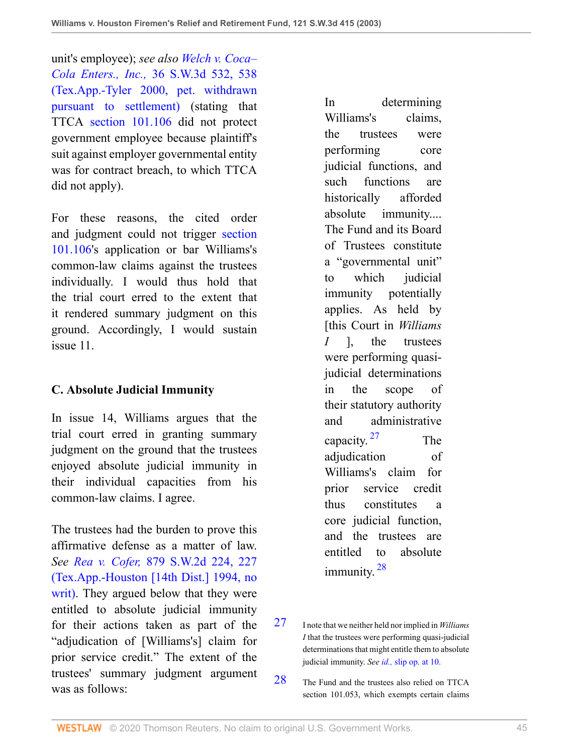unit's employee); *see also [Welch v. Coca–](http://www.westlaw.com/Link/Document/FullText?findType=Y&serNum=2000091691&pubNum=0004644&originatingDoc=I8d0b46b0e7df11d99439b076ef9ec4de&refType=RP&fi=co_pp_sp_4644_538&originationContext=document&vr=3.0&rs=cblt1.0&transitionType=DocumentItem&contextData=(sc.UserEnteredCitation)#co_pp_sp_4644_538) Cola Enters., Inc.,* [36 S.W.3d 532, 538](http://www.westlaw.com/Link/Document/FullText?findType=Y&serNum=2000091691&pubNum=0004644&originatingDoc=I8d0b46b0e7df11d99439b076ef9ec4de&refType=RP&fi=co_pp_sp_4644_538&originationContext=document&vr=3.0&rs=cblt1.0&transitionType=DocumentItem&contextData=(sc.UserEnteredCitation)#co_pp_sp_4644_538) [\(Tex.App.-Tyler 2000, pet. withdrawn](http://www.westlaw.com/Link/Document/FullText?findType=Y&serNum=2000091691&pubNum=0004644&originatingDoc=I8d0b46b0e7df11d99439b076ef9ec4de&refType=RP&fi=co_pp_sp_4644_538&originationContext=document&vr=3.0&rs=cblt1.0&transitionType=DocumentItem&contextData=(sc.UserEnteredCitation)#co_pp_sp_4644_538) [pursuant to settlement\)](http://www.westlaw.com/Link/Document/FullText?findType=Y&serNum=2000091691&pubNum=0004644&originatingDoc=I8d0b46b0e7df11d99439b076ef9ec4de&refType=RP&fi=co_pp_sp_4644_538&originationContext=document&vr=3.0&rs=cblt1.0&transitionType=DocumentItem&contextData=(sc.UserEnteredCitation)#co_pp_sp_4644_538) (stating that TTCA [section 101.106](http://www.westlaw.com/Link/Document/FullText?findType=L&pubNum=1000170&cite=TXCPS101.106&originatingDoc=I8d0b46b0e7df11d99439b076ef9ec4de&refType=LQ&originationContext=document&vr=3.0&rs=cblt1.0&transitionType=DocumentItem&contextData=(sc.UserEnteredCitation)) did not protect government employee because plaintiff's suit against employer governmental entity was for contract breach, to which TTCA did not apply).

For these reasons, the cited order and judgment could not trigger [section](http://www.westlaw.com/Link/Document/FullText?findType=L&pubNum=1000170&cite=TXCPS101.106&originatingDoc=I8d0b46b0e7df11d99439b076ef9ec4de&refType=LQ&originationContext=document&vr=3.0&rs=cblt1.0&transitionType=DocumentItem&contextData=(sc.UserEnteredCitation)) [101.106](http://www.westlaw.com/Link/Document/FullText?findType=L&pubNum=1000170&cite=TXCPS101.106&originatingDoc=I8d0b46b0e7df11d99439b076ef9ec4de&refType=LQ&originationContext=document&vr=3.0&rs=cblt1.0&transitionType=DocumentItem&contextData=(sc.UserEnteredCitation))'s application or bar Williams's common-law claims against the trustees individually. I would thus hold that the trial court erred to the extent that it rendered summary judgment on this ground. Accordingly, I would sustain issue 11.

## **C. Absolute Judicial Immunity**

In issue 14, Williams argues that the trial court erred in granting summary judgment on the ground that the trustees enjoyed absolute judicial immunity in their individual capacities from his common-law claims. I agree.

The trustees had the burden to prove this affirmative defense as a matter of law. *See Rea v. Cofer,* [879 S.W.2d 224, 227](http://www.westlaw.com/Link/Document/FullText?findType=Y&serNum=1994111662&pubNum=0000713&originatingDoc=I8d0b46b0e7df11d99439b076ef9ec4de&refType=RP&fi=co_pp_sp_713_227&originationContext=document&vr=3.0&rs=cblt1.0&transitionType=DocumentItem&contextData=(sc.UserEnteredCitation)#co_pp_sp_713_227) [\(Tex.App.-Houston \[14th Dist.\] 1994, no](http://www.westlaw.com/Link/Document/FullText?findType=Y&serNum=1994111662&pubNum=0000713&originatingDoc=I8d0b46b0e7df11d99439b076ef9ec4de&refType=RP&fi=co_pp_sp_713_227&originationContext=document&vr=3.0&rs=cblt1.0&transitionType=DocumentItem&contextData=(sc.UserEnteredCitation)#co_pp_sp_713_227) [writ\)](http://www.westlaw.com/Link/Document/FullText?findType=Y&serNum=1994111662&pubNum=0000713&originatingDoc=I8d0b46b0e7df11d99439b076ef9ec4de&refType=RP&fi=co_pp_sp_713_227&originationContext=document&vr=3.0&rs=cblt1.0&transitionType=DocumentItem&contextData=(sc.UserEnteredCitation)#co_pp_sp_713_227). They argued below that they were entitled to absolute judicial immunity for their actions taken as part of the "adjudication of [Williams's] claim for prior service credit." The extent of the trustees' summary judgment argument was as follows:

In determining Williams's claims, the trustees were performing core judicial functions, and such functions are historically afforded absolute immunity.... The Fund and its Board of Trustees constitute a "governmental unit" to which judicial immunity potentially applies. As held by [this Court in *Williams I* ], the trustees were performing quasijudicial determinations in the scope of their statutory authority and administrative capacity.<sup>[27](#page-44-0)</sup> The adjudication of Williams's claim for prior service credit thus constitutes a core judicial function, and the trustees are entitled to absolute immunity.<sup>[28](#page-44-1)</sup>

- <span id="page-44-3"></span><span id="page-44-2"></span><span id="page-44-0"></span>[27](#page-44-2) I note that we neither held nor implied in *Williams I* that the trustees were performing quasi-judicial determinations that might entitle them to absolute judicial immunity. *See id.,* [slip op. at 10.](http://www.westlaw.com/Link/Document/FullText?findType=Y&serNum=1999061264&originatingDoc=I8d0b46b0e7df11d99439b076ef9ec4de&refType=RP&originationContext=document&vr=3.0&rs=cblt1.0&transitionType=DocumentItem&contextData=(sc.UserEnteredCitation))
- <span id="page-44-1"></span>[28](#page-44-3) The Fund and the trustees also relied on TTCA section 101.053, which exempts certain claims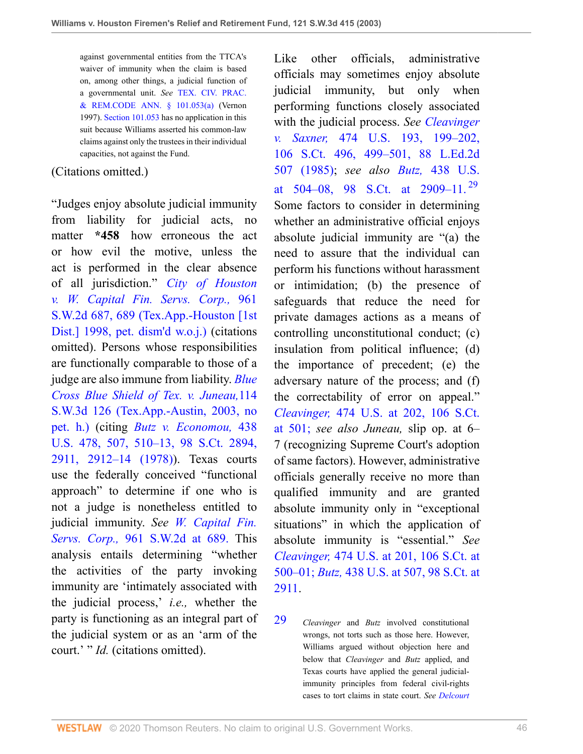against governmental entities from the TTCA's waiver of immunity when the claim is based on, among other things, a judicial function of a governmental unit. *See* [TEX. CIV. PRAC.](http://www.westlaw.com/Link/Document/FullText?findType=L&pubNum=1000170&cite=TXCPS101.053&originatingDoc=I8d0b46b0e7df11d99439b076ef9ec4de&refType=SP&originationContext=document&vr=3.0&rs=cblt1.0&transitionType=DocumentItem&contextData=(sc.UserEnteredCitation)#co_pp_8b3b0000958a4) [& REM.CODE ANN. § 101.053\(a\)](http://www.westlaw.com/Link/Document/FullText?findType=L&pubNum=1000170&cite=TXCPS101.053&originatingDoc=I8d0b46b0e7df11d99439b076ef9ec4de&refType=SP&originationContext=document&vr=3.0&rs=cblt1.0&transitionType=DocumentItem&contextData=(sc.UserEnteredCitation)#co_pp_8b3b0000958a4) (Vernon 1997). [Section 101.053](http://www.westlaw.com/Link/Document/FullText?findType=L&pubNum=1000170&cite=TXCPS101.053&originatingDoc=I8d0b46b0e7df11d99439b076ef9ec4de&refType=LQ&originationContext=document&vr=3.0&rs=cblt1.0&transitionType=DocumentItem&contextData=(sc.UserEnteredCitation)) has no application in this suit because Williams asserted his common-law claims against only the trustees in their individual capacities, not against the Fund.

#### (Citations omitted.)

"Judges enjoy absolute judicial immunity from liability for judicial acts, no matter **\*458** how erroneous the act or how evil the motive, unless the act is performed in the clear absence of all jurisdiction." *[City of Houston](http://www.westlaw.com/Link/Document/FullText?findType=Y&serNum=1998042946&pubNum=0000713&originatingDoc=I8d0b46b0e7df11d99439b076ef9ec4de&refType=RP&fi=co_pp_sp_713_689&originationContext=document&vr=3.0&rs=cblt1.0&transitionType=DocumentItem&contextData=(sc.UserEnteredCitation)#co_pp_sp_713_689) [v. W. Capital Fin. Servs. Corp.,](http://www.westlaw.com/Link/Document/FullText?findType=Y&serNum=1998042946&pubNum=0000713&originatingDoc=I8d0b46b0e7df11d99439b076ef9ec4de&refType=RP&fi=co_pp_sp_713_689&originationContext=document&vr=3.0&rs=cblt1.0&transitionType=DocumentItem&contextData=(sc.UserEnteredCitation)#co_pp_sp_713_689)* 961 [S.W.2d 687, 689 \(Tex.App.-Houston \[1st](http://www.westlaw.com/Link/Document/FullText?findType=Y&serNum=1998042946&pubNum=0000713&originatingDoc=I8d0b46b0e7df11d99439b076ef9ec4de&refType=RP&fi=co_pp_sp_713_689&originationContext=document&vr=3.0&rs=cblt1.0&transitionType=DocumentItem&contextData=(sc.UserEnteredCitation)#co_pp_sp_713_689) [Dist.\] 1998, pet. dism'd w.o.j.\)](http://www.westlaw.com/Link/Document/FullText?findType=Y&serNum=1998042946&pubNum=0000713&originatingDoc=I8d0b46b0e7df11d99439b076ef9ec4de&refType=RP&fi=co_pp_sp_713_689&originationContext=document&vr=3.0&rs=cblt1.0&transitionType=DocumentItem&contextData=(sc.UserEnteredCitation)#co_pp_sp_713_689) (citations omitted). Persons whose responsibilities are functionally comparable to those of a judge are also immune from liability. *[Blue](http://www.westlaw.com/Link/Document/FullText?findType=Y&serNum=2003509925&pubNum=0004644&originatingDoc=I8d0b46b0e7df11d99439b076ef9ec4de&refType=RP&originationContext=document&vr=3.0&rs=cblt1.0&transitionType=DocumentItem&contextData=(sc.UserEnteredCitation)) [Cross Blue Shield of Tex. v. Juneau,](http://www.westlaw.com/Link/Document/FullText?findType=Y&serNum=2003509925&pubNum=0004644&originatingDoc=I8d0b46b0e7df11d99439b076ef9ec4de&refType=RP&originationContext=document&vr=3.0&rs=cblt1.0&transitionType=DocumentItem&contextData=(sc.UserEnteredCitation))*114 [S.W.3d 126 \(Tex.App.-Austin, 2003, no](http://www.westlaw.com/Link/Document/FullText?findType=Y&serNum=2003509925&pubNum=0004644&originatingDoc=I8d0b46b0e7df11d99439b076ef9ec4de&refType=RP&originationContext=document&vr=3.0&rs=cblt1.0&transitionType=DocumentItem&contextData=(sc.UserEnteredCitation)) [pet. h.\)](http://www.westlaw.com/Link/Document/FullText?findType=Y&serNum=2003509925&pubNum=0004644&originatingDoc=I8d0b46b0e7df11d99439b076ef9ec4de&refType=RP&originationContext=document&vr=3.0&rs=cblt1.0&transitionType=DocumentItem&contextData=(sc.UserEnteredCitation)) (citing *[Butz v. Economou,](http://www.westlaw.com/Link/Document/FullText?findType=Y&serNum=1978139510&pubNum=0000708&originatingDoc=I8d0b46b0e7df11d99439b076ef9ec4de&refType=RP&fi=co_pp_sp_708_2911&originationContext=document&vr=3.0&rs=cblt1.0&transitionType=DocumentItem&contextData=(sc.UserEnteredCitation)#co_pp_sp_708_2911)* 438 [U.S. 478, 507, 510–13, 98 S.Ct. 2894,](http://www.westlaw.com/Link/Document/FullText?findType=Y&serNum=1978139510&pubNum=0000708&originatingDoc=I8d0b46b0e7df11d99439b076ef9ec4de&refType=RP&fi=co_pp_sp_708_2911&originationContext=document&vr=3.0&rs=cblt1.0&transitionType=DocumentItem&contextData=(sc.UserEnteredCitation)#co_pp_sp_708_2911) [2911, 2912–14 \(1978\)\)](http://www.westlaw.com/Link/Document/FullText?findType=Y&serNum=1978139510&pubNum=0000708&originatingDoc=I8d0b46b0e7df11d99439b076ef9ec4de&refType=RP&fi=co_pp_sp_708_2911&originationContext=document&vr=3.0&rs=cblt1.0&transitionType=DocumentItem&contextData=(sc.UserEnteredCitation)#co_pp_sp_708_2911). Texas courts use the federally conceived "functional approach" to determine if one who is not a judge is nonetheless entitled to judicial immunity. *See [W. Capital Fin.](http://www.westlaw.com/Link/Document/FullText?findType=Y&serNum=1998042946&pubNum=713&originatingDoc=I8d0b46b0e7df11d99439b076ef9ec4de&refType=RP&fi=co_pp_sp_713_689&originationContext=document&vr=3.0&rs=cblt1.0&transitionType=DocumentItem&contextData=(sc.UserEnteredCitation)#co_pp_sp_713_689) Servs. Corp.,* [961 S.W.2d at 689.](http://www.westlaw.com/Link/Document/FullText?findType=Y&serNum=1998042946&pubNum=713&originatingDoc=I8d0b46b0e7df11d99439b076ef9ec4de&refType=RP&fi=co_pp_sp_713_689&originationContext=document&vr=3.0&rs=cblt1.0&transitionType=DocumentItem&contextData=(sc.UserEnteredCitation)#co_pp_sp_713_689) This analysis entails determining "whether the activities of the party invoking immunity are 'intimately associated with the judicial process,' *i.e.,* whether the party is functioning as an integral part of the judicial system or as an 'arm of the court.' " *Id.* (citations omitted).

<span id="page-45-1"></span>Like other officials, administrative officials may sometimes enjoy absolute judicial immunity, but only when performing functions closely associated with the judicial process. *See [Cleavinger](http://www.westlaw.com/Link/Document/FullText?findType=Y&serNum=1985159882&pubNum=0000708&originatingDoc=I8d0b46b0e7df11d99439b076ef9ec4de&refType=RP&fi=co_pp_sp_708_499&originationContext=document&vr=3.0&rs=cblt1.0&transitionType=DocumentItem&contextData=(sc.UserEnteredCitation)#co_pp_sp_708_499) v. Saxner,* [474 U.S. 193, 199–202,](http://www.westlaw.com/Link/Document/FullText?findType=Y&serNum=1985159882&pubNum=0000708&originatingDoc=I8d0b46b0e7df11d99439b076ef9ec4de&refType=RP&fi=co_pp_sp_708_499&originationContext=document&vr=3.0&rs=cblt1.0&transitionType=DocumentItem&contextData=(sc.UserEnteredCitation)#co_pp_sp_708_499) [106 S.Ct. 496, 499–501, 88 L.Ed.2d](http://www.westlaw.com/Link/Document/FullText?findType=Y&serNum=1985159882&pubNum=0000708&originatingDoc=I8d0b46b0e7df11d99439b076ef9ec4de&refType=RP&fi=co_pp_sp_708_499&originationContext=document&vr=3.0&rs=cblt1.0&transitionType=DocumentItem&contextData=(sc.UserEnteredCitation)#co_pp_sp_708_499) [507 \(1985\);](http://www.westlaw.com/Link/Document/FullText?findType=Y&serNum=1985159882&pubNum=0000708&originatingDoc=I8d0b46b0e7df11d99439b076ef9ec4de&refType=RP&fi=co_pp_sp_708_499&originationContext=document&vr=3.0&rs=cblt1.0&transitionType=DocumentItem&contextData=(sc.UserEnteredCitation)#co_pp_sp_708_499) *see also Butz,* [438 U.S.](http://www.westlaw.com/Link/Document/FullText?findType=Y&serNum=1978139510&pubNum=708&originatingDoc=I8d0b46b0e7df11d99439b076ef9ec4de&refType=RP&fi=co_pp_sp_708_2909&originationContext=document&vr=3.0&rs=cblt1.0&transitionType=DocumentItem&contextData=(sc.UserEnteredCitation)#co_pp_sp_708_2909) [at 504–08, 98 S.Ct. at 2909–11.](http://www.westlaw.com/Link/Document/FullText?findType=Y&serNum=1978139510&pubNum=708&originatingDoc=I8d0b46b0e7df11d99439b076ef9ec4de&refType=RP&fi=co_pp_sp_708_2909&originationContext=document&vr=3.0&rs=cblt1.0&transitionType=DocumentItem&contextData=(sc.UserEnteredCitation)#co_pp_sp_708_2909) [29](#page-45-0) Some factors to consider in determining whether an administrative official enjoys absolute judicial immunity are "(a) the need to assure that the individual can perform his functions without harassment or intimidation; (b) the presence of safeguards that reduce the need for private damages actions as a means of controlling unconstitutional conduct; (c) insulation from political influence; (d) the importance of precedent; (e) the adversary nature of the process; and (f) the correctability of error on appeal." *Cleavinger,* [474 U.S. at 202, 106 S.Ct.](http://www.westlaw.com/Link/Document/FullText?findType=Y&serNum=1985159882&pubNum=708&originatingDoc=I8d0b46b0e7df11d99439b076ef9ec4de&refType=RP&fi=co_pp_sp_708_501&originationContext=document&vr=3.0&rs=cblt1.0&transitionType=DocumentItem&contextData=(sc.UserEnteredCitation)#co_pp_sp_708_501) [at 501;](http://www.westlaw.com/Link/Document/FullText?findType=Y&serNum=1985159882&pubNum=708&originatingDoc=I8d0b46b0e7df11d99439b076ef9ec4de&refType=RP&fi=co_pp_sp_708_501&originationContext=document&vr=3.0&rs=cblt1.0&transitionType=DocumentItem&contextData=(sc.UserEnteredCitation)#co_pp_sp_708_501) *see also Juneau,* slip op. at 6– 7 (recognizing Supreme Court's adoption of same factors). However, administrative officials generally receive no more than qualified immunity and are granted absolute immunity only in "exceptional situations" in which the application of absolute immunity is "essential." *See Cleavinger,* [474 U.S. at 201, 106 S.Ct. at](http://www.westlaw.com/Link/Document/FullText?findType=Y&serNum=1985159882&pubNum=708&originatingDoc=I8d0b46b0e7df11d99439b076ef9ec4de&refType=RP&fi=co_pp_sp_708_500&originationContext=document&vr=3.0&rs=cblt1.0&transitionType=DocumentItem&contextData=(sc.UserEnteredCitation)#co_pp_sp_708_500) [500–01;](http://www.westlaw.com/Link/Document/FullText?findType=Y&serNum=1985159882&pubNum=708&originatingDoc=I8d0b46b0e7df11d99439b076ef9ec4de&refType=RP&fi=co_pp_sp_708_500&originationContext=document&vr=3.0&rs=cblt1.0&transitionType=DocumentItem&contextData=(sc.UserEnteredCitation)#co_pp_sp_708_500) *Butz,* [438 U.S. at 507, 98 S.Ct. at](http://www.westlaw.com/Link/Document/FullText?findType=Y&serNum=1978139510&pubNum=0000708&originatingDoc=I8d0b46b0e7df11d99439b076ef9ec4de&refType=RP&fi=co_pp_sp_708_2911&originationContext=document&vr=3.0&rs=cblt1.0&transitionType=DocumentItem&contextData=(sc.UserEnteredCitation)#co_pp_sp_708_2911) [2911.](http://www.westlaw.com/Link/Document/FullText?findType=Y&serNum=1978139510&pubNum=0000708&originatingDoc=I8d0b46b0e7df11d99439b076ef9ec4de&refType=RP&fi=co_pp_sp_708_2911&originationContext=document&vr=3.0&rs=cblt1.0&transitionType=DocumentItem&contextData=(sc.UserEnteredCitation)#co_pp_sp_708_2911)

<span id="page-45-0"></span>[29](#page-45-1) *Cleavinger* and *Butz* involved constitutional wrongs, not torts such as those here. However, Williams argued without objection here and below that *Cleavinger* and *Butz* applied, and Texas courts have applied the general judicialimmunity principles from federal civil-rights cases to tort claims in state court. *See [Delcourt](http://www.westlaw.com/Link/Document/FullText?findType=Y&serNum=1996066479&pubNum=0000713&originatingDoc=I8d0b46b0e7df11d99439b076ef9ec4de&refType=RP&fi=co_pp_sp_713_785&originationContext=document&vr=3.0&rs=cblt1.0&transitionType=DocumentItem&contextData=(sc.UserEnteredCitation)#co_pp_sp_713_785)*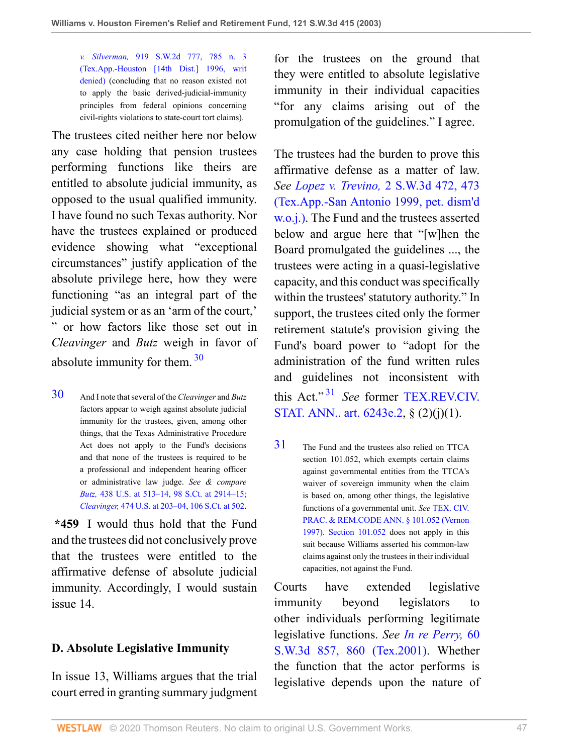*v. Silverman,* [919 S.W.2d 777, 785 n. 3](http://www.westlaw.com/Link/Document/FullText?findType=Y&serNum=1996066479&pubNum=0000713&originatingDoc=I8d0b46b0e7df11d99439b076ef9ec4de&refType=RP&fi=co_pp_sp_713_785&originationContext=document&vr=3.0&rs=cblt1.0&transitionType=DocumentItem&contextData=(sc.UserEnteredCitation)#co_pp_sp_713_785) [\(Tex.App.-Houston \[14th Dist.\] 1996, writ](http://www.westlaw.com/Link/Document/FullText?findType=Y&serNum=1996066479&pubNum=0000713&originatingDoc=I8d0b46b0e7df11d99439b076ef9ec4de&refType=RP&fi=co_pp_sp_713_785&originationContext=document&vr=3.0&rs=cblt1.0&transitionType=DocumentItem&contextData=(sc.UserEnteredCitation)#co_pp_sp_713_785) [denied\)](http://www.westlaw.com/Link/Document/FullText?findType=Y&serNum=1996066479&pubNum=0000713&originatingDoc=I8d0b46b0e7df11d99439b076ef9ec4de&refType=RP&fi=co_pp_sp_713_785&originationContext=document&vr=3.0&rs=cblt1.0&transitionType=DocumentItem&contextData=(sc.UserEnteredCitation)#co_pp_sp_713_785) (concluding that no reason existed not to apply the basic derived-judicial-immunity principles from federal opinions concerning civil-rights violations to state-court tort claims).

The trustees cited neither here nor below any case holding that pension trustees performing functions like theirs are entitled to absolute judicial immunity, as opposed to the usual qualified immunity. I have found no such Texas authority. Nor have the trustees explained or produced evidence showing what "exceptional circumstances" justify application of the absolute privilege here, how they were functioning "as an integral part of the judicial system or as an 'arm of the court,' " or how factors like those set out in *Cleavinger* and *Butz* weigh in favor of absolute immunity for them.  $30$ 

<span id="page-46-0"></span>[30](#page-46-1) And I note that several of the *Cleavinger* and *Butz* factors appear to weigh against absolute judicial immunity for the trustees, given, among other things, that the Texas Administrative Procedure Act does not apply to the Fund's decisions and that none of the trustees is required to be a professional and independent hearing officer or administrative law judge. *See & compare Butz,* [438 U.S. at 513–14, 98 S.Ct. at 2914–15;](http://www.westlaw.com/Link/Document/FullText?findType=Y&serNum=1978139510&pubNum=708&originatingDoc=I8d0b46b0e7df11d99439b076ef9ec4de&refType=RP&fi=co_pp_sp_708_2914&originationContext=document&vr=3.0&rs=cblt1.0&transitionType=DocumentItem&contextData=(sc.UserEnteredCitation)#co_pp_sp_708_2914) *Cleavinger,* [474 U.S. at 203–04, 106 S.Ct. at 502.](http://www.westlaw.com/Link/Document/FullText?findType=Y&serNum=1985159882&pubNum=0000708&originatingDoc=I8d0b46b0e7df11d99439b076ef9ec4de&refType=RP&fi=co_pp_sp_708_502&originationContext=document&vr=3.0&rs=cblt1.0&transitionType=DocumentItem&contextData=(sc.UserEnteredCitation)#co_pp_sp_708_502)

**\*459** I would thus hold that the Fund and the trustees did not conclusively prove that the trustees were entitled to the affirmative defense of absolute judicial immunity. Accordingly, I would sustain issue 14.

## **D. Absolute Legislative Immunity**

In issue 13, Williams argues that the trial court erred in granting summary judgment for the trustees on the ground that they were entitled to absolute legislative immunity in their individual capacities "for any claims arising out of the promulgation of the guidelines." I agree.

The trustees had the burden to prove this affirmative defense as a matter of law. *See Lopez v. Trevino,* [2 S.W.3d 472, 473](http://www.westlaw.com/Link/Document/FullText?findType=Y&serNum=1999175954&pubNum=0004644&originatingDoc=I8d0b46b0e7df11d99439b076ef9ec4de&refType=RP&fi=co_pp_sp_4644_473&originationContext=document&vr=3.0&rs=cblt1.0&transitionType=DocumentItem&contextData=(sc.UserEnteredCitation)#co_pp_sp_4644_473) [\(Tex.App.-San Antonio 1999, pet. dism'd](http://www.westlaw.com/Link/Document/FullText?findType=Y&serNum=1999175954&pubNum=0004644&originatingDoc=I8d0b46b0e7df11d99439b076ef9ec4de&refType=RP&fi=co_pp_sp_4644_473&originationContext=document&vr=3.0&rs=cblt1.0&transitionType=DocumentItem&contextData=(sc.UserEnteredCitation)#co_pp_sp_4644_473) [w.o.j.\).](http://www.westlaw.com/Link/Document/FullText?findType=Y&serNum=1999175954&pubNum=0004644&originatingDoc=I8d0b46b0e7df11d99439b076ef9ec4de&refType=RP&fi=co_pp_sp_4644_473&originationContext=document&vr=3.0&rs=cblt1.0&transitionType=DocumentItem&contextData=(sc.UserEnteredCitation)#co_pp_sp_4644_473) The Fund and the trustees asserted below and argue here that "[w]hen the Board promulgated the guidelines ..., the trustees were acting in a quasi-legislative capacity, and this conduct was specifically within the trustees' statutory authority." In support, the trustees cited only the former retirement statute's provision giving the Fund's board power to "adopt for the administration of the fund written rules and guidelines not inconsistent with this Act." [31](#page-46-2) *See* former [TEX.REV.CIV.](http://www.westlaw.com/Link/Document/FullText?findType=L&pubNum=1000188&cite=TXCSART6243E.2&originatingDoc=I8d0b46b0e7df11d99439b076ef9ec4de&refType=LQ&originationContext=document&vr=3.0&rs=cblt1.0&transitionType=DocumentItem&contextData=(sc.UserEnteredCitation)) [STAT. ANN.. art. 6243e.2](http://www.westlaw.com/Link/Document/FullText?findType=L&pubNum=1000188&cite=TXCSART6243E.2&originatingDoc=I8d0b46b0e7df11d99439b076ef9ec4de&refType=LQ&originationContext=document&vr=3.0&rs=cblt1.0&transitionType=DocumentItem&contextData=(sc.UserEnteredCitation)), § (2)(j)(1).

<span id="page-46-3"></span><span id="page-46-2"></span><span id="page-46-1"></span>[31](#page-46-3) The Fund and the trustees also relied on TTCA section 101.052, which exempts certain claims against governmental entities from the TTCA's waiver of sovereign immunity when the claim is based on, among other things, the legislative functions of a governmental unit. *See* [TEX. CIV.](http://www.westlaw.com/Link/Document/FullText?findType=L&pubNum=1000170&cite=TXCPS101.052&originatingDoc=I8d0b46b0e7df11d99439b076ef9ec4de&refType=LQ&originationContext=document&vr=3.0&rs=cblt1.0&transitionType=DocumentItem&contextData=(sc.UserEnteredCitation)) [PRAC. & REM.CODE ANN. § 101.052 \(Vernon](http://www.westlaw.com/Link/Document/FullText?findType=L&pubNum=1000170&cite=TXCPS101.052&originatingDoc=I8d0b46b0e7df11d99439b076ef9ec4de&refType=LQ&originationContext=document&vr=3.0&rs=cblt1.0&transitionType=DocumentItem&contextData=(sc.UserEnteredCitation)) [1997\).](http://www.westlaw.com/Link/Document/FullText?findType=L&pubNum=1000170&cite=TXCPS101.052&originatingDoc=I8d0b46b0e7df11d99439b076ef9ec4de&refType=LQ&originationContext=document&vr=3.0&rs=cblt1.0&transitionType=DocumentItem&contextData=(sc.UserEnteredCitation)) [Section 101.052](http://www.westlaw.com/Link/Document/FullText?findType=L&pubNum=1000170&cite=TXCPS101.052&originatingDoc=I8d0b46b0e7df11d99439b076ef9ec4de&refType=LQ&originationContext=document&vr=3.0&rs=cblt1.0&transitionType=DocumentItem&contextData=(sc.UserEnteredCitation)) does not apply in this suit because Williams asserted his common-law claims against only the trustees in their individual capacities, not against the Fund.

Courts have extended legislative immunity beyond legislators to other individuals performing legitimate legislative functions. *See [In re Perry,](http://www.westlaw.com/Link/Document/FullText?findType=Y&serNum=2001911788&pubNum=0004644&originatingDoc=I8d0b46b0e7df11d99439b076ef9ec4de&refType=RP&fi=co_pp_sp_4644_860&originationContext=document&vr=3.0&rs=cblt1.0&transitionType=DocumentItem&contextData=(sc.UserEnteredCitation)#co_pp_sp_4644_860)* 60 [S.W.3d 857, 860 \(Tex.2001\)](http://www.westlaw.com/Link/Document/FullText?findType=Y&serNum=2001911788&pubNum=0004644&originatingDoc=I8d0b46b0e7df11d99439b076ef9ec4de&refType=RP&fi=co_pp_sp_4644_860&originationContext=document&vr=3.0&rs=cblt1.0&transitionType=DocumentItem&contextData=(sc.UserEnteredCitation)#co_pp_sp_4644_860). Whether the function that the actor performs is legislative depends upon the nature of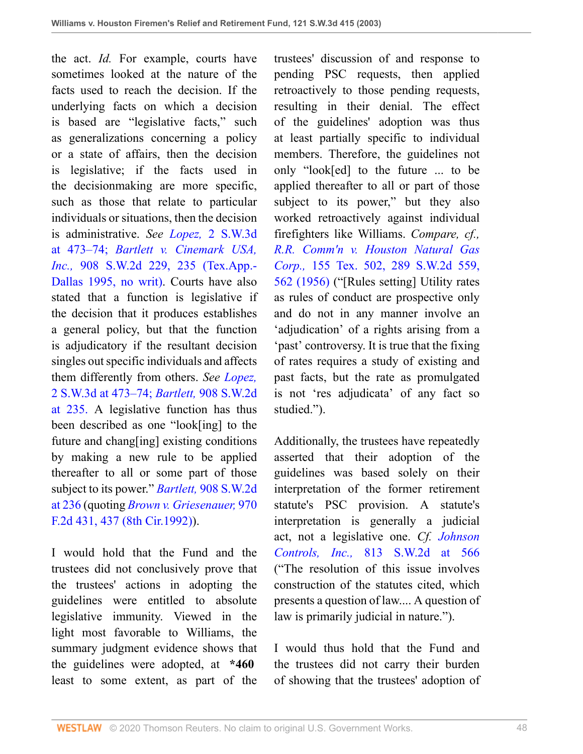the act. *Id.* For example, courts have sometimes looked at the nature of the facts used to reach the decision. If the underlying facts on which a decision is based are "legislative facts," such as generalizations concerning a policy or a state of affairs, then the decision is legislative; if the facts used in the decisionmaking are more specific, such as those that relate to particular individuals or situations, then the decision is administrative. *See Lopez,* [2 S.W.3d](http://www.westlaw.com/Link/Document/FullText?findType=Y&serNum=1999175954&pubNum=4644&originatingDoc=I8d0b46b0e7df11d99439b076ef9ec4de&refType=RP&fi=co_pp_sp_4644_473&originationContext=document&vr=3.0&rs=cblt1.0&transitionType=DocumentItem&contextData=(sc.UserEnteredCitation)#co_pp_sp_4644_473) [at 473–74;](http://www.westlaw.com/Link/Document/FullText?findType=Y&serNum=1999175954&pubNum=4644&originatingDoc=I8d0b46b0e7df11d99439b076ef9ec4de&refType=RP&fi=co_pp_sp_4644_473&originationContext=document&vr=3.0&rs=cblt1.0&transitionType=DocumentItem&contextData=(sc.UserEnteredCitation)#co_pp_sp_4644_473) *[Bartlett v. Cinemark USA,](http://www.westlaw.com/Link/Document/FullText?findType=Y&serNum=1995135508&pubNum=0000713&originatingDoc=I8d0b46b0e7df11d99439b076ef9ec4de&refType=RP&fi=co_pp_sp_713_235&originationContext=document&vr=3.0&rs=cblt1.0&transitionType=DocumentItem&contextData=(sc.UserEnteredCitation)#co_pp_sp_713_235) Inc.,* [908 S.W.2d 229, 235 \(Tex.App.-](http://www.westlaw.com/Link/Document/FullText?findType=Y&serNum=1995135508&pubNum=0000713&originatingDoc=I8d0b46b0e7df11d99439b076ef9ec4de&refType=RP&fi=co_pp_sp_713_235&originationContext=document&vr=3.0&rs=cblt1.0&transitionType=DocumentItem&contextData=(sc.UserEnteredCitation)#co_pp_sp_713_235) [Dallas 1995, no writ\).](http://www.westlaw.com/Link/Document/FullText?findType=Y&serNum=1995135508&pubNum=0000713&originatingDoc=I8d0b46b0e7df11d99439b076ef9ec4de&refType=RP&fi=co_pp_sp_713_235&originationContext=document&vr=3.0&rs=cblt1.0&transitionType=DocumentItem&contextData=(sc.UserEnteredCitation)#co_pp_sp_713_235) Courts have also stated that a function is legislative if the decision that it produces establishes a general policy, but that the function is adjudicatory if the resultant decision singles out specific individuals and affects them differently from others. *See [Lopez,](http://www.westlaw.com/Link/Document/FullText?findType=Y&serNum=1999175954&pubNum=4644&originatingDoc=I8d0b46b0e7df11d99439b076ef9ec4de&refType=RP&fi=co_pp_sp_4644_473&originationContext=document&vr=3.0&rs=cblt1.0&transitionType=DocumentItem&contextData=(sc.UserEnteredCitation)#co_pp_sp_4644_473)* [2 S.W.3d at 473–74;](http://www.westlaw.com/Link/Document/FullText?findType=Y&serNum=1999175954&pubNum=4644&originatingDoc=I8d0b46b0e7df11d99439b076ef9ec4de&refType=RP&fi=co_pp_sp_4644_473&originationContext=document&vr=3.0&rs=cblt1.0&transitionType=DocumentItem&contextData=(sc.UserEnteredCitation)#co_pp_sp_4644_473) *Bartlett,* [908 S.W.2d](http://www.westlaw.com/Link/Document/FullText?findType=Y&serNum=1995135508&pubNum=713&originatingDoc=I8d0b46b0e7df11d99439b076ef9ec4de&refType=RP&fi=co_pp_sp_713_235&originationContext=document&vr=3.0&rs=cblt1.0&transitionType=DocumentItem&contextData=(sc.UserEnteredCitation)#co_pp_sp_713_235) [at 235.](http://www.westlaw.com/Link/Document/FullText?findType=Y&serNum=1995135508&pubNum=713&originatingDoc=I8d0b46b0e7df11d99439b076ef9ec4de&refType=RP&fi=co_pp_sp_713_235&originationContext=document&vr=3.0&rs=cblt1.0&transitionType=DocumentItem&contextData=(sc.UserEnteredCitation)#co_pp_sp_713_235) A legislative function has thus been described as one "look[ing] to the future and chang[ing] existing conditions by making a new rule to be applied thereafter to all or some part of those subject to its power." *Bartlett,* [908 S.W.2d](http://www.westlaw.com/Link/Document/FullText?findType=Y&serNum=1995135508&pubNum=0000713&originatingDoc=I8d0b46b0e7df11d99439b076ef9ec4de&refType=RP&fi=co_pp_sp_713_236&originationContext=document&vr=3.0&rs=cblt1.0&transitionType=DocumentItem&contextData=(sc.UserEnteredCitation)#co_pp_sp_713_236) [at 236](http://www.westlaw.com/Link/Document/FullText?findType=Y&serNum=1995135508&pubNum=0000713&originatingDoc=I8d0b46b0e7df11d99439b076ef9ec4de&refType=RP&fi=co_pp_sp_713_236&originationContext=document&vr=3.0&rs=cblt1.0&transitionType=DocumentItem&contextData=(sc.UserEnteredCitation)#co_pp_sp_713_236) (quoting *[Brown v. Griesenauer,](http://www.westlaw.com/Link/Document/FullText?findType=Y&serNum=1992124052&pubNum=0000350&originatingDoc=I8d0b46b0e7df11d99439b076ef9ec4de&refType=RP&fi=co_pp_sp_350_437&originationContext=document&vr=3.0&rs=cblt1.0&transitionType=DocumentItem&contextData=(sc.UserEnteredCitation)#co_pp_sp_350_437)* 970 [F.2d 431, 437 \(8th Cir.1992\)](http://www.westlaw.com/Link/Document/FullText?findType=Y&serNum=1992124052&pubNum=0000350&originatingDoc=I8d0b46b0e7df11d99439b076ef9ec4de&refType=RP&fi=co_pp_sp_350_437&originationContext=document&vr=3.0&rs=cblt1.0&transitionType=DocumentItem&contextData=(sc.UserEnteredCitation)#co_pp_sp_350_437)).

I would hold that the Fund and the trustees did not conclusively prove that the trustees' actions in adopting the guidelines were entitled to absolute legislative immunity. Viewed in the light most favorable to Williams, the summary judgment evidence shows that the guidelines were adopted, at **\*460** least to some extent, as part of the

trustees' discussion of and response to pending PSC requests, then applied retroactively to those pending requests, resulting in their denial. The effect of the guidelines' adoption was thus at least partially specific to individual members. Therefore, the guidelines not only "look[ed] to the future ... to be applied thereafter to all or part of those subject to its power," but they also worked retroactively against individual firefighters like Williams. *Compare, cf., [R.R. Comm'n v. Houston Natural Gas](http://www.westlaw.com/Link/Document/FullText?findType=Y&serNum=1956127441&pubNum=0000713&originatingDoc=I8d0b46b0e7df11d99439b076ef9ec4de&refType=RP&fi=co_pp_sp_713_562&originationContext=document&vr=3.0&rs=cblt1.0&transitionType=DocumentItem&contextData=(sc.UserEnteredCitation)#co_pp_sp_713_562) Corp.,* [155 Tex. 502, 289 S.W.2d 559,](http://www.westlaw.com/Link/Document/FullText?findType=Y&serNum=1956127441&pubNum=0000713&originatingDoc=I8d0b46b0e7df11d99439b076ef9ec4de&refType=RP&fi=co_pp_sp_713_562&originationContext=document&vr=3.0&rs=cblt1.0&transitionType=DocumentItem&contextData=(sc.UserEnteredCitation)#co_pp_sp_713_562) [562 \(1956\)](http://www.westlaw.com/Link/Document/FullText?findType=Y&serNum=1956127441&pubNum=0000713&originatingDoc=I8d0b46b0e7df11d99439b076ef9ec4de&refType=RP&fi=co_pp_sp_713_562&originationContext=document&vr=3.0&rs=cblt1.0&transitionType=DocumentItem&contextData=(sc.UserEnteredCitation)#co_pp_sp_713_562) ("[Rules setting] Utility rates as rules of conduct are prospective only and do not in any manner involve an 'adjudication' of a rights arising from a 'past' controversy. It is true that the fixing of rates requires a study of existing and past facts, but the rate as promulgated is not 'res adjudicata' of any fact so studied.").

Additionally, the trustees have repeatedly asserted that their adoption of the guidelines was based solely on their interpretation of the former retirement statute's PSC provision. A statute's interpretation is generally a judicial act, not a legislative one. *Cf. [Johnson](http://www.westlaw.com/Link/Document/FullText?findType=Y&serNum=1991110109&pubNum=0000713&originatingDoc=I8d0b46b0e7df11d99439b076ef9ec4de&refType=RP&fi=co_pp_sp_713_566&originationContext=document&vr=3.0&rs=cblt1.0&transitionType=DocumentItem&contextData=(sc.UserEnteredCitation)#co_pp_sp_713_566) Controls, Inc.,* [813 S.W.2d at 566](http://www.westlaw.com/Link/Document/FullText?findType=Y&serNum=1991110109&pubNum=0000713&originatingDoc=I8d0b46b0e7df11d99439b076ef9ec4de&refType=RP&fi=co_pp_sp_713_566&originationContext=document&vr=3.0&rs=cblt1.0&transitionType=DocumentItem&contextData=(sc.UserEnteredCitation)#co_pp_sp_713_566) ("The resolution of this issue involves construction of the statutes cited, which presents a question of law.... A question of law is primarily judicial in nature.").

I would thus hold that the Fund and the trustees did not carry their burden of showing that the trustees' adoption of